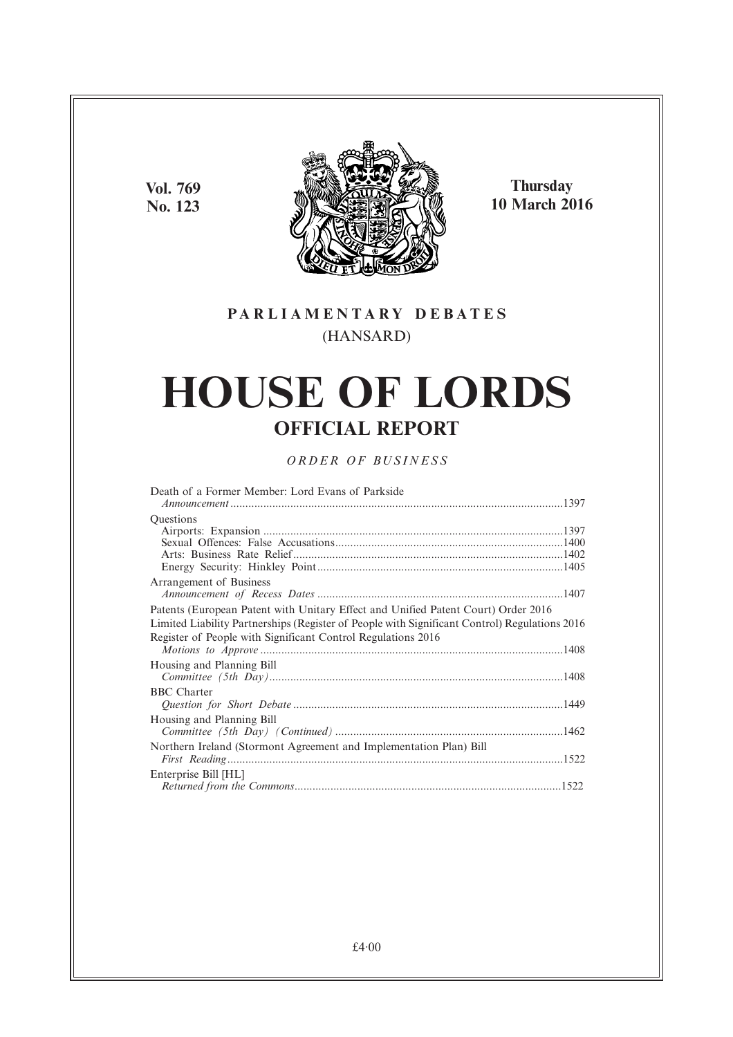**Vol. 769 No. 123**



**Thursday 10 March 2016**

## **PARL IAMENTARY DEBATES** (HANSARD)

# **HOUSE OF LORDS OFFICIAL REPORT**

## *ORDER OF BUSINESS*

| Death of a Former Member: Lord Evans of Parkside                                              |  |
|-----------------------------------------------------------------------------------------------|--|
| Questions                                                                                     |  |
|                                                                                               |  |
|                                                                                               |  |
|                                                                                               |  |
|                                                                                               |  |
| Arrangement of Business                                                                       |  |
|                                                                                               |  |
| Patents (European Patent with Unitary Effect and Unified Patent Court) Order 2016             |  |
| Limited Liability Partnerships (Register of People with Significant Control) Regulations 2016 |  |
| Register of People with Significant Control Regulations 2016                                  |  |
|                                                                                               |  |
| Housing and Planning Bill                                                                     |  |
|                                                                                               |  |
| <b>BBC</b> Charter                                                                            |  |
|                                                                                               |  |
| Housing and Planning Bill                                                                     |  |
|                                                                                               |  |
| Northern Ireland (Stormont Agreement and Implementation Plan) Bill                            |  |
|                                                                                               |  |
| Enterprise Bill [HL]                                                                          |  |
|                                                                                               |  |
|                                                                                               |  |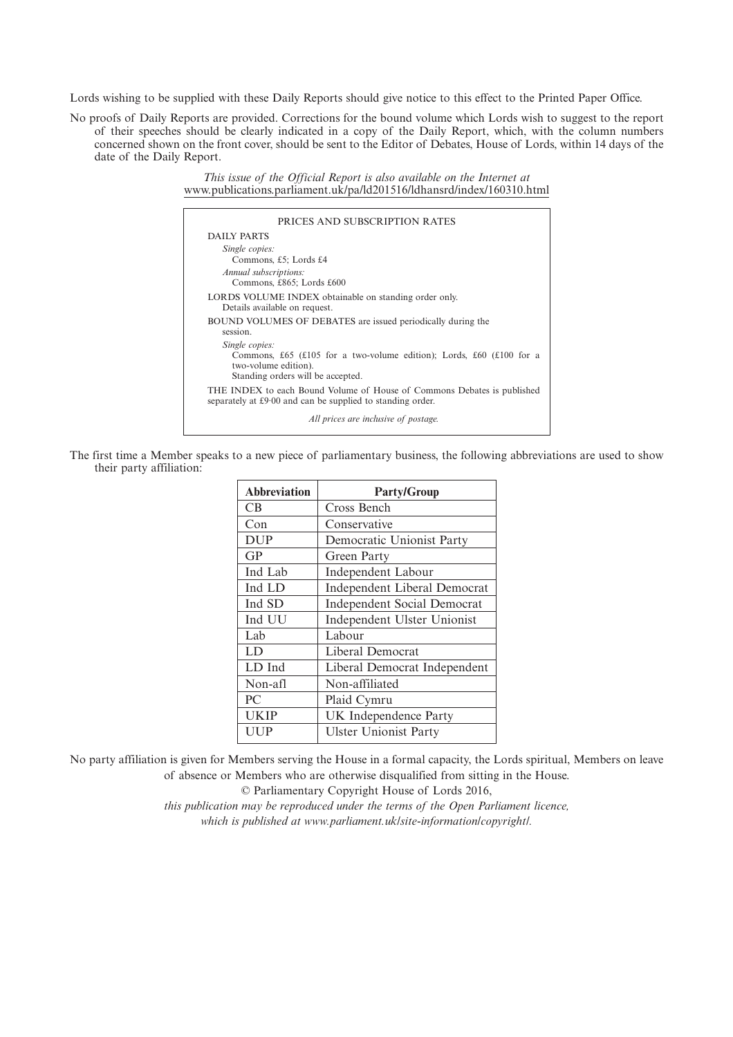Lords wishing to be supplied with these Daily Reports should give notice to this effect to the Printed Paper Office.

No proofs of Daily Reports are provided. Corrections for the bound volume which Lords wish to suggest to the report of their speeches should be clearly indicated in a copy of the Daily Report, which, with the column numbers concerned shown on the front cover, should be sent to the Editor of Debates, House of Lords, within 14 days of the date of the Daily Report.

> *This issue of the Official Report is also available on the Internet at* www.publications.parliament.uk/pa/ld201516/ldhansrd/index/160310.html

| PRICES AND SUBSCRIPTION RATES                                                                                                                       |
|-----------------------------------------------------------------------------------------------------------------------------------------------------|
| <b>DAILY PARTS</b>                                                                                                                                  |
| Single copies:<br>Commons, £5; Lords £4                                                                                                             |
| Annual subscriptions:<br>Commons, £865; Lords £600                                                                                                  |
| LORDS VOLUME INDEX obtainable on standing order only.<br>Details available on request.                                                              |
| BOUND VOLUMES OF DEBATES are issued periodically during the<br>session.                                                                             |
| Single copies:<br>Commons, £65 (£105 for a two-volume edition); Lords, £60 (£100 for a<br>two-volume edition).<br>Standing orders will be accepted. |
| THE INDEX to each Bound Volume of House of Commons Debates is published<br>separately at £9.00 and can be supplied to standing order.               |
| All prices are inclusive of postage.                                                                                                                |

The first time a Member speaks to a new piece of parliamentary business, the following abbreviations are used to show their party affiliation:

| <b>Abbreviation</b> | <b>Party/Group</b>                  |
|---------------------|-------------------------------------|
| CB                  | Cross Bench                         |
| Con                 | Conservative                        |
| <b>DUP</b>          | Democratic Unionist Party           |
| <b>GP</b>           | Green Party                         |
| Ind Lab             | <b>Independent Labour</b>           |
| Ind LD              | <b>Independent Liberal Democrat</b> |
| Ind SD              | <b>Independent Social Democrat</b>  |
| Ind UU              | Independent Ulster Unionist         |
| Lab                 | Labour                              |
| LD                  | Liberal Democrat                    |
| LD Ind              | Liberal Democrat Independent        |
| Non-afl             | Non-affiliated                      |
| PC                  | Plaid Cymru                         |
| UKIP                | UK Independence Party               |
| UUP                 | <b>Ulster Unionist Party</b>        |

No party affiliation is given for Members serving the House in a formal capacity, the Lords spiritual, Members on leave of absence or Members who are otherwise disqualified from sitting in the House.

© Parliamentary Copyright House of Lords 2016,

*this publication may be reproduced under the terms of the Open Parliament licence, which is published at www.parliament.uk/site-information/copyright/.*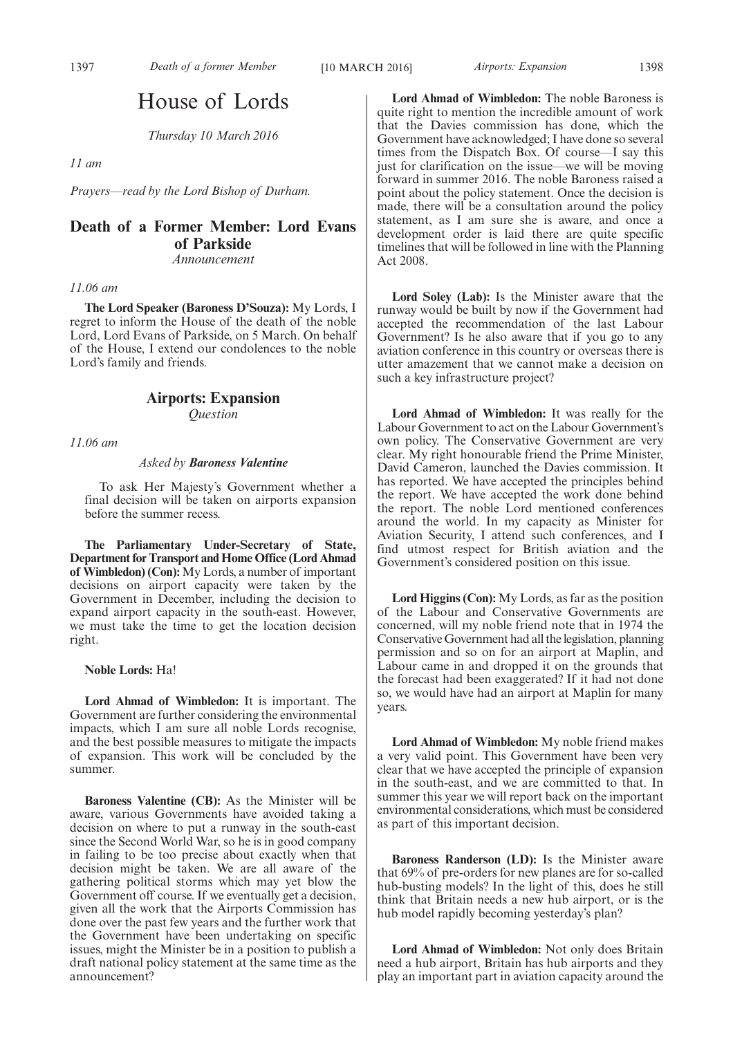## House of Lords

*Thursday 10 March 2016*

*11 am*

*Prayers—read by the Lord Bishop of Durham.*

## **Death of a Former Member: Lord Evans of Parkside**

*Announcement*

*11.06 am*

**The Lord Speaker (Baroness D'Souza):** My Lords, I regret to inform the House of the death of the noble Lord, Lord Evans of Parkside, on 5 March. On behalf of the House, I extend our condolences to the noble Lord's family and friends.

### **Airports: Expansion** *Question*

*11.06 am*

#### *Asked by Baroness Valentine*

To ask Her Majesty's Government whether a final decision will be taken on airports expansion before the summer recess.

**The Parliamentary Under-Secretary of State, Department for Transport and Home Office (Lord Ahmad of Wimbledon) (Con):** My Lords, a number of important decisions on airport capacity were taken by the Government in December, including the decision to expand airport capacity in the south-east. However, we must take the time to get the location decision right.

#### **Noble Lords:** Ha!

**Lord Ahmad of Wimbledon:** It is important. The Government are further considering the environmental impacts, which I am sure all noble Lords recognise, and the best possible measures to mitigate the impacts of expansion. This work will be concluded by the summer.

**Baroness Valentine (CB):** As the Minister will be aware, various Governments have avoided taking a decision on where to put a runway in the south-east since the Second World War, so he is in good company in failing to be too precise about exactly when that decision might be taken. We are all aware of the gathering political storms which may yet blow the Government off course. If we eventually get a decision, given all the work that the Airports Commission has done over the past few years and the further work that the Government have been undertaking on specific issues, might the Minister be in a position to publish a draft national policy statement at the same time as the announcement?

**Lord Ahmad of Wimbledon:** The noble Baroness is quite right to mention the incredible amount of work that the Davies commission has done, which the Government have acknowledged; I have done so several times from the Dispatch Box. Of course—I say this just for clarification on the issue—we will be moving forward in summer 2016. The noble Baroness raised a point about the policy statement. Once the decision is made, there will be a consultation around the policy statement, as I am sure she is aware, and once a development order is laid there are quite specific timelines that will be followed in line with the Planning Act 2008.

**Lord Soley (Lab):** Is the Minister aware that the runway would be built by now if the Government had accepted the recommendation of the last Labour Government? Is he also aware that if you go to any aviation conference in this country or overseas there is utter amazement that we cannot make a decision on such a key infrastructure project?

**Lord Ahmad of Wimbledon:** It was really for the Labour Government to act on the Labour Government's own policy. The Conservative Government are very clear. My right honourable friend the Prime Minister, David Cameron, launched the Davies commission. It has reported. We have accepted the principles behind the report. We have accepted the work done behind the report. The noble Lord mentioned conferences around the world. In my capacity as Minister for Aviation Security, I attend such conferences, and I find utmost respect for British aviation and the Government's considered position on this issue.

**Lord Higgins (Con):** My Lords, as far as the position of the Labour and Conservative Governments are concerned, will my noble friend note that in 1974 the Conservative Government had all the legislation, planning permission and so on for an airport at Maplin, and Labour came in and dropped it on the grounds that the forecast had been exaggerated? If it had not done so, we would have had an airport at Maplin for many years.

**Lord Ahmad of Wimbledon:** My noble friend makes a very valid point. This Government have been very clear that we have accepted the principle of expansion in the south-east, and we are committed to that. In summer this year we will report back on the important environmental considerations, which must be considered as part of this important decision.

**Baroness Randerson (LD):** Is the Minister aware that 69% of pre-orders for new planes are for so-called hub-busting models? In the light of this, does he still think that Britain needs a new hub airport, or is the hub model rapidly becoming yesterday's plan?

**Lord Ahmad of Wimbledon:** Not only does Britain need a hub airport, Britain has hub airports and they play an important part in aviation capacity around the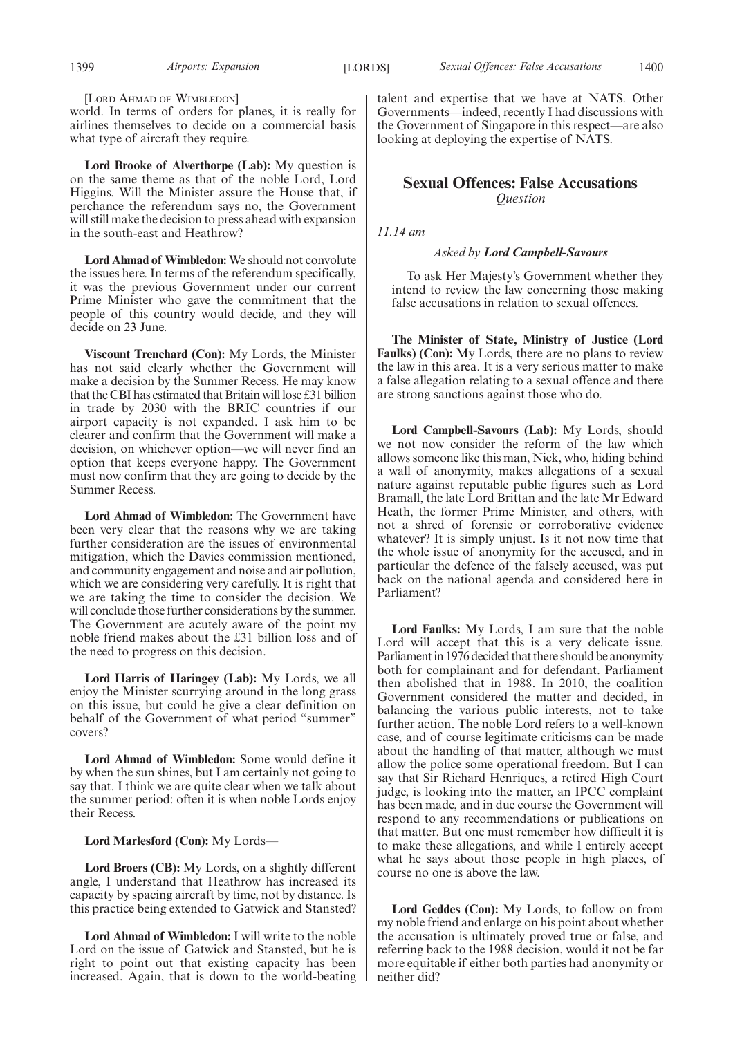[LORD AHMAD OF WIMBLEDON]

world. In terms of orders for planes, it is really for airlines themselves to decide on a commercial basis what type of aircraft they require.

**Lord Brooke of Alverthorpe (Lab):** My question is on the same theme as that of the noble Lord, Lord Higgins. Will the Minister assure the House that, if perchance the referendum says no, the Government will still make the decision to press ahead with expansion in the south-east and Heathrow?

**Lord Ahmad of Wimbledon:** We should not convolute the issues here. In terms of the referendum specifically, it was the previous Government under our current Prime Minister who gave the commitment that the people of this country would decide, and they will decide on 23 June.

**Viscount Trenchard (Con):** My Lords, the Minister has not said clearly whether the Government will make a decision by the Summer Recess. He may know that the CBI has estimated that Britain will lose £31 billion in trade by 2030 with the BRIC countries if our airport capacity is not expanded. I ask him to be clearer and confirm that the Government will make a decision, on whichever option—we will never find an option that keeps everyone happy. The Government must now confirm that they are going to decide by the Summer Recess.

**Lord Ahmad of Wimbledon:** The Government have been very clear that the reasons why we are taking further consideration are the issues of environmental mitigation, which the Davies commission mentioned, and community engagement and noise and air pollution, which we are considering very carefully. It is right that we are taking the time to consider the decision. We will conclude those further considerations by the summer. The Government are acutely aware of the point my noble friend makes about the £31 billion loss and of the need to progress on this decision.

**Lord Harris of Haringey (Lab):** My Lords, we all enjoy the Minister scurrying around in the long grass on this issue, but could he give a clear definition on behalf of the Government of what period "summer" covers?

**Lord Ahmad of Wimbledon:** Some would define it by when the sun shines, but I am certainly not going to say that. I think we are quite clear when we talk about the summer period: often it is when noble Lords enjoy their Recess.

### **Lord Marlesford (Con):** My Lords—

**Lord Broers (CB):** My Lords, on a slightly different angle, I understand that Heathrow has increased its capacity by spacing aircraft by time, not by distance. Is this practice being extended to Gatwick and Stansted?

**Lord Ahmad of Wimbledon:** I will write to the noble Lord on the issue of Gatwick and Stansted, but he is right to point out that existing capacity has been increased. Again, that is down to the world-beating talent and expertise that we have at NATS. Other Governments—indeed, recently I had discussions with the Government of Singapore in this respect—are also looking at deploying the expertise of NATS.

## **Sexual Offences: False Accusations** *Question*

*11.14 am*

#### *Asked by Lord Campbell-Savours*

To ask Her Majesty's Government whether they intend to review the law concerning those making false accusations in relation to sexual offences.

**The Minister of State, Ministry of Justice (Lord Faulks) (Con):** My Lords, there are no plans to review the law in this area. It is a very serious matter to make a false allegation relating to a sexual offence and there are strong sanctions against those who do.

**Lord Campbell-Savours (Lab):** My Lords, should we not now consider the reform of the law which allows someone like this man, Nick, who, hiding behind a wall of anonymity, makes allegations of a sexual nature against reputable public figures such as Lord Bramall, the late Lord Brittan and the late Mr Edward Heath, the former Prime Minister, and others, with not a shred of forensic or corroborative evidence whatever? It is simply unjust. Is it not now time that the whole issue of anonymity for the accused, and in particular the defence of the falsely accused, was put back on the national agenda and considered here in Parliament?

**Lord Faulks:** My Lords, I am sure that the noble Lord will accept that this is a very delicate issue. Parliament in 1976 decided that there should be anonymity both for complainant and for defendant. Parliament then abolished that in 1988. In 2010, the coalition Government considered the matter and decided, in balancing the various public interests, not to take further action. The noble Lord refers to a well-known case, and of course legitimate criticisms can be made about the handling of that matter, although we must allow the police some operational freedom. But I can say that Sir Richard Henriques, a retired High Court judge, is looking into the matter, an IPCC complaint has been made, and in due course the Government will respond to any recommendations or publications on that matter. But one must remember how difficult it is to make these allegations, and while I entirely accept what he says about those people in high places, of course no one is above the law.

**Lord Geddes (Con):** My Lords, to follow on from my noble friend and enlarge on his point about whether the accusation is ultimately proved true or false, and referring back to the 1988 decision, would it not be far more equitable if either both parties had anonymity or neither did?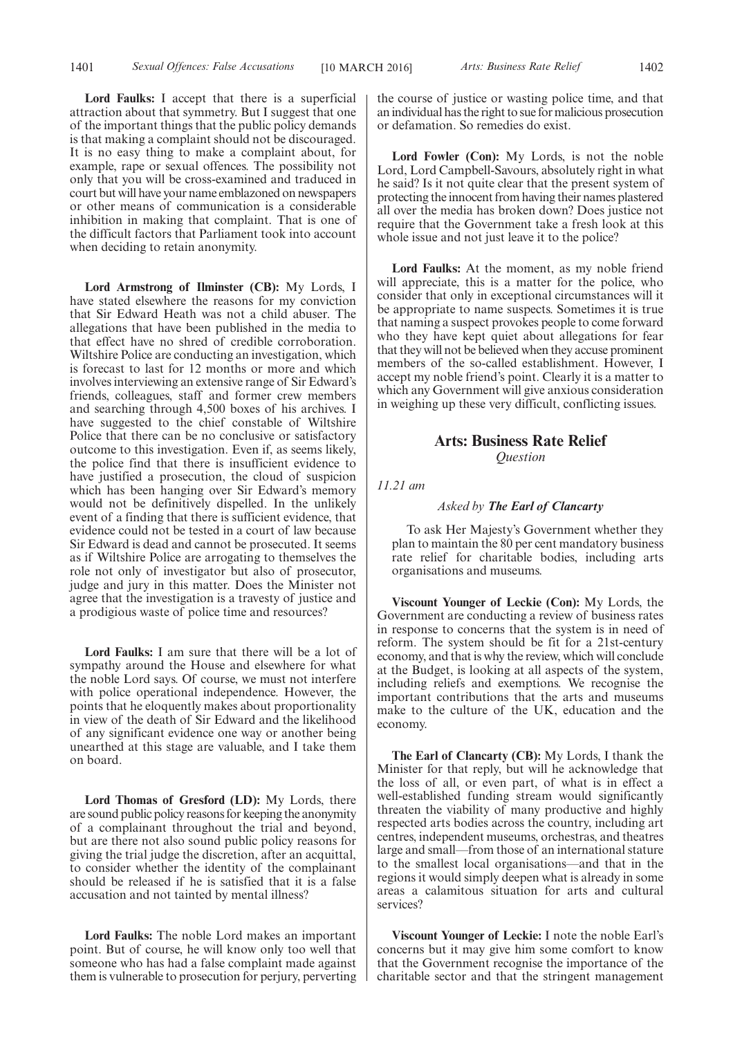1401 *Sexual Offences: False Accusations* [10 MARCH 2016] *Arts: Business Rate Relief* 1402

**Lord Faulks:** I accept that there is a superficial attraction about that symmetry. But I suggest that one of the important things that the public policy demands is that making a complaint should not be discouraged. It is no easy thing to make a complaint about, for example, rape or sexual offences. The possibility not only that you will be cross-examined and traduced in court but will have your name emblazoned on newspapers or other means of communication is a considerable inhibition in making that complaint. That is one of the difficult factors that Parliament took into account when deciding to retain anonymity.

**Lord Armstrong of Ilminster (CB):** My Lords, I have stated elsewhere the reasons for my conviction that Sir Edward Heath was not a child abuser. The allegations that have been published in the media to that effect have no shred of credible corroboration. Wiltshire Police are conducting an investigation, which is forecast to last for 12 months or more and which involves interviewing an extensive range of Sir Edward's friends, colleagues, staff and former crew members and searching through 4,500 boxes of his archives. I have suggested to the chief constable of Wiltshire Police that there can be no conclusive or satisfactory outcome to this investigation. Even if, as seems likely, the police find that there is insufficient evidence to have justified a prosecution, the cloud of suspicion which has been hanging over Sir Edward's memory would not be definitively dispelled. In the unlikely event of a finding that there is sufficient evidence, that evidence could not be tested in a court of law because Sir Edward is dead and cannot be prosecuted. It seems as if Wiltshire Police are arrogating to themselves the role not only of investigator but also of prosecutor, judge and jury in this matter. Does the Minister not agree that the investigation is a travesty of justice and a prodigious waste of police time and resources?

**Lord Faulks:** I am sure that there will be a lot of sympathy around the House and elsewhere for what the noble Lord says. Of course, we must not interfere with police operational independence. However, the points that he eloquently makes about proportionality in view of the death of Sir Edward and the likelihood of any significant evidence one way or another being unearthed at this stage are valuable, and I take them on board.

**Lord Thomas of Gresford (LD):** My Lords, there are sound public policy reasons for keeping the anonymity of a complainant throughout the trial and beyond, but are there not also sound public policy reasons for giving the trial judge the discretion, after an acquittal, to consider whether the identity of the complainant should be released if he is satisfied that it is a false accusation and not tainted by mental illness?

**Lord Faulks:** The noble Lord makes an important point. But of course, he will know only too well that someone who has had a false complaint made against them is vulnerable to prosecution for perjury, perverting the course of justice or wasting police time, and that an individual has the right to sue for malicious prosecution or defamation. So remedies do exist.

**Lord Fowler (Con):** My Lords, is not the noble Lord, Lord Campbell-Savours, absolutely right in what he said? Is it not quite clear that the present system of protecting the innocent from having their names plastered all over the media has broken down? Does justice not require that the Government take a fresh look at this whole issue and not just leave it to the police?

**Lord Faulks:** At the moment, as my noble friend will appreciate, this is a matter for the police, who consider that only in exceptional circumstances will it be appropriate to name suspects. Sometimes it is true that naming a suspect provokes people to come forward who they have kept quiet about allegations for fear that they will not be believed when they accuse prominent members of the so-called establishment. However, I accept my noble friend's point. Clearly it is a matter to which any Government will give anxious consideration in weighing up these very difficult, conflicting issues.

#### **Arts: Business Rate Relief** *Question*

*11.21 am*

*Asked by The Earl of Clancarty*

To ask Her Majesty's Government whether they plan to maintain the 80 per cent mandatory business rate relief for charitable bodies, including arts organisations and museums.

**Viscount Younger of Leckie (Con):** My Lords, the Government are conducting a review of business rates in response to concerns that the system is in need of reform. The system should be fit for a 21st-century economy, and that is why the review, which will conclude at the Budget, is looking at all aspects of the system, including reliefs and exemptions. We recognise the important contributions that the arts and museums make to the culture of the UK, education and the economy.

**The Earl of Clancarty (CB):** My Lords, I thank the Minister for that reply, but will he acknowledge that the loss of all, or even part, of what is in effect a well-established funding stream would significantly threaten the viability of many productive and highly respected arts bodies across the country, including art centres, independent museums, orchestras, and theatres large and small—from those of an international stature to the smallest local organisations—and that in the regions it would simply deepen what is already in some areas a calamitous situation for arts and cultural services?

**Viscount Younger of Leckie:** I note the noble Earl's concerns but it may give him some comfort to know that the Government recognise the importance of the charitable sector and that the stringent management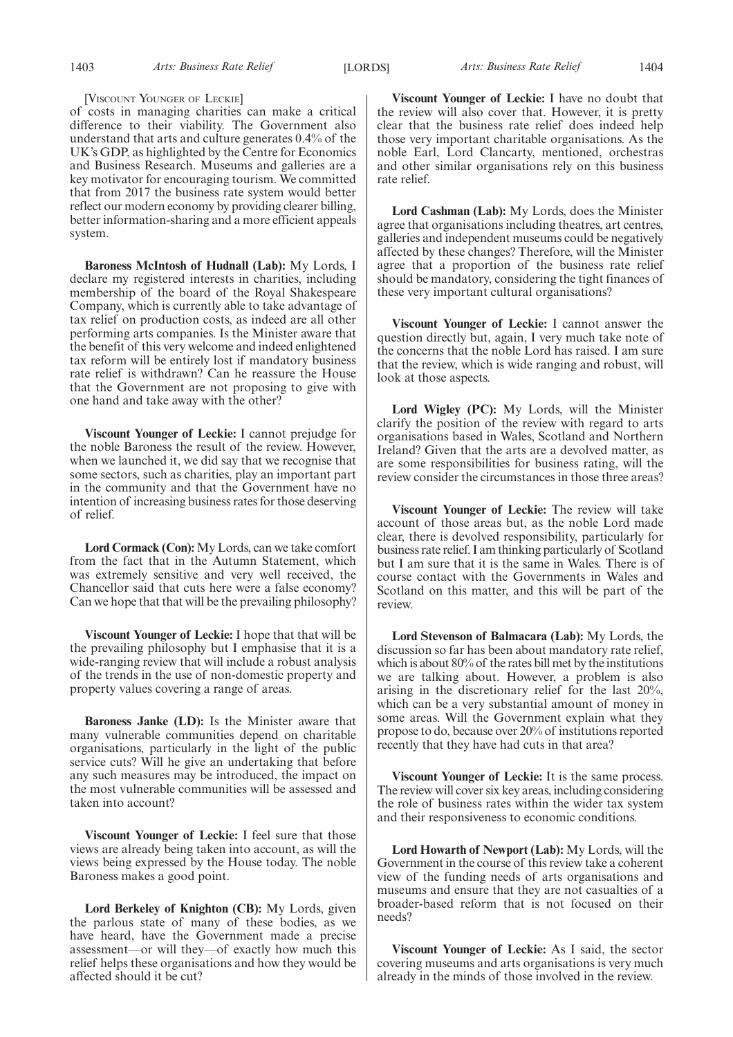#### [VISCOUNT YOUNGER OF LECKIE]

of costs in managing charities can make a critical difference to their viability. The Government also understand that arts and culture generates 0.4% of the UK's GDP, as highlighted by the Centre for Economics and Business Research. Museums and galleries are a key motivator for encouraging tourism. We committed that from 2017 the business rate system would better reflect our modern economy by providing clearer billing, better information-sharing and a more efficient appeals system.

**Baroness McIntosh of Hudnall (Lab):** My Lords, I declare my registered interests in charities, including membership of the board of the Royal Shakespeare Company, which is currently able to take advantage of tax relief on production costs, as indeed are all other performing arts companies. Is the Minister aware that the benefit of this very welcome and indeed enlightened tax reform will be entirely lost if mandatory business rate relief is withdrawn? Can he reassure the House that the Government are not proposing to give with one hand and take away with the other?

**Viscount Younger of Leckie:** I cannot prejudge for the noble Baroness the result of the review. However, when we launched it, we did say that we recognise that some sectors, such as charities, play an important part in the community and that the Government have no intention of increasing business rates for those deserving of relief.

**Lord Cormack (Con):** My Lords, can we take comfort from the fact that in the Autumn Statement, which was extremely sensitive and very well received, the Chancellor said that cuts here were a false economy? Can we hope that that will be the prevailing philosophy?

**Viscount Younger of Leckie:** I hope that that will be the prevailing philosophy but I emphasise that it is a wide-ranging review that will include a robust analysis of the trends in the use of non-domestic property and property values covering a range of areas.

**Baroness Janke (LD):** Is the Minister aware that many vulnerable communities depend on charitable organisations, particularly in the light of the public service cuts? Will he give an undertaking that before any such measures may be introduced, the impact on the most vulnerable communities will be assessed and taken into account?

**Viscount Younger of Leckie:** I feel sure that those views are already being taken into account, as will the views being expressed by the House today. The noble Baroness makes a good point.

**Lord Berkeley of Knighton (CB):** My Lords, given the parlous state of many of these bodies, as we have heard, have the Government made a precise assessment—or will they—of exactly how much this relief helps these organisations and how they would be affected should it be cut?

**Viscount Younger of Leckie:** I have no doubt that the review will also cover that. However, it is pretty clear that the business rate relief does indeed help those very important charitable organisations. As the noble Earl, Lord Clancarty, mentioned, orchestras and other similar organisations rely on this business rate relief.

**Lord Cashman (Lab):** My Lords, does the Minister agree that organisations including theatres, art centres, galleries and independent museums could be negatively affected by these changes? Therefore, will the Minister agree that a proportion of the business rate relief should be mandatory, considering the tight finances of these very important cultural organisations?

**Viscount Younger of Leckie:** I cannot answer the question directly but, again, I very much take note of the concerns that the noble Lord has raised. I am sure that the review, which is wide ranging and robust, will look at those aspects.

**Lord Wigley (PC):** My Lords, will the Minister clarify the position of the review with regard to arts organisations based in Wales, Scotland and Northern Ireland? Given that the arts are a devolved matter, as are some responsibilities for business rating, will the review consider the circumstances in those three areas?

**Viscount Younger of Leckie:** The review will take account of those areas but, as the noble Lord made clear, there is devolved responsibility, particularly for business rate relief. I am thinking particularly of Scotland but I am sure that it is the same in Wales. There is of course contact with the Governments in Wales and Scotland on this matter, and this will be part of the review.

**Lord Stevenson of Balmacara (Lab):** My Lords, the discussion so far has been about mandatory rate relief, which is about 80% of the rates bill met by the institutions we are talking about. However, a problem is also arising in the discretionary relief for the last 20%, which can be a very substantial amount of money in some areas. Will the Government explain what they propose to do, because over 20% of institutions reported recently that they have had cuts in that area?

**Viscount Younger of Leckie:** It is the same process. The review will cover six key areas, including considering the role of business rates within the wider tax system and their responsiveness to economic conditions.

**Lord Howarth of Newport (Lab):** My Lords, will the Government in the course of this review take a coherent view of the funding needs of arts organisations and museums and ensure that they are not casualties of a broader-based reform that is not focused on their needs?

**Viscount Younger of Leckie:** As I said, the sector covering museums and arts organisations is very much already in the minds of those involved in the review.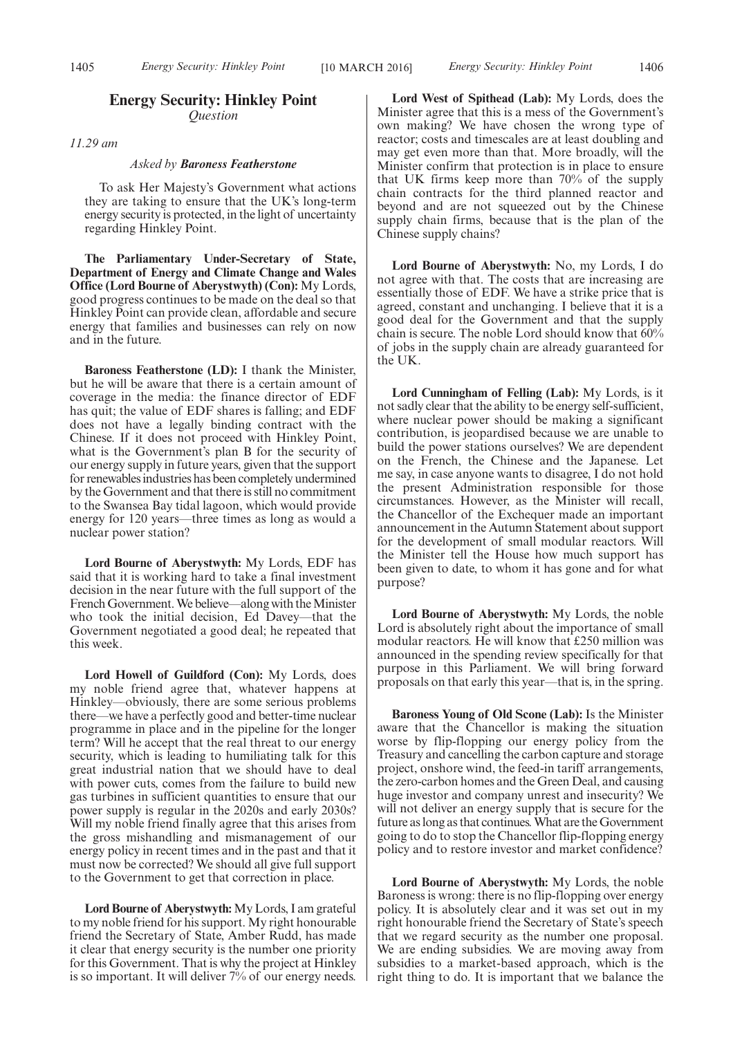### **Energy Security: Hinkley Point** *Question*

*11.29 am*

#### *Asked by Baroness Featherstone*

To ask Her Majesty's Government what actions they are taking to ensure that the UK's long-term energy security is protected, in the light of uncertainty regarding Hinkley Point.

**The Parliamentary Under-Secretary of State, Department of Energy and Climate Change and Wales Office (Lord Bourne of Aberystwyth) (Con):** My Lords, good progress continues to be made on the deal so that Hinkley Point can provide clean, affordable and secure energy that families and businesses can rely on now and in the future.

**Baroness Featherstone (LD):** I thank the Minister, but he will be aware that there is a certain amount of coverage in the media: the finance director of EDF has quit; the value of EDF shares is falling; and EDF does not have a legally binding contract with the Chinese. If it does not proceed with Hinkley Point, what is the Government's plan B for the security of our energy supply in future years, given that the support for renewables industries has been completely undermined by the Government and that there is still no commitment to the Swansea Bay tidal lagoon, which would provide energy for 120 years—three times as long as would a nuclear power station?

**Lord Bourne of Aberystwyth:** My Lords, EDF has said that it is working hard to take a final investment decision in the near future with the full support of the French Government. We believe—along with the Minister who took the initial decision, Ed Davey—that the Government negotiated a good deal; he repeated that this week.

**Lord Howell of Guildford (Con):** My Lords, does my noble friend agree that, whatever happens at Hinkley—obviously, there are some serious problems there—we have a perfectly good and better-time nuclear programme in place and in the pipeline for the longer term? Will he accept that the real threat to our energy security, which is leading to humiliating talk for this great industrial nation that we should have to deal with power cuts, comes from the failure to build new gas turbines in sufficient quantities to ensure that our power supply is regular in the 2020s and early 2030s? Will my noble friend finally agree that this arises from the gross mishandling and mismanagement of our energy policy in recent times and in the past and that it must now be corrected? We should all give full support to the Government to get that correction in place.

**Lord Bourne of Aberystwyth:** My Lords, I am grateful to my noble friend for his support. My right honourable friend the Secretary of State, Amber Rudd, has made it clear that energy security is the number one priority for this Government. That is why the project at Hinkley is so important. It will deliver 7% of our energy needs.

**Lord West of Spithead (Lab):** My Lords, does the Minister agree that this is a mess of the Government's own making? We have chosen the wrong type of reactor; costs and timescales are at least doubling and may get even more than that. More broadly, will the Minister confirm that protection is in place to ensure that UK firms keep more than 70% of the supply chain contracts for the third planned reactor and beyond and are not squeezed out by the Chinese supply chain firms, because that is the plan of the Chinese supply chains?

**Lord Bourne of Aberystwyth:** No, my Lords, I do not agree with that. The costs that are increasing are essentially those of EDF. We have a strike price that is agreed, constant and unchanging. I believe that it is a good deal for the Government and that the supply chain is secure. The noble Lord should know that 60% of jobs in the supply chain are already guaranteed for the UK.

**Lord Cunningham of Felling (Lab):** My Lords, is it not sadly clear that the ability to be energy self-sufficient, where nuclear power should be making a significant contribution, is jeopardised because we are unable to build the power stations ourselves? We are dependent on the French, the Chinese and the Japanese. Let me say, in case anyone wants to disagree, I do not hold the present Administration responsible for those circumstances. However, as the Minister will recall, the Chancellor of the Exchequer made an important announcement in the Autumn Statement about support for the development of small modular reactors. Will the Minister tell the House how much support has been given to date, to whom it has gone and for what purpose?

**Lord Bourne of Aberystwyth:** My Lords, the noble Lord is absolutely right about the importance of small modular reactors. He will know that £250 million was announced in the spending review specifically for that purpose in this Parliament. We will bring forward proposals on that early this year—that is, in the spring.

**Baroness Young of Old Scone (Lab):** Is the Minister aware that the Chancellor is making the situation worse by flip-flopping our energy policy from the Treasury and cancelling the carbon capture and storage project, onshore wind, the feed-in tariff arrangements, the zero-carbon homes and the Green Deal, and causing huge investor and company unrest and insecurity? We will not deliver an energy supply that is secure for the future as long as that continues.What are the Government going to do to stop the Chancellor flip-flopping energy policy and to restore investor and market confidence?

**Lord Bourne of Aberystwyth:** My Lords, the noble Baroness is wrong: there is no flip-flopping over energy policy. It is absolutely clear and it was set out in my right honourable friend the Secretary of State's speech that we regard security as the number one proposal. We are ending subsidies. We are moving away from subsidies to a market-based approach, which is the right thing to do. It is important that we balance the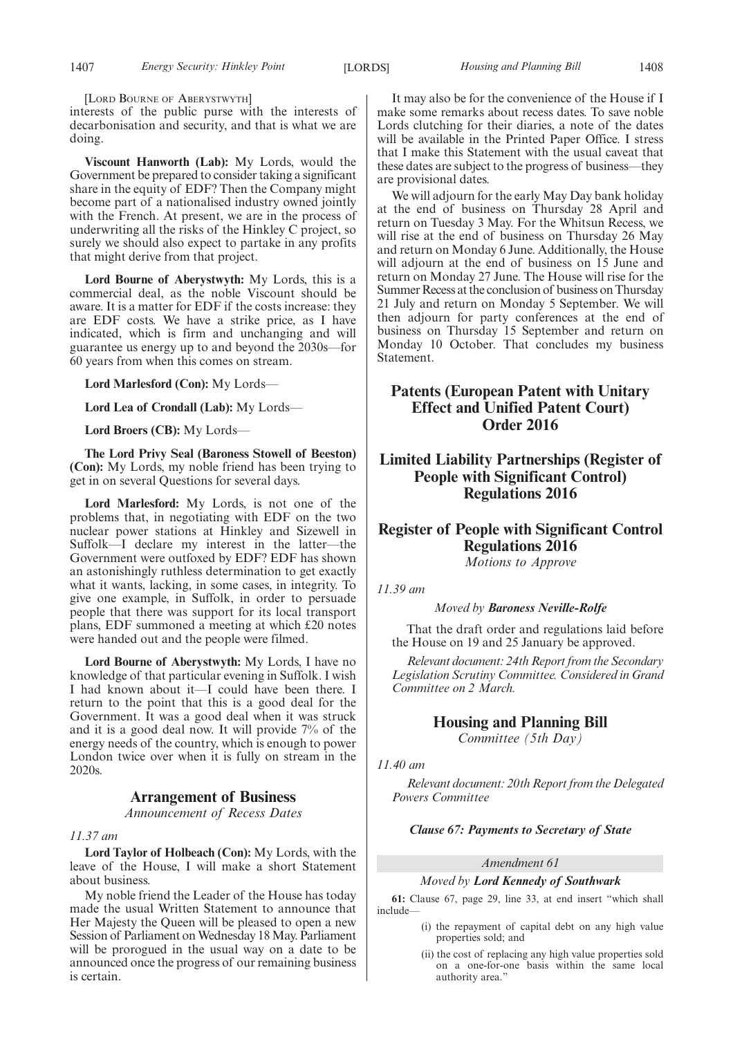[LORD BOURNE OF ABERYSTWYTH]

interests of the public purse with the interests of decarbonisation and security, and that is what we are doing.

**Viscount Hanworth (Lab):** My Lords, would the Government be prepared to consider taking a significant share in the equity of EDF? Then the Company might become part of a nationalised industry owned jointly with the French. At present, we are in the process of underwriting all the risks of the Hinkley C project, so surely we should also expect to partake in any profits that might derive from that project.

**Lord Bourne of Aberystwyth:** My Lords, this is a commercial deal, as the noble Viscount should be aware. It is a matter for EDF if the costs increase: they are EDF costs. We have a strike price, as I have indicated, which is firm and unchanging and will guarantee us energy up to and beyond the 2030s—for 60 years from when this comes on stream.

**Lord Marlesford (Con):** My Lords—

**Lord Lea of Crondall (Lab):** My Lords—

**Lord Broers (CB):** My Lords—

**The Lord Privy Seal (Baroness Stowell of Beeston) (Con):** My Lords, my noble friend has been trying to get in on several Questions for several days.

**Lord Marlesford:** My Lords, is not one of the problems that, in negotiating with EDF on the two nuclear power stations at Hinkley and Sizewell in Suffolk—I declare my interest in the latter—the Government were outfoxed by EDF? EDF has shown an astonishingly ruthless determination to get exactly what it wants, lacking, in some cases, in integrity. To give one example, in Suffolk, in order to persuade people that there was support for its local transport plans, EDF summoned a meeting at which £20 notes were handed out and the people were filmed.

**Lord Bourne of Aberystwyth:** My Lords, I have no knowledge of that particular evening in Suffolk. I wish I had known about it—I could have been there. I return to the point that this is a good deal for the Government. It was a good deal when it was struck and it is a good deal now. It will provide 7% of the energy needs of the country, which is enough to power London twice over when it is fully on stream in the 2020s.

#### **Arrangement of Business**

*Announcement of Recess Dates*

#### *11.37 am*

**Lord Taylor of Holbeach (Con):** My Lords, with the leave of the House, I will make a short Statement about business.

My noble friend the Leader of the House has today made the usual Written Statement to announce that Her Majesty the Queen will be pleased to open a new Session of Parliament on Wednesday 18 May. Parliament will be prorogued in the usual way on a date to be announced once the progress of our remaining business is certain.

It may also be for the convenience of the House if I make some remarks about recess dates. To save noble Lords clutching for their diaries, a note of the dates will be available in the Printed Paper Office. I stress that I make this Statement with the usual caveat that these dates are subject to the progress of business—they are provisional dates.

We will adjourn for the early May Day bank holiday at the end of business on Thursday 28 April and return on Tuesday 3 May. For the Whitsun Recess, we will rise at the end of business on Thursday 26 May and return on Monday 6 June. Additionally, the House will adjourn at the end of business on 15 June and return on Monday 27 June. The House will rise for the Summer Recess at the conclusion of business on Thursday 21 July and return on Monday 5 September. We will then adjourn for party conferences at the end of business on Thursday 15 September and return on Monday 10 October. That concludes my business Statement.

## **Patents (European Patent with Unitary Effect and Unified Patent Court) Order 2016**

## **Limited Liability Partnerships (Register of People with Significant Control) Regulations 2016**

## **Register of People with Significant Control Regulations 2016**

*Motions to Approve*

### *11.39 am*

*Moved by Baroness Neville-Rolfe*

That the draft order and regulations laid before the House on 19 and 25 January be approved.

*Relevant document: 24th Report from the Secondary Legislation Scrutiny Committee. Considered in Grand Committee on 2 March.*

## **Housing and Planning Bill**

*Committee (5th Day)*

#### *11.40 am*

*Relevant document: 20th Report from the Delegated Powers Committee*

#### *Clause 67: Payments to Secretary of State*

#### *Amendment 61*

#### *Moved by Lord Kennedy of Southwark*

**61:** Clause 67, page 29, line 33, at end insert "which shall include—

- (i) the repayment of capital debt on any high value properties sold; and
- (ii) the cost of replacing any high value properties sold on a one-for-one basis within the same local authority area."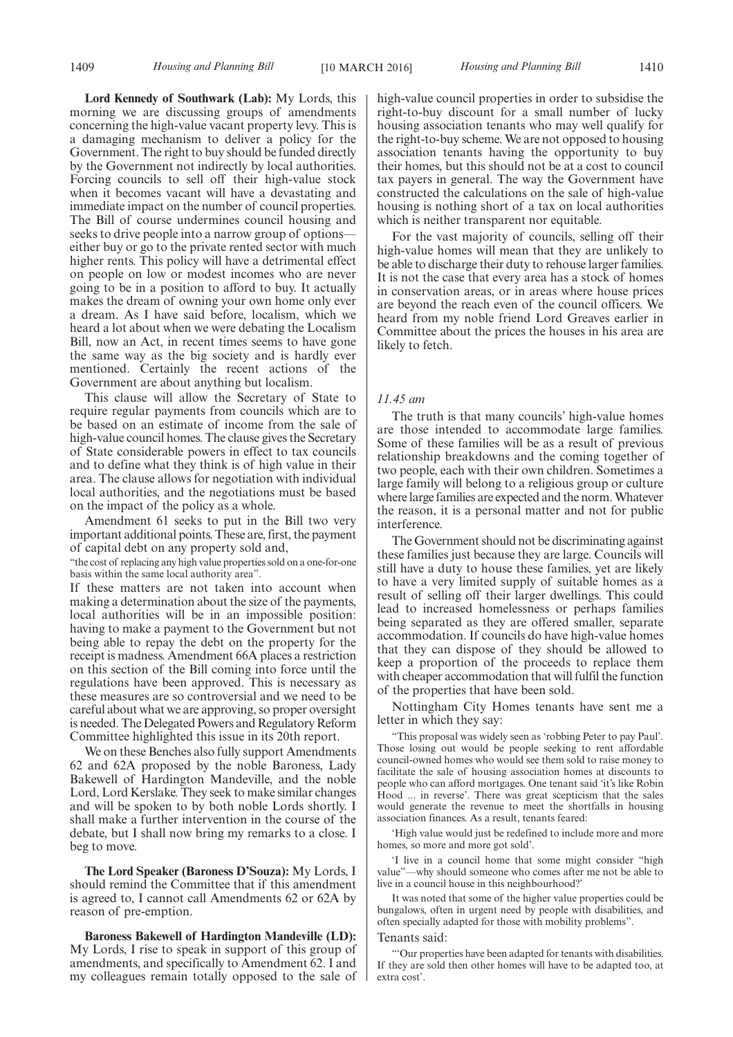**Lord Kennedy of Southwark (Lab):** My Lords, this morning we are discussing groups of amendments concerning the high-value vacant property levy. This is a damaging mechanism to deliver a policy for the Government. The right to buy should be funded directly by the Government not indirectly by local authorities. Forcing councils to sell off their high-value stock when it becomes vacant will have a devastating and immediate impact on the number of council properties. The Bill of course undermines council housing and seeks to drive people into a narrow group of options either buy or go to the private rented sector with much higher rents. This policy will have a detrimental effect on people on low or modest incomes who are never going to be in a position to afford to buy. It actually makes the dream of owning your own home only ever a dream. As I have said before, localism, which we heard a lot about when we were debating the Localism Bill, now an Act, in recent times seems to have gone the same way as the big society and is hardly ever mentioned. Certainly the recent actions of the Government are about anything but localism.

This clause will allow the Secretary of State to require regular payments from councils which are to be based on an estimate of income from the sale of high-value council homes. The clause gives the Secretary of State considerable powers in effect to tax councils and to define what they think is of high value in their area. The clause allows for negotiation with individual local authorities, and the negotiations must be based on the impact of the policy as a whole.

Amendment 61 seeks to put in the Bill two very important additional points. These are, first, the payment of capital debt on any property sold and,

"the cost of replacing any high value properties sold on a one-for-one basis within the same local authority area".

If these matters are not taken into account when making a determination about the size of the payments, local authorities will be in an impossible position: having to make a payment to the Government but not being able to repay the debt on the property for the receipt is madness. Amendment 66A places a restriction on this section of the Bill coming into force until the regulations have been approved. This is necessary as these measures are so controversial and we need to be careful about what we are approving, so proper oversight is needed. The Delegated Powers and Regulatory Reform Committee highlighted this issue in its 20th report.

We on these Benches also fully support Amendments 62 and 62A proposed by the noble Baroness, Lady Bakewell of Hardington Mandeville, and the noble Lord, Lord Kerslake. They seek to make similar changes and will be spoken to by both noble Lords shortly. I shall make a further intervention in the course of the debate, but I shall now bring my remarks to a close. I beg to move.

**The Lord Speaker (Baroness D'Souza):** My Lords, I should remind the Committee that if this amendment is agreed to, I cannot call Amendments 62 or 62A by reason of pre-emption.

**Baroness Bakewell of Hardington Mandeville (LD):** My Lords, I rise to speak in support of this group of amendments, and specifically to Amendment 62. I and my colleagues remain totally opposed to the sale of high-value council properties in order to subsidise the right-to-buy discount for a small number of lucky housing association tenants who may well qualify for the right-to-buy scheme. We are not opposed to housing association tenants having the opportunity to buy their homes, but this should not be at a cost to council tax payers in general. The way the Government have constructed the calculations on the sale of high-value housing is nothing short of a tax on local authorities which is neither transparent nor equitable.

For the vast majority of councils, selling off their high-value homes will mean that they are unlikely to be able to discharge their duty to rehouse larger families. It is not the case that every area has a stock of homes in conservation areas, or in areas where house prices are beyond the reach even of the council officers. We heard from my noble friend Lord Greaves earlier in Committee about the prices the houses in his area are likely to fetch.

#### *11.45 am*

The truth is that many councils' high-value homes are those intended to accommodate large families. Some of these families will be as a result of previous relationship breakdowns and the coming together of two people, each with their own children. Sometimes a large family will belong to a religious group or culture where large families are expected and the norm.Whatever the reason, it is a personal matter and not for public interference.

The Government should not be discriminating against these families just because they are large. Councils will still have a duty to house these families, yet are likely to have a very limited supply of suitable homes as a result of selling off their larger dwellings. This could lead to increased homelessness or perhaps families being separated as they are offered smaller, separate accommodation. If councils do have high-value homes that they can dispose of they should be allowed to keep a proportion of the proceeds to replace them with cheaper accommodation that will fulfil the function of the properties that have been sold.

Nottingham City Homes tenants have sent me a letter in which they say:

"This proposal was widely seen as 'robbing Peter to pay Paul'. Those losing out would be people seeking to rent affordable council-owned homes who would see them sold to raise money to facilitate the sale of housing association homes at discounts to people who can afford mortgages. One tenant said 'it's like Robin Hood ... in reverse'. There was great scepticism that the sales would generate the revenue to meet the shortfalls in housing association finances. As a result, tenants feared:

'High value would just be redefined to include more and more homes, so more and more got sold'.

'I live in a council home that some might consider "high value"—why should someone who comes after me not be able to live in a council house in this neighbourhood?'

It was noted that some of the higher value properties could be bungalows, often in urgent need by people with disabilities, and often specially adapted for those with mobility problems".

#### Tenants said:

"'Our properties have been adapted for tenants with disabilities. If they are sold then other homes will have to be adapted too, at extra cost'.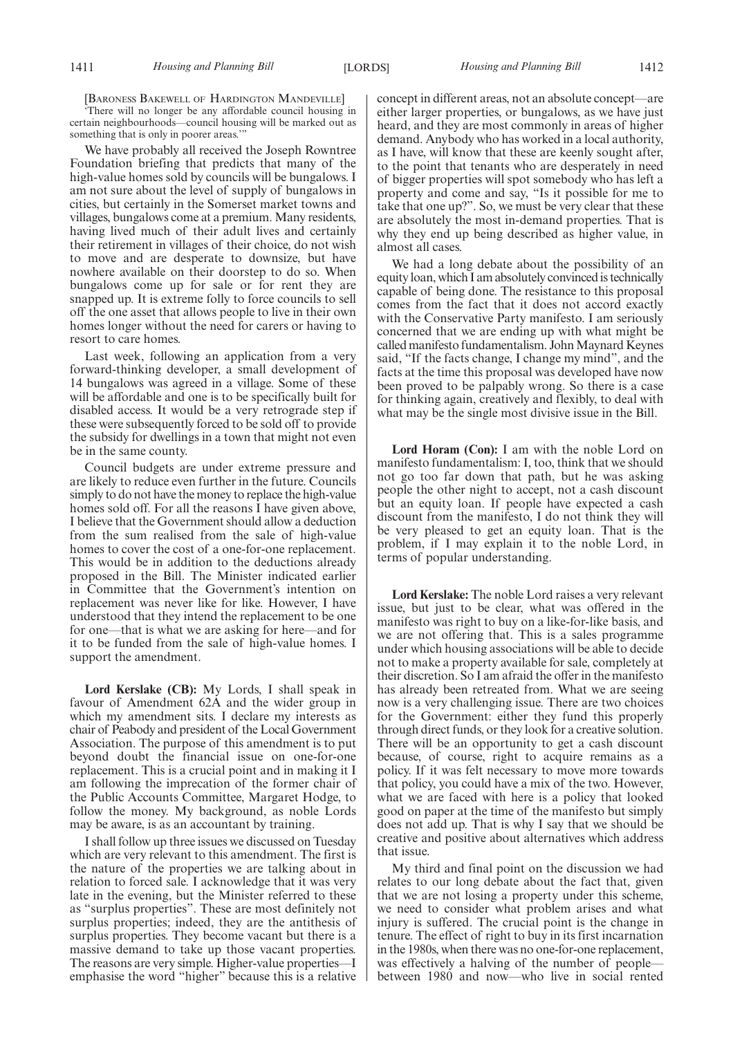[BARONESS BAKEWELL OF HARDINGTON MANDEVILLE]

'There will no longer be any affordable council housing in certain neighbourhoods—council housing will be marked out as something that is only in poorer areas."

We have probably all received the Joseph Rowntree Foundation briefing that predicts that many of the high-value homes sold by councils will be bungalows. I am not sure about the level of supply of bungalows in cities, but certainly in the Somerset market towns and villages, bungalows come at a premium. Many residents, having lived much of their adult lives and certainly their retirement in villages of their choice, do not wish to move and are desperate to downsize, but have nowhere available on their doorstep to do so. When bungalows come up for sale or for rent they are snapped up. It is extreme folly to force councils to sell off the one asset that allows people to live in their own homes longer without the need for carers or having to resort to care homes.

Last week, following an application from a very forward-thinking developer, a small development of 14 bungalows was agreed in a village. Some of these will be affordable and one is to be specifically built for disabled access. It would be a very retrograde step if these were subsequently forced to be sold off to provide the subsidy for dwellings in a town that might not even be in the same county.

Council budgets are under extreme pressure and are likely to reduce even further in the future. Councils simply to do not have the money to replace the high-value homes sold off. For all the reasons I have given above, I believe that the Government should allow a deduction from the sum realised from the sale of high-value homes to cover the cost of a one-for-one replacement. This would be in addition to the deductions already proposed in the Bill. The Minister indicated earlier in Committee that the Government's intention on replacement was never like for like. However, I have understood that they intend the replacement to be one for one—that is what we are asking for here—and for it to be funded from the sale of high-value homes. I support the amendment.

**Lord Kerslake (CB):** My Lords, I shall speak in favour of Amendment 62A and the wider group in which my amendment sits. I declare my interests as chair of Peabody and president of the Local Government Association. The purpose of this amendment is to put beyond doubt the financial issue on one-for-one replacement. This is a crucial point and in making it I am following the imprecation of the former chair of the Public Accounts Committee, Margaret Hodge, to follow the money. My background, as noble Lords may be aware, is as an accountant by training.

I shall follow up three issues we discussed on Tuesday which are very relevant to this amendment. The first is the nature of the properties we are talking about in relation to forced sale. I acknowledge that it was very late in the evening, but the Minister referred to these as "surplus properties". These are most definitely not surplus properties; indeed, they are the antithesis of surplus properties. They become vacant but there is a massive demand to take up those vacant properties. The reasons are very simple. Higher-value properties—I emphasise the word "higher" because this is a relative concept in different areas, not an absolute concept—are either larger properties, or bungalows, as we have just heard, and they are most commonly in areas of higher demand. Anybody who has worked in a local authority, as I have, will know that these are keenly sought after, to the point that tenants who are desperately in need of bigger properties will spot somebody who has left a property and come and say, "Is it possible for me to take that one up?". So, we must be very clear that these are absolutely the most in-demand properties. That is why they end up being described as higher value, in almost all cases.

We had a long debate about the possibility of an equity loan, which I am absolutely convinced is technically capable of being done. The resistance to this proposal comes from the fact that it does not accord exactly with the Conservative Party manifesto. I am seriously concerned that we are ending up with what might be called manifesto fundamentalism. John Maynard Keynes said, "If the facts change, I change my mind", and the facts at the time this proposal was developed have now been proved to be palpably wrong. So there is a case for thinking again, creatively and flexibly, to deal with what may be the single most divisive issue in the Bill.

**Lord Horam (Con):** I am with the noble Lord on manifesto fundamentalism: I, too, think that we should not go too far down that path, but he was asking people the other night to accept, not a cash discount but an equity loan. If people have expected a cash discount from the manifesto, I do not think they will be very pleased to get an equity loan. That is the problem, if I may explain it to the noble Lord, in terms of popular understanding.

**Lord Kerslake:** The noble Lord raises a very relevant issue, but just to be clear, what was offered in the manifesto was right to buy on a like-for-like basis, and we are not offering that. This is a sales programme under which housing associations will be able to decide not to make a property available for sale, completely at their discretion. So I am afraid the offer in the manifesto has already been retreated from. What we are seeing now is a very challenging issue. There are two choices for the Government: either they fund this properly through direct funds, or they look for a creative solution. There will be an opportunity to get a cash discount because, of course, right to acquire remains as a policy. If it was felt necessary to move more towards that policy, you could have a mix of the two. However, what we are faced with here is a policy that looked good on paper at the time of the manifesto but simply does not add up. That is why I say that we should be creative and positive about alternatives which address that issue.

My third and final point on the discussion we had relates to our long debate about the fact that, given that we are not losing a property under this scheme, we need to consider what problem arises and what injury is suffered. The crucial point is the change in tenure. The effect of right to buy in its first incarnation in the 1980s, when there was no one-for-one replacement, was effectively a halving of the number of people between 1980 and now—who live in social rented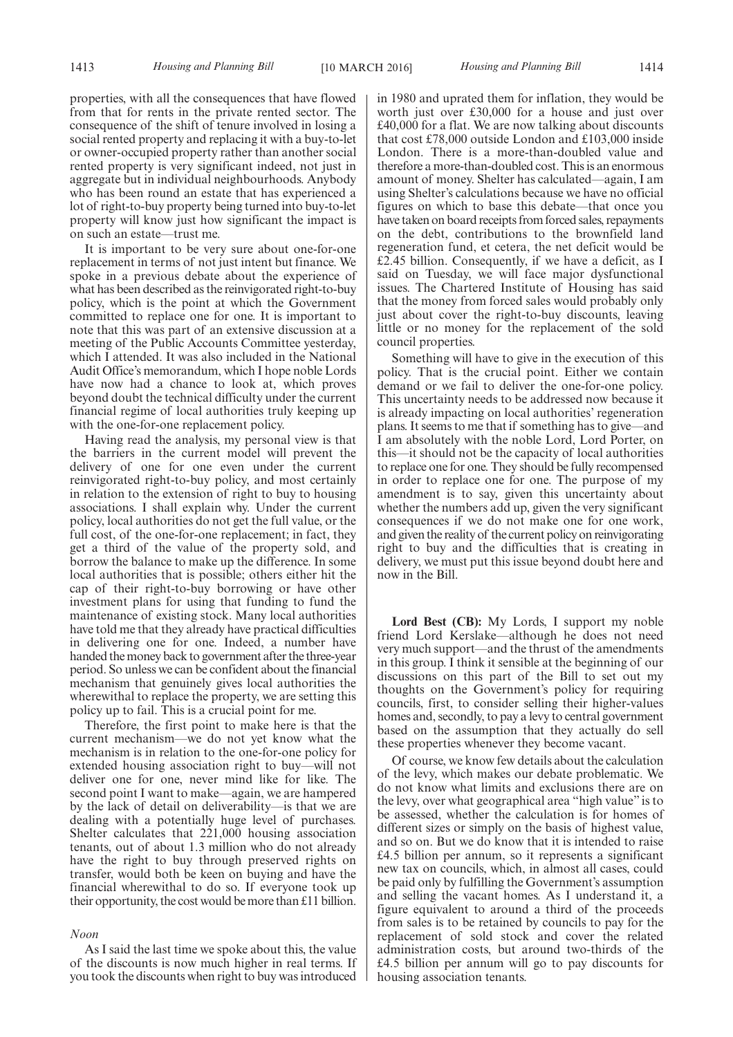properties, with all the consequences that have flowed from that for rents in the private rented sector. The consequence of the shift of tenure involved in losing a social rented property and replacing it with a buy-to-let or owner-occupied property rather than another social rented property is very significant indeed, not just in aggregate but in individual neighbourhoods. Anybody who has been round an estate that has experienced a lot of right-to-buy property being turned into buy-to-let property will know just how significant the impact is on such an estate—trust me.

It is important to be very sure about one-for-one replacement in terms of not just intent but finance. We spoke in a previous debate about the experience of what has been described as the reinvigorated right-to-buy policy, which is the point at which the Government committed to replace one for one. It is important to note that this was part of an extensive discussion at a meeting of the Public Accounts Committee yesterday, which I attended. It was also included in the National Audit Office's memorandum, which I hope noble Lords have now had a chance to look at, which proves beyond doubt the technical difficulty under the current financial regime of local authorities truly keeping up with the one-for-one replacement policy.

Having read the analysis, my personal view is that the barriers in the current model will prevent the delivery of one for one even under the current reinvigorated right-to-buy policy, and most certainly in relation to the extension of right to buy to housing associations. I shall explain why. Under the current policy, local authorities do not get the full value, or the full cost, of the one-for-one replacement; in fact, they get a third of the value of the property sold, and borrow the balance to make up the difference. In some local authorities that is possible; others either hit the cap of their right-to-buy borrowing or have other investment plans for using that funding to fund the maintenance of existing stock. Many local authorities have told me that they already have practical difficulties in delivering one for one. Indeed, a number have handed the money back to government after the three-year period. So unless we can be confident about the financial mechanism that genuinely gives local authorities the wherewithal to replace the property, we are setting this policy up to fail. This is a crucial point for me.

Therefore, the first point to make here is that the current mechanism—we do not yet know what the mechanism is in relation to the one-for-one policy for extended housing association right to buy—will not deliver one for one, never mind like for like. The second point I want to make—again, we are hampered by the lack of detail on deliverability—is that we are dealing with a potentially huge level of purchases. Shelter calculates that 221,000 housing association tenants, out of about 1.3 million who do not already have the right to buy through preserved rights on transfer, would both be keen on buying and have the financial wherewithal to do so. If everyone took up their opportunity, the cost would be more than £11 billion.

#### *Noon*

As I said the last time we spoke about this, the value of the discounts is now much higher in real terms. If you took the discounts when right to buy was introduced in 1980 and uprated them for inflation, they would be worth just over £30,000 for a house and just over £40,000 for a flat. We are now talking about discounts that cost £78,000 outside London and £103,000 inside London. There is a more-than-doubled value and therefore a more-than-doubled cost. This is an enormous amount of money. Shelter has calculated—again, I am using Shelter's calculations because we have no official figures on which to base this debate—that once you have taken on board receipts from forced sales, repayments on the debt, contributions to the brownfield land regeneration fund, et cetera, the net deficit would be £2.45 billion. Consequently, if we have a deficit, as I said on Tuesday, we will face major dysfunctional issues. The Chartered Institute of Housing has said that the money from forced sales would probably only just about cover the right-to-buy discounts, leaving little or no money for the replacement of the sold council properties.

Something will have to give in the execution of this policy. That is the crucial point. Either we contain demand or we fail to deliver the one-for-one policy. This uncertainty needs to be addressed now because it is already impacting on local authorities' regeneration plans. It seems to me that if something has to give—and I am absolutely with the noble Lord, Lord Porter, on this—it should not be the capacity of local authorities to replace one for one. They should be fully recompensed in order to replace one for one. The purpose of my amendment is to say, given this uncertainty about whether the numbers add up, given the very significant consequences if we do not make one for one work, and given the reality of the current policy on reinvigorating right to buy and the difficulties that is creating in delivery, we must put this issue beyond doubt here and now in the Bill.

**Lord Best (CB):** My Lords, I support my noble friend Lord Kerslake—although he does not need very much support—and the thrust of the amendments in this group. I think it sensible at the beginning of our discussions on this part of the Bill to set out my thoughts on the Government's policy for requiring councils, first, to consider selling their higher-values homes and, secondly, to pay a levy to central government based on the assumption that they actually do sell these properties whenever they become vacant.

Of course, we know few details about the calculation of the levy, which makes our debate problematic. We do not know what limits and exclusions there are on the levy, over what geographical area "high value" is to be assessed, whether the calculation is for homes of different sizes or simply on the basis of highest value, and so on. But we do know that it is intended to raise £4.5 billion per annum, so it represents a significant new tax on councils, which, in almost all cases, could be paid only by fulfilling the Government's assumption and selling the vacant homes. As I understand it, a figure equivalent to around a third of the proceeds from sales is to be retained by councils to pay for the replacement of sold stock and cover the related administration costs, but around two-thirds of the £4.5 billion per annum will go to pay discounts for housing association tenants.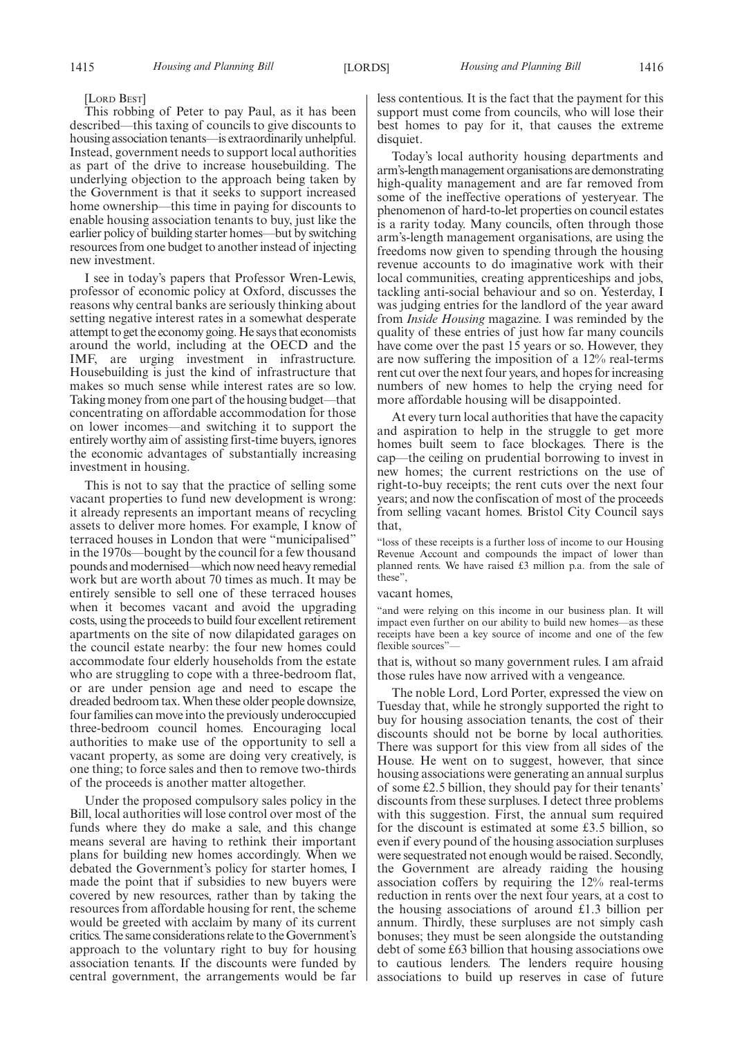#### [LORD BEST]

This robbing of Peter to pay Paul, as it has been described—this taxing of councils to give discounts to housing association tenants—is extraordinarily unhelpful. Instead, government needs to support local authorities as part of the drive to increase housebuilding. The underlying objection to the approach being taken by the Government is that it seeks to support increased home ownership—this time in paying for discounts to enable housing association tenants to buy, just like the earlier policy of building starter homes—but by switching resources from one budget to another instead of injecting new investment.

I see in today's papers that Professor Wren-Lewis, professor of economic policy at Oxford, discusses the reasons why central banks are seriously thinking about setting negative interest rates in a somewhat desperate attempt to get the economy going. He says that economists around the world, including at the OECD and the IMF, are urging investment in infrastructure. Housebuilding is just the kind of infrastructure that makes so much sense while interest rates are so low. Taking money from one part of the housing budget—that concentrating on affordable accommodation for those on lower incomes—and switching it to support the entirely worthy aim of assisting first-time buyers, ignores the economic advantages of substantially increasing investment in housing.

This is not to say that the practice of selling some vacant properties to fund new development is wrong: it already represents an important means of recycling assets to deliver more homes. For example, I know of terraced houses in London that were "municipalised" in the 1970s—bought by the council for a few thousand pounds and modernised—which now need heavy remedial work but are worth about 70 times as much. It may be entirely sensible to sell one of these terraced houses when it becomes vacant and avoid the upgrading costs, using the proceeds to build four excellent retirement apartments on the site of now dilapidated garages on the council estate nearby: the four new homes could accommodate four elderly households from the estate who are struggling to cope with a three-bedroom flat, or are under pension age and need to escape the dreaded bedroom tax.When these older people downsize, four families can move into the previously underoccupied three-bedroom council homes. Encouraging local authorities to make use of the opportunity to sell a vacant property, as some are doing very creatively, is one thing; to force sales and then to remove two-thirds of the proceeds is another matter altogether.

Under the proposed compulsory sales policy in the Bill, local authorities will lose control over most of the funds where they do make a sale, and this change means several are having to rethink their important plans for building new homes accordingly. When we debated the Government's policy for starter homes, I made the point that if subsidies to new buyers were covered by new resources, rather than by taking the resources from affordable housing for rent, the scheme would be greeted with acclaim by many of its current critics. The same considerations relate to the Government's approach to the voluntary right to buy for housing association tenants. If the discounts were funded by central government, the arrangements would be far less contentious. It is the fact that the payment for this support must come from councils, who will lose their best homes to pay for it, that causes the extreme disquiet.

Today's local authority housing departments and arm's-length management organisations are demonstrating high-quality management and are far removed from some of the ineffective operations of yesteryear. The phenomenon of hard-to-let properties on council estates is a rarity today. Many councils, often through those arm's-length management organisations, are using the freedoms now given to spending through the housing revenue accounts to do imaginative work with their local communities, creating apprenticeships and jobs, tackling anti-social behaviour and so on. Yesterday, I was judging entries for the landlord of the year award from *Inside Housing* magazine. I was reminded by the quality of these entries of just how far many councils have come over the past 15 years or so. However, they are now suffering the imposition of a 12% real-terms rent cut over the next four years, and hopes for increasing numbers of new homes to help the crying need for more affordable housing will be disappointed.

At every turn local authorities that have the capacity and aspiration to help in the struggle to get more homes built seem to face blockages. There is the cap—the ceiling on prudential borrowing to invest in new homes; the current restrictions on the use of right-to-buy receipts; the rent cuts over the next four years; and now the confiscation of most of the proceeds from selling vacant homes. Bristol City Council says that,

"loss of these receipts is a further loss of income to our Housing Revenue Account and compounds the impact of lower than planned rents. We have raised £3 million p.a. from the sale of these",

#### vacant homes,

"and were relying on this income in our business plan. It will impact even further on our ability to build new homes—as these receipts have been a key source of income and one of the few flexible sources"

that is, without so many government rules. I am afraid those rules have now arrived with a vengeance.

The noble Lord, Lord Porter, expressed the view on Tuesday that, while he strongly supported the right to buy for housing association tenants, the cost of their discounts should not be borne by local authorities. There was support for this view from all sides of the House. He went on to suggest, however, that since housing associations were generating an annual surplus of some £2.5 billion, they should pay for their tenants' discounts from these surpluses. I detect three problems with this suggestion. First, the annual sum required for the discount is estimated at some £3.5 billion, so even if every pound of the housing association surpluses were sequestrated not enough would be raised. Secondly, the Government are already raiding the housing association coffers by requiring the 12% real-terms reduction in rents over the next four years, at a cost to the housing associations of around £1.3 billion per annum. Thirdly, these surpluses are not simply cash bonuses; they must be seen alongside the outstanding debt of some £63 billion that housing associations owe to cautious lenders. The lenders require housing associations to build up reserves in case of future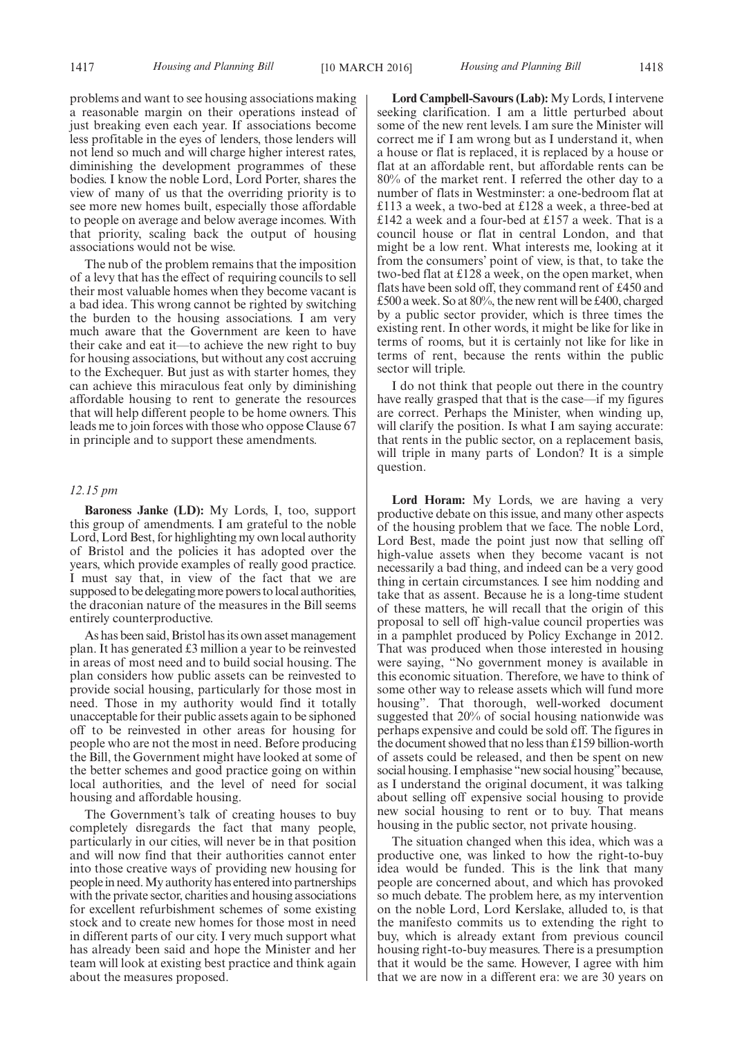problems and want to see housing associations making a reasonable margin on their operations instead of just breaking even each year. If associations become less profitable in the eyes of lenders, those lenders will not lend so much and will charge higher interest rates, diminishing the development programmes of these bodies. I know the noble Lord, Lord Porter, shares the view of many of us that the overriding priority is to see more new homes built, especially those affordable to people on average and below average incomes. With that priority, scaling back the output of housing associations would not be wise.

The nub of the problem remains that the imposition of a levy that has the effect of requiring councils to sell their most valuable homes when they become vacant is a bad idea. This wrong cannot be righted by switching the burden to the housing associations. I am very much aware that the Government are keen to have their cake and eat it—to achieve the new right to buy for housing associations, but without any cost accruing to the Exchequer. But just as with starter homes, they can achieve this miraculous feat only by diminishing affordable housing to rent to generate the resources that will help different people to be home owners. This leads me to join forces with those who oppose Clause 67 in principle and to support these amendments.

#### *12.15 pm*

**Baroness Janke (LD):** My Lords, I, too, support this group of amendments. I am grateful to the noble Lord, Lord Best, for highlighting my own local authority of Bristol and the policies it has adopted over the years, which provide examples of really good practice. I must say that, in view of the fact that we are supposed to be delegating more powers to local authorities, the draconian nature of the measures in the Bill seems entirely counterproductive.

As has been said, Bristol has its own asset management plan. It has generated £3 million a year to be reinvested in areas of most need and to build social housing. The plan considers how public assets can be reinvested to provide social housing, particularly for those most in need. Those in my authority would find it totally unacceptable for their public assets again to be siphoned off to be reinvested in other areas for housing for people who are not the most in need. Before producing the Bill, the Government might have looked at some of the better schemes and good practice going on within local authorities, and the level of need for social housing and affordable housing.

The Government's talk of creating houses to buy completely disregards the fact that many people, particularly in our cities, will never be in that position and will now find that their authorities cannot enter into those creative ways of providing new housing for people in need.My authority has entered into partnerships with the private sector, charities and housing associations for excellent refurbishment schemes of some existing stock and to create new homes for those most in need in different parts of our city. I very much support what has already been said and hope the Minister and her team will look at existing best practice and think again about the measures proposed.

**Lord Campbell-Savours (Lab):** My Lords, I intervene seeking clarification. I am a little perturbed about some of the new rent levels. I am sure the Minister will correct me if I am wrong but as I understand it, when a house or flat is replaced, it is replaced by a house or flat at an affordable rent, but affordable rents can be 80% of the market rent. I referred the other day to a number of flats in Westminster: a one-bedroom flat at £113 a week, a two-bed at £128 a week, a three-bed at £142 a week and a four-bed at £157 a week. That is a council house or flat in central London, and that might be a low rent. What interests me, looking at it from the consumers' point of view, is that, to take the two-bed flat at £128 a week, on the open market, when flats have been sold off, they command rent of £450 and £500 a week. So at 80%, the new rent will be £400, charged by a public sector provider, which is three times the existing rent. In other words, it might be like for like in terms of rooms, but it is certainly not like for like in terms of rent, because the rents within the public sector will triple.

I do not think that people out there in the country have really grasped that that is the case—if my figures are correct. Perhaps the Minister, when winding up, will clarify the position. Is what I am saying accurate: that rents in the public sector, on a replacement basis, will triple in many parts of London? It is a simple question.

**Lord Horam:** My Lords, we are having a very productive debate on this issue, and many other aspects of the housing problem that we face. The noble Lord, Lord Best, made the point just now that selling off high-value assets when they become vacant is not necessarily a bad thing, and indeed can be a very good thing in certain circumstances. I see him nodding and take that as assent. Because he is a long-time student of these matters, he will recall that the origin of this proposal to sell off high-value council properties was in a pamphlet produced by Policy Exchange in 2012. That was produced when those interested in housing were saying, "No government money is available in this economic situation. Therefore, we have to think of some other way to release assets which will fund more housing". That thorough, well-worked document suggested that 20% of social housing nationwide was perhaps expensive and could be sold off. The figures in the document showed that no less than £159 billion-worth of assets could be released, and then be spent on new social housing. I emphasise "new social housing" because, as I understand the original document, it was talking about selling off expensive social housing to provide new social housing to rent or to buy. That means housing in the public sector, not private housing.

The situation changed when this idea, which was a productive one, was linked to how the right-to-buy idea would be funded. This is the link that many people are concerned about, and which has provoked so much debate. The problem here, as my intervention on the noble Lord, Lord Kerslake, alluded to, is that the manifesto commits us to extending the right to buy, which is already extant from previous council housing right-to-buy measures. There is a presumption that it would be the same. However, I agree with him that we are now in a different era: we are 30 years on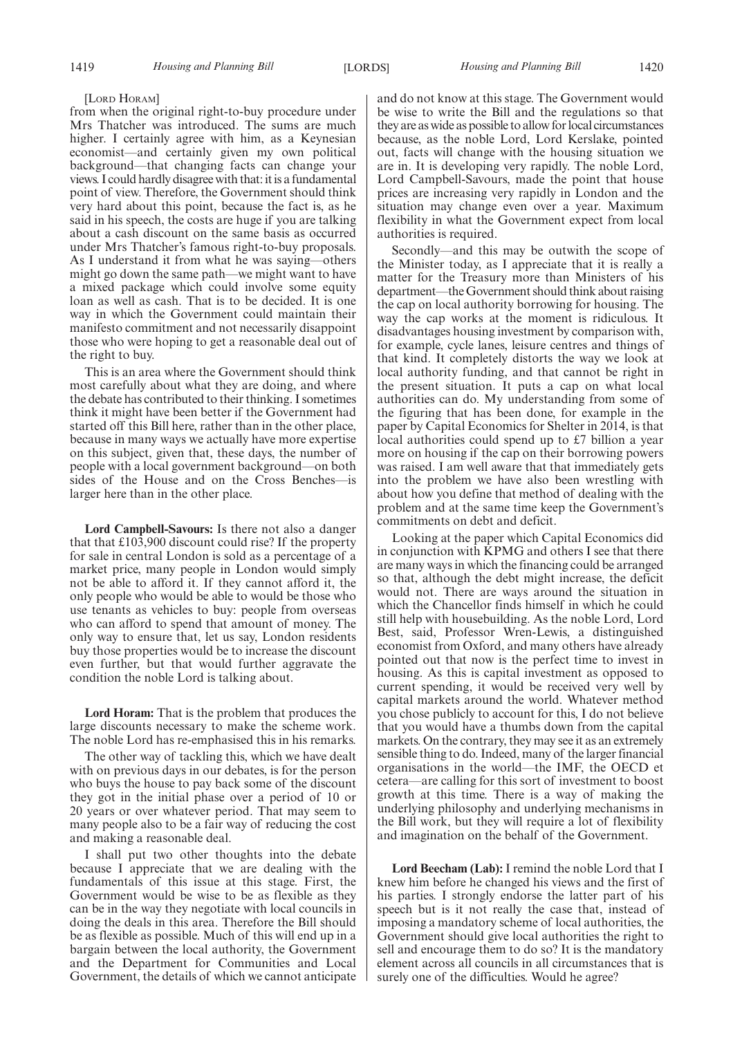#### [LORD HORAM]

from when the original right-to-buy procedure under Mrs Thatcher was introduced. The sums are much higher. I certainly agree with him, as a Keynesian economist—and certainly given my own political background—that changing facts can change your views. I could hardly disagree with that: it is a fundamental point of view. Therefore, the Government should think very hard about this point, because the fact is, as he said in his speech, the costs are huge if you are talking about a cash discount on the same basis as occurred under Mrs Thatcher's famous right-to-buy proposals. As I understand it from what he was saying—others might go down the same path—we might want to have a mixed package which could involve some equity loan as well as cash. That is to be decided. It is one way in which the Government could maintain their manifesto commitment and not necessarily disappoint those who were hoping to get a reasonable deal out of the right to buy.

This is an area where the Government should think most carefully about what they are doing, and where the debate has contributed to their thinking. I sometimes think it might have been better if the Government had started off this Bill here, rather than in the other place, because in many ways we actually have more expertise on this subject, given that, these days, the number of people with a local government background—on both sides of the House and on the Cross Benches—is larger here than in the other place.

**Lord Campbell-Savours:** Is there not also a danger that that £103,900 discount could rise? If the property for sale in central London is sold as a percentage of a market price, many people in London would simply not be able to afford it. If they cannot afford it, the only people who would be able to would be those who use tenants as vehicles to buy: people from overseas who can afford to spend that amount of money. The only way to ensure that, let us say, London residents buy those properties would be to increase the discount even further, but that would further aggravate the condition the noble Lord is talking about.

**Lord Horam:** That is the problem that produces the large discounts necessary to make the scheme work. The noble Lord has re-emphasised this in his remarks.

The other way of tackling this, which we have dealt with on previous days in our debates, is for the person who buys the house to pay back some of the discount they got in the initial phase over a period of 10 or 20 years or over whatever period. That may seem to many people also to be a fair way of reducing the cost and making a reasonable deal.

I shall put two other thoughts into the debate because I appreciate that we are dealing with the fundamentals of this issue at this stage. First, the Government would be wise to be as flexible as they can be in the way they negotiate with local councils in doing the deals in this area. Therefore the Bill should be as flexible as possible. Much of this will end up in a bargain between the local authority, the Government and the Department for Communities and Local Government, the details of which we cannot anticipate and do not know at this stage. The Government would be wise to write the Bill and the regulations so that they are as wide as possible to allow for local circumstances because, as the noble Lord, Lord Kerslake, pointed out, facts will change with the housing situation we are in. It is developing very rapidly. The noble Lord, Lord Campbell-Savours, made the point that house prices are increasing very rapidly in London and the situation may change even over a year. Maximum flexibility in what the Government expect from local authorities is required.

Secondly—and this may be outwith the scope of the Minister today, as I appreciate that it is really a matter for the Treasury more than Ministers of his department—the Government should think about raising the cap on local authority borrowing for housing. The way the cap works at the moment is ridiculous. It disadvantages housing investment by comparison with, for example, cycle lanes, leisure centres and things of that kind. It completely distorts the way we look at local authority funding, and that cannot be right in the present situation. It puts a cap on what local authorities can do. My understanding from some of the figuring that has been done, for example in the paper by Capital Economics for Shelter in 2014, is that local authorities could spend up to £7 billion a year more on housing if the cap on their borrowing powers was raised. I am well aware that that immediately gets into the problem we have also been wrestling with about how you define that method of dealing with the problem and at the same time keep the Government's commitments on debt and deficit.

Looking at the paper which Capital Economics did in conjunction with KPMG and others I see that there are many ways in which the financing could be arranged so that, although the debt might increase, the deficit would not. There are ways around the situation in which the Chancellor finds himself in which he could still help with housebuilding. As the noble Lord, Lord Best, said, Professor Wren-Lewis, a distinguished economist from Oxford, and many others have already pointed out that now is the perfect time to invest in housing. As this is capital investment as opposed to current spending, it would be received very well by capital markets around the world. Whatever method you chose publicly to account for this, I do not believe that you would have a thumbs down from the capital markets. On the contrary, they may see it as an extremely sensible thing to do. Indeed, many of the larger financial organisations in the world—the IMF, the OECD et cetera—are calling for this sort of investment to boost growth at this time. There is a way of making the underlying philosophy and underlying mechanisms in the Bill work, but they will require a lot of flexibility and imagination on the behalf of the Government.

**Lord Beecham (Lab):** I remind the noble Lord that I knew him before he changed his views and the first of his parties. I strongly endorse the latter part of his speech but is it not really the case that, instead of imposing a mandatory scheme of local authorities, the Government should give local authorities the right to sell and encourage them to do so? It is the mandatory element across all councils in all circumstances that is surely one of the difficulties. Would he agree?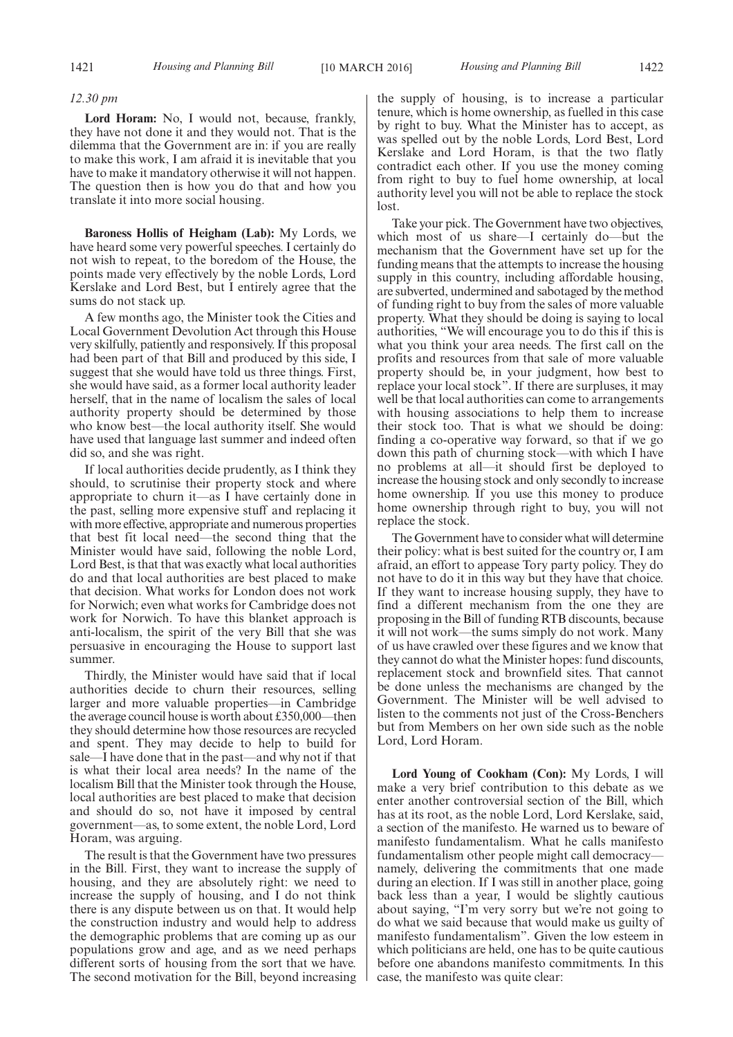#### *12.30 pm*

**Lord Horam:** No, I would not, because, frankly, they have not done it and they would not. That is the dilemma that the Government are in: if you are really to make this work, I am afraid it is inevitable that you have to make it mandatory otherwise it will not happen. The question then is how you do that and how you translate it into more social housing.

**Baroness Hollis of Heigham (Lab):** My Lords, we have heard some very powerful speeches. I certainly do not wish to repeat, to the boredom of the House, the points made very effectively by the noble Lords, Lord Kerslake and Lord Best, but I entirely agree that the sums do not stack up.

A few months ago, the Minister took the Cities and Local Government Devolution Act through this House very skilfully, patiently and responsively. If this proposal had been part of that Bill and produced by this side, I suggest that she would have told us three things. First, she would have said, as a former local authority leader herself, that in the name of localism the sales of local authority property should be determined by those who know best—the local authority itself. She would have used that language last summer and indeed often did so, and she was right.

If local authorities decide prudently, as I think they should, to scrutinise their property stock and where appropriate to churn it—as I have certainly done in the past, selling more expensive stuff and replacing it with more effective, appropriate and numerous properties that best fit local need—the second thing that the Minister would have said, following the noble Lord, Lord Best, is that that was exactly what local authorities do and that local authorities are best placed to make that decision. What works for London does not work for Norwich; even what works for Cambridge does not work for Norwich. To have this blanket approach is anti-localism, the spirit of the very Bill that she was persuasive in encouraging the House to support last summer.

Thirdly, the Minister would have said that if local authorities decide to churn their resources, selling larger and more valuable properties—in Cambridge the average council house is worth about £350,000—then they should determine how those resources are recycled and spent. They may decide to help to build for sale—I have done that in the past—and why not if that is what their local area needs? In the name of the localism Bill that the Minister took through the House, local authorities are best placed to make that decision and should do so, not have it imposed by central government—as, to some extent, the noble Lord, Lord Horam, was arguing.

The result is that the Government have two pressures in the Bill. First, they want to increase the supply of housing, and they are absolutely right: we need to increase the supply of housing, and I do not think there is any dispute between us on that. It would help the construction industry and would help to address the demographic problems that are coming up as our populations grow and age, and as we need perhaps different sorts of housing from the sort that we have. The second motivation for the Bill, beyond increasing the supply of housing, is to increase a particular tenure, which is home ownership, as fuelled in this case by right to buy. What the Minister has to accept, as was spelled out by the noble Lords, Lord Best, Lord Kerslake and Lord Horam, is that the two flatly contradict each other. If you use the money coming from right to buy to fuel home ownership, at local authority level you will not be able to replace the stock lost.

Take your pick. The Government have two objectives, which most of us share—I certainly do—but the mechanism that the Government have set up for the funding means that the attempts to increase the housing supply in this country, including affordable housing, are subverted, undermined and sabotaged by the method of funding right to buy from the sales of more valuable property. What they should be doing is saying to local authorities, "We will encourage you to do this if this is what you think your area needs. The first call on the profits and resources from that sale of more valuable property should be, in your judgment, how best to replace your local stock". If there are surpluses, it may well be that local authorities can come to arrangements with housing associations to help them to increase their stock too. That is what we should be doing: finding a co-operative way forward, so that if we go down this path of churning stock—with which I have no problems at all—it should first be deployed to increase the housing stock and only secondly to increase home ownership. If you use this money to produce home ownership through right to buy, you will not replace the stock.

The Government have to consider what will determine their policy: what is best suited for the country or, I am afraid, an effort to appease Tory party policy. They do not have to do it in this way but they have that choice. If they want to increase housing supply, they have to find a different mechanism from the one they are proposing in the Bill of funding RTB discounts, because it will not work—the sums simply do not work. Many of us have crawled over these figures and we know that they cannot do what the Minister hopes: fund discounts, replacement stock and brownfield sites. That cannot be done unless the mechanisms are changed by the Government. The Minister will be well advised to listen to the comments not just of the Cross-Benchers but from Members on her own side such as the noble Lord, Lord Horam.

**Lord Young of Cookham (Con):** My Lords, I will make a very brief contribution to this debate as we enter another controversial section of the Bill, which has at its root, as the noble Lord, Lord Kerslake, said, a section of the manifesto. He warned us to beware of manifesto fundamentalism. What he calls manifesto fundamentalism other people might call democracy namely, delivering the commitments that one made during an election. If I was still in another place, going back less than a year, I would be slightly cautious about saying, "I'm very sorry but we're not going to do what we said because that would make us guilty of manifesto fundamentalism". Given the low esteem in which politicians are held, one has to be quite cautious before one abandons manifesto commitments. In this case, the manifesto was quite clear: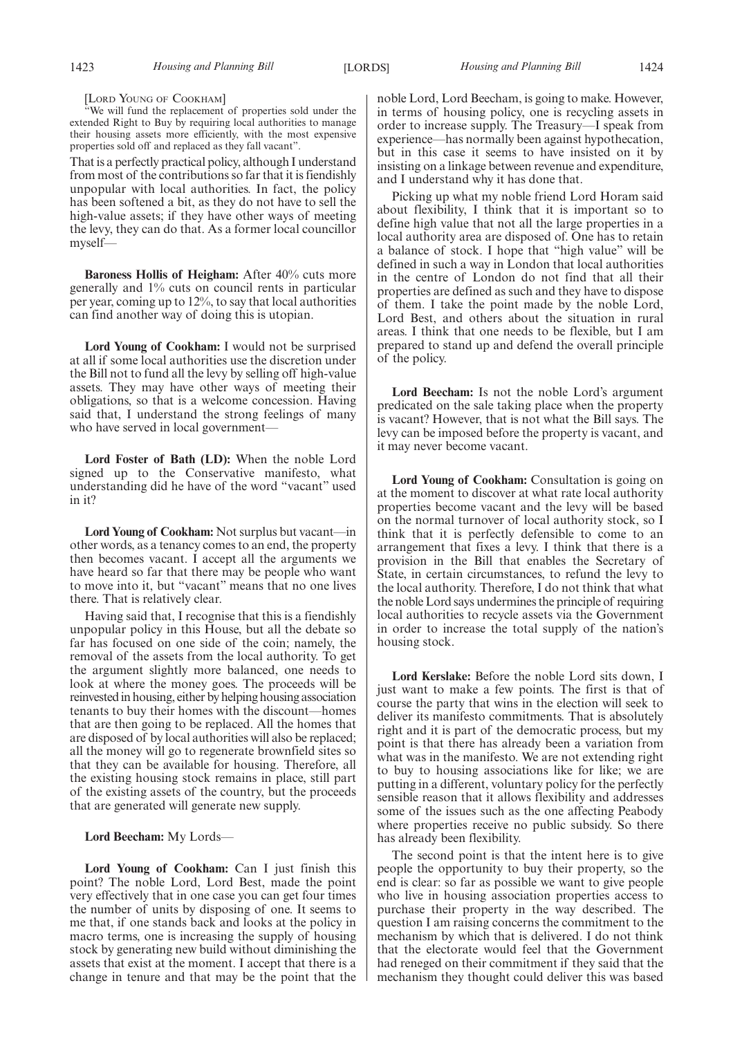#### [LORD YOUNG OF COOKHAM]

"We will fund the replacement of properties sold under the extended Right to Buy by requiring local authorities to manage their housing assets more efficiently, with the most expensive properties sold off and replaced as they fall vacant".

That is a perfectly practical policy, although I understand from most of the contributions so far that it is fiendishly unpopular with local authorities. In fact, the policy has been softened a bit, as they do not have to sell the high-value assets; if they have other ways of meeting the levy, they can do that. As a former local councillor myself—

**Baroness Hollis of Heigham:** After 40% cuts more generally and 1% cuts on council rents in particular per year, coming up to 12%, to say that local authorities can find another way of doing this is utopian.

**Lord Young of Cookham:** I would not be surprised at all if some local authorities use the discretion under the Bill not to fund all the levy by selling off high-value assets. They may have other ways of meeting their obligations, so that is a welcome concession. Having said that, I understand the strong feelings of many who have served in local government—

**Lord Foster of Bath (LD):** When the noble Lord signed up to the Conservative manifesto, what understanding did he have of the word "vacant" used in it?

**Lord Young of Cookham:** Not surplus but vacant—in other words, as a tenancy comes to an end, the property then becomes vacant. I accept all the arguments we have heard so far that there may be people who want to move into it, but "vacant" means that no one lives there. That is relatively clear.

Having said that, I recognise that this is a fiendishly unpopular policy in this House, but all the debate so far has focused on one side of the coin; namely, the removal of the assets from the local authority. To get the argument slightly more balanced, one needs to look at where the money goes. The proceeds will be reinvestedin housing, either by helping housing association tenants to buy their homes with the discount—homes that are then going to be replaced. All the homes that are disposed of by local authorities will also be replaced; all the money will go to regenerate brownfield sites so that they can be available for housing. Therefore, all the existing housing stock remains in place, still part of the existing assets of the country, but the proceeds that are generated will generate new supply.

#### **Lord Beecham:** My Lords—

**Lord Young of Cookham:** Can I just finish this point? The noble Lord, Lord Best, made the point very effectively that in one case you can get four times the number of units by disposing of one. It seems to me that, if one stands back and looks at the policy in macro terms, one is increasing the supply of housing stock by generating new build without diminishing the assets that exist at the moment. I accept that there is a change in tenure and that may be the point that the noble Lord, Lord Beecham, is going to make. However, in terms of housing policy, one is recycling assets in order to increase supply. The Treasury—I speak from experience—has normally been against hypothecation, but in this case it seems to have insisted on it by insisting on a linkage between revenue and expenditure, and I understand why it has done that.

Picking up what my noble friend Lord Horam said about flexibility, I think that it is important so to define high value that not all the large properties in a local authority area are disposed of. One has to retain a balance of stock. I hope that "high value" will be defined in such a way in London that local authorities in the centre of London do not find that all their properties are defined as such and they have to dispose of them. I take the point made by the noble Lord, Lord Best, and others about the situation in rural areas. I think that one needs to be flexible, but I am prepared to stand up and defend the overall principle of the policy.

**Lord Beecham:** Is not the noble Lord's argument predicated on the sale taking place when the property is vacant? However, that is not what the Bill says. The levy can be imposed before the property is vacant, and it may never become vacant.

**Lord Young of Cookham:** Consultation is going on at the moment to discover at what rate local authority properties become vacant and the levy will be based on the normal turnover of local authority stock, so I think that it is perfectly defensible to come to an arrangement that fixes a levy. I think that there is a provision in the Bill that enables the Secretary of State, in certain circumstances, to refund the levy to the local authority. Therefore, I do not think that what the noble Lord says undermines the principle of requiring local authorities to recycle assets via the Government in order to increase the total supply of the nation's housing stock.

**Lord Kerslake:** Before the noble Lord sits down, I just want to make a few points. The first is that of course the party that wins in the election will seek to deliver its manifesto commitments. That is absolutely right and it is part of the democratic process, but my point is that there has already been a variation from what was in the manifesto. We are not extending right to buy to housing associations like for like; we are putting in a different, voluntary policy for the perfectly sensible reason that it allows flexibility and addresses some of the issues such as the one affecting Peabody where properties receive no public subsidy. So there has already been flexibility.

The second point is that the intent here is to give people the opportunity to buy their property, so the end is clear: so far as possible we want to give people who live in housing association properties access to purchase their property in the way described. The question I am raising concerns the commitment to the mechanism by which that is delivered. I do not think that the electorate would feel that the Government had reneged on their commitment if they said that the mechanism they thought could deliver this was based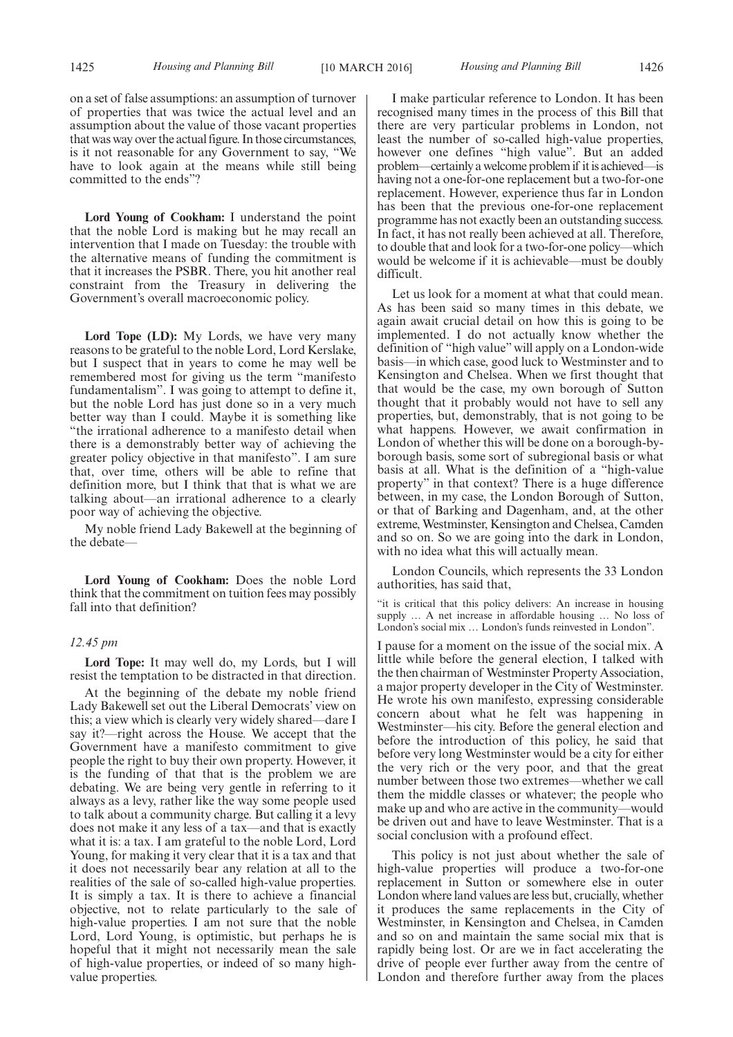on a set of false assumptions: an assumption of turnover of properties that was twice the actual level and an assumption about the value of those vacant properties that was way over the actual figure. In those circumstances, is it not reasonable for any Government to say, "We have to look again at the means while still being committed to the ends"?

**Lord Young of Cookham:** I understand the point that the noble Lord is making but he may recall an intervention that I made on Tuesday: the trouble with the alternative means of funding the commitment is that it increases the PSBR. There, you hit another real constraint from the Treasury in delivering the Government's overall macroeconomic policy.

**Lord Tope (LD):** My Lords, we have very many reasons to be grateful to the noble Lord, Lord Kerslake, but I suspect that in years to come he may well be remembered most for giving us the term "manifesto fundamentalism". I was going to attempt to define it, but the noble Lord has just done so in a very much better way than I could. Maybe it is something like "the irrational adherence to a manifesto detail when there is a demonstrably better way of achieving the greater policy objective in that manifesto". I am sure that, over time, others will be able to refine that definition more, but I think that that is what we are talking about—an irrational adherence to a clearly poor way of achieving the objective.

My noble friend Lady Bakewell at the beginning of the debate—

**Lord Young of Cookham:** Does the noble Lord think that the commitment on tuition fees may possibly fall into that definition?

#### *12.45 pm*

**Lord Tope:** It may well do, my Lords, but I will resist the temptation to be distracted in that direction.

At the beginning of the debate my noble friend Lady Bakewell set out the Liberal Democrats' view on this; a view which is clearly very widely shared—dare I say it?—right across the House. We accept that the Government have a manifesto commitment to give people the right to buy their own property. However, it is the funding of that that is the problem we are debating. We are being very gentle in referring to it always as a levy, rather like the way some people used to talk about a community charge. But calling it a levy does not make it any less of a tax—and that is exactly what it is: a tax. I am grateful to the noble Lord, Lord Young, for making it very clear that it is a tax and that it does not necessarily bear any relation at all to the realities of the sale of so-called high-value properties. It is simply a tax. It is there to achieve a financial objective, not to relate particularly to the sale of high-value properties. I am not sure that the noble Lord, Lord Young, is optimistic, but perhaps he is hopeful that it might not necessarily mean the sale of high-value properties, or indeed of so many highvalue properties.

I make particular reference to London. It has been recognised many times in the process of this Bill that there are very particular problems in London, not least the number of so-called high-value properties, however one defines "high value". But an added problem—certainly a welcome problem if it is achieved—is having not a one-for-one replacement but a two-for-one replacement. However, experience thus far in London has been that the previous one-for-one replacement programme has not exactly been an outstanding success. In fact, it has not really been achieved at all. Therefore, to double that and look for a two-for-one policy—which would be welcome if it is achievable—must be doubly difficult.

Let us look for a moment at what that could mean. As has been said so many times in this debate, we again await crucial detail on how this is going to be implemented. I do not actually know whether the definition of "high value" will apply on a London-wide basis—in which case, good luck to Westminster and to Kensington and Chelsea. When we first thought that that would be the case, my own borough of Sutton thought that it probably would not have to sell any properties, but, demonstrably, that is not going to be what happens. However, we await confirmation in London of whether this will be done on a borough-byborough basis, some sort of subregional basis or what basis at all. What is the definition of a "high-value property" in that context? There is a huge difference between, in my case, the London Borough of Sutton, or that of Barking and Dagenham, and, at the other extreme, Westminster, Kensington and Chelsea, Camden and so on. So we are going into the dark in London, with no idea what this will actually mean.

London Councils, which represents the 33 London authorities, has said that,

"it is critical that this policy delivers: An increase in housing supply … A net increase in affordable housing … No loss of London's social mix … London's funds reinvested in London".

I pause for a moment on the issue of the social mix. A little while before the general election, I talked with the then chairman of Westminster Property Association, a major property developer in the City of Westminster. He wrote his own manifesto, expressing considerable concern about what he felt was happening in Westminster—his city. Before the general election and before the introduction of this policy, he said that before very long Westminster would be a city for either the very rich or the very poor, and that the great number between those two extremes—whether we call them the middle classes or whatever; the people who make up and who are active in the community—would be driven out and have to leave Westminster. That is a social conclusion with a profound effect.

This policy is not just about whether the sale of high-value properties will produce a two-for-one replacement in Sutton or somewhere else in outer London where land values are less but, crucially, whether it produces the same replacements in the City of Westminster, in Kensington and Chelsea, in Camden and so on and maintain the same social mix that is rapidly being lost. Or are we in fact accelerating the drive of people ever further away from the centre of London and therefore further away from the places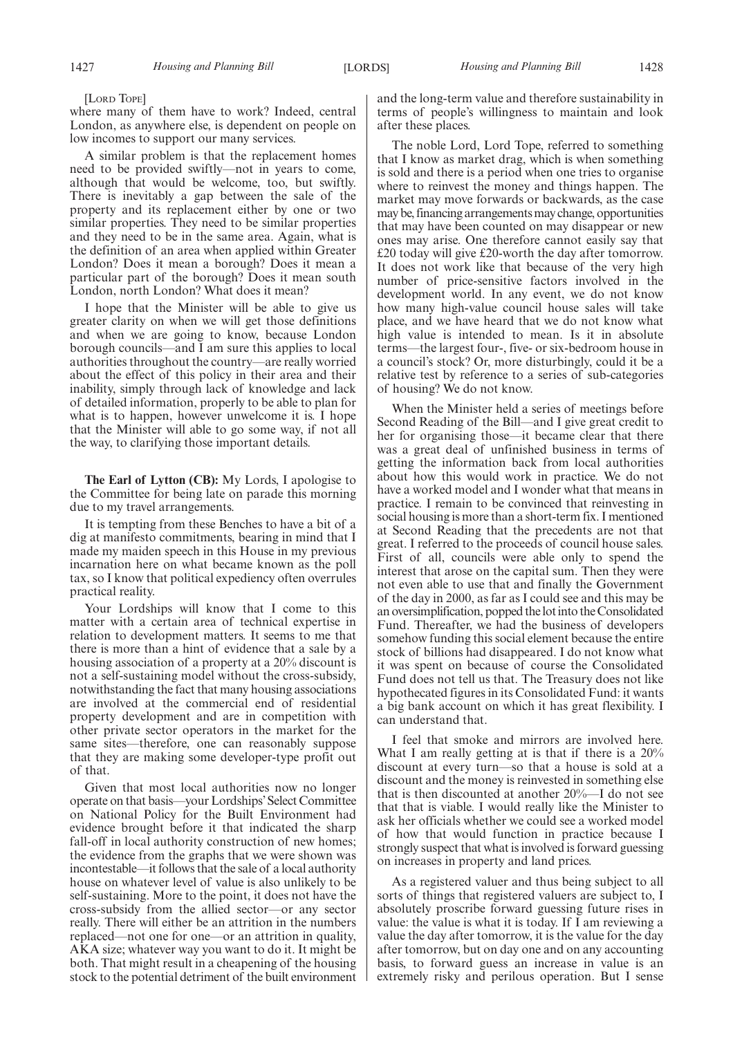[LORD TOPE]

where many of them have to work? Indeed, central London, as anywhere else, is dependent on people on low incomes to support our many services.

A similar problem is that the replacement homes need to be provided swiftly—not in years to come, although that would be welcome, too, but swiftly. There is inevitably a gap between the sale of the property and its replacement either by one or two similar properties. They need to be similar properties and they need to be in the same area. Again, what is the definition of an area when applied within Greater London? Does it mean a borough? Does it mean a particular part of the borough? Does it mean south London, north London? What does it mean?

I hope that the Minister will be able to give us greater clarity on when we will get those definitions and when we are going to know, because London borough councils—and I am sure this applies to local authorities throughout the country—are really worried about the effect of this policy in their area and their inability, simply through lack of knowledge and lack of detailed information, properly to be able to plan for what is to happen, however unwelcome it is. I hope that the Minister will able to go some way, if not all the way, to clarifying those important details.

**The Earl of Lytton (CB):** My Lords, I apologise to the Committee for being late on parade this morning due to my travel arrangements.

It is tempting from these Benches to have a bit of a dig at manifesto commitments, bearing in mind that I made my maiden speech in this House in my previous incarnation here on what became known as the poll tax, so I know that political expediency often overrules practical reality.

Your Lordships will know that I come to this matter with a certain area of technical expertise in relation to development matters. It seems to me that there is more than a hint of evidence that a sale by a housing association of a property at a 20% discount is not a self-sustaining model without the cross-subsidy, notwithstanding the fact that many housing associations are involved at the commercial end of residential property development and are in competition with other private sector operators in the market for the same sites—therefore, one can reasonably suppose that they are making some developer-type profit out of that.

Given that most local authorities now no longer operate on that basis—your Lordships' Select Committee on National Policy for the Built Environment had evidence brought before it that indicated the sharp fall-off in local authority construction of new homes; the evidence from the graphs that we were shown was incontestable—it follows that the sale of a local authority house on whatever level of value is also unlikely to be self-sustaining. More to the point, it does not have the cross-subsidy from the allied sector—or any sector really. There will either be an attrition in the numbers replaced—not one for one—or an attrition in quality, AKA size; whatever way you want to do it. It might be both. That might result in a cheapening of the housing stock to the potential detriment of the built environment and the long-term value and therefore sustainability in terms of people's willingness to maintain and look after these places.

The noble Lord, Lord Tope, referred to something that I know as market drag, which is when something is sold and there is a period when one tries to organise where to reinvest the money and things happen. The market may move forwards or backwards, as the case may be, financing arrangements may change, opportunities that may have been counted on may disappear or new ones may arise. One therefore cannot easily say that £20 today will give £20-worth the day after tomorrow. It does not work like that because of the very high number of price-sensitive factors involved in the development world. In any event, we do not know how many high-value council house sales will take place, and we have heard that we do not know what high value is intended to mean. Is it in absolute terms—the largest four-, five- or six-bedroom house in a council's stock? Or, more disturbingly, could it be a relative test by reference to a series of sub-categories of housing? We do not know.

When the Minister held a series of meetings before Second Reading of the Bill—and I give great credit to her for organising those—it became clear that there was a great deal of unfinished business in terms of getting the information back from local authorities about how this would work in practice. We do not have a worked model and I wonder what that means in practice. I remain to be convinced that reinvesting in social housing is more than a short-term fix. I mentioned at Second Reading that the precedents are not that great. I referred to the proceeds of council house sales. First of all, councils were able only to spend the interest that arose on the capital sum. Then they were not even able to use that and finally the Government of the day in 2000, as far as I could see and this may be an oversimplification, popped thelotinto the Consolidated Fund. Thereafter, we had the business of developers somehow funding this social element because the entire stock of billions had disappeared. I do not know what it was spent on because of course the Consolidated Fund does not tell us that. The Treasury does not like hypothecated figures in its Consolidated Fund: it wants a big bank account on which it has great flexibility. I can understand that.

I feel that smoke and mirrors are involved here. What I am really getting at is that if there is a  $20\%$ discount at every turn—so that a house is sold at a discount and the money is reinvested in something else that is then discounted at another 20%—I do not see that that is viable. I would really like the Minister to ask her officials whether we could see a worked model of how that would function in practice because I strongly suspect that what is involved is forward guessing on increases in property and land prices.

As a registered valuer and thus being subject to all sorts of things that registered valuers are subject to, I absolutely proscribe forward guessing future rises in value: the value is what it is today. If I am reviewing a value the day after tomorrow, it is the value for the day after tomorrow, but on day one and on any accounting basis, to forward guess an increase in value is an extremely risky and perilous operation. But I sense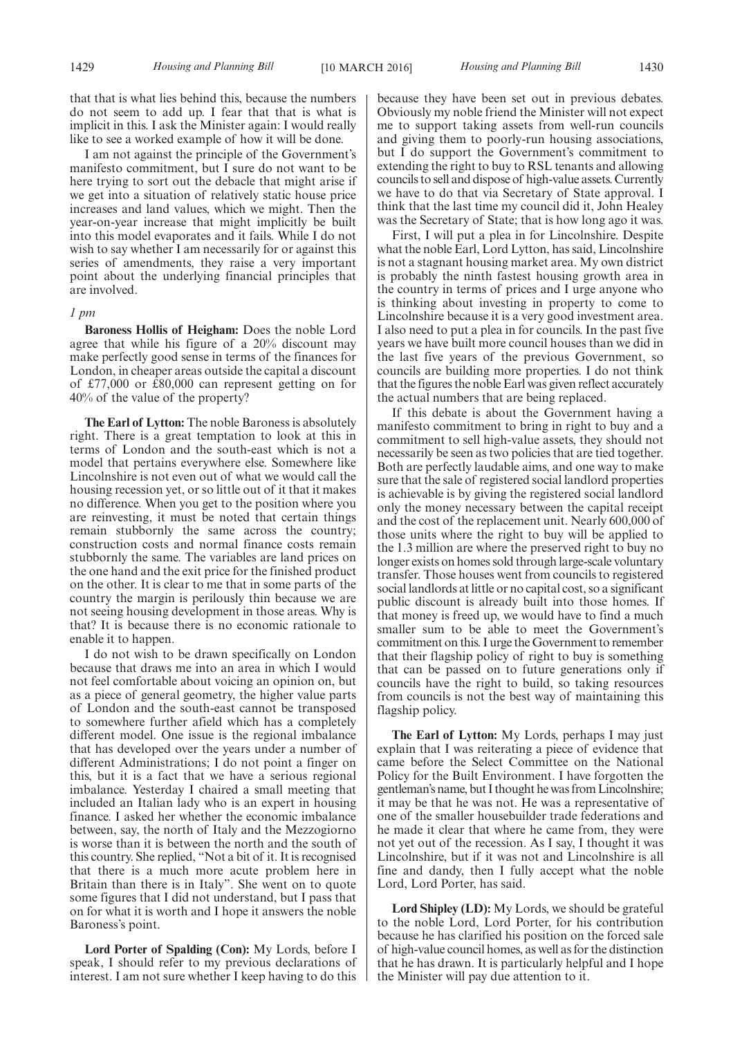that that is what lies behind this, because the numbers do not seem to add up. I fear that that is what is implicit in this. I ask the Minister again: I would really like to see a worked example of how it will be done.

I am not against the principle of the Government's manifesto commitment, but I sure do not want to be here trying to sort out the debacle that might arise if we get into a situation of relatively static house price increases and land values, which we might. Then the year-on-year increase that might implicitly be built into this model evaporates and it fails. While I do not wish to say whether I am necessarily for or against this series of amendments, they raise a very important point about the underlying financial principles that are involved.

#### *1 pm*

**Baroness Hollis of Heigham:** Does the noble Lord agree that while his figure of a 20% discount may make perfectly good sense in terms of the finances for London, in cheaper areas outside the capital a discount of £77,000 or £80,000 can represent getting on for 40% of the value of the property?

**The Earl of Lytton:** The noble Baroness is absolutely right. There is a great temptation to look at this in terms of London and the south-east which is not a model that pertains everywhere else. Somewhere like Lincolnshire is not even out of what we would call the housing recession yet, or so little out of it that it makes no difference. When you get to the position where you are reinvesting, it must be noted that certain things remain stubbornly the same across the country; construction costs and normal finance costs remain stubbornly the same. The variables are land prices on the one hand and the exit price for the finished product on the other. It is clear to me that in some parts of the country the margin is perilously thin because we are not seeing housing development in those areas. Why is that? It is because there is no economic rationale to enable it to happen.

I do not wish to be drawn specifically on London because that draws me into an area in which I would not feel comfortable about voicing an opinion on, but as a piece of general geometry, the higher value parts of London and the south-east cannot be transposed to somewhere further afield which has a completely different model. One issue is the regional imbalance that has developed over the years under a number of different Administrations; I do not point a finger on this, but it is a fact that we have a serious regional imbalance. Yesterday I chaired a small meeting that included an Italian lady who is an expert in housing finance. I asked her whether the economic imbalance between, say, the north of Italy and the Mezzogiorno is worse than it is between the north and the south of this country. She replied, "Not a bit of it. It is recognised that there is a much more acute problem here in Britain than there is in Italy". She went on to quote some figures that I did not understand, but I pass that on for what it is worth and I hope it answers the noble Baroness's point.

**Lord Porter of Spalding (Con):** My Lords, before I speak, I should refer to my previous declarations of interest. I am not sure whether I keep having to do this because they have been set out in previous debates. Obviously my noble friend the Minister will not expect me to support taking assets from well-run councils and giving them to poorly-run housing associations, but I do support the Government's commitment to extending the right to buy to RSL tenants and allowing councils to sell and dispose of high-value assets. Currently we have to do that via Secretary of State approval. I think that the last time my council did it, John Healey was the Secretary of State; that is how long ago it was.

First, I will put a plea in for Lincolnshire. Despite what the noble Earl, Lord Lytton, has said, Lincolnshire is not a stagnant housing market area. My own district is probably the ninth fastest housing growth area in the country in terms of prices and I urge anyone who is thinking about investing in property to come to Lincolnshire because it is a very good investment area. I also need to put a plea in for councils. In the past five years we have built more council houses than we did in the last five years of the previous Government, so councils are building more properties. I do not think that the figures the noble Earl was given reflect accurately the actual numbers that are being replaced.

If this debate is about the Government having a manifesto commitment to bring in right to buy and a commitment to sell high-value assets, they should not necessarily be seen as two policies that are tied together. Both are perfectly laudable aims, and one way to make sure that the sale of registered social landlord properties is achievable is by giving the registered social landlord only the money necessary between the capital receipt and the cost of the replacement unit. Nearly 600,000 of those units where the right to buy will be applied to the 1.3 million are where the preserved right to buy no longer exists on homes sold through large-scale voluntary transfer. Those houses went from councils to registered social landlords at little or no capital cost, so a significant public discount is already built into those homes. If that money is freed up, we would have to find a much smaller sum to be able to meet the Government's commitment on this. I urge the Government to remember that their flagship policy of right to buy is something that can be passed on to future generations only if councils have the right to build, so taking resources from councils is not the best way of maintaining this flagship policy.

**The Earl of Lytton:** My Lords, perhaps I may just explain that I was reiterating a piece of evidence that came before the Select Committee on the National Policy for the Built Environment. I have forgotten the gentleman's name, but I thought he was from Lincolnshire; it may be that he was not. He was a representative of one of the smaller housebuilder trade federations and he made it clear that where he came from, they were not yet out of the recession. As I say, I thought it was Lincolnshire, but if it was not and Lincolnshire is all fine and dandy, then I fully accept what the noble Lord, Lord Porter, has said.

**Lord Shipley (LD):** My Lords, we should be grateful to the noble Lord, Lord Porter, for his contribution because he has clarified his position on the forced sale of high-value council homes, as well as for the distinction that he has drawn. It is particularly helpful and I hope the Minister will pay due attention to it.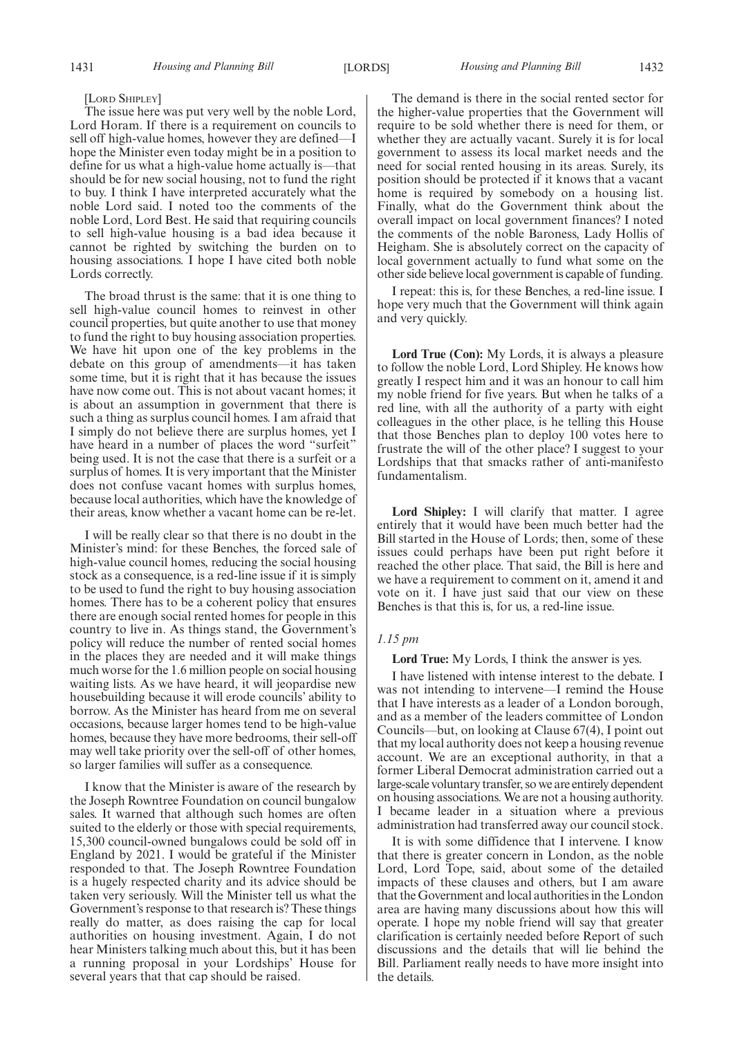#### [LORD SHIPLEY]

The issue here was put very well by the noble Lord, Lord Horam. If there is a requirement on councils to sell off high-value homes, however they are defined—I hope the Minister even today might be in a position to define for us what a high-value home actually is—that should be for new social housing, not to fund the right to buy. I think I have interpreted accurately what the noble Lord said. I noted too the comments of the noble Lord, Lord Best. He said that requiring councils to sell high-value housing is a bad idea because it cannot be righted by switching the burden on to housing associations. I hope I have cited both noble Lords correctly.

The broad thrust is the same: that it is one thing to sell high-value council homes to reinvest in other council properties, but quite another to use that money to fund the right to buy housing association properties. We have hit upon one of the key problems in the debate on this group of amendments—it has taken some time, but it is right that it has because the issues have now come out. This is not about vacant homes; it is about an assumption in government that there is such a thing as surplus council homes. I am afraid that I simply do not believe there are surplus homes, yet I have heard in a number of places the word "surfeit" being used. It is not the case that there is a surfeit or a surplus of homes. It is very important that the Minister does not confuse vacant homes with surplus homes, because local authorities, which have the knowledge of their areas, know whether a vacant home can be re-let.

I will be really clear so that there is no doubt in the Minister's mind: for these Benches, the forced sale of high-value council homes, reducing the social housing stock as a consequence, is a red-line issue if it is simply to be used to fund the right to buy housing association homes. There has to be a coherent policy that ensures there are enough social rented homes for people in this country to live in. As things stand, the Government's policy will reduce the number of rented social homes in the places they are needed and it will make things much worse for the 1.6 million people on social housing waiting lists. As we have heard, it will jeopardise new housebuilding because it will erode councils' ability to borrow. As the Minister has heard from me on several occasions, because larger homes tend to be high-value homes, because they have more bedrooms, their sell-off may well take priority over the sell-off of other homes, so larger families will suffer as a consequence.

I know that the Minister is aware of the research by the Joseph Rowntree Foundation on council bungalow sales. It warned that although such homes are often suited to the elderly or those with special requirements, 15,300 council-owned bungalows could be sold off in England by 2021. I would be grateful if the Minister responded to that. The Joseph Rowntree Foundation is a hugely respected charity and its advice should be taken very seriously. Will the Minister tell us what the Government's response to that research is? These things really do matter, as does raising the cap for local authorities on housing investment. Again, I do not hear Ministers talking much about this, but it has been a running proposal in your Lordships' House for several years that that cap should be raised.

The demand is there in the social rented sector for the higher-value properties that the Government will require to be sold whether there is need for them, or whether they are actually vacant. Surely it is for local government to assess its local market needs and the need for social rented housing in its areas. Surely, its position should be protected if it knows that a vacant home is required by somebody on a housing list. Finally, what do the Government think about the overall impact on local government finances? I noted the comments of the noble Baroness, Lady Hollis of Heigham. She is absolutely correct on the capacity of local government actually to fund what some on the other side believe local government is capable of funding.

I repeat: this is, for these Benches, a red-line issue. I hope very much that the Government will think again and very quickly.

**Lord True (Con):** My Lords, it is always a pleasure to follow the noble Lord, Lord Shipley. He knows how greatly I respect him and it was an honour to call him my noble friend for five years. But when he talks of a red line, with all the authority of a party with eight colleagues in the other place, is he telling this House that those Benches plan to deploy 100 votes here to frustrate the will of the other place? I suggest to your Lordships that that smacks rather of anti-manifesto fundamentalism.

**Lord Shipley:** I will clarify that matter. I agree entirely that it would have been much better had the Bill started in the House of Lords; then, some of these issues could perhaps have been put right before it reached the other place. That said, the Bill is here and we have a requirement to comment on it, amend it and vote on it. I have just said that our view on these Benches is that this is, for us, a red-line issue.

#### *1.15 pm*

#### **Lord True:** My Lords, I think the answer is yes.

I have listened with intense interest to the debate. I was not intending to intervene—I remind the House that I have interests as a leader of a London borough, and as a member of the leaders committee of London Councils—but, on looking at Clause 67(4), I point out that my local authority does not keep a housing revenue account. We are an exceptional authority, in that a former Liberal Democrat administration carried out a large-scale voluntary transfer, so we are entirely dependent on housing associations. We are not a housing authority. I became leader in a situation where a previous administration had transferred away our council stock.

It is with some diffidence that I intervene. I know that there is greater concern in London, as the noble Lord, Lord Tope, said, about some of the detailed impacts of these clauses and others, but I am aware that the Government and local authorities in the London area are having many discussions about how this will operate. I hope my noble friend will say that greater clarification is certainly needed before Report of such discussions and the details that will lie behind the Bill. Parliament really needs to have more insight into the details.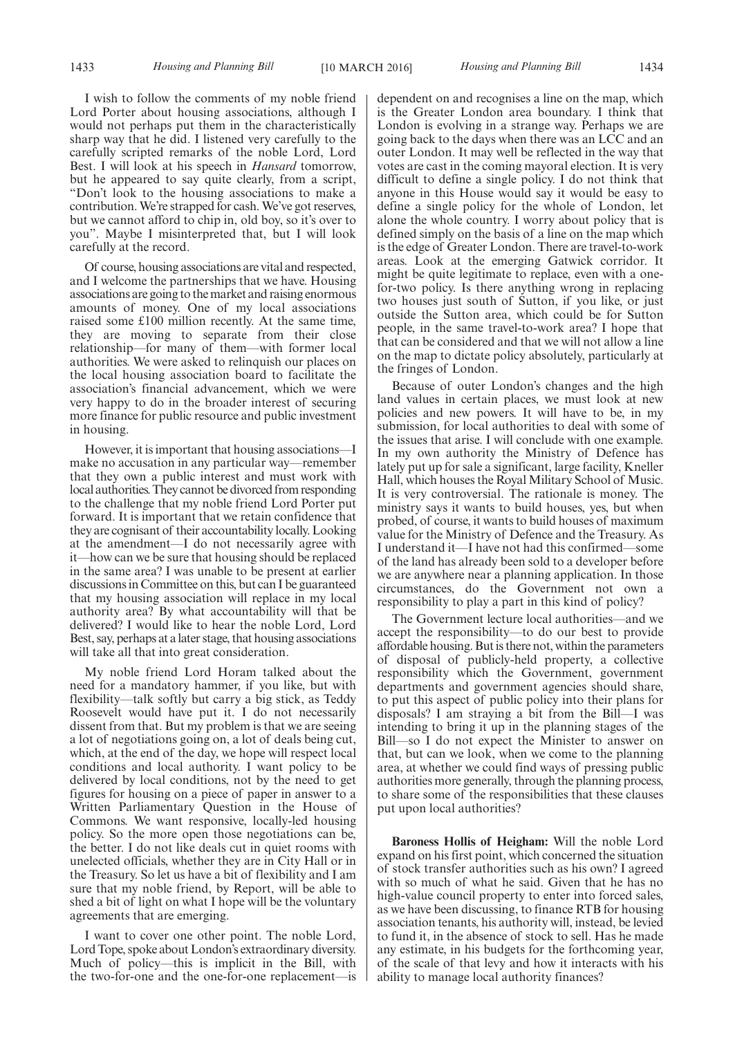I wish to follow the comments of my noble friend Lord Porter about housing associations, although I would not perhaps put them in the characteristically sharp way that he did. I listened very carefully to the carefully scripted remarks of the noble Lord, Lord Best. I will look at his speech in *Hansard* tomorrow, but he appeared to say quite clearly, from a script, "Don't look to the housing associations to make a contribution.We're strapped for cash.We've got reserves, but we cannot afford to chip in, old boy, so it's over to you". Maybe I misinterpreted that, but I will look carefully at the record.

Of course, housing associations are vital and respected, and I welcome the partnerships that we have. Housing associations are going to the market and raising enormous amounts of money. One of my local associations raised some £100 million recently. At the same time, they are moving to separate from their close relationship—for many of them—with former local authorities. We were asked to relinquish our places on the local housing association board to facilitate the association's financial advancement, which we were very happy to do in the broader interest of securing more finance for public resource and public investment in housing.

However, it is important that housing associations—I make no accusation in any particular way—remember that they own a public interest and must work with local authorities.They cannot be divorced from responding to the challenge that my noble friend Lord Porter put forward. It is important that we retain confidence that they are cognisant of their accountability locally. Looking at the amendment—I do not necessarily agree with it—how can we be sure that housing should be replaced in the same area? I was unable to be present at earlier discussions in Committee on this, but can I be guaranteed that my housing association will replace in my local authority area? By what accountability will that be delivered? I would like to hear the noble Lord, Lord Best, say, perhaps at a later stage, that housing associations will take all that into great consideration.

My noble friend Lord Horam talked about the need for a mandatory hammer, if you like, but with flexibility—talk softly but carry a big stick, as Teddy Roosevelt would have put it. I do not necessarily dissent from that. But my problem is that we are seeing a lot of negotiations going on, a lot of deals being cut, which, at the end of the day, we hope will respect local conditions and local authority. I want policy to be delivered by local conditions, not by the need to get figures for housing on a piece of paper in answer to a Written Parliamentary Question in the House of Commons. We want responsive, locally-led housing policy. So the more open those negotiations can be, the better. I do not like deals cut in quiet rooms with unelected officials, whether they are in City Hall or in the Treasury. So let us have a bit of flexibility and I am sure that my noble friend, by Report, will be able to shed a bit of light on what I hope will be the voluntary agreements that are emerging.

I want to cover one other point. The noble Lord, Lord Tope, spoke about London's extraordinary diversity. Much of policy—this is implicit in the Bill, with the two-for-one and the one-for-one replacement—is dependent on and recognises a line on the map, which is the Greater London area boundary. I think that London is evolving in a strange way. Perhaps we are going back to the days when there was an LCC and an outer London. It may well be reflected in the way that votes are cast in the coming mayoral election. It is very difficult to define a single policy. I do not think that anyone in this House would say it would be easy to define a single policy for the whole of London, let alone the whole country. I worry about policy that is defined simply on the basis of a line on the map which is the edge of Greater London. There are travel-to-work areas. Look at the emerging Gatwick corridor. It might be quite legitimate to replace, even with a onefor-two policy. Is there anything wrong in replacing two houses just south of Sutton, if you like, or just outside the Sutton area, which could be for Sutton people, in the same travel-to-work area? I hope that that can be considered and that we will not allow a line on the map to dictate policy absolutely, particularly at the fringes of London.

Because of outer London's changes and the high land values in certain places, we must look at new policies and new powers. It will have to be, in my submission, for local authorities to deal with some of the issues that arise. I will conclude with one example. In my own authority the Ministry of Defence has lately put up for sale a significant, large facility, Kneller Hall, which houses the Royal Military School of Music. It is very controversial. The rationale is money. The ministry says it wants to build houses, yes, but when probed, of course, it wants to build houses of maximum value for the Ministry of Defence and the Treasury. As I understand it—I have not had this confirmed—some of the land has already been sold to a developer before we are anywhere near a planning application. In those circumstances, do the Government not own a responsibility to play a part in this kind of policy?

The Government lecture local authorities—and we accept the responsibility—to do our best to provide affordable housing. But is there not, within the parameters of disposal of publicly-held property, a collective responsibility which the Government, government departments and government agencies should share, to put this aspect of public policy into their plans for disposals? I am straying a bit from the Bill—I was intending to bring it up in the planning stages of the Bill—so I do not expect the Minister to answer on that, but can we look, when we come to the planning area, at whether we could find ways of pressing public authorities more generally, through the planning process, to share some of the responsibilities that these clauses put upon local authorities?

**Baroness Hollis of Heigham:** Will the noble Lord expand on his first point, which concerned the situation of stock transfer authorities such as his own? I agreed with so much of what he said. Given that he has no high-value council property to enter into forced sales, as we have been discussing, to finance RTB for housing association tenants, his authority will, instead, be levied to fund it, in the absence of stock to sell. Has he made any estimate, in his budgets for the forthcoming year, of the scale of that levy and how it interacts with his ability to manage local authority finances?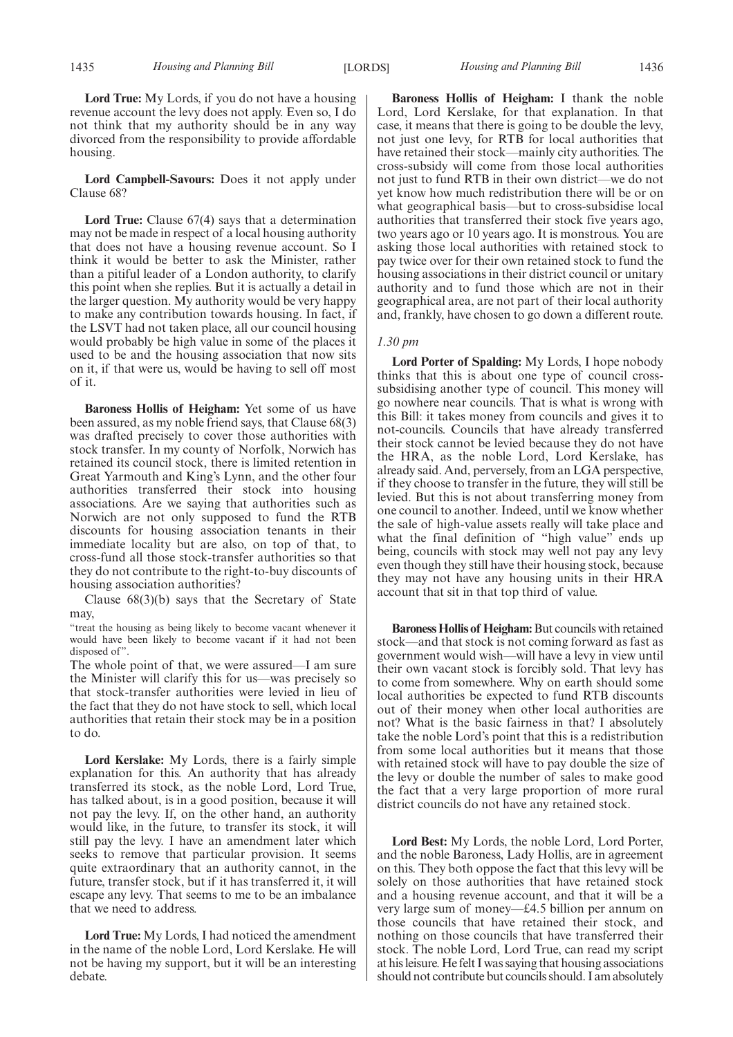**Lord True:** My Lords, if you do not have a housing revenue account the levy does not apply. Even so, I do not think that my authority should be in any way divorced from the responsibility to provide affordable housing.

**Lord Campbell-Savours:** Does it not apply under Clause 68?

**Lord True:** Clause 67(4) says that a determination may not be made in respect of a local housing authority that does not have a housing revenue account. So I think it would be better to ask the Minister, rather than a pitiful leader of a London authority, to clarify this point when she replies. But it is actually a detail in the larger question. My authority would be very happy to make any contribution towards housing. In fact, if the LSVT had not taken place, all our council housing would probably be high value in some of the places it used to be and the housing association that now sits on it, if that were us, would be having to sell off most of it.

**Baroness Hollis of Heigham:** Yet some of us have been assured, as my noble friend says, that Clause 68(3) was drafted precisely to cover those authorities with stock transfer. In my county of Norfolk, Norwich has retained its council stock, there is limited retention in Great Yarmouth and King's Lynn, and the other four authorities transferred their stock into housing associations. Are we saying that authorities such as Norwich are not only supposed to fund the RTB discounts for housing association tenants in their immediate locality but are also, on top of that, to cross-fund all those stock-transfer authorities so that they do not contribute to the right-to-buy discounts of housing association authorities?

Clause 68(3)(b) says that the Secretary of State may,

"treat the housing as being likely to become vacant whenever it would have been likely to become vacant if it had not been disposed of".

The whole point of that, we were assured—I am sure the Minister will clarify this for us—was precisely so that stock-transfer authorities were levied in lieu of the fact that they do not have stock to sell, which local authorities that retain their stock may be in a position to do.

**Lord Kerslake:** My Lords, there is a fairly simple explanation for this. An authority that has already transferred its stock, as the noble Lord, Lord True, has talked about, is in a good position, because it will not pay the levy. If, on the other hand, an authority would like, in the future, to transfer its stock, it will still pay the levy. I have an amendment later which seeks to remove that particular provision. It seems quite extraordinary that an authority cannot, in the future, transfer stock, but if it has transferred it, it will escape any levy. That seems to me to be an imbalance that we need to address.

**Lord True:** My Lords, I had noticed the amendment in the name of the noble Lord, Lord Kerslake. He will not be having my support, but it will be an interesting debate.

**Baroness Hollis of Heigham:** I thank the noble Lord, Lord Kerslake, for that explanation. In that case, it means that there is going to be double the levy, not just one levy, for RTB for local authorities that have retained their stock—mainly city authorities. The cross-subsidy will come from those local authorities not just to fund RTB in their own district—we do not yet know how much redistribution there will be or on what geographical basis—but to cross-subsidise local authorities that transferred their stock five years ago, two years ago or 10 years ago. It is monstrous. You are asking those local authorities with retained stock to pay twice over for their own retained stock to fund the housing associations in their district council or unitary authority and to fund those which are not in their geographical area, are not part of their local authority and, frankly, have chosen to go down a different route.

#### *1.30 pm*

**Lord Porter of Spalding:** My Lords, I hope nobody thinks that this is about one type of council crosssubsidising another type of council. This money will go nowhere near councils. That is what is wrong with this Bill: it takes money from councils and gives it to not-councils. Councils that have already transferred their stock cannot be levied because they do not have the HRA, as the noble Lord, Lord Kerslake, has already said. And, perversely, from an LGA perspective, if they choose to transfer in the future, they will still be levied. But this is not about transferring money from one council to another. Indeed, until we know whether the sale of high-value assets really will take place and what the final definition of "high value" ends up being, councils with stock may well not pay any levy even though they still have their housing stock, because they may not have any housing units in their HRA account that sit in that top third of value.

**Baroness Hollis of Heigham:** But councils with retained stock—and that stock is not coming forward as fast as government would wish—will have a levy in view until their own vacant stock is forcibly sold. That levy has to come from somewhere. Why on earth should some local authorities be expected to fund RTB discounts out of their money when other local authorities are not? What is the basic fairness in that? I absolutely take the noble Lord's point that this is a redistribution from some local authorities but it means that those with retained stock will have to pay double the size of the levy or double the number of sales to make good the fact that a very large proportion of more rural district councils do not have any retained stock.

**Lord Best:** My Lords, the noble Lord, Lord Porter, and the noble Baroness, Lady Hollis, are in agreement on this. They both oppose the fact that this levy will be solely on those authorities that have retained stock and a housing revenue account, and that it will be a very large sum of money—£4.5 billion per annum on those councils that have retained their stock, and nothing on those councils that have transferred their stock. The noble Lord, Lord True, can read my script at his leisure. He felt I was saying that housing associations should not contribute but councils should. I am absolutely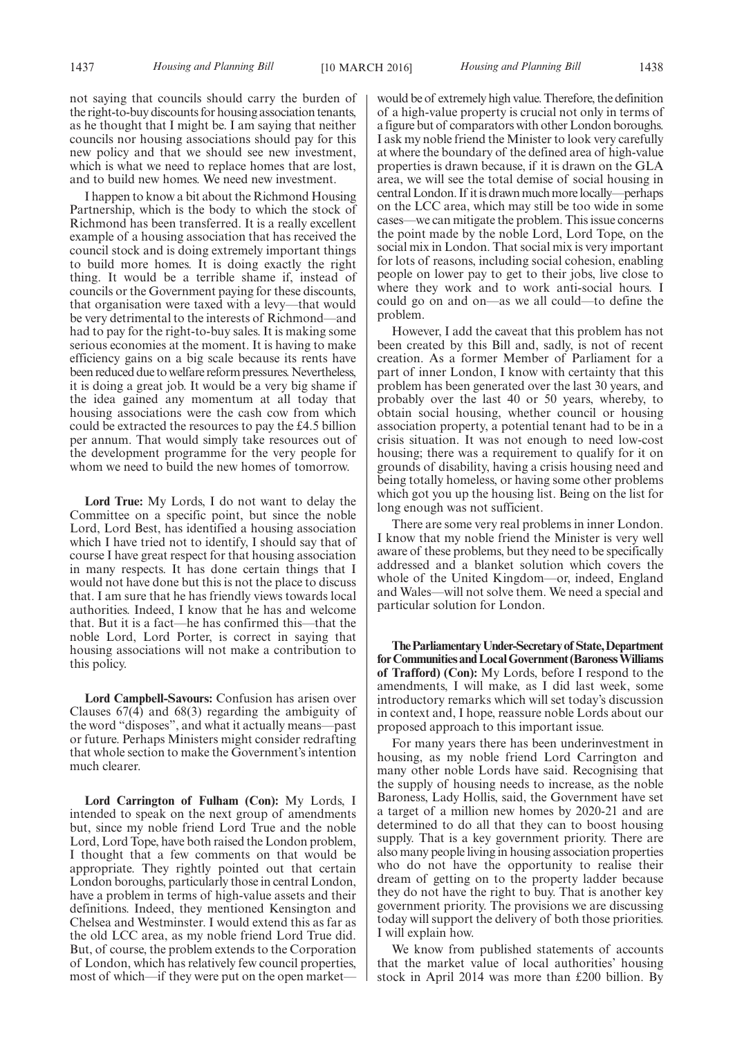not saying that councils should carry the burden of the right-to-buy discounts for housing association tenants, as he thought that I might be. I am saying that neither councils nor housing associations should pay for this new policy and that we should see new investment, which is what we need to replace homes that are lost, and to build new homes. We need new investment.

I happen to know a bit about the Richmond Housing Partnership, which is the body to which the stock of Richmond has been transferred. It is a really excellent example of a housing association that has received the council stock and is doing extremely important things to build more homes. It is doing exactly the right thing. It would be a terrible shame if, instead of councils or the Government paying for these discounts, that organisation were taxed with a levy—that would be very detrimental to the interests of Richmond—and had to pay for the right-to-buy sales. It is making some serious economies at the moment. It is having to make efficiency gains on a big scale because its rents have been reduced due to welfare reform pressures. Nevertheless, it is doing a great job. It would be a very big shame if the idea gained any momentum at all today that housing associations were the cash cow from which could be extracted the resources to pay the £4.5 billion per annum. That would simply take resources out of the development programme for the very people for whom we need to build the new homes of tomorrow.

**Lord True:** My Lords, I do not want to delay the Committee on a specific point, but since the noble Lord, Lord Best, has identified a housing association which I have tried not to identify, I should say that of course I have great respect for that housing association in many respects. It has done certain things that I would not have done but this is not the place to discuss that. I am sure that he has friendly views towards local authorities. Indeed, I know that he has and welcome that. But it is a fact—he has confirmed this—that the noble Lord, Lord Porter, is correct in saying that housing associations will not make a contribution to this policy.

**Lord Campbell-Savours:** Confusion has arisen over Clauses 67(4) and 68(3) regarding the ambiguity of the word "disposes", and what it actually means—past or future. Perhaps Ministers might consider redrafting that whole section to make the Government's intention much clearer.

**Lord Carrington of Fulham (Con):** My Lords, I intended to speak on the next group of amendments but, since my noble friend Lord True and the noble Lord, Lord Tope, have both raised the London problem, I thought that a few comments on that would be appropriate. They rightly pointed out that certain London boroughs, particularly those in central London, have a problem in terms of high-value assets and their definitions. Indeed, they mentioned Kensington and Chelsea and Westminster. I would extend this as far as the old LCC area, as my noble friend Lord True did. But, of course, the problem extends to the Corporation of London, which has relatively few council properties, most of which—if they were put on the open marketwould be of extremely high value. Therefore, the definition of a high-value property is crucial not only in terms of a figure but of comparators with other London boroughs. I ask my noble friend the Minister to look very carefully at where the boundary of the defined area of high-value properties is drawn because, if it is drawn on the GLA area, we will see the total demise of social housing in central London. If it is drawn much more locally—perhaps on the LCC area, which may still be too wide in some cases—we can mitigate the problem. This issue concerns the point made by the noble Lord, Lord Tope, on the social mix in London. That social mix is very important for lots of reasons, including social cohesion, enabling people on lower pay to get to their jobs, live close to where they work and to work anti-social hours. I could go on and on—as we all could—to define the problem.

However, I add the caveat that this problem has not been created by this Bill and, sadly, is not of recent creation. As a former Member of Parliament for a part of inner London, I know with certainty that this problem has been generated over the last 30 years, and probably over the last 40 or 50 years, whereby, to obtain social housing, whether council or housing association property, a potential tenant had to be in a crisis situation. It was not enough to need low-cost housing; there was a requirement to qualify for it on grounds of disability, having a crisis housing need and being totally homeless, or having some other problems which got you up the housing list. Being on the list for long enough was not sufficient.

There are some very real problems in inner London. I know that my noble friend the Minister is very well aware of these problems, but they need to be specifically addressed and a blanket solution which covers the whole of the United Kingdom—or, indeed, England and Wales—will not solve them. We need a special and particular solution for London.

**TheParliamentaryUnder-Secretaryof State,Department forCommunities andLocalGovernment (BaronessWilliams of Trafford) (Con):** My Lords, before I respond to the amendments, I will make, as I did last week, some introductory remarks which will set today's discussion in context and, I hope, reassure noble Lords about our proposed approach to this important issue.

For many years there has been underinvestment in housing, as my noble friend Lord Carrington and many other noble Lords have said. Recognising that the supply of housing needs to increase, as the noble Baroness, Lady Hollis, said, the Government have set a target of a million new homes by 2020-21 and are determined to do all that they can to boost housing supply. That is a key government priority. There are also many people living in housing association properties who do not have the opportunity to realise their dream of getting on to the property ladder because they do not have the right to buy. That is another key government priority. The provisions we are discussing today will support the delivery of both those priorities. I will explain how.

We know from published statements of accounts that the market value of local authorities' housing stock in April 2014 was more than £200 billion. By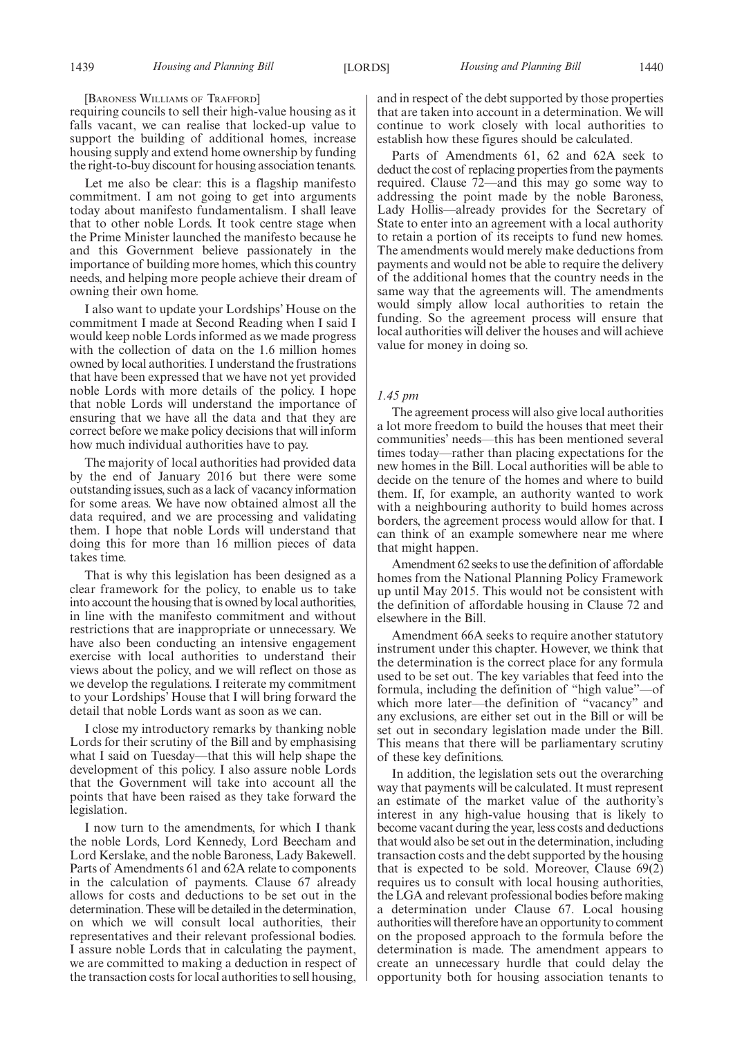[BARONESS WILLIAMS OF TRAFFORD]

requiring councils to sell their high-value housing as it falls vacant, we can realise that locked-up value to support the building of additional homes, increase housing supply and extend home ownership by funding the right-to-buy discount for housing association tenants.

Let me also be clear: this is a flagship manifesto commitment. I am not going to get into arguments today about manifesto fundamentalism. I shall leave that to other noble Lords. It took centre stage when the Prime Minister launched the manifesto because he and this Government believe passionately in the importance of building more homes, which this country needs, and helping more people achieve their dream of owning their own home.

I also want to update your Lordships' House on the commitment I made at Second Reading when I said I would keep noble Lords informed as we made progress with the collection of data on the 1.6 million homes owned by local authorities. I understand the frustrations that have been expressed that we have not yet provided noble Lords with more details of the policy. I hope that noble Lords will understand the importance of ensuring that we have all the data and that they are correct before we make policy decisions that will inform how much individual authorities have to pay.

The majority of local authorities had provided data by the end of January 2016 but there were some outstanding issues, such as a lack of vacancy information for some areas. We have now obtained almost all the data required, and we are processing and validating them. I hope that noble Lords will understand that doing this for more than 16 million pieces of data takes time.

That is why this legislation has been designed as a clear framework for the policy, to enable us to take into account the housing that is owned by local authorities, in line with the manifesto commitment and without restrictions that are inappropriate or unnecessary. We have also been conducting an intensive engagement exercise with local authorities to understand their views about the policy, and we will reflect on those as we develop the regulations. I reiterate my commitment to your Lordships' House that I will bring forward the detail that noble Lords want as soon as we can.

I close my introductory remarks by thanking noble Lords for their scrutiny of the Bill and by emphasising what I said on Tuesday—that this will help shape the development of this policy. I also assure noble Lords that the Government will take into account all the points that have been raised as they take forward the legislation.

I now turn to the amendments, for which I thank the noble Lords, Lord Kennedy, Lord Beecham and Lord Kerslake, and the noble Baroness, Lady Bakewell. Parts of Amendments 61 and 62A relate to components in the calculation of payments. Clause 67 already allows for costs and deductions to be set out in the determination. These will be detailed in the determination, on which we will consult local authorities, their representatives and their relevant professional bodies. I assure noble Lords that in calculating the payment, we are committed to making a deduction in respect of the transaction costs for local authorities to sell housing,

and in respect of the debt supported by those properties that are taken into account in a determination. We will continue to work closely with local authorities to establish how these figures should be calculated.

Parts of Amendments 61, 62 and 62A seek to deduct the cost of replacing properties from the payments required. Clause 72—and this may go some way to addressing the point made by the noble Baroness, Lady Hollis—already provides for the Secretary of State to enter into an agreement with a local authority to retain a portion of its receipts to fund new homes. The amendments would merely make deductions from payments and would not be able to require the delivery of the additional homes that the country needs in the same way that the agreements will. The amendments would simply allow local authorities to retain the funding. So the agreement process will ensure that local authorities will deliver the houses and will achieve value for money in doing so.

#### *1.45 pm*

The agreement process will also give local authorities a lot more freedom to build the houses that meet their communities' needs—this has been mentioned several times today—rather than placing expectations for the new homes in the Bill. Local authorities will be able to decide on the tenure of the homes and where to build them. If, for example, an authority wanted to work with a neighbouring authority to build homes across borders, the agreement process would allow for that. I can think of an example somewhere near me where that might happen.

Amendment 62 seeks to use the definition of affordable homes from the National Planning Policy Framework up until May 2015. This would not be consistent with the definition of affordable housing in Clause 72 and elsewhere in the Bill.

Amendment 66A seeks to require another statutory instrument under this chapter. However, we think that the determination is the correct place for any formula used to be set out. The key variables that feed into the formula, including the definition of "high value"—of which more later—the definition of "vacancy" and any exclusions, are either set out in the Bill or will be set out in secondary legislation made under the Bill. This means that there will be parliamentary scrutiny of these key definitions.

In addition, the legislation sets out the overarching way that payments will be calculated. It must represent an estimate of the market value of the authority's interest in any high-value housing that is likely to become vacant during the year, less costs and deductions that would also be set out in the determination, including transaction costs and the debt supported by the housing that is expected to be sold. Moreover, Clause  $69(2)$ requires us to consult with local housing authorities, the LGA and relevant professional bodies before making a determination under Clause 67. Local housing authorities will therefore have an opportunity to comment on the proposed approach to the formula before the determination is made. The amendment appears to create an unnecessary hurdle that could delay the opportunity both for housing association tenants to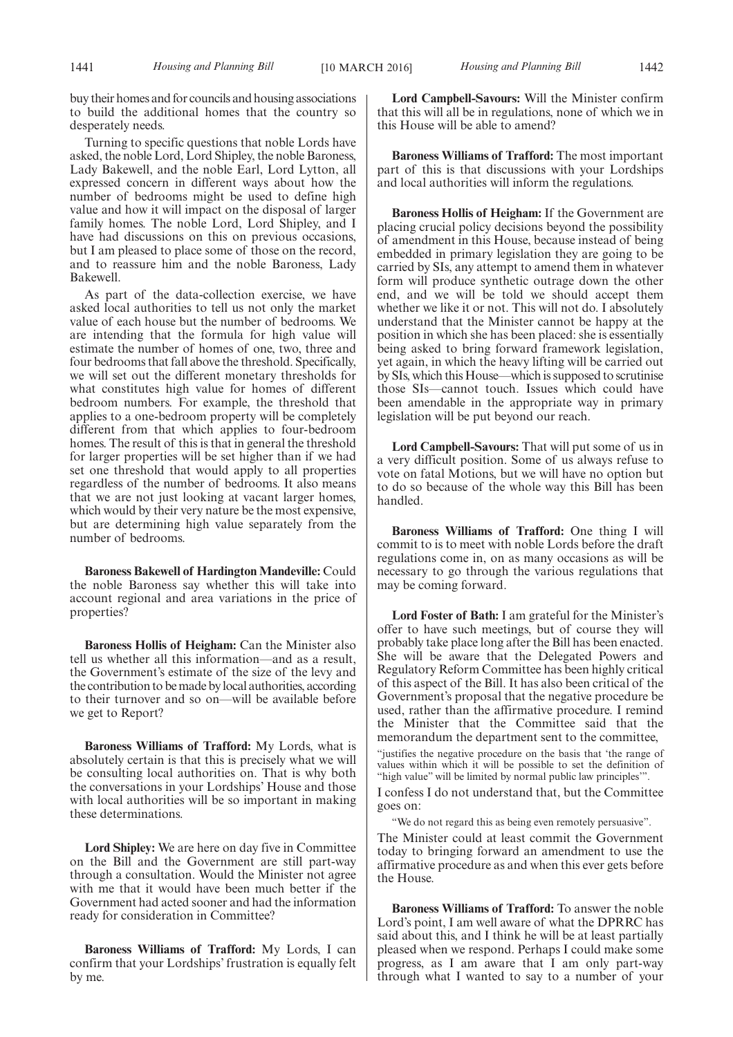buy their homes and for councils and housing associations to build the additional homes that the country so desperately needs.

Turning to specific questions that noble Lords have asked, the noble Lord, Lord Shipley, the noble Baroness, Lady Bakewell, and the noble Earl, Lord Lytton, all expressed concern in different ways about how the number of bedrooms might be used to define high value and how it will impact on the disposal of larger family homes. The noble Lord, Lord Shipley, and I have had discussions on this on previous occasions, but I am pleased to place some of those on the record, and to reassure him and the noble Baroness, Lady Bakewell.

As part of the data-collection exercise, we have asked local authorities to tell us not only the market value of each house but the number of bedrooms. We are intending that the formula for high value will estimate the number of homes of one, two, three and four bedrooms that fall above the threshold. Specifically, we will set out the different monetary thresholds for what constitutes high value for homes of different bedroom numbers. For example, the threshold that applies to a one-bedroom property will be completely different from that which applies to four-bedroom homes. The result of this is that in general the threshold for larger properties will be set higher than if we had set one threshold that would apply to all properties regardless of the number of bedrooms. It also means that we are not just looking at vacant larger homes, which would by their very nature be the most expensive, but are determining high value separately from the number of bedrooms.

**Baroness Bakewell of Hardington Mandeville:** Could the noble Baroness say whether this will take into account regional and area variations in the price of properties?

**Baroness Hollis of Heigham:** Can the Minister also tell us whether all this information—and as a result, the Government's estimate of the size of the levy and the contribution to be made by local authorities, according to their turnover and so on—will be available before we get to Report?

**Baroness Williams of Trafford:** My Lords, what is absolutely certain is that this is precisely what we will be consulting local authorities on. That is why both the conversations in your Lordships' House and those with local authorities will be so important in making these determinations.

**Lord Shipley:** We are here on day five in Committee on the Bill and the Government are still part-way through a consultation. Would the Minister not agree with me that it would have been much better if the Government had acted sooner and had the information ready for consideration in Committee?

**Baroness Williams of Trafford:** My Lords, I can confirm that your Lordships' frustration is equally felt by me.

**Lord Campbell-Savours:** Will the Minister confirm that this will all be in regulations, none of which we in this House will be able to amend?

**Baroness Williams of Trafford:** The most important part of this is that discussions with your Lordships and local authorities will inform the regulations.

**Baroness Hollis of Heigham:** If the Government are placing crucial policy decisions beyond the possibility of amendment in this House, because instead of being embedded in primary legislation they are going to be carried by SIs, any attempt to amend them in whatever form will produce synthetic outrage down the other end, and we will be told we should accept them whether we like it or not. This will not do. I absolutely understand that the Minister cannot be happy at the position in which she has been placed: she is essentially being asked to bring forward framework legislation, yet again, in which the heavy lifting will be carried out by SIs, which this House—which is supposed to scrutinise those SIs—cannot touch. Issues which could have been amendable in the appropriate way in primary legislation will be put beyond our reach.

**Lord Campbell-Savours:** That will put some of us in a very difficult position. Some of us always refuse to vote on fatal Motions, but we will have no option but to do so because of the whole way this Bill has been handled.

**Baroness Williams of Trafford:** One thing I will commit to is to meet with noble Lords before the draft regulations come in, on as many occasions as will be necessary to go through the various regulations that may be coming forward.

**Lord Foster of Bath:** I am grateful for the Minister's offer to have such meetings, but of course they will probably take place long after the Bill has been enacted. She will be aware that the Delegated Powers and Regulatory Reform Committee has been highly critical of this aspect of the Bill. It has also been critical of the Government's proposal that the negative procedure be used, rather than the affirmative procedure. I remind the Minister that the Committee said that the memorandum the department sent to the committee,

"justifies the negative procedure on the basis that 'the range of values within which it will be possible to set the definition of "high value" will be limited by normal public law principles'".

I confess I do not understand that, but the Committee goes on:

We do not regard this as being even remotely persuasive".

The Minister could at least commit the Government today to bringing forward an amendment to use the affirmative procedure as and when this ever gets before the House.

**Baroness Williams of Trafford:** To answer the noble Lord's point, I am well aware of what the DPRRC has said about this, and I think he will be at least partially pleased when we respond. Perhaps I could make some progress, as I am aware that I am only part-way through what I wanted to say to a number of your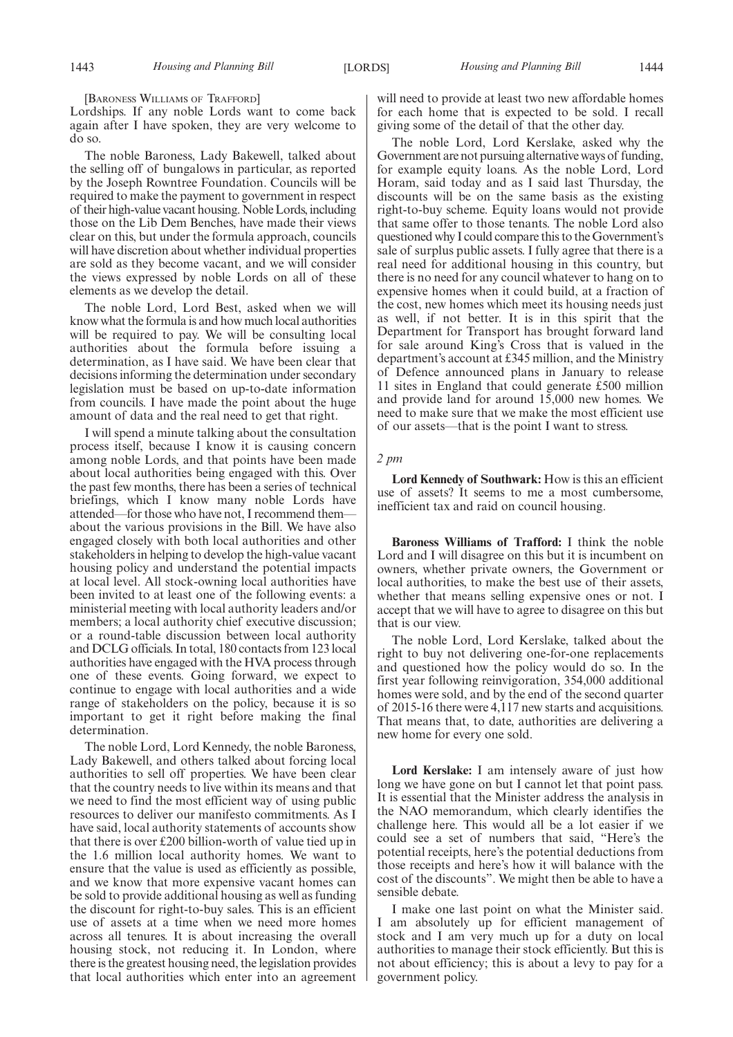[BARONESS WILLIAMS OF TRAFFORD]

Lordships. If any noble Lords want to come back again after I have spoken, they are very welcome to do so.

The noble Baroness, Lady Bakewell, talked about the selling off of bungalows in particular, as reported by the Joseph Rowntree Foundation. Councils will be required to make the payment to government in respect of their high-value vacant housing.Noble Lords,including those on the Lib Dem Benches, have made their views clear on this, but under the formula approach, councils will have discretion about whether individual properties are sold as they become vacant, and we will consider the views expressed by noble Lords on all of these elements as we develop the detail.

The noble Lord, Lord Best, asked when we will know what the formula is and how much local authorities will be required to pay. We will be consulting local authorities about the formula before issuing a determination, as I have said. We have been clear that decisions informing the determination under secondary legislation must be based on up-to-date information from councils. I have made the point about the huge amount of data and the real need to get that right.

I will spend a minute talking about the consultation process itself, because I know it is causing concern among noble Lords, and that points have been made about local authorities being engaged with this. Over the past few months, there has been a series of technical briefings, which I know many noble Lords have attended—for those who have not, I recommend them about the various provisions in the Bill. We have also engaged closely with both local authorities and other stakeholders in helping to develop the high-value vacant housing policy and understand the potential impacts at local level. All stock-owning local authorities have been invited to at least one of the following events: a ministerial meeting with local authority leaders and/or members; a local authority chief executive discussion; or a round-table discussion between local authority and DCLG officials. In total, 180 contacts from 123 local authorities have engaged with the HVA process through one of these events. Going forward, we expect to continue to engage with local authorities and a wide range of stakeholders on the policy, because it is so important to get it right before making the final determination.

The noble Lord, Lord Kennedy, the noble Baroness, Lady Bakewell, and others talked about forcing local authorities to sell off properties. We have been clear that the country needs to live within its means and that we need to find the most efficient way of using public resources to deliver our manifesto commitments. As I have said, local authority statements of accounts show that there is over £200 billion-worth of value tied up in the 1.6 million local authority homes. We want to ensure that the value is used as efficiently as possible, and we know that more expensive vacant homes can be sold to provide additional housing as well as funding the discount for right-to-buy sales. This is an efficient use of assets at a time when we need more homes across all tenures. It is about increasing the overall housing stock, not reducing it. In London, where there is the greatest housing need, the legislation provides that local authorities which enter into an agreement will need to provide at least two new affordable homes for each home that is expected to be sold. I recall giving some of the detail of that the other day.

The noble Lord, Lord Kerslake, asked why the Government are not pursuing alternative ways of funding, for example equity loans. As the noble Lord, Lord Horam, said today and as I said last Thursday, the discounts will be on the same basis as the existing right-to-buy scheme. Equity loans would not provide that same offer to those tenants. The noble Lord also questioned why I could compare this to the Government's sale of surplus public assets. I fully agree that there is a real need for additional housing in this country, but there is no need for any council whatever to hang on to expensive homes when it could build, at a fraction of the cost, new homes which meet its housing needs just as well, if not better. It is in this spirit that the Department for Transport has brought forward land for sale around King's Cross that is valued in the department's account at £345 million, and the Ministry of Defence announced plans in January to release 11 sites in England that could generate £500 million and provide land for around 15,000 new homes. We need to make sure that we make the most efficient use of our assets—that is the point I want to stress.

#### *2 pm*

**Lord Kennedy of Southwark:** How is this an efficient use of assets? It seems to me a most cumbersome, inefficient tax and raid on council housing.

**Baroness Williams of Trafford:** I think the noble Lord and I will disagree on this but it is incumbent on owners, whether private owners, the Government or local authorities, to make the best use of their assets, whether that means selling expensive ones or not. I accept that we will have to agree to disagree on this but that is our view.

The noble Lord, Lord Kerslake, talked about the right to buy not delivering one-for-one replacements and questioned how the policy would do so. In the first year following reinvigoration, 354,000 additional homes were sold, and by the end of the second quarter of 2015-16 there were 4,117 new starts and acquisitions. That means that, to date, authorities are delivering a new home for every one sold.

**Lord Kerslake:** I am intensely aware of just how long we have gone on but I cannot let that point pass. It is essential that the Minister address the analysis in the NAO memorandum, which clearly identifies the challenge here. This would all be a lot easier if we could see a set of numbers that said, "Here's the potential receipts, here's the potential deductions from those receipts and here's how it will balance with the cost of the discounts". We might then be able to have a sensible debate.

I make one last point on what the Minister said. I am absolutely up for efficient management of stock and I am very much up for a duty on local authorities to manage their stock efficiently. But this is not about efficiency; this is about a levy to pay for a government policy.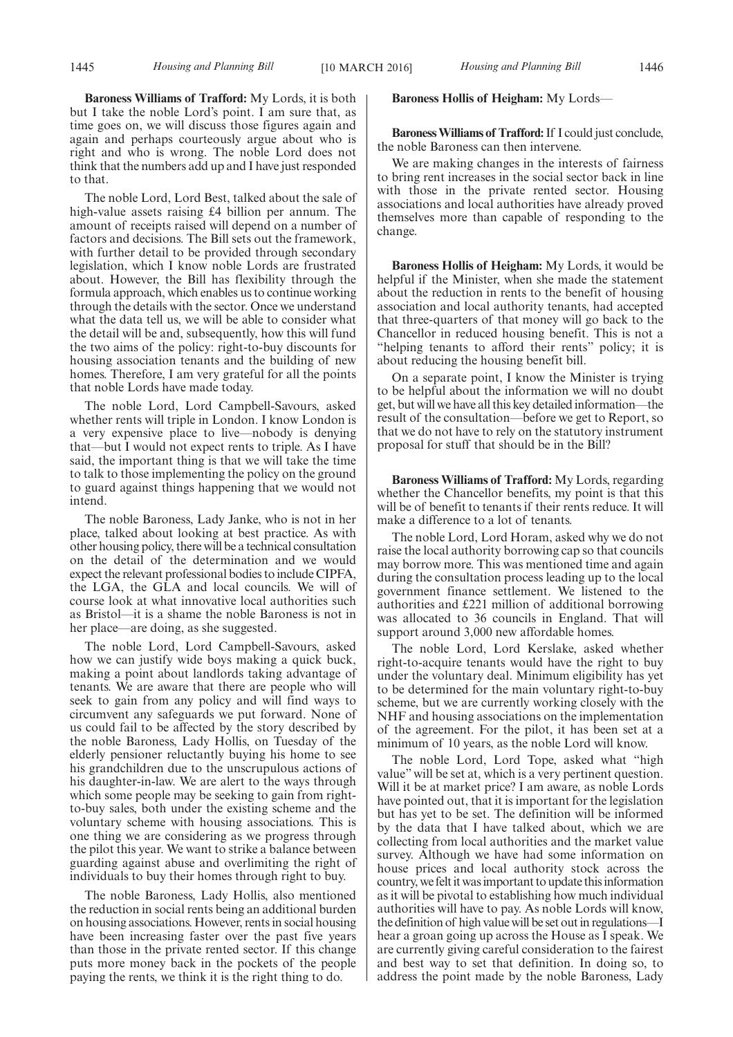**Baroness Williams of Trafford:** My Lords, it is both but I take the noble Lord's point. I am sure that, as time goes on, we will discuss those figures again and again and perhaps courteously argue about who is right and who is wrong. The noble Lord does not think that the numbers add up and I have just responded to that.

The noble Lord, Lord Best, talked about the sale of high-value assets raising £4 billion per annum. The amount of receipts raised will depend on a number of factors and decisions. The Bill sets out the framework, with further detail to be provided through secondary legislation, which I know noble Lords are frustrated about. However, the Bill has flexibility through the formula approach, which enables us to continue working through the details with the sector. Once we understand what the data tell us, we will be able to consider what the detail will be and, subsequently, how this will fund the two aims of the policy: right-to-buy discounts for housing association tenants and the building of new homes. Therefore, I am very grateful for all the points that noble Lords have made today.

The noble Lord, Lord Campbell-Savours, asked whether rents will triple in London. I know London is a very expensive place to live—nobody is denying that—but I would not expect rents to triple. As I have said, the important thing is that we will take the time to talk to those implementing the policy on the ground to guard against things happening that we would not intend.

The noble Baroness, Lady Janke, who is not in her place, talked about looking at best practice. As with other housing policy, there will be a technical consultation on the detail of the determination and we would expect the relevant professional bodies to include CIPFA, the LGA, the GLA and local councils. We will of course look at what innovative local authorities such as Bristol—it is a shame the noble Baroness is not in her place—are doing, as she suggested.

The noble Lord, Lord Campbell-Savours, asked how we can justify wide boys making a quick buck, making a point about landlords taking advantage of tenants. We are aware that there are people who will seek to gain from any policy and will find ways to circumvent any safeguards we put forward. None of us could fail to be affected by the story described by the noble Baroness, Lady Hollis, on Tuesday of the elderly pensioner reluctantly buying his home to see his grandchildren due to the unscrupulous actions of his daughter-in-law. We are alert to the ways through which some people may be seeking to gain from rightto-buy sales, both under the existing scheme and the voluntary scheme with housing associations. This is one thing we are considering as we progress through the pilot this year. We want to strike a balance between guarding against abuse and overlimiting the right of individuals to buy their homes through right to buy.

The noble Baroness, Lady Hollis, also mentioned the reduction in social rents being an additional burden on housing associations. However, rents in social housing have been increasing faster over the past five years than those in the private rented sector. If this change puts more money back in the pockets of the people paying the rents, we think it is the right thing to do.

#### **Baroness Hollis of Heigham:** My Lords—

**BaronessWilliams of Trafford:**If I could just conclude, the noble Baroness can then intervene.

We are making changes in the interests of fairness to bring rent increases in the social sector back in line with those in the private rented sector. Housing associations and local authorities have already proved themselves more than capable of responding to the change.

**Baroness Hollis of Heigham:** My Lords, it would be helpful if the Minister, when she made the statement about the reduction in rents to the benefit of housing association and local authority tenants, had accepted that three-quarters of that money will go back to the Chancellor in reduced housing benefit. This is not a "helping tenants to afford their rents" policy; it is about reducing the housing benefit bill.

On a separate point, I know the Minister is trying to be helpful about the information we will no doubt get, but will we have all this key detailed information—the result of the consultation—before we get to Report, so that we do not have to rely on the statutory instrument proposal for stuff that should be in the Bill?

**Baroness Williams of Trafford:** My Lords, regarding whether the Chancellor benefits, my point is that this will be of benefit to tenants if their rents reduce. It will make a difference to a lot of tenants.

The noble Lord, Lord Horam, asked why we do not raise the local authority borrowing cap so that councils may borrow more. This was mentioned time and again during the consultation process leading up to the local government finance settlement. We listened to the authorities and £221 million of additional borrowing was allocated to 36 councils in England. That will support around 3,000 new affordable homes.

The noble Lord, Lord Kerslake, asked whether right-to-acquire tenants would have the right to buy under the voluntary deal. Minimum eligibility has yet to be determined for the main voluntary right-to-buy scheme, but we are currently working closely with the NHF and housing associations on the implementation of the agreement. For the pilot, it has been set at a minimum of 10 years, as the noble Lord will know.

The noble Lord, Lord Tope, asked what "high value" will be set at, which is a very pertinent question. Will it be at market price? I am aware, as noble Lords have pointed out, that it is important for the legislation but has yet to be set. The definition will be informed by the data that I have talked about, which we are collecting from local authorities and the market value survey. Although we have had some information on house prices and local authority stock across the country, we felt it was important to update this information as it will be pivotal to establishing how much individual authorities will have to pay. As noble Lords will know, the definition of high value will be set out in regulations—I hear a groan going up across the House as I speak. We are currently giving careful consideration to the fairest and best way to set that definition. In doing so, to address the point made by the noble Baroness, Lady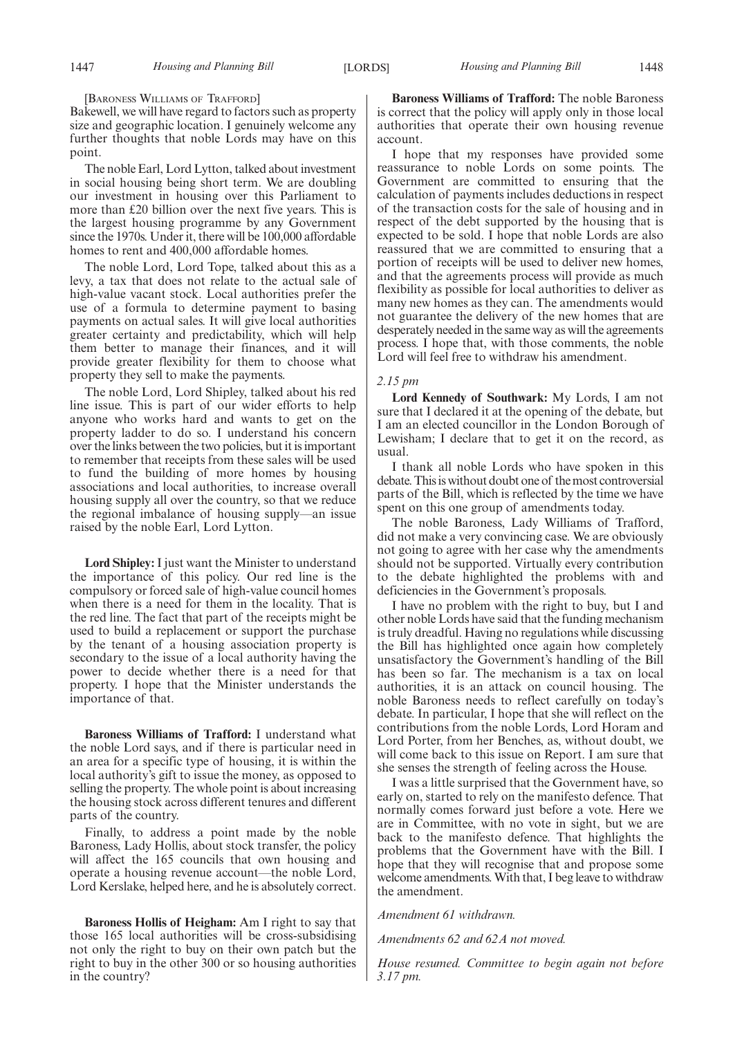[BARONESS WILLIAMS OF TRAFFORD]

Bakewell, we will have regard to factors such as property size and geographic location. I genuinely welcome any further thoughts that noble Lords may have on this point.

The noble Earl, Lord Lytton, talked about investment in social housing being short term. We are doubling our investment in housing over this Parliament to more than £20 billion over the next five years. This is the largest housing programme by any Government since the 1970s. Under it, there will be 100,000 affordable homes to rent and 400,000 affordable homes.

The noble Lord, Lord Tope, talked about this as a levy, a tax that does not relate to the actual sale of high-value vacant stock. Local authorities prefer the use of a formula to determine payment to basing payments on actual sales. It will give local authorities greater certainty and predictability, which will help them better to manage their finances, and it will provide greater flexibility for them to choose what property they sell to make the payments.

The noble Lord, Lord Shipley, talked about his red line issue. This is part of our wider efforts to help anyone who works hard and wants to get on the property ladder to do so. I understand his concern over the links between the two policies, but it is important to remember that receipts from these sales will be used to fund the building of more homes by housing associations and local authorities, to increase overall housing supply all over the country, so that we reduce the regional imbalance of housing supply—an issue raised by the noble Earl, Lord Lytton.

**Lord Shipley:** I just want the Minister to understand the importance of this policy. Our red line is the compulsory or forced sale of high-value council homes when there is a need for them in the locality. That is the red line. The fact that part of the receipts might be used to build a replacement or support the purchase by the tenant of a housing association property is secondary to the issue of a local authority having the power to decide whether there is a need for that property. I hope that the Minister understands the importance of that.

**Baroness Williams of Trafford:** I understand what the noble Lord says, and if there is particular need in an area for a specific type of housing, it is within the local authority's gift to issue the money, as opposed to selling the property. The whole point is about increasing the housing stock across different tenures and different parts of the country.

Finally, to address a point made by the noble Baroness, Lady Hollis, about stock transfer, the policy will affect the 165 councils that own housing and operate a housing revenue account—the noble Lord, Lord Kerslake, helped here, and he is absolutely correct.

**Baroness Hollis of Heigham:** Am I right to say that those 165 local authorities will be cross-subsidising not only the right to buy on their own patch but the right to buy in the other 300 or so housing authorities in the country?

**Baroness Williams of Trafford:** The noble Baroness is correct that the policy will apply only in those local authorities that operate their own housing revenue account.

I hope that my responses have provided some reassurance to noble Lords on some points. The Government are committed to ensuring that the calculation of payments includes deductions in respect of the transaction costs for the sale of housing and in respect of the debt supported by the housing that is expected to be sold. I hope that noble Lords are also reassured that we are committed to ensuring that a portion of receipts will be used to deliver new homes, and that the agreements process will provide as much flexibility as possible for local authorities to deliver as many new homes as they can. The amendments would not guarantee the delivery of the new homes that are desperately needed in the same way as will the agreements process. I hope that, with those comments, the noble Lord will feel free to withdraw his amendment.

#### *2.15 pm*

**Lord Kennedy of Southwark:** My Lords, I am not sure that I declared it at the opening of the debate, but I am an elected councillor in the London Borough of Lewisham; I declare that to get it on the record, as usual.

I thank all noble Lords who have spoken in this debate. This is without doubt one of themost controversial parts of the Bill, which is reflected by the time we have spent on this one group of amendments today.

The noble Baroness, Lady Williams of Trafford, did not make a very convincing case. We are obviously not going to agree with her case why the amendments should not be supported. Virtually every contribution to the debate highlighted the problems with and deficiencies in the Government's proposals.

I have no problem with the right to buy, but I and other noble Lords have said that the funding mechanism is truly dreadful. Having no regulations while discussing the Bill has highlighted once again how completely unsatisfactory the Government's handling of the Bill has been so far. The mechanism is a tax on local authorities, it is an attack on council housing. The noble Baroness needs to reflect carefully on today's debate. In particular, I hope that she will reflect on the contributions from the noble Lords, Lord Horam and Lord Porter, from her Benches, as, without doubt, we will come back to this issue on Report. I am sure that she senses the strength of feeling across the House.

I was a little surprised that the Government have, so early on, started to rely on the manifesto defence. That normally comes forward just before a vote. Here we are in Committee, with no vote in sight, but we are back to the manifesto defence. That highlights the problems that the Government have with the Bill. I hope that they will recognise that and propose some welcome amendments.With that, I beg leave to withdraw the amendment.

#### *Amendment 61 withdrawn.*

*Amendments 62 and 62A not moved.*

*House resumed. Committee to begin again not before 3.17 pm.*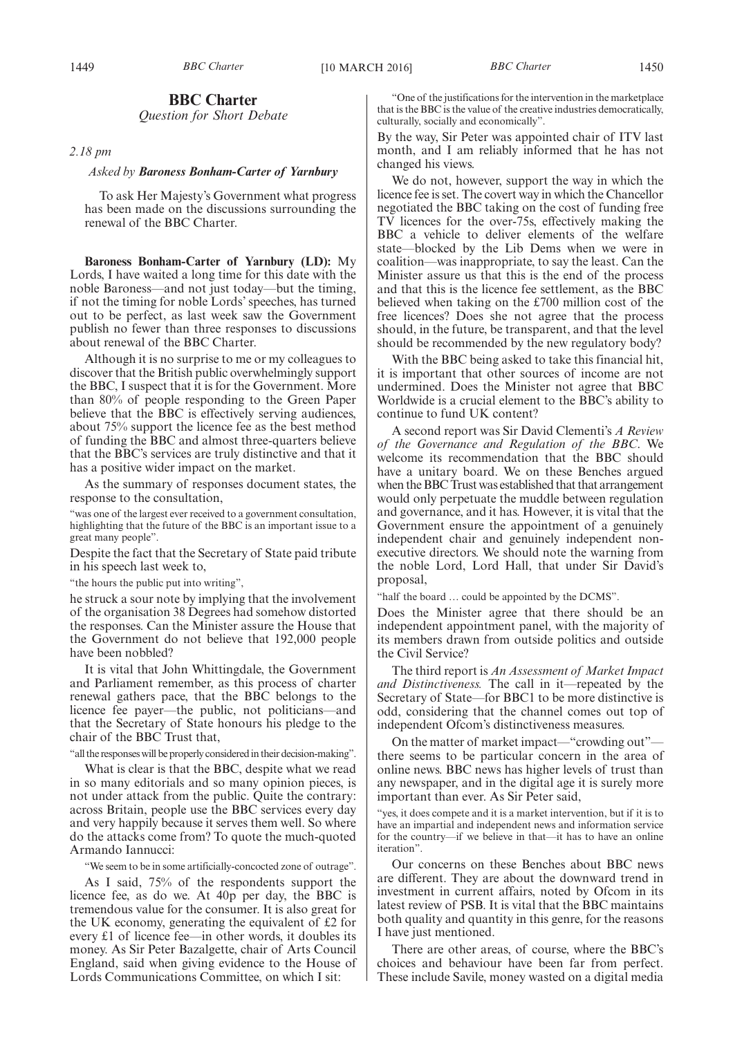## **BBC Charter**

*Question for Short Debate*

*2.18 pm*

#### *Asked by Baroness Bonham-Carter of Yarnbury*

To ask Her Majesty's Government what progress has been made on the discussions surrounding the renewal of the BBC Charter.

**Baroness Bonham-Carter of Yarnbury (LD):** My Lords, I have waited a long time for this date with the noble Baroness—and not just today—but the timing, if not the timing for noble Lords' speeches, has turned out to be perfect, as last week saw the Government publish no fewer than three responses to discussions about renewal of the BBC Charter.

Although it is no surprise to me or my colleagues to discover that the British public overwhelmingly support the BBC, I suspect that it is for the Government. More than 80% of people responding to the Green Paper believe that the BBC is effectively serving audiences, about 75% support the licence fee as the best method of funding the BBC and almost three-quarters believe that the BBC's services are truly distinctive and that it has a positive wider impact on the market.

As the summary of responses document states, the response to the consultation,

"was one of the largest ever received to a government consultation, highlighting that the future of the BBC is an important issue to a great many people".

Despite the fact that the Secretary of State paid tribute in his speech last week to,

"the hours the public put into writing",

he struck a sour note by implying that the involvement of the organisation 38 Degrees had somehow distorted the responses. Can the Minister assure the House that the Government do not believe that 192,000 people have been nobbled?

It is vital that John Whittingdale, the Government and Parliament remember, as this process of charter renewal gathers pace, that the BBC belongs to the licence fee payer—the public, not politicians—and that the Secretary of State honours his pledge to the chair of the BBC Trust that,

"all the responses will be properly considered in their decision-making".

What is clear is that the BBC, despite what we read in so many editorials and so many opinion pieces, is not under attack from the public. Quite the contrary: across Britain, people use the BBC services every day and very happily because it serves them well. So where do the attacks come from? To quote the much-quoted Armando Iannucci:

"We seem to be in some artificially-concocted zone of outrage".

As I said, 75% of the respondents support the licence fee, as do we. At 40p per day, the BBC is tremendous value for the consumer. It is also great for the UK economy, generating the equivalent of £2 for every £1 of licence fee—in other words, it doubles its money. As Sir Peter Bazalgette, chair of Arts Council England, said when giving evidence to the House of Lords Communications Committee, on which I sit:

"One of the justifications for the intervention in the marketplace that is the BBC is the value of the creative industries democratically, culturally, socially and economically".

By the way, Sir Peter was appointed chair of ITV last month, and I am reliably informed that he has not changed his views.

We do not, however, support the way in which the licence fee is set. The covert way in which the Chancellor negotiated the BBC taking on the cost of funding free TV licences for the over-75s, effectively making the BBC a vehicle to deliver elements of the welfare state—blocked by the Lib Dems when we were in coalition—was inappropriate, to say the least. Can the Minister assure us that this is the end of the process and that this is the licence fee settlement, as the BBC believed when taking on the £700 million cost of the free licences? Does she not agree that the process should, in the future, be transparent, and that the level should be recommended by the new regulatory body?

With the BBC being asked to take this financial hit, it is important that other sources of income are not undermined. Does the Minister not agree that BBC Worldwide is a crucial element to the BBC's ability to continue to fund UK content?

A second report was Sir David Clementi's *A Review of the Governance and Regulation of the BBC*. We welcome its recommendation that the BBC should have a unitary board. We on these Benches argued when the BBC Trust was established that that arrangement would only perpetuate the muddle between regulation and governance, and it has. However, it is vital that the Government ensure the appointment of a genuinely independent chair and genuinely independent nonexecutive directors. We should note the warning from the noble Lord, Lord Hall, that under Sir David's proposal,

"half the board … could be appointed by the DCMS".

Does the Minister agree that there should be an independent appointment panel, with the majority of its members drawn from outside politics and outside the Civil Service?

The third report is *An Assessment of Market Impact and Distinctiveness.* The call in it—repeated by the Secretary of State—for BBC1 to be more distinctive is odd, considering that the channel comes out top of independent Ofcom's distinctiveness measures.

On the matter of market impact—"crowding out" there seems to be particular concern in the area of online news. BBC news has higher levels of trust than any newspaper, and in the digital age it is surely more important than ever. As Sir Peter said,

"yes, it does compete and it is a market intervention, but if it is to have an impartial and independent news and information service for the country—if we believe in that—it has to have an online iteration".

Our concerns on these Benches about BBC news are different. They are about the downward trend in investment in current affairs, noted by Ofcom in its latest review of PSB. It is vital that the BBC maintains both quality and quantity in this genre, for the reasons I have just mentioned.

There are other areas, of course, where the BBC's choices and behaviour have been far from perfect. These include Savile, money wasted on a digital media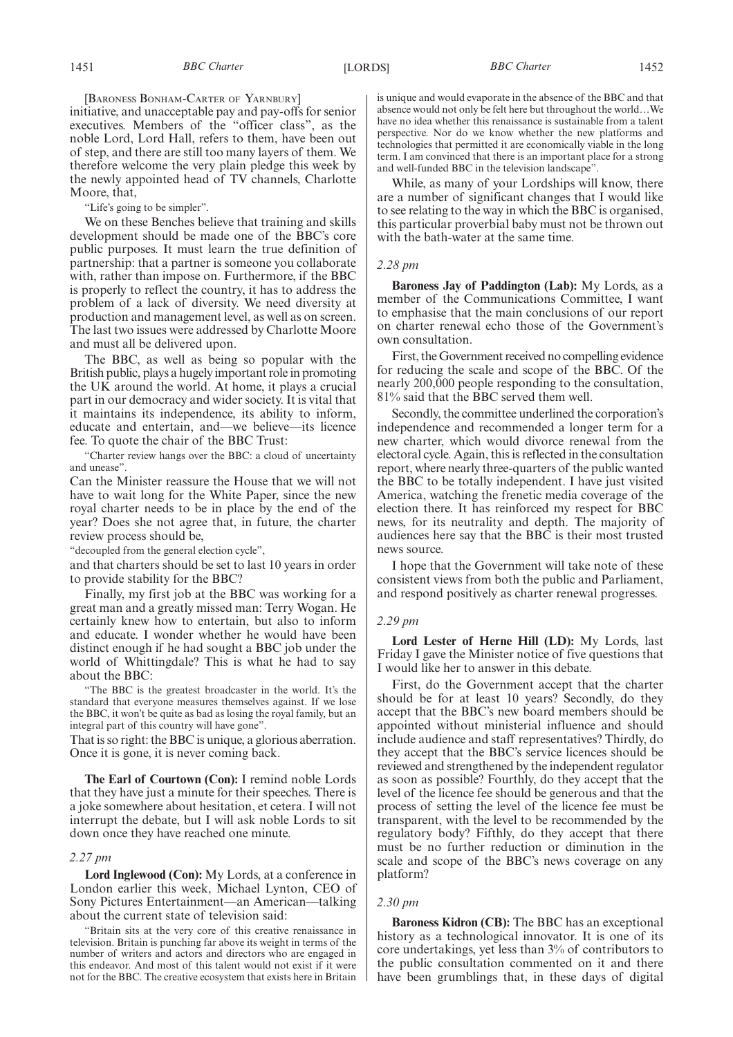[BARONESS BONHAM-CARTER OF YARNBURY]

initiative, and unacceptable pay and pay-offs for senior executives. Members of the "officer class", as the noble Lord, Lord Hall, refers to them, have been out of step, and there are still too many layers of them. We therefore welcome the very plain pledge this week by the newly appointed head of TV channels, Charlotte Moore, that,

"Life's going to be simpler".

We on these Benches believe that training and skills development should be made one of the BBC's core public purposes. It must learn the true definition of partnership: that a partner is someone you collaborate with, rather than impose on. Furthermore, if the BBC is properly to reflect the country, it has to address the problem of a lack of diversity. We need diversity at production and management level, as well as on screen. The last two issues were addressed by Charlotte Moore and must all be delivered upon.

The BBC, as well as being so popular with the British public, plays a hugely important role in promoting the UK around the world. At home, it plays a crucial part in our democracy and wider society. It is vital that it maintains its independence, its ability to inform, educate and entertain, and—we believe—its licence fee. To quote the chair of the BBC Trust:

"Charter review hangs over the BBC: a cloud of uncertainty and unease".

Can the Minister reassure the House that we will not have to wait long for the White Paper, since the new royal charter needs to be in place by the end of the year? Does she not agree that, in future, the charter review process should be,

"decoupled from the general election cycle",

and that charters should be set to last 10 years in order to provide stability for the BBC?

Finally, my first job at the BBC was working for a great man and a greatly missed man: Terry Wogan. He certainly knew how to entertain, but also to inform and educate. I wonder whether he would have been distinct enough if he had sought a BBC job under the world of Whittingdale? This is what he had to say about the BBC:

"The BBC is the greatest broadcaster in the world. It's the standard that everyone measures themselves against. If we lose the BBC, it won't be quite as bad as losing the royal family, but an integral part of this country will have gone".

That is so right: the BBC is unique, a glorious aberration. Once it is gone, it is never coming back.

**The Earl of Courtown (Con):** I remind noble Lords that they have just a minute for their speeches. There is a joke somewhere about hesitation, et cetera. I will not interrupt the debate, but I will ask noble Lords to sit down once they have reached one minute.

#### *2.27 pm*

**Lord Inglewood (Con):** My Lords, at a conference in London earlier this week, Michael Lynton, CEO of Sony Pictures Entertainment—an American—talking about the current state of television said:

"Britain sits at the very core of this creative renaissance in television. Britain is punching far above its weight in terms of the number of writers and actors and directors who are engaged in this endeavor. And most of this talent would not exist if it were not for the BBC. The creative ecosystem that exists here in Britain is unique and would evaporate in the absence of the BBC and that absence would not only be felt here but throughout the world…We have no idea whether this renaissance is sustainable from a talent perspective. Nor do we know whether the new platforms and technologies that permitted it are economically viable in the long term. I am convinced that there is an important place for a strong and well-funded BBC in the television landscape".

While, as many of your Lordships will know, there are a number of significant changes that I would like to see relating to the way in which the BBC is organised, this particular proverbial baby must not be thrown out with the bath-water at the same time.

#### *2.28 pm*

**Baroness Jay of Paddington (Lab):** My Lords, as a member of the Communications Committee, I want to emphasise that the main conclusions of our report on charter renewal echo those of the Government's own consultation.

First, the Government received no compelling evidence for reducing the scale and scope of the BBC. Of the nearly 200,000 people responding to the consultation, 81% said that the BBC served them well.

Secondly, the committee underlined the corporation's independence and recommended a longer term for a new charter, which would divorce renewal from the electoral cycle. Again, this is reflected in the consultation report, where nearly three-quarters of the public wanted the BBC to be totally independent. I have just visited America, watching the frenetic media coverage of the election there. It has reinforced my respect for BBC news, for its neutrality and depth. The majority of audiences here say that the BBC is their most trusted news source.

I hope that the Government will take note of these consistent views from both the public and Parliament, and respond positively as charter renewal progresses.

#### *2.29 pm*

**Lord Lester of Herne Hill (LD):** My Lords, last Friday I gave the Minister notice of five questions that I would like her to answer in this debate.

First, do the Government accept that the charter should be for at least 10 years? Secondly, do they accept that the BBC's new board members should be appointed without ministerial influence and should include audience and staff representatives? Thirdly, do they accept that the BBC's service licences should be reviewed and strengthened by the independent regulator as soon as possible? Fourthly, do they accept that the level of the licence fee should be generous and that the process of setting the level of the licence fee must be transparent, with the level to be recommended by the regulatory body? Fifthly, do they accept that there must be no further reduction or diminution in the scale and scope of the BBC's news coverage on any platform?

#### *2.30 pm*

**Baroness Kidron (CB):** The BBC has an exceptional history as a technological innovator. It is one of its core undertakings, yet less than 3% of contributors to the public consultation commented on it and there have been grumblings that, in these days of digital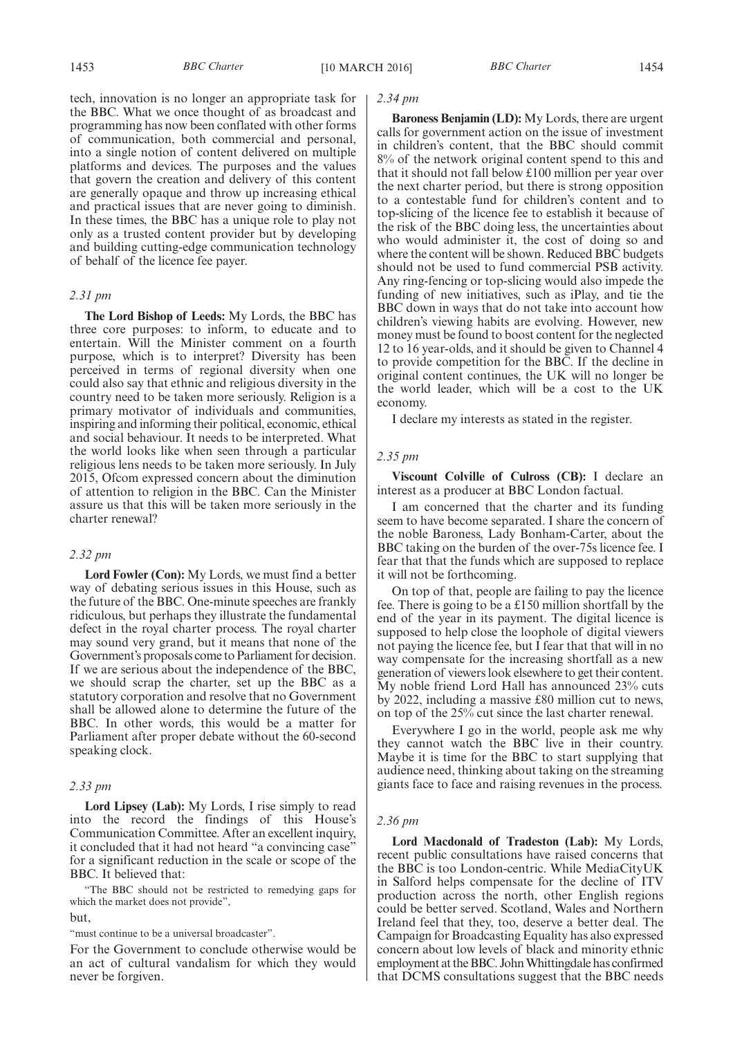tech, innovation is no longer an appropriate task for the BBC. What we once thought of as broadcast and programming has now been conflated with other forms of communication, both commercial and personal, into a single notion of content delivered on multiple platforms and devices. The purposes and the values that govern the creation and delivery of this content are generally opaque and throw up increasing ethical and practical issues that are never going to diminish. In these times, the BBC has a unique role to play not only as a trusted content provider but by developing and building cutting-edge communication technology of behalf of the licence fee payer.

#### *2.31 pm*

**The Lord Bishop of Leeds:** My Lords, the BBC has three core purposes: to inform, to educate and to entertain. Will the Minister comment on a fourth purpose, which is to interpret? Diversity has been perceived in terms of regional diversity when one could also say that ethnic and religious diversity in the country need to be taken more seriously. Religion is a primary motivator of individuals and communities, inspiring and informing their political, economic, ethical and social behaviour. It needs to be interpreted. What the world looks like when seen through a particular religious lens needs to be taken more seriously. In July 2015, Ofcom expressed concern about the diminution of attention to religion in the BBC. Can the Minister assure us that this will be taken more seriously in the charter renewal?

#### *2.32 pm*

**Lord Fowler (Con):** My Lords, we must find a better way of debating serious issues in this House, such as the future of the BBC. One-minute speeches are frankly ridiculous, but perhaps they illustrate the fundamental defect in the royal charter process. The royal charter may sound very grand, but it means that none of the Government's proposals come to Parliament for decision. If we are serious about the independence of the BBC, we should scrap the charter, set up the BBC as a statutory corporation and resolve that no Government shall be allowed alone to determine the future of the BBC. In other words, this would be a matter for Parliament after proper debate without the 60-second speaking clock.

#### *2.33 pm*

**Lord Lipsey (Lab):** My Lords, I rise simply to read into the record the findings of this House's Communication Committee. After an excellent inquiry, it concluded that it had not heard "a convincing case" for a significant reduction in the scale or scope of the BBC. It believed that:

"The BBC should not be restricted to remedying gaps for which the market does not provide", but,

"must continue to be a universal broadcaster".

For the Government to conclude otherwise would be an act of cultural vandalism for which they would never be forgiven.

#### *2.34 pm*

**Baroness Benjamin (LD):** My Lords, there are urgent calls for government action on the issue of investment in children's content, that the BBC should commit 8% of the network original content spend to this and that it should not fall below £100 million per year over the next charter period, but there is strong opposition to a contestable fund for children's content and to top-slicing of the licence fee to establish it because of the risk of the BBC doing less, the uncertainties about who would administer it, the cost of doing so and where the content will be shown. Reduced BBC budgets should not be used to fund commercial PSB activity. Any ring-fencing or top-slicing would also impede the funding of new initiatives, such as iPlay, and tie the BBC down in ways that do not take into account how children's viewing habits are evolving. However, new money must be found to boost content for the neglected 12 to 16 year-olds, and it should be given to Channel 4 to provide competition for the BBC. If the decline in original content continues, the UK will no longer be the world leader, which will be a cost to the UK economy.

I declare my interests as stated in the register.

#### *2.35 pm*

**Viscount Colville of Culross (CB):** I declare an interest as a producer at BBC London factual.

I am concerned that the charter and its funding seem to have become separated. I share the concern of the noble Baroness, Lady Bonham-Carter, about the BBC taking on the burden of the over-75s licence fee. I fear that that the funds which are supposed to replace it will not be forthcoming.

On top of that, people are failing to pay the licence fee. There is going to be a £150 million shortfall by the end of the year in its payment. The digital licence is supposed to help close the loophole of digital viewers not paying the licence fee, but I fear that that will in no way compensate for the increasing shortfall as a new generation of viewers look elsewhere to get their content. My noble friend Lord Hall has announced 23% cuts by 2022, including a massive £80 million cut to news, on top of the 25% cut since the last charter renewal.

Everywhere I go in the world, people ask me why they cannot watch the BBC live in their country. Maybe it is time for the BBC to start supplying that audience need, thinking about taking on the streaming giants face to face and raising revenues in the process.

#### *2.36 pm*

**Lord Macdonald of Tradeston (Lab):** My Lords, recent public consultations have raised concerns that the BBC is too London-centric. While MediaCityUK in Salford helps compensate for the decline of ITV production across the north, other English regions could be better served. Scotland, Wales and Northern Ireland feel that they, too, deserve a better deal. The Campaign for Broadcasting Equality has also expressed concern about low levels of black and minority ethnic employment at the BBC. JohnWhittingdale has confirmed that DCMS consultations suggest that the BBC needs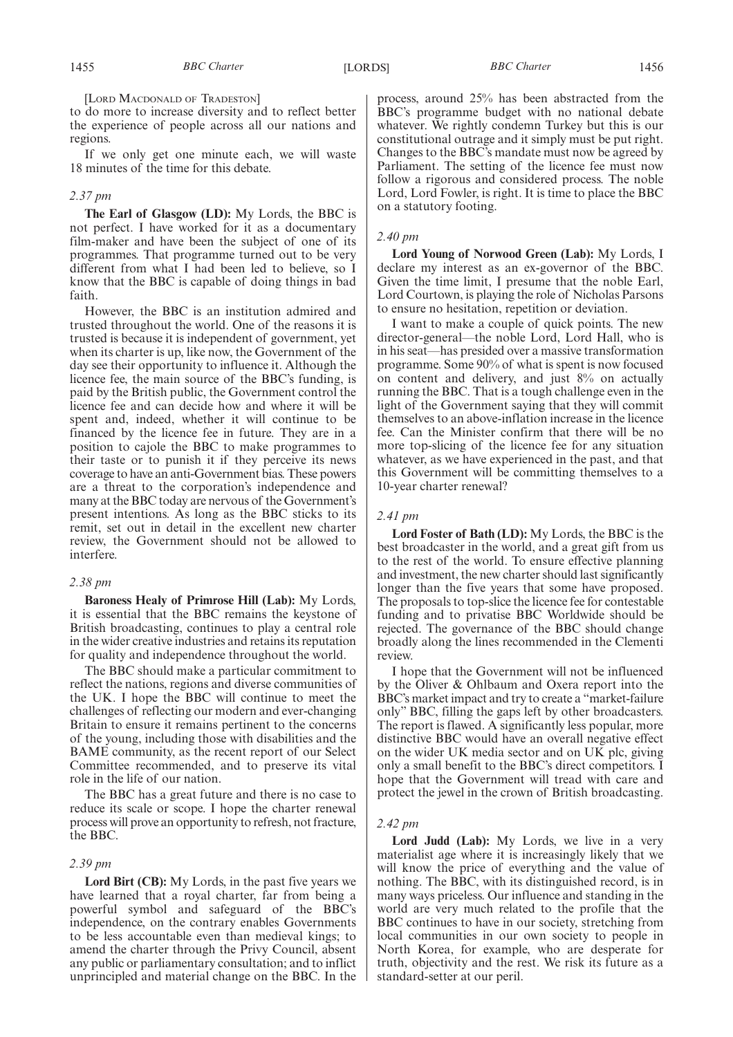[LORD MACDONALD OF TRADESTON]

to do more to increase diversity and to reflect better the experience of people across all our nations and regions.

If we only get one minute each, we will waste 18 minutes of the time for this debate.

#### *2.37 pm*

**The Earl of Glasgow (LD):** My Lords, the BBC is not perfect. I have worked for it as a documentary film-maker and have been the subject of one of its programmes. That programme turned out to be very different from what I had been led to believe, so I know that the BBC is capable of doing things in bad faith.

However, the BBC is an institution admired and trusted throughout the world. One of the reasons it is trusted is because it is independent of government, yet when its charter is up, like now, the Government of the day see their opportunity to influence it. Although the licence fee, the main source of the BBC's funding, is paid by the British public, the Government control the licence fee and can decide how and where it will be spent and, indeed, whether it will continue to be financed by the licence fee in future. They are in a position to cajole the BBC to make programmes to their taste or to punish it if they perceive its news coverage to have an anti-Government bias. These powers are a threat to the corporation's independence and many at the BBC today are nervous of the Government's present intentions. As long as the BBC sticks to its remit, set out in detail in the excellent new charter review, the Government should not be allowed to interfere.

#### *2.38 pm*

**Baroness Healy of Primrose Hill (Lab):** My Lords, it is essential that the BBC remains the keystone of British broadcasting, continues to play a central role in the wider creative industries and retains its reputation for quality and independence throughout the world.

The BBC should make a particular commitment to reflect the nations, regions and diverse communities of the UK. I hope the BBC will continue to meet the challenges of reflecting our modern and ever-changing Britain to ensure it remains pertinent to the concerns of the young, including those with disabilities and the BAME community, as the recent report of our Select Committee recommended, and to preserve its vital role in the life of our nation.

The BBC has a great future and there is no case to reduce its scale or scope. I hope the charter renewal process will prove an opportunity to refresh, not fracture, the BBC.

#### *2.39 pm*

**Lord Birt (CB):** My Lords, in the past five years we have learned that a royal charter, far from being a powerful symbol and safeguard of the BBC's independence, on the contrary enables Governments to be less accountable even than medieval kings; to amend the charter through the Privy Council, absent any public or parliamentary consultation; and to inflict unprincipled and material change on the BBC. In the process, around 25% has been abstracted from the BBC's programme budget with no national debate whatever. We rightly condemn Turkey but this is our constitutional outrage and it simply must be put right. Changes to the BBC's mandate must now be agreed by Parliament. The setting of the licence fee must now follow a rigorous and considered process. The noble Lord, Lord Fowler, is right. It is time to place the BBC on a statutory footing.

#### *2.40 pm*

**Lord Young of Norwood Green (Lab):** My Lords, I declare my interest as an ex-governor of the BBC. Given the time limit, I presume that the noble Earl, Lord Courtown, is playing the role of Nicholas Parsons to ensure no hesitation, repetition or deviation.

I want to make a couple of quick points. The new director-general—the noble Lord, Lord Hall, who is in his seat—has presided over a massive transformation programme. Some 90% of what is spent is now focused on content and delivery, and just 8% on actually running the BBC. That is a tough challenge even in the light of the Government saying that they will commit themselves to an above-inflation increase in the licence fee. Can the Minister confirm that there will be no more top-slicing of the licence fee for any situation whatever, as we have experienced in the past, and that this Government will be committing themselves to a 10-year charter renewal?

#### *2.41 pm*

**Lord Foster of Bath (LD):** My Lords, the BBC is the best broadcaster in the world, and a great gift from us to the rest of the world. To ensure effective planning and investment, the new charter should last significantly longer than the five years that some have proposed. The proposals to top-slice the licence fee for contestable funding and to privatise BBC Worldwide should be rejected. The governance of the BBC should change broadly along the lines recommended in the Clementi review.

I hope that the Government will not be influenced by the Oliver & Ohlbaum and Oxera report into the BBC's market impact and try to create a "market-failure only" BBC, filling the gaps left by other broadcasters. The report is flawed. A significantly less popular, more distinctive BBC would have an overall negative effect on the wider UK media sector and on UK plc, giving only a small benefit to the BBC's direct competitors. I hope that the Government will tread with care and protect the jewel in the crown of British broadcasting.

#### *2.42 pm*

**Lord Judd (Lab):** My Lords, we live in a very materialist age where it is increasingly likely that we will know the price of everything and the value of nothing. The BBC, with its distinguished record, is in many ways priceless. Our influence and standing in the world are very much related to the profile that the BBC continues to have in our society, stretching from local communities in our own society to people in North Korea, for example, who are desperate for truth, objectivity and the rest. We risk its future as a standard-setter at our peril.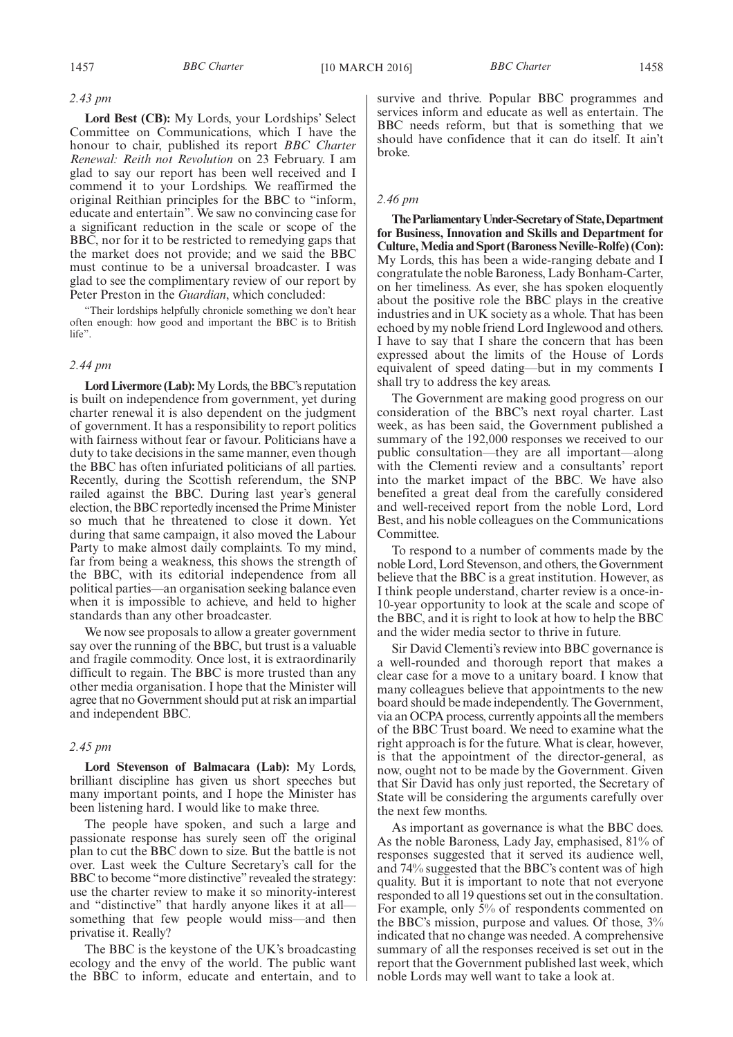#### *2.43 pm*

**Lord Best (CB):** My Lords, your Lordships' Select Committee on Communications, which I have the honour to chair, published its report *BBC Charter Renewal: Reith not Revolution* on 23 February. I am glad to say our report has been well received and I commend it to your Lordships. We reaffirmed the original Reithian principles for the BBC to "inform, educate and entertain". We saw no convincing case for a significant reduction in the scale or scope of the BBC, nor for it to be restricted to remedying gaps that the market does not provide; and we said the BBC must continue to be a universal broadcaster. I was glad to see the complimentary review of our report by Peter Preston in the *Guardian*, which concluded:

"Their lordships helpfully chronicle something we don't hear often enough: how good and important the BBC is to British life".

#### *2.44 pm*

**Lord Livermore (Lab):**My Lords, the BBC's reputation is built on independence from government, yet during charter renewal it is also dependent on the judgment of government. It has a responsibility to report politics with fairness without fear or favour. Politicians have a duty to take decisions in the same manner, even though the BBC has often infuriated politicians of all parties. Recently, during the Scottish referendum, the SNP railed against the BBC. During last year's general election, the BBC reportedly incensed the Prime Minister so much that he threatened to close it down. Yet during that same campaign, it also moved the Labour Party to make almost daily complaints. To my mind, far from being a weakness, this shows the strength of the BBC, with its editorial independence from all political parties—an organisation seeking balance even when it is impossible to achieve, and held to higher standards than any other broadcaster.

We now see proposals to allow a greater government say over the running of the BBC, but trust is a valuable and fragile commodity. Once lost, it is extraordinarily difficult to regain. The BBC is more trusted than any other media organisation. I hope that the Minister will agree that no Government should put at risk an impartial and independent BBC.

#### *2.45 pm*

**Lord Stevenson of Balmacara (Lab):** My Lords, brilliant discipline has given us short speeches but many important points, and I hope the Minister has been listening hard. I would like to make three.

The people have spoken, and such a large and passionate response has surely seen off the original plan to cut the BBC down to size. But the battle is not over. Last week the Culture Secretary's call for the BBC to become "more distinctive" revealed the strategy: use the charter review to make it so minority-interest and "distinctive" that hardly anyone likes it at all something that few people would miss—and then privatise it. Really?

The BBC is the keystone of the UK's broadcasting ecology and the envy of the world. The public want the BBC to inform, educate and entertain, and to survive and thrive. Popular BBC programmes and services inform and educate as well as entertain. The BBC needs reform, but that is something that we should have confidence that it can do itself. It ain't broke.

#### *2.46 pm*

**TheParliamentaryUnder-Secretaryof State,Department for Business, Innovation and Skills and Department for Culture,Media and Sport (Baroness Neville-Rolfe) (Con):** My Lords, this has been a wide-ranging debate and I congratulate the noble Baroness, Lady Bonham-Carter, on her timeliness. As ever, she has spoken eloquently about the positive role the BBC plays in the creative industries and in UK society as a whole. That has been echoed by my noble friend Lord Inglewood and others. I have to say that I share the concern that has been expressed about the limits of the House of Lords equivalent of speed dating—but in my comments I shall try to address the key areas.

The Government are making good progress on our consideration of the BBC's next royal charter. Last week, as has been said, the Government published a summary of the 192,000 responses we received to our public consultation—they are all important—along with the Clementi review and a consultants' report into the market impact of the BBC. We have also benefited a great deal from the carefully considered and well-received report from the noble Lord, Lord Best, and his noble colleagues on the Communications Committee.

To respond to a number of comments made by the noble Lord, Lord Stevenson, and others, the Government believe that the BBC is a great institution. However, as I think people understand, charter review is a once-in-10-year opportunity to look at the scale and scope of the BBC, and it is right to look at how to help the BBC and the wider media sector to thrive in future.

Sir David Clementi's review into BBC governance is a well-rounded and thorough report that makes a clear case for a move to a unitary board. I know that many colleagues believe that appointments to the new board should be made independently. The Government, via an OCPA process, currently appoints all the members of the BBC Trust board. We need to examine what the right approach is for the future. What is clear, however, is that the appointment of the director-general, as now, ought not to be made by the Government. Given that Sir David has only just reported, the Secretary of State will be considering the arguments carefully over the next few months.

As important as governance is what the BBC does. As the noble Baroness, Lady Jay, emphasised, 81% of responses suggested that it served its audience well, and 74% suggested that the BBC's content was of high quality. But it is important to note that not everyone responded to all 19 questions set out in the consultation. For example, only  $\bar{5}$ % of respondents commented on the BBC's mission, purpose and values. Of those, 3% indicated that no change was needed. A comprehensive summary of all the responses received is set out in the report that the Government published last week, which noble Lords may well want to take a look at.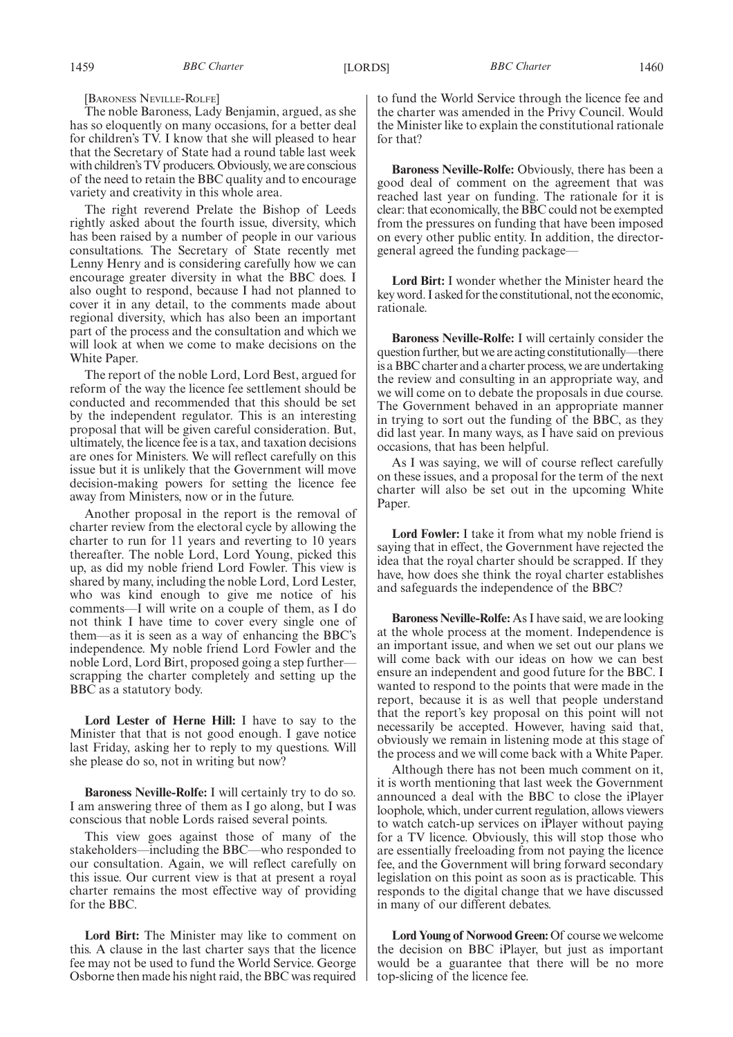[BARONESS NEVILLE-ROLFE]

The noble Baroness, Lady Benjamin, argued, as she has so eloquently on many occasions, for a better deal for children's TV. I know that she will pleased to hear that the Secretary of State had a round table last week with children's TV producers. Obviously, we are conscious of the need to retain the BBC quality and to encourage variety and creativity in this whole area.

The right reverend Prelate the Bishop of Leeds rightly asked about the fourth issue, diversity, which has been raised by a number of people in our various consultations. The Secretary of State recently met Lenny Henry and is considering carefully how we can encourage greater diversity in what the BBC does. I also ought to respond, because I had not planned to cover it in any detail, to the comments made about regional diversity, which has also been an important part of the process and the consultation and which we will look at when we come to make decisions on the White Paper.

The report of the noble Lord, Lord Best, argued for reform of the way the licence fee settlement should be conducted and recommended that this should be set by the independent regulator. This is an interesting proposal that will be given careful consideration. But, ultimately, the licence fee is a tax, and taxation decisions are ones for Ministers. We will reflect carefully on this issue but it is unlikely that the Government will move decision-making powers for setting the licence fee away from Ministers, now or in the future.

Another proposal in the report is the removal of charter review from the electoral cycle by allowing the charter to run for 11 years and reverting to 10 years thereafter. The noble Lord, Lord Young, picked this up, as did my noble friend Lord Fowler. This view is shared by many, including the noble Lord, Lord Lester, who was kind enough to give me notice of his comments—I will write on a couple of them, as I do not think I have time to cover every single one of them—as it is seen as a way of enhancing the BBC's independence. My noble friend Lord Fowler and the noble Lord, Lord Birt, proposed going a step further scrapping the charter completely and setting up the BBC as a statutory body.

**Lord Lester of Herne Hill:** I have to say to the Minister that that is not good enough. I gave notice last Friday, asking her to reply to my questions. Will she please do so, not in writing but now?

**Baroness Neville-Rolfe:** I will certainly try to do so. I am answering three of them as I go along, but I was conscious that noble Lords raised several points.

This view goes against those of many of the stakeholders—including the BBC—who responded to our consultation. Again, we will reflect carefully on this issue. Our current view is that at present a royal charter remains the most effective way of providing for the BBC.

**Lord Birt:** The Minister may like to comment on this. A clause in the last charter says that the licence fee may not be used to fund the World Service. George Osborne then made his night raid, the BBC was required to fund the World Service through the licence fee and the charter was amended in the Privy Council. Would the Minister like to explain the constitutional rationale for that?

**Baroness Neville-Rolfe:** Obviously, there has been a good deal of comment on the agreement that was reached last year on funding. The rationale for it is clear: that economically, the BBC could not be exempted from the pressures on funding that have been imposed on every other public entity. In addition, the directorgeneral agreed the funding package—

**Lord Birt:** I wonder whether the Minister heard the key word. I asked for the constitutional, not the economic, rationale.

**Baroness Neville-Rolfe:** I will certainly consider the question further, but we are acting constitutionally—there is a BBC charter and a charter process, we are undertaking the review and consulting in an appropriate way, and we will come on to debate the proposals in due course. The Government behaved in an appropriate manner in trying to sort out the funding of the BBC, as they did last year. In many ways, as I have said on previous occasions, that has been helpful.

As I was saying, we will of course reflect carefully on these issues, and a proposal for the term of the next charter will also be set out in the upcoming White Paper.

**Lord Fowler:** I take it from what my noble friend is saying that in effect, the Government have rejected the idea that the royal charter should be scrapped. If they have, how does she think the royal charter establishes and safeguards the independence of the BBC?

**Baroness Neville-Rolfe:** As I have said, we are looking at the whole process at the moment. Independence is an important issue, and when we set out our plans we will come back with our ideas on how we can best ensure an independent and good future for the BBC. I wanted to respond to the points that were made in the report, because it is as well that people understand that the report's key proposal on this point will not necessarily be accepted. However, having said that, obviously we remain in listening mode at this stage of the process and we will come back with a White Paper.

Although there has not been much comment on it, it is worth mentioning that last week the Government announced a deal with the BBC to close the iPlayer loophole, which, under current regulation, allows viewers to watch catch-up services on iPlayer without paying for a TV licence. Obviously, this will stop those who are essentially freeloading from not paying the licence fee, and the Government will bring forward secondary legislation on this point as soon as is practicable. This responds to the digital change that we have discussed in many of our different debates.

**Lord Young of Norwood Green:** Of course we welcome the decision on BBC iPlayer, but just as important would be a guarantee that there will be no more top-slicing of the licence fee.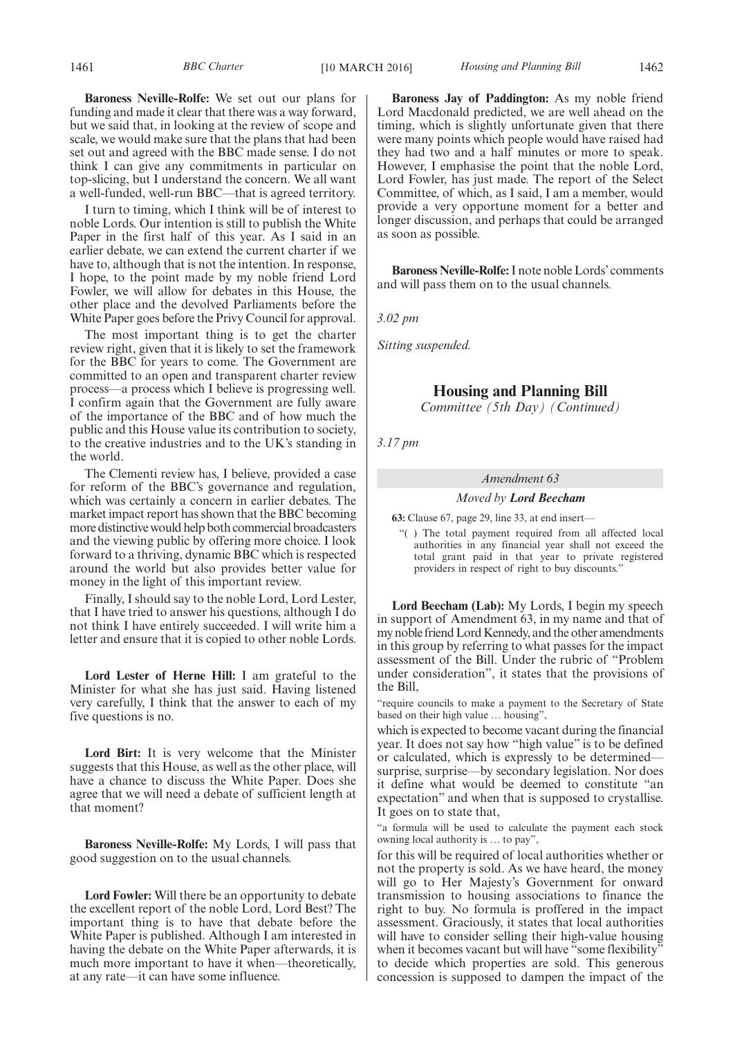**Baroness Neville-Rolfe:** We set out our plans for funding and made it clear that there was a way forward, but we said that, in looking at the review of scope and scale, we would make sure that the plans that had been set out and agreed with the BBC made sense. I do not think I can give any commitments in particular on top-slicing, but I understand the concern. We all want a well-funded, well-run BBC—that is agreed territory.

I turn to timing, which I think will be of interest to noble Lords. Our intention is still to publish the White Paper in the first half of this year. As I said in an earlier debate, we can extend the current charter if we have to, although that is not the intention. In response, I hope, to the point made by my noble friend Lord Fowler, we will allow for debates in this House, the other place and the devolved Parliaments before the White Paper goes before the Privy Council for approval.

The most important thing is to get the charter review right, given that it is likely to set the framework for the BBC for years to come. The Government are committed to an open and transparent charter review process—a process which I believe is progressing well. I confirm again that the Government are fully aware of the importance of the BBC and of how much the public and this House value its contribution to society, to the creative industries and to the UK's standing in the world.

The Clementi review has, I believe, provided a case for reform of the BBC's governance and regulation, which was certainly a concern in earlier debates. The market impact report has shown that the BBC becoming more distinctive would help both commercial broadcasters and the viewing public by offering more choice. I look forward to a thriving, dynamic BBC which is respected around the world but also provides better value for money in the light of this important review.

Finally, I should say to the noble Lord, Lord Lester, that I have tried to answer his questions, although I do not think I have entirely succeeded. I will write him a letter and ensure that it is copied to other noble Lords.

**Lord Lester of Herne Hill:** I am grateful to the Minister for what she has just said. Having listened very carefully, I think that the answer to each of my five questions is no.

**Lord Birt:** It is very welcome that the Minister suggests that this House, as well as the other place, will have a chance to discuss the White Paper. Does she agree that we will need a debate of sufficient length at that moment?

**Baroness Neville-Rolfe:** My Lords, I will pass that good suggestion on to the usual channels.

**Lord Fowler:** Will there be an opportunity to debate the excellent report of the noble Lord, Lord Best? The important thing is to have that debate before the White Paper is published. Although I am interested in having the debate on the White Paper afterwards, it is much more important to have it when—theoretically, at any rate—it can have some influence.

**Baroness Jay of Paddington:** As my noble friend Lord Macdonald predicted, we are well ahead on the timing, which is slightly unfortunate given that there were many points which people would have raised had they had two and a half minutes or more to speak. However, I emphasise the point that the noble Lord, Lord Fowler, has just made. The report of the Select Committee, of which, as I said, I am a member, would provide a very opportune moment for a better and longer discussion, and perhaps that could be arranged as soon as possible.

**Baroness Neville-Rolfe:**I note noble Lords' comments and will pass them on to the usual channels.

*3.02 pm*

*Sitting suspended.*

#### **Housing and Planning Bill**

*Committee (5th Day) (Continued)*

*3.17 pm*

#### *Amendment 63*

#### *Moved by Lord Beecham*

**63:** Clause 67, page 29, line 33, at end insert—

"( ) The total payment required from all affected local authorities in any financial year shall not exceed the total grant paid in that year to private registered providers in respect of right to buy discounts."

**Lord Beecham (Lab):** My Lords, I begin my speech in support of Amendment 63, in my name and that of my noble friend Lord Kennedy, and the other amendments in this group by referring to what passes for the impact assessment of the Bill. Under the rubric of "Problem under consideration", it states that the provisions of the Bill,

"require councils to make a payment to the Secretary of State based on their high value … housing",

which is expected to become vacant during the financial year. It does not say how "high value" is to be defined or calculated, which is expressly to be determined surprise, surprise—by secondary legislation. Nor does it define what would be deemed to constitute "an expectation" and when that is supposed to crystallise. It goes on to state that,

"a formula will be used to calculate the payment each stock owning local authority is … to pay",

for this will be required of local authorities whether or not the property is sold. As we have heard, the money will go to Her Majesty's Government for onward transmission to housing associations to finance the right to buy. No formula is proffered in the impact assessment. Graciously, it states that local authorities will have to consider selling their high-value housing when it becomes vacant but will have "some flexibility" to decide which properties are sold. This generous concession is supposed to dampen the impact of the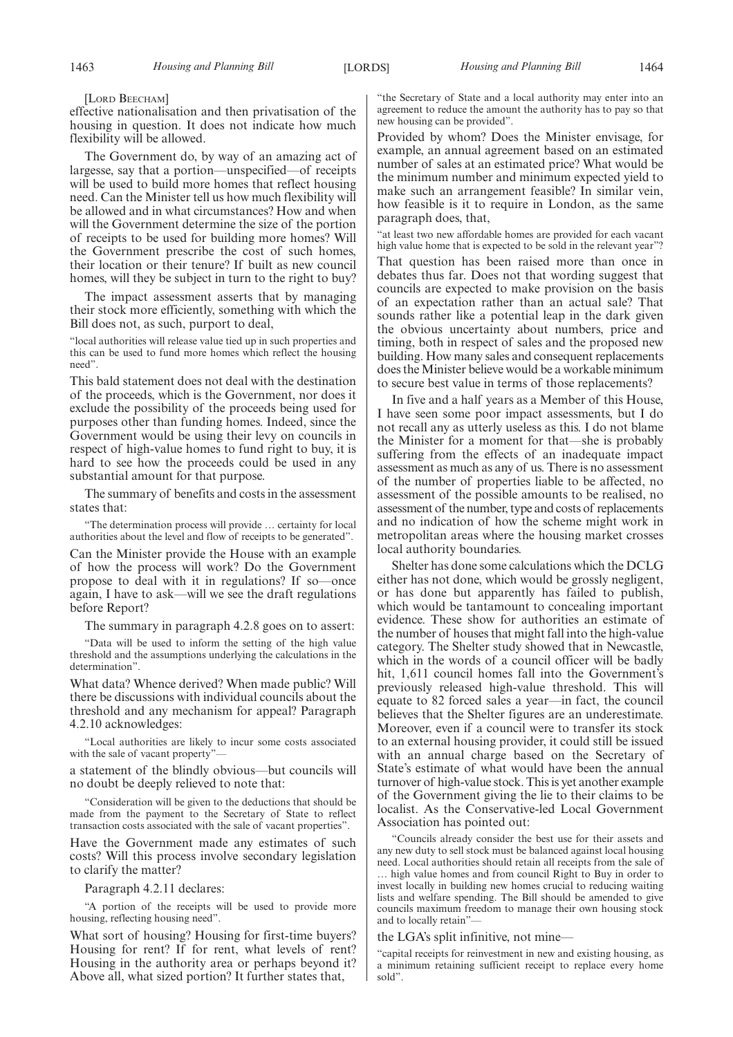[LORD BEECHAM]

effective nationalisation and then privatisation of the housing in question. It does not indicate how much flexibility will be allowed.

The Government do, by way of an amazing act of largesse, say that a portion—unspecified—of receipts will be used to build more homes that reflect housing need. Can the Minister tell us how much flexibility will be allowed and in what circumstances? How and when will the Government determine the size of the portion of receipts to be used for building more homes? Will the Government prescribe the cost of such homes, their location or their tenure? If built as new council homes, will they be subject in turn to the right to buy?

The impact assessment asserts that by managing their stock more efficiently, something with which the Bill does not, as such, purport to deal,

"local authorities will release value tied up in such properties and this can be used to fund more homes which reflect the housing need".

This bald statement does not deal with the destination of the proceeds, which is the Government, nor does it exclude the possibility of the proceeds being used for purposes other than funding homes. Indeed, since the Government would be using their levy on councils in respect of high-value homes to fund right to buy, it is hard to see how the proceeds could be used in any substantial amount for that purpose.

The summary of benefits and costs in the assessment states that:

"The determination process will provide … certainty for local authorities about the level and flow of receipts to be generated".

Can the Minister provide the House with an example of how the process will work? Do the Government propose to deal with it in regulations? If so—once again, I have to ask—will we see the draft regulations before Report?

The summary in paragraph 4.2.8 goes on to assert:

"Data will be used to inform the setting of the high value threshold and the assumptions underlying the calculations in the determination".

What data? Whence derived? When made public? Will there be discussions with individual councils about the threshold and any mechanism for appeal? Paragraph 4.2.10 acknowledges:

"Local authorities are likely to incur some costs associated with the sale of vacant property"-

a statement of the blindly obvious—but councils will no doubt be deeply relieved to note that:

"Consideration will be given to the deductions that should be made from the payment to the Secretary of State to reflect transaction costs associated with the sale of vacant properties".

Have the Government made any estimates of such costs? Will this process involve secondary legislation to clarify the matter?

Paragraph 4.2.11 declares:

"A portion of the receipts will be used to provide more housing, reflecting housing need".

What sort of housing? Housing for first-time buyers? Housing for rent? If for rent, what levels of rent? Housing in the authority area or perhaps beyond it? Above all, what sized portion? It further states that,

"the Secretary of State and a local authority may enter into an agreement to reduce the amount the authority has to pay so that new housing can be provided".

Provided by whom? Does the Minister envisage, for example, an annual agreement based on an estimated number of sales at an estimated price? What would be the minimum number and minimum expected yield to make such an arrangement feasible? In similar vein, how feasible is it to require in London, as the same paragraph does, that,

"at least two new affordable homes are provided for each vacant high value home that is expected to be sold in the relevant year"? That question has been raised more than once in debates thus far. Does not that wording suggest that councils are expected to make provision on the basis of an expectation rather than an actual sale? That sounds rather like a potential leap in the dark given the obvious uncertainty about numbers, price and timing, both in respect of sales and the proposed new building. How many sales and consequent replacements does the Minister believe would be a workable minimum to secure best value in terms of those replacements?

In five and a half years as a Member of this House, I have seen some poor impact assessments, but I do not recall any as utterly useless as this. I do not blame the Minister for a moment for that—she is probably suffering from the effects of an inadequate impact assessment as much as any of us. There is no assessment of the number of properties liable to be affected, no assessment of the possible amounts to be realised, no assessment of the number, type and costs of replacements and no indication of how the scheme might work in metropolitan areas where the housing market crosses local authority boundaries.

Shelter has done some calculations which the DCLG either has not done, which would be grossly negligent, or has done but apparently has failed to publish, which would be tantamount to concealing important evidence. These show for authorities an estimate of the number of houses that might fall into the high-value category. The Shelter study showed that in Newcastle, which in the words of a council officer will be badly hit, 1,611 council homes fall into the Government's previously released high-value threshold. This will equate to 82 forced sales a year—in fact, the council believes that the Shelter figures are an underestimate. Moreover, even if a council were to transfer its stock to an external housing provider, it could still be issued with an annual charge based on the Secretary of State's estimate of what would have been the annual turnover of high-value stock. This is yet another example of the Government giving the lie to their claims to be localist. As the Conservative-led Local Government Association has pointed out:

"Councils already consider the best use for their assets and any new duty to sell stock must be balanced against local housing need. Local authorities should retain all receipts from the sale of … high value homes and from council Right to Buy in order to invest locally in building new homes crucial to reducing waiting lists and welfare spending. The Bill should be amended to give councils maximum freedom to manage their own housing stock and to locally retain"—

the LGA's split infinitive, not mine—

"capital receipts for reinvestment in new and existing housing, as a minimum retaining sufficient receipt to replace every home sold".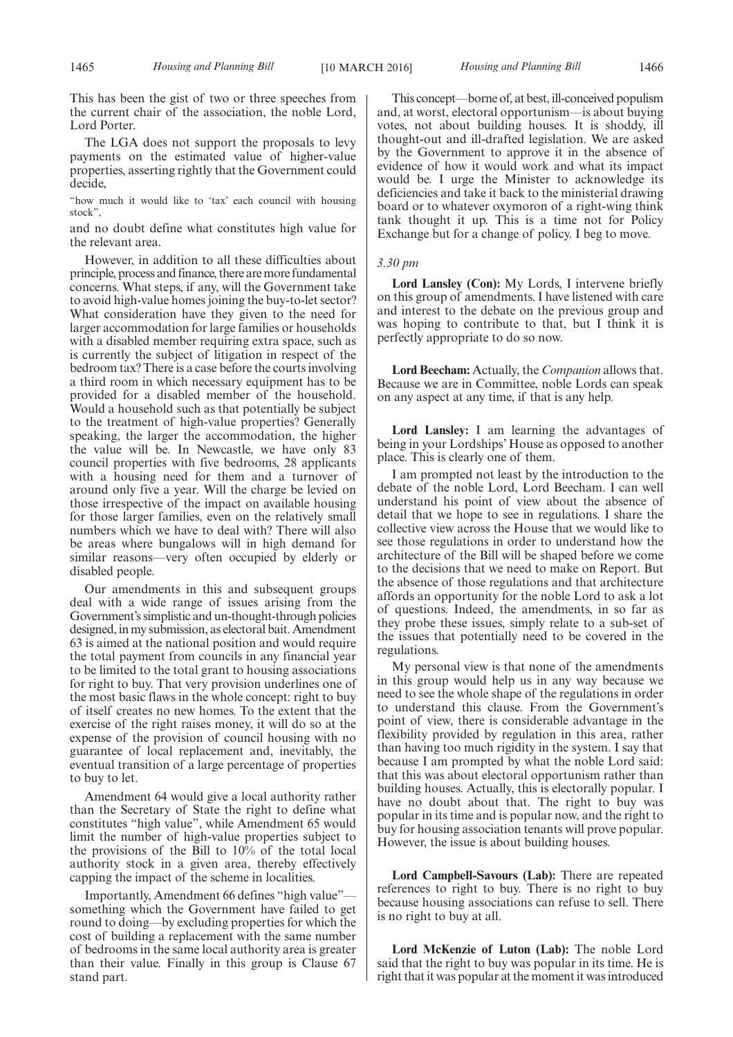This has been the gist of two or three speeches from the current chair of the association, the noble Lord, Lord Porter.

The LGA does not support the proposals to levy payments on the estimated value of higher-value properties, asserting rightly that the Government could decide,

"how much it would like to 'tax' each council with housing stock",

and no doubt define what constitutes high value for the relevant area.

However, in addition to all these difficulties about principle, process and finance, there are more fundamental concerns. What steps, if any, will the Government take to avoid high-value homes joining the buy-to-let sector? What consideration have they given to the need for larger accommodation for large families or households with a disabled member requiring extra space, such as is currently the subject of litigation in respect of the bedroom tax? There is a case before the courts involving a third room in which necessary equipment has to be provided for a disabled member of the household. Would a household such as that potentially be subject to the treatment of high-value properties? Generally speaking, the larger the accommodation, the higher the value will be. In Newcastle, we have only 83 council properties with five bedrooms, 28 applicants with a housing need for them and a turnover of around only five a year. Will the charge be levied on those irrespective of the impact on available housing for those larger families, even on the relatively small numbers which we have to deal with? There will also be areas where bungalows will in high demand for similar reasons—very often occupied by elderly or disabled people.

Our amendments in this and subsequent groups deal with a wide range of issues arising from the Government's simplistic and un-thought-through policies designed, in my submission, as electoral bait. Amendment 63 is aimed at the national position and would require the total payment from councils in any financial year to be limited to the total grant to housing associations for right to buy. That very provision underlines one of the most basic flaws in the whole concept: right to buy of itself creates no new homes. To the extent that the exercise of the right raises money, it will do so at the expense of the provision of council housing with no guarantee of local replacement and, inevitably, the eventual transition of a large percentage of properties to buy to let.

Amendment 64 would give a local authority rather than the Secretary of State the right to define what constitutes "high value", while Amendment 65 would limit the number of high-value properties subject to the provisions of the Bill to 10% of the total local authority stock in a given area, thereby effectively capping the impact of the scheme in localities.

Importantly, Amendment 66 defines "high value" something which the Government have failed to get round to doing—by excluding properties for which the cost of building a replacement with the same number of bedrooms in the same local authority area is greater than their value. Finally in this group is Clause 67 stand part.

This concept—borne of, at best, ill-conceived populism and, at worst, electoral opportunism—is about buying votes, not about building houses. It is shoddy, ill thought-out and ill-drafted legislation. We are asked by the Government to approve it in the absence of evidence of how it would work and what its impact would be. I urge the Minister to acknowledge its deficiencies and take it back to the ministerial drawing board or to whatever oxymoron of a right-wing think tank thought it up. This is a time not for Policy Exchange but for a change of policy. I beg to move.

## *3.30 pm*

**Lord Lansley (Con):** My Lords, I intervene briefly on this group of amendments. I have listened with care and interest to the debate on the previous group and was hoping to contribute to that, but I think it is perfectly appropriate to do so now.

**Lord Beecham:** Actually, the *Companion* allows that. Because we are in Committee, noble Lords can speak on any aspect at any time, if that is any help.

**Lord Lansley:** I am learning the advantages of being in your Lordships' House as opposed to another place. This is clearly one of them.

I am prompted not least by the introduction to the debate of the noble Lord, Lord Beecham. I can well understand his point of view about the absence of detail that we hope to see in regulations. I share the collective view across the House that we would like to see those regulations in order to understand how the architecture of the Bill will be shaped before we come to the decisions that we need to make on Report. But the absence of those regulations and that architecture affords an opportunity for the noble Lord to ask a lot of questions. Indeed, the amendments, in so far as they probe these issues, simply relate to a sub-set of the issues that potentially need to be covered in the regulations.

My personal view is that none of the amendments in this group would help us in any way because we need to see the whole shape of the regulations in order to understand this clause. From the Government's point of view, there is considerable advantage in the flexibility provided by regulation in this area, rather than having too much rigidity in the system. I say that because I am prompted by what the noble Lord said: that this was about electoral opportunism rather than building houses. Actually, this is electorally popular. I have no doubt about that. The right to buy was popular in its time and is popular now, and the right to buy for housing association tenants will prove popular. However, the issue is about building houses.

**Lord Campbell-Savours (Lab):** There are repeated references to right to buy. There is no right to buy because housing associations can refuse to sell. There is no right to buy at all.

**Lord McKenzie of Luton (Lab):** The noble Lord said that the right to buy was popular in its time. He is right that it was popular at the moment it was introduced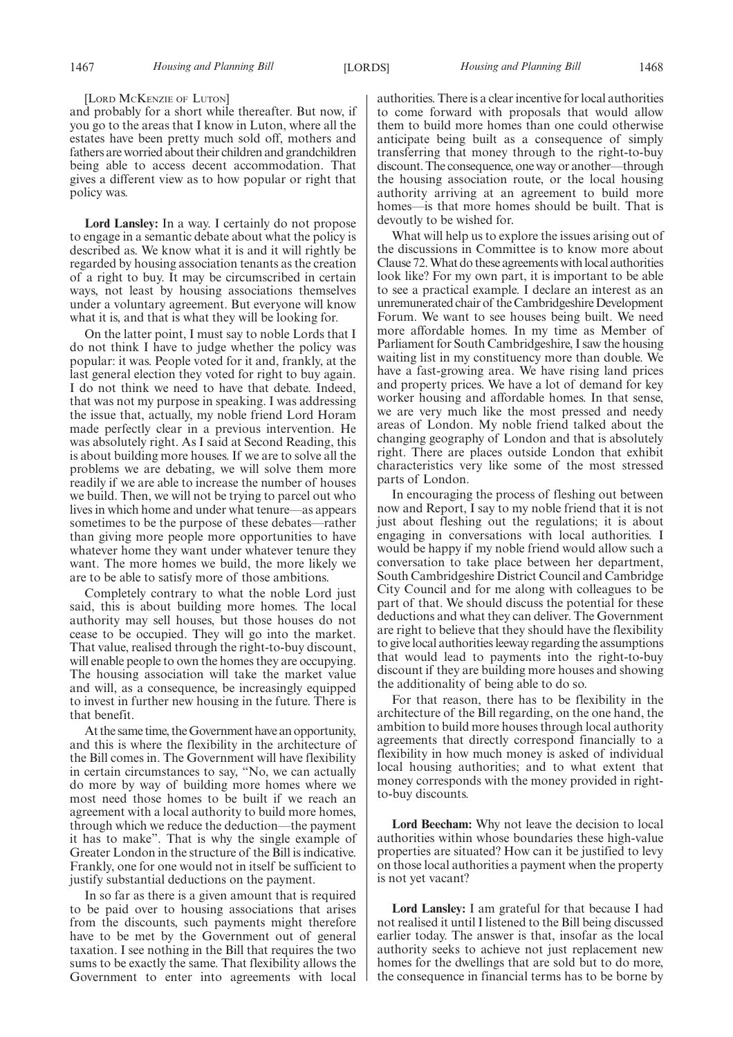#### [LORD MCKENZIE OF LUTON]

and probably for a short while thereafter. But now, if you go to the areas that I know in Luton, where all the estates have been pretty much sold off, mothers and fathers are worried about their children and grandchildren being able to access decent accommodation. That gives a different view as to how popular or right that policy was.

**Lord Lansley:** In a way. I certainly do not propose to engage in a semantic debate about what the policy is described as. We know what it is and it will rightly be regarded by housing association tenants as the creation of a right to buy. It may be circumscribed in certain ways, not least by housing associations themselves under a voluntary agreement. But everyone will know what it is, and that is what they will be looking for.

On the latter point, I must say to noble Lords that I do not think I have to judge whether the policy was popular: it was. People voted for it and, frankly, at the last general election they voted for right to buy again. I do not think we need to have that debate. Indeed, that was not my purpose in speaking. I was addressing the issue that, actually, my noble friend Lord Horam made perfectly clear in a previous intervention. He was absolutely right. As I said at Second Reading, this is about building more houses. If we are to solve all the problems we are debating, we will solve them more readily if we are able to increase the number of houses we build. Then, we will not be trying to parcel out who lives in which home and under what tenure—as appears sometimes to be the purpose of these debates—rather than giving more people more opportunities to have whatever home they want under whatever tenure they want. The more homes we build, the more likely we are to be able to satisfy more of those ambitions.

Completely contrary to what the noble Lord just said, this is about building more homes. The local authority may sell houses, but those houses do not cease to be occupied. They will go into the market. That value, realised through the right-to-buy discount, will enable people to own the homes they are occupying. The housing association will take the market value and will, as a consequence, be increasingly equipped to invest in further new housing in the future. There is that benefit.

At the same time, theGovernment have an opportunity, and this is where the flexibility in the architecture of the Bill comes in. The Government will have flexibility in certain circumstances to say, "No, we can actually do more by way of building more homes where we most need those homes to be built if we reach an agreement with a local authority to build more homes, through which we reduce the deduction—the payment it has to make". That is why the single example of Greater London in the structure of the Bill is indicative. Frankly, one for one would not in itself be sufficient to justify substantial deductions on the payment.

In so far as there is a given amount that is required to be paid over to housing associations that arises from the discounts, such payments might therefore have to be met by the Government out of general taxation. I see nothing in the Bill that requires the two sums to be exactly the same. That flexibility allows the Government to enter into agreements with local

authorities. There is a clear incentive for local authorities to come forward with proposals that would allow them to build more homes than one could otherwise anticipate being built as a consequence of simply transferring that money through to the right-to-buy discount. The consequence, one way or another—through the housing association route, or the local housing authority arriving at an agreement to build more homes—is that more homes should be built. That is devoutly to be wished for.

What will help us to explore the issues arising out of the discussions in Committee is to know more about Clause 72.What do these agreements with local authorities look like? For my own part, it is important to be able to see a practical example. I declare an interest as an unremunerated chair of the Cambridgeshire Development Forum. We want to see houses being built. We need more affordable homes. In my time as Member of Parliament for South Cambridgeshire, I saw the housing waiting list in my constituency more than double. We have a fast-growing area. We have rising land prices and property prices. We have a lot of demand for key worker housing and affordable homes. In that sense, we are very much like the most pressed and needy areas of London. My noble friend talked about the changing geography of London and that is absolutely right. There are places outside London that exhibit characteristics very like some of the most stressed parts of London.

In encouraging the process of fleshing out between now and Report, I say to my noble friend that it is not just about fleshing out the regulations; it is about engaging in conversations with local authorities. I would be happy if my noble friend would allow such a conversation to take place between her department, South Cambridgeshire District Council and Cambridge City Council and for me along with colleagues to be part of that. We should discuss the potential for these deductions and what they can deliver. The Government are right to believe that they should have the flexibility to give local authorities leeway regarding the assumptions that would lead to payments into the right-to-buy discount if they are building more houses and showing the additionality of being able to do so.

For that reason, there has to be flexibility in the architecture of the Bill regarding, on the one hand, the ambition to build more houses through local authority agreements that directly correspond financially to a flexibility in how much money is asked of individual local housing authorities; and to what extent that money corresponds with the money provided in rightto-buy discounts.

**Lord Beecham:** Why not leave the decision to local authorities within whose boundaries these high-value properties are situated? How can it be justified to levy on those local authorities a payment when the property is not yet vacant?

**Lord Lansley:** I am grateful for that because I had not realised it until I listened to the Bill being discussed earlier today. The answer is that, insofar as the local authority seeks to achieve not just replacement new homes for the dwellings that are sold but to do more, the consequence in financial terms has to be borne by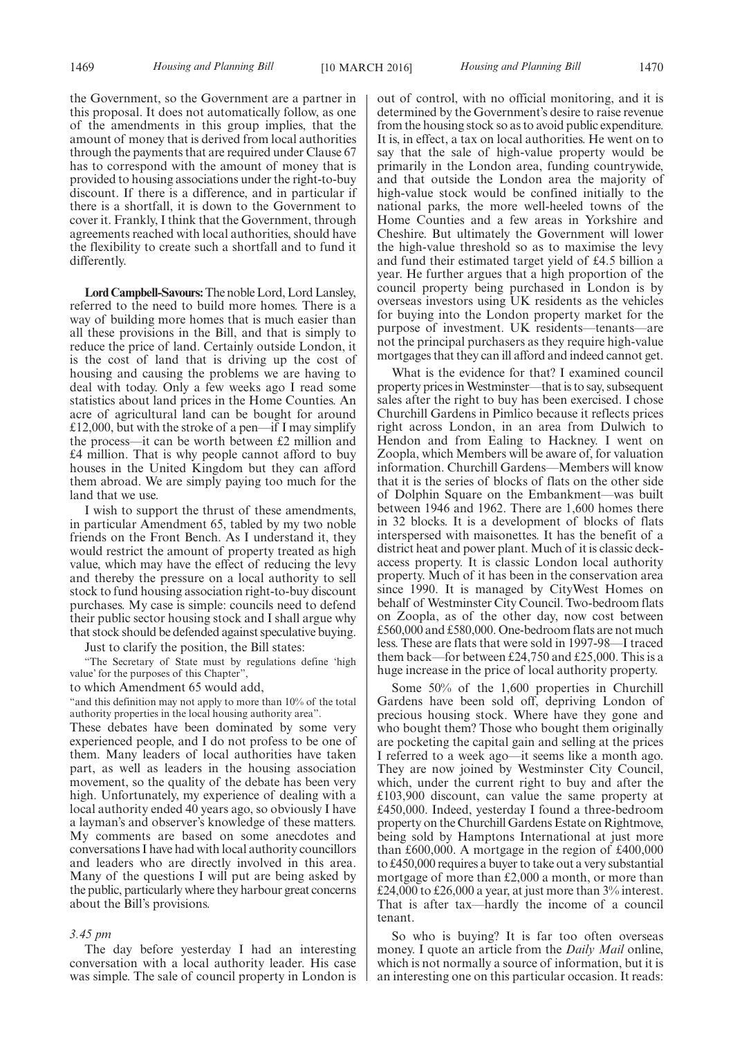the Government, so the Government are a partner in this proposal. It does not automatically follow, as one of the amendments in this group implies, that the amount of money that is derived from local authorities through the payments that are required under Clause 67 has to correspond with the amount of money that is provided to housing associations under the right-to-buy discount. If there is a difference, and in particular if there is a shortfall, it is down to the Government to cover it. Frankly, I think that the Government, through agreements reached with local authorities, should have the flexibility to create such a shortfall and to fund it differently.

**Lord Campbell-Savours:**The noble Lord, Lord Lansley, referred to the need to build more homes. There is a way of building more homes that is much easier than all these provisions in the Bill, and that is simply to reduce the price of land. Certainly outside London, it is the cost of land that is driving up the cost of housing and causing the problems we are having to deal with today. Only a few weeks ago I read some statistics about land prices in the Home Counties. An acre of agricultural land can be bought for around £12,000, but with the stroke of a pen—if I may simplify the process—it can be worth between £2 million and £4 million. That is why people cannot afford to buy houses in the United Kingdom but they can afford them abroad. We are simply paying too much for the land that we use.

I wish to support the thrust of these amendments, in particular Amendment 65, tabled by my two noble friends on the Front Bench. As I understand it, they would restrict the amount of property treated as high value, which may have the effect of reducing the levy and thereby the pressure on a local authority to sell stock to fund housing association right-to-buy discount purchases. My case is simple: councils need to defend their public sector housing stock and I shall argue why that stock should be defended against speculative buying.

Just to clarify the position, the Bill states:

"The Secretary of State must by regulations define 'high value' for the purposes of this Chapter",

to which Amendment 65 would add,

"and this definition may not apply to more than 10% of the total authority properties in the local housing authority area".

These debates have been dominated by some very experienced people, and I do not profess to be one of them. Many leaders of local authorities have taken part, as well as leaders in the housing association movement, so the quality of the debate has been very high. Unfortunately, my experience of dealing with a local authority ended 40 years ago, so obviously I have a layman's and observer's knowledge of these matters. My comments are based on some anecdotes and conversations I have had with local authority councillors and leaders who are directly involved in this area. Many of the questions I will put are being asked by the public, particularly where they harbour great concerns about the Bill's provisions.

#### *3.45 pm*

The day before yesterday I had an interesting conversation with a local authority leader. His case was simple. The sale of council property in London is out of control, with no official monitoring, and it is determined by the Government's desire to raise revenue from the housing stock so as to avoid public expenditure. It is, in effect, a tax on local authorities. He went on to say that the sale of high-value property would be primarily in the London area, funding countrywide, and that outside the London area the majority of high-value stock would be confined initially to the national parks, the more well-heeled towns of the Home Counties and a few areas in Yorkshire and Cheshire. But ultimately the Government will lower the high-value threshold so as to maximise the levy and fund their estimated target yield of £4.5 billion a year. He further argues that a high proportion of the council property being purchased in London is by overseas investors using UK residents as the vehicles for buying into the London property market for the purpose of investment. UK residents—tenants—are not the principal purchasers as they require high-value mortgages that they can ill afford and indeed cannot get.

What is the evidence for that? I examined council property prices inWestminster—that is to say, subsequent sales after the right to buy has been exercised. I chose Churchill Gardens in Pimlico because it reflects prices right across London, in an area from Dulwich to Hendon and from Ealing to Hackney. I went on Zoopla, which Members will be aware of, for valuation information. Churchill Gardens—Members will know that it is the series of blocks of flats on the other side of Dolphin Square on the Embankment—was built between 1946 and 1962. There are 1,600 homes there in 32 blocks. It is a development of blocks of flats interspersed with maisonettes. It has the benefit of a district heat and power plant. Much of it is classic deckaccess property. It is classic London local authority property. Much of it has been in the conservation area since 1990. It is managed by CityWest Homes on behalf of Westminster City Council. Two-bedroom flats on Zoopla, as of the other day, now cost between £560,000 and £580,000. One-bedroom flats are not much less. These are flats that were sold in 1997-98—I traced them back—for between £24,750 and £25,000. This is a huge increase in the price of local authority property.

Some 50% of the 1,600 properties in Churchill Gardens have been sold off, depriving London of precious housing stock. Where have they gone and who bought them? Those who bought them originally are pocketing the capital gain and selling at the prices I referred to a week ago—it seems like a month ago. They are now joined by Westminster City Council, which, under the current right to buy and after the £103,900 discount, can value the same property at £450,000. Indeed, yesterday I found a three-bedroom property on the Churchill Gardens Estate on Rightmove, being sold by Hamptons International at just more than £600,000. A mortgage in the region of £400,000 to £450,000 requires a buyer to take out a very substantial mortgage of more than £2,000 a month, or more than £24,000 to £26,000 a year, at just more than  $3\%$  interest. That is after tax—hardly the income of a council tenant.

So who is buying? It is far too often overseas money. I quote an article from the *Daily Mail* online, which is not normally a source of information, but it is an interesting one on this particular occasion. It reads: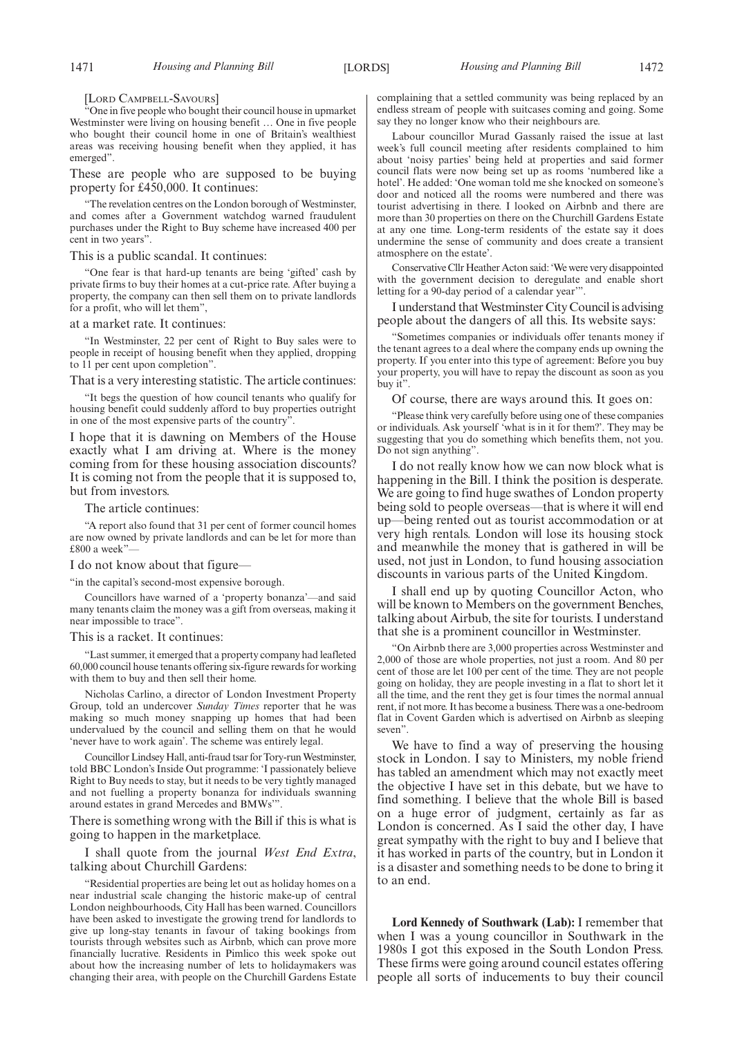#### [LORD CAMPBELL-SAVOURS]

"One in five people who bought their council house in upmarket Westminster were living on housing benefit … One in five people who bought their council home in one of Britain's wealthiest areas was receiving housing benefit when they applied, it has emerged".

These are people who are supposed to be buying property for £450,000. It continues:

"The revelation centres on the London borough of Westminster, and comes after a Government watchdog warned fraudulent purchases under the Right to Buy scheme have increased 400 per cent in two years".

This is a public scandal. It continues:

"One fear is that hard-up tenants are being 'gifted' cash by private firms to buy their homes at a cut-price rate. After buying a property, the company can then sell them on to private landlords for a profit, who will let them",

#### at a market rate. It continues:

"In Westminster, 22 per cent of Right to Buy sales were to people in receipt of housing benefit when they applied, dropping to 11 per cent upon completion".

That is a very interesting statistic. The article continues:

"It begs the question of how council tenants who qualify for housing benefit could suddenly afford to buy properties outright in one of the most expensive parts of the country".

I hope that it is dawning on Members of the House exactly what I am driving at. Where is the money coming from for these housing association discounts? It is coming not from the people that it is supposed to, but from investors.

#### The article continues:

"A report also found that 31 per cent of former council homes are now owned by private landlords and can be let for more than £800 a week"

#### I do not know about that figure—

"in the capital's second-most expensive borough.

Councillors have warned of a 'property bonanza'—and said many tenants claim the money was a gift from overseas, making it near impossible to trace".

#### This is a racket. It continues:

"Last summer, it emerged that a property company had leafleted 60,000 council house tenants offering six-figure rewards for working with them to buy and then sell their home.

Nicholas Carlino, a director of London Investment Property Group, told an undercover *Sunday Times* reporter that he was making so much money snapping up homes that had been undervalued by the council and selling them on that he would 'never have to work again'. The scheme was entirely legal.

Councillor Lindsey Hall, anti-fraud tsar for Tory-run Westminster, told BBC London's Inside Out programme: 'I passionately believe Right to Buy needs to stay, but it needs to be very tightly managed and not fuelling a property bonanza for individuals swanning around estates in grand Mercedes and BMWs'".

There is something wrong with the Bill if this is what is going to happen in the marketplace.

#### I shall quote from the journal *West End Extra*, talking about Churchill Gardens:

"Residential properties are being let out as holiday homes on a near industrial scale changing the historic make-up of central London neighbourhoods, City Hall has been warned. Councillors have been asked to investigate the growing trend for landlords to give up long-stay tenants in favour of taking bookings from tourists through websites such as Airbnb, which can prove more financially lucrative. Residents in Pimlico this week spoke out about how the increasing number of lets to holidaymakers was changing their area, with people on the Churchill Gardens Estate complaining that a settled community was being replaced by an endless stream of people with suitcases coming and going. Some say they no longer know who their neighbours are.

Labour councillor Murad Gassanly raised the issue at last week's full council meeting after residents complained to him about 'noisy parties' being held at properties and said former council flats were now being set up as rooms 'numbered like a hotel'. He added: 'One woman told me she knocked on someone's door and noticed all the rooms were numbered and there was tourist advertising in there. I looked on Airbnb and there are more than 30 properties on there on the Churchill Gardens Estate at any one time. Long-term residents of the estate say it does undermine the sense of community and does create a transient atmosphere on the estate'.

Conservative Cllr Heather Acton said: 'We were very disappointed with the government decision to deregulate and enable short letting for a 90-day period of a calendar year'".

I understand thatWestminster City Council is advising people about the dangers of all this. Its website says:

"Sometimes companies or individuals offer tenants money if the tenant agrees to a deal where the company ends up owning the property. If you enter into this type of agreement: Before you buy your property, you will have to repay the discount as soon as you buy it".

Of course, there are ways around this. It goes on:

"Please think very carefully before using one of these companies or individuals. Ask yourself 'what is in it for them?'. They may be suggesting that you do something which benefits them, not you. Do not sign anything".

I do not really know how we can now block what is happening in the Bill. I think the position is desperate. We are going to find huge swathes of London property being sold to people overseas—that is where it will end up—being rented out as tourist accommodation or at very high rentals. London will lose its housing stock and meanwhile the money that is gathered in will be used, not just in London, to fund housing association discounts in various parts of the United Kingdom.

I shall end up by quoting Councillor Acton, who will be known to Members on the government Benches, talking about Airbub, the site for tourists. I understand that she is a prominent councillor in Westminster.

"On Airbnb there are 3,000 properties across Westminster and 2,000 of those are whole properties, not just a room. And 80 per cent of those are let 100 per cent of the time. They are not people going on holiday, they are people investing in a flat to short let it all the time, and the rent they get is four times the normal annual rent, if not more. It has become a business. There was a one-bedroom flat in Covent Garden which is advertised on Airbnb as sleeping seven".

We have to find a way of preserving the housing stock in London. I say to Ministers, my noble friend has tabled an amendment which may not exactly meet the objective I have set in this debate, but we have to find something. I believe that the whole Bill is based on a huge error of judgment, certainly as far as London is concerned. As I said the other day, I have great sympathy with the right to buy and I believe that it has worked in parts of the country, but in London it is a disaster and something needs to be done to bring it to an end.

**Lord Kennedy of Southwark (Lab):** I remember that when I was a young councillor in Southwark in the 1980s I got this exposed in the South London Press. These firms were going around council estates offering people all sorts of inducements to buy their council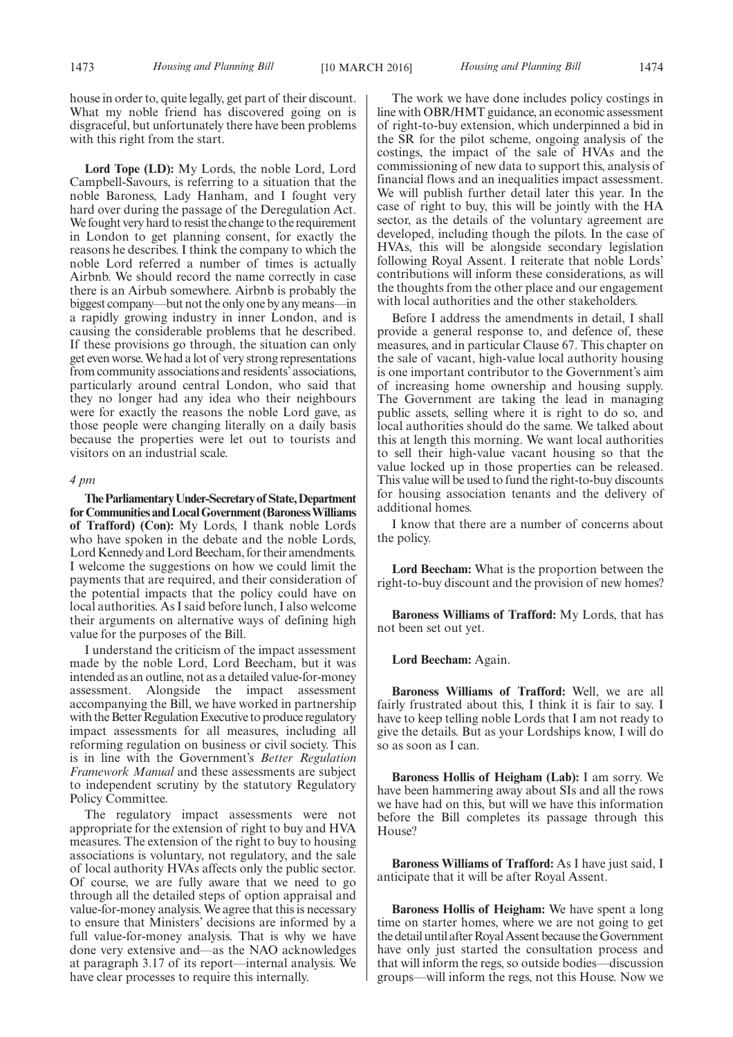house in order to, quite legally, get part of their discount. What my noble friend has discovered going on is disgraceful, but unfortunately there have been problems with this right from the start.

**Lord Tope (LD):** My Lords, the noble Lord, Lord Campbell-Savours, is referring to a situation that the noble Baroness, Lady Hanham, and I fought very hard over during the passage of the Deregulation Act. We fought very hard to resist the change to the requirement in London to get planning consent, for exactly the reasons he describes. I think the company to which the noble Lord referred a number of times is actually Airbnb. We should record the name correctly in case there is an Airbub somewhere. Airbnb is probably the biggest company—but not the only one by any means—in a rapidly growing industry in inner London, and is causing the considerable problems that he described. If these provisions go through, the situation can only get even worse.We had a lot of very strong representations from community associations and residents' associations, particularly around central London, who said that they no longer had any idea who their neighbours were for exactly the reasons the noble Lord gave, as those people were changing literally on a daily basis because the properties were let out to tourists and visitors on an industrial scale.

#### *4 pm*

**TheParliamentaryUnder-Secretaryof State,Department forCommunities andLocalGovernment (BaronessWilliams of Trafford) (Con):** My Lords, I thank noble Lords who have spoken in the debate and the noble Lords, Lord Kennedy and Lord Beecham, for their amendments. I welcome the suggestions on how we could limit the payments that are required, and their consideration of the potential impacts that the policy could have on local authorities. As I said before lunch, I also welcome their arguments on alternative ways of defining high value for the purposes of the Bill.

I understand the criticism of the impact assessment made by the noble Lord, Lord Beecham, but it was intended as an outline, not as a detailed value-for-money assessment. Alongside the impact assessment accompanying the Bill, we have worked in partnership with the Better Regulation Executive to produce regulatory impact assessments for all measures, including all reforming regulation on business or civil society. This is in line with the Government's *Better Regulation Framework Manual* and these assessments are subject to independent scrutiny by the statutory Regulatory Policy Committee.

The regulatory impact assessments were not appropriate for the extension of right to buy and HVA measures. The extension of the right to buy to housing associations is voluntary, not regulatory, and the sale of local authority HVAs affects only the public sector. Of course, we are fully aware that we need to go through all the detailed steps of option appraisal and value-for-money analysis. We agree that this is necessary to ensure that Ministers' decisions are informed by a full value-for-money analysis. That is why we have done very extensive and—as the NAO acknowledges at paragraph 3.17 of its report—internal analysis. We have clear processes to require this internally.

The work we have done includes policy costings in line with OBR/HMT guidance, an economic assessment of right-to-buy extension, which underpinned a bid in the SR for the pilot scheme, ongoing analysis of the costings, the impact of the sale of HVAs and the commissioning of new data to support this, analysis of financial flows and an inequalities impact assessment. We will publish further detail later this year. In the case of right to buy, this will be jointly with the HA sector, as the details of the voluntary agreement are developed, including though the pilots. In the case of HVAs, this will be alongside secondary legislation following Royal Assent. I reiterate that noble Lords' contributions will inform these considerations, as will the thoughts from the other place and our engagement with local authorities and the other stakeholders.

Before I address the amendments in detail, I shall provide a general response to, and defence of, these measures, and in particular Clause 67. This chapter on the sale of vacant, high-value local authority housing is one important contributor to the Government's aim of increasing home ownership and housing supply. The Government are taking the lead in managing public assets, selling where it is right to do so, and local authorities should do the same. We talked about this at length this morning. We want local authorities to sell their high-value vacant housing so that the value locked up in those properties can be released. This value will be used to fund the right-to-buy discounts for housing association tenants and the delivery of additional homes.

I know that there are a number of concerns about the policy.

**Lord Beecham:** What is the proportion between the right-to-buy discount and the provision of new homes?

**Baroness Williams of Trafford:** My Lords, that has not been set out yet.

**Lord Beecham:** Again.

**Baroness Williams of Trafford:** Well, we are all fairly frustrated about this, I think it is fair to say. I have to keep telling noble Lords that I am not ready to give the details. But as your Lordships know, I will do so as soon as I can.

**Baroness Hollis of Heigham (Lab):** I am sorry. We have been hammering away about SIs and all the rows we have had on this, but will we have this information before the Bill completes its passage through this House?

**Baroness Williams of Trafford:** As I have just said, I anticipate that it will be after Royal Assent.

**Baroness Hollis of Heigham:** We have spent a long time on starter homes, where we are not going to get the detail until after Royal Assent because the Government have only just started the consultation process and that will inform the regs, so outside bodies—discussion groups—will inform the regs, not this House. Now we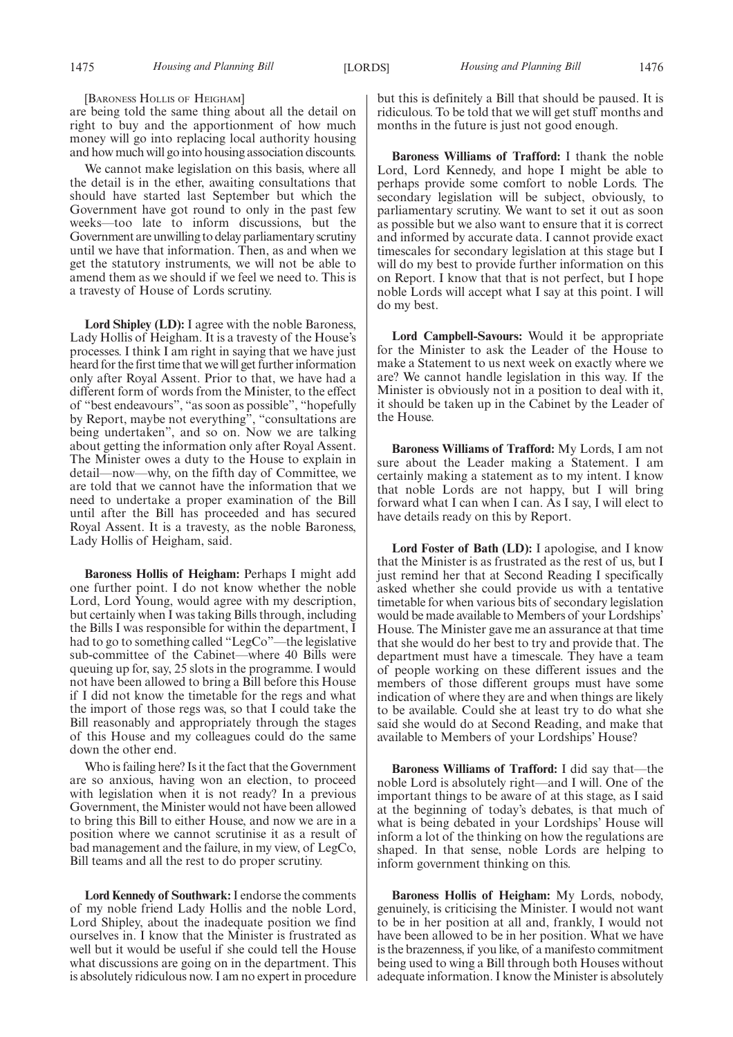are being told the same thing about all the detail on right to buy and the apportionment of how much money will go into replacing local authority housing and how much will go into housing association discounts.

We cannot make legislation on this basis, where all the detail is in the ether, awaiting consultations that should have started last September but which the Government have got round to only in the past few weeks—too late to inform discussions, but the Government are unwilling to delay parliamentary scrutiny until we have that information. Then, as and when we get the statutory instruments, we will not be able to amend them as we should if we feel we need to. This is a travesty of House of Lords scrutiny.

**Lord Shipley (LD):** I agree with the noble Baroness, Lady Hollis of Heigham. It is a travesty of the House's processes. I think I am right in saying that we have just heard for the first time that we will get further information only after Royal Assent. Prior to that, we have had a different form of words from the Minister, to the effect of "best endeavours", "as soon as possible", "hopefully by Report, maybe not everything", "consultations are being undertaken", and so on. Now we are talking about getting the information only after Royal Assent. The Minister owes a duty to the House to explain in detail—now—why, on the fifth day of Committee, we are told that we cannot have the information that we need to undertake a proper examination of the Bill until after the Bill has proceeded and has secured Royal Assent. It is a travesty, as the noble Baroness, Lady Hollis of Heigham, said.

**Baroness Hollis of Heigham:** Perhaps I might add one further point. I do not know whether the noble Lord, Lord Young, would agree with my description, but certainly when I was taking Bills through, including the Bills I was responsible for within the department, I had to go to something called "LegCo"—the legislative sub-committee of the Cabinet—where 40 Bills were queuing up for, say, 25 slots in the programme. I would not have been allowed to bring a Bill before this House if I did not know the timetable for the regs and what the import of those regs was, so that I could take the Bill reasonably and appropriately through the stages of this House and my colleagues could do the same down the other end.

Who is failing here? Is it the fact that the Government are so anxious, having won an election, to proceed with legislation when it is not ready? In a previous Government, the Minister would not have been allowed to bring this Bill to either House, and now we are in a position where we cannot scrutinise it as a result of bad management and the failure, in my view, of LegCo, Bill teams and all the rest to do proper scrutiny.

**Lord Kennedy of Southwark:**I endorse the comments of my noble friend Lady Hollis and the noble Lord, Lord Shipley, about the inadequate position we find ourselves in. I know that the Minister is frustrated as well but it would be useful if she could tell the House what discussions are going on in the department. This is absolutely ridiculous now. I am no expert in procedure but this is definitely a Bill that should be paused. It is ridiculous. To be told that we will get stuff months and months in the future is just not good enough.

**Baroness Williams of Trafford:** I thank the noble Lord, Lord Kennedy, and hope I might be able to perhaps provide some comfort to noble Lords. The secondary legislation will be subject, obviously, to parliamentary scrutiny. We want to set it out as soon as possible but we also want to ensure that it is correct and informed by accurate data. I cannot provide exact timescales for secondary legislation at this stage but I will do my best to provide further information on this on Report. I know that that is not perfect, but I hope noble Lords will accept what I say at this point. I will do my best.

**Lord Campbell-Savours:** Would it be appropriate for the Minister to ask the Leader of the House to make a Statement to us next week on exactly where we are? We cannot handle legislation in this way. If the Minister is obviously not in a position to deal with it, it should be taken up in the Cabinet by the Leader of the House.

**Baroness Williams of Trafford:** My Lords, I am not sure about the Leader making a Statement. I am certainly making a statement as to my intent. I know that noble Lords are not happy, but I will bring forward what I can when I can. As I say, I will elect to have details ready on this by Report.

**Lord Foster of Bath (LD):** I apologise, and I know that the Minister is as frustrated as the rest of us, but I just remind her that at Second Reading I specifically asked whether she could provide us with a tentative timetable for when various bits of secondary legislation would be made available to Members of your Lordships' House. The Minister gave me an assurance at that time that she would do her best to try and provide that. The department must have a timescale. They have a team of people working on these different issues and the members of those different groups must have some indication of where they are and when things are likely to be available. Could she at least try to do what she said she would do at Second Reading, and make that available to Members of your Lordships' House?

**Baroness Williams of Trafford:** I did say that—the noble Lord is absolutely right—and I will. One of the important things to be aware of at this stage, as I said at the beginning of today's debates, is that much of what is being debated in your Lordships' House will inform a lot of the thinking on how the regulations are shaped. In that sense, noble Lords are helping to inform government thinking on this.

**Baroness Hollis of Heigham:** My Lords, nobody, genuinely, is criticising the Minister. I would not want to be in her position at all and, frankly, I would not have been allowed to be in her position. What we have is the brazenness, if you like, of a manifesto commitment being used to wing a Bill through both Houses without adequate information. I know the Minister is absolutely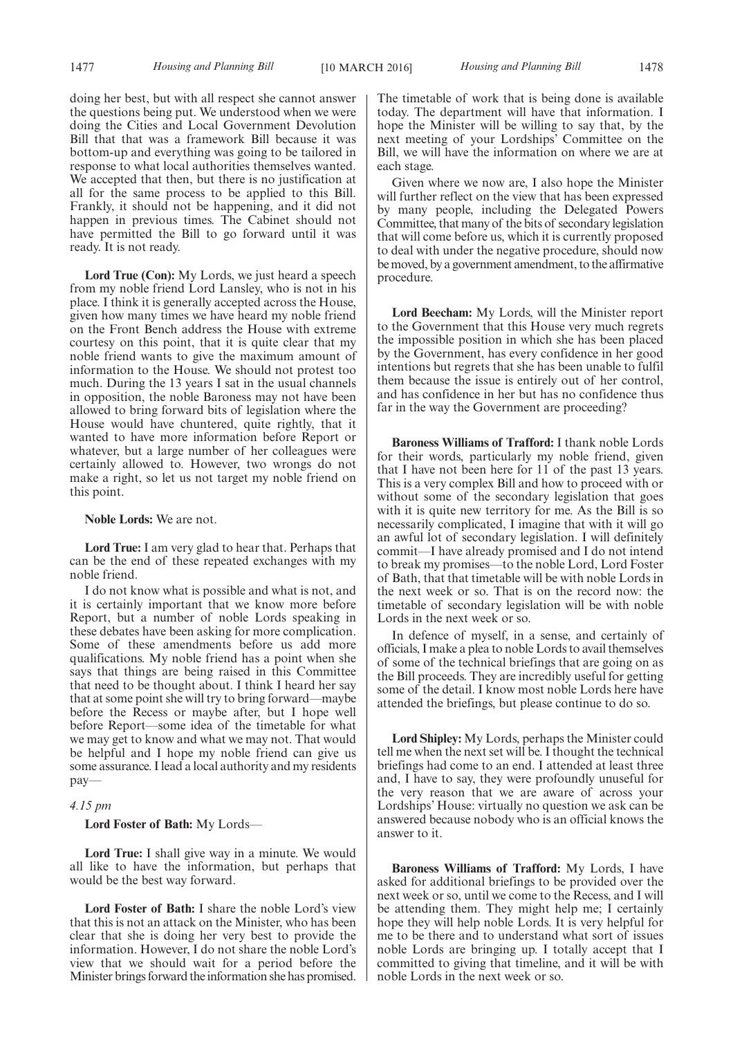1477 *Housing and Planning Bill Housing and Planning Bill* [10 MARCH 2016] 1478

doing her best, but with all respect she cannot answer the questions being put. We understood when we were doing the Cities and Local Government Devolution Bill that that was a framework Bill because it was bottom-up and everything was going to be tailored in response to what local authorities themselves wanted. We accepted that then, but there is no justification at all for the same process to be applied to this Bill. Frankly, it should not be happening, and it did not happen in previous times. The Cabinet should not have permitted the Bill to go forward until it was ready. It is not ready.

**Lord True (Con):** My Lords, we just heard a speech from my noble friend Lord Lansley, who is not in his place. I think it is generally accepted across the House, given how many times we have heard my noble friend on the Front Bench address the House with extreme courtesy on this point, that it is quite clear that my noble friend wants to give the maximum amount of information to the House. We should not protest too much. During the 13 years I sat in the usual channels in opposition, the noble Baroness may not have been allowed to bring forward bits of legislation where the House would have chuntered, quite rightly, that it wanted to have more information before Report or whatever, but a large number of her colleagues were certainly allowed to. However, two wrongs do not make a right, so let us not target my noble friend on this point.

**Noble Lords:** We are not.

**Lord True:** I am very glad to hear that. Perhaps that can be the end of these repeated exchanges with my noble friend.

I do not know what is possible and what is not, and it is certainly important that we know more before Report, but a number of noble Lords speaking in these debates have been asking for more complication. Some of these amendments before us add more qualifications. My noble friend has a point when she says that things are being raised in this Committee that need to be thought about. I think I heard her say that at some point she will try to bring forward—maybe before the Recess or maybe after, but I hope well before Report—some idea of the timetable for what we may get to know and what we may not. That would be helpful and I hope my noble friend can give us some assurance. I lead a local authority and my residents pay—

#### *4.15 pm*

**Lord Foster of Bath:** My Lords—

**Lord True:** I shall give way in a minute. We would all like to have the information, but perhaps that would be the best way forward.

**Lord Foster of Bath:** I share the noble Lord's view that this is not an attack on the Minister, who has been clear that she is doing her very best to provide the information. However, I do not share the noble Lord's view that we should wait for a period before the Minister brings forward the information she has promised. The timetable of work that is being done is available today. The department will have that information. I hope the Minister will be willing to say that, by the next meeting of your Lordships' Committee on the Bill, we will have the information on where we are at each stage.

Given where we now are, I also hope the Minister will further reflect on the view that has been expressed by many people, including the Delegated Powers Committee, that many of the bits of secondary legislation that will come before us, which it is currently proposed to deal with under the negative procedure, should now be moved, by a government amendment, to the affirmative procedure.

**Lord Beecham:** My Lords, will the Minister report to the Government that this House very much regrets the impossible position in which she has been placed by the Government, has every confidence in her good intentions but regrets that she has been unable to fulfil them because the issue is entirely out of her control, and has confidence in her but has no confidence thus far in the way the Government are proceeding?

**Baroness Williams of Trafford:** I thank noble Lords for their words, particularly my noble friend, given that I have not been here for 11 of the past 13 years. This is a very complex Bill and how to proceed with or without some of the secondary legislation that goes with it is quite new territory for me. As the Bill is so necessarily complicated, I imagine that with it will go an awful lot of secondary legislation. I will definitely commit—I have already promised and I do not intend to break my promises—to the noble Lord, Lord Foster of Bath, that that timetable will be with noble Lords in the next week or so. That is on the record now: the timetable of secondary legislation will be with noble Lords in the next week or so.

In defence of myself, in a sense, and certainly of officials, I make a plea to noble Lords to avail themselves of some of the technical briefings that are going on as the Bill proceeds. They are incredibly useful for getting some of the detail. I know most noble Lords here have attended the briefings, but please continue to do so.

**Lord Shipley:** My Lords, perhaps the Minister could tell me when the next set will be. I thought the technical briefings had come to an end. I attended at least three and, I have to say, they were profoundly unuseful for the very reason that we are aware of across your Lordships' House: virtually no question we ask can be answered because nobody who is an official knows the answer to it.

**Baroness Williams of Trafford:** My Lords, I have asked for additional briefings to be provided over the next week or so, until we come to the Recess, and I will be attending them. They might help me; I certainly hope they will help noble Lords. It is very helpful for me to be there and to understand what sort of issues noble Lords are bringing up. I totally accept that I committed to giving that timeline, and it will be with noble Lords in the next week or so.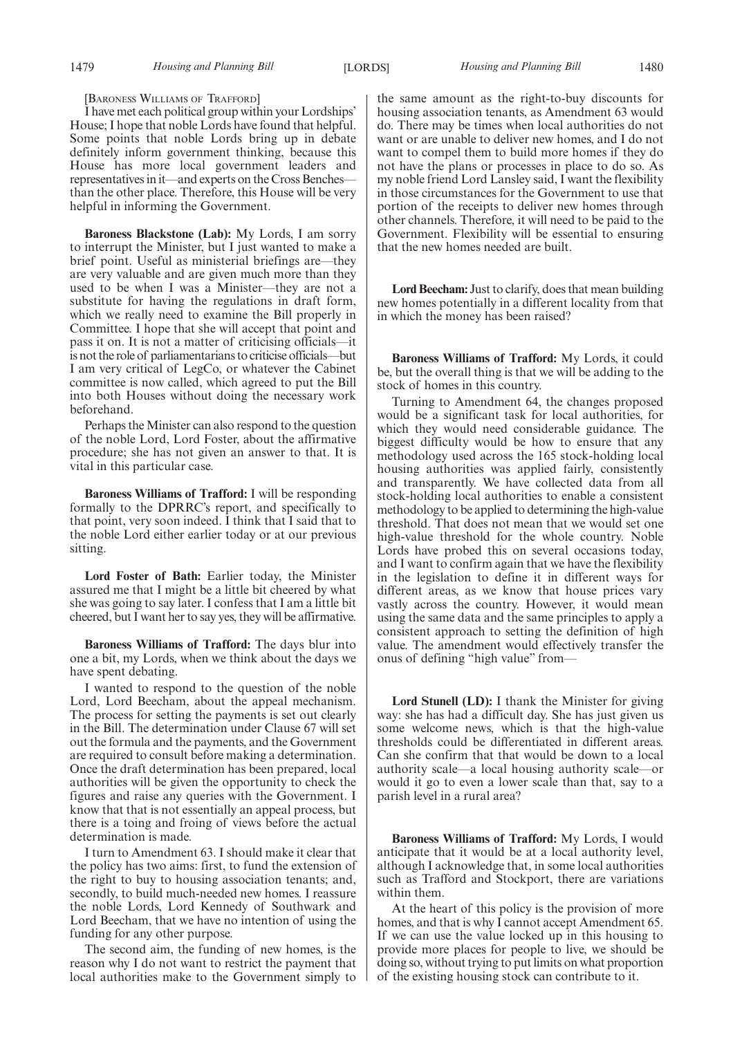[BARONESS WILLIAMS OF TRAFFORD]

I have met each political group within your Lordships' House; I hope that noble Lords have found that helpful. Some points that noble Lords bring up in debate definitely inform government thinking, because this House has more local government leaders and representatives in it—and experts on the Cross Benches than the other place. Therefore, this House will be very helpful in informing the Government.

**Baroness Blackstone (Lab):** My Lords, I am sorry to interrupt the Minister, but I just wanted to make a brief point. Useful as ministerial briefings are—they are very valuable and are given much more than they used to be when I was a Minister—they are not a substitute for having the regulations in draft form, which we really need to examine the Bill properly in Committee. I hope that she will accept that point and pass it on. It is not a matter of criticising officials—it is not the role of parliamentarians to criticise officials—but I am very critical of LegCo, or whatever the Cabinet committee is now called, which agreed to put the Bill into both Houses without doing the necessary work beforehand.

Perhaps the Minister can also respond to the question of the noble Lord, Lord Foster, about the affirmative procedure; she has not given an answer to that. It is vital in this particular case.

**Baroness Williams of Trafford:** I will be responding formally to the DPRRC's report, and specifically to that point, very soon indeed. I think that I said that to the noble Lord either earlier today or at our previous sitting.

**Lord Foster of Bath:** Earlier today, the Minister assured me that I might be a little bit cheered by what she was going to say later. I confess that I am a little bit cheered, but I want her to say yes, they will be affirmative.

**Baroness Williams of Trafford:** The days blur into one a bit, my Lords, when we think about the days we have spent debating.

I wanted to respond to the question of the noble Lord, Lord Beecham, about the appeal mechanism. The process for setting the payments is set out clearly in the Bill. The determination under Clause 67 will set out the formula and the payments, and the Government are required to consult before making a determination. Once the draft determination has been prepared, local authorities will be given the opportunity to check the figures and raise any queries with the Government. I know that that is not essentially an appeal process, but there is a toing and froing of views before the actual determination is made.

I turn to Amendment 63. I should make it clear that the policy has two aims: first, to fund the extension of the right to buy to housing association tenants; and, secondly, to build much-needed new homes. I reassure the noble Lords, Lord Kennedy of Southwark and Lord Beecham, that we have no intention of using the funding for any other purpose.

The second aim, the funding of new homes, is the reason why I do not want to restrict the payment that local authorities make to the Government simply to the same amount as the right-to-buy discounts for housing association tenants, as Amendment 63 would do. There may be times when local authorities do not want or are unable to deliver new homes, and I do not want to compel them to build more homes if they do not have the plans or processes in place to do so. As my noble friend Lord Lansley said, I want the flexibility in those circumstances for the Government to use that portion of the receipts to deliver new homes through other channels. Therefore, it will need to be paid to the Government. Flexibility will be essential to ensuring that the new homes needed are built.

**Lord Beecham:** Just to clarify, does that mean building new homes potentially in a different locality from that in which the money has been raised?

**Baroness Williams of Trafford:** My Lords, it could be, but the overall thing is that we will be adding to the stock of homes in this country.

Turning to Amendment 64, the changes proposed would be a significant task for local authorities, for which they would need considerable guidance. The biggest difficulty would be how to ensure that any methodology used across the 165 stock-holding local housing authorities was applied fairly, consistently and transparently. We have collected data from all stock-holding local authorities to enable a consistent methodology to be applied to determining the high-value threshold. That does not mean that we would set one high-value threshold for the whole country. Noble Lords have probed this on several occasions today, and I want to confirm again that we have the flexibility in the legislation to define it in different ways for different areas, as we know that house prices vary vastly across the country. However, it would mean using the same data and the same principles to apply a consistent approach to setting the definition of high value. The amendment would effectively transfer the onus of defining "high value" from—

**Lord Stunell (LD):** I thank the Minister for giving way: she has had a difficult day. She has just given us some welcome news, which is that the high-value thresholds could be differentiated in different areas. Can she confirm that that would be down to a local authority scale—a local housing authority scale—or would it go to even a lower scale than that, say to a parish level in a rural area?

**Baroness Williams of Trafford:** My Lords, I would anticipate that it would be at a local authority level, although I acknowledge that, in some local authorities such as Trafford and Stockport, there are variations within them.

At the heart of this policy is the provision of more homes, and that is why I cannot accept Amendment 65. If we can use the value locked up in this housing to provide more places for people to live, we should be doing so, without trying to put limits on what proportion of the existing housing stock can contribute to it.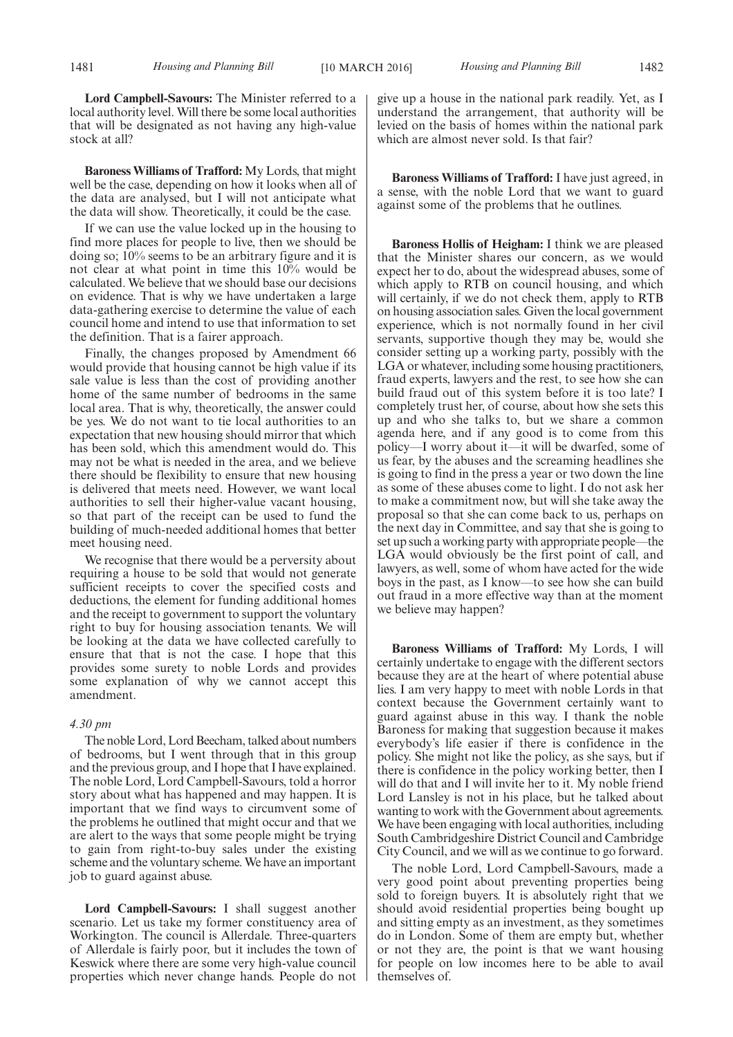**Lord Campbell-Savours:** The Minister referred to a local authority level. Will there be some local authorities that will be designated as not having any high-value stock at all?

**Baroness Williams of Trafford:** My Lords, that might well be the case, depending on how it looks when all of the data are analysed, but I will not anticipate what the data will show. Theoretically, it could be the case.

If we can use the value locked up in the housing to find more places for people to live, then we should be doing so; 10% seems to be an arbitrary figure and it is not clear at what point in time this 10% would be calculated. We believe that we should base our decisions on evidence. That is why we have undertaken a large data-gathering exercise to determine the value of each council home and intend to use that information to set the definition. That is a fairer approach.

Finally, the changes proposed by Amendment 66 would provide that housing cannot be high value if its sale value is less than the cost of providing another home of the same number of bedrooms in the same local area. That is why, theoretically, the answer could be yes. We do not want to tie local authorities to an expectation that new housing should mirror that which has been sold, which this amendment would do. This may not be what is needed in the area, and we believe there should be flexibility to ensure that new housing is delivered that meets need. However, we want local authorities to sell their higher-value vacant housing, so that part of the receipt can be used to fund the building of much-needed additional homes that better meet housing need.

We recognise that there would be a perversity about requiring a house to be sold that would not generate sufficient receipts to cover the specified costs and deductions, the element for funding additional homes and the receipt to government to support the voluntary right to buy for housing association tenants. We will be looking at the data we have collected carefully to ensure that that is not the case. I hope that this provides some surety to noble Lords and provides some explanation of why we cannot accept this amendment.

#### *4.30 pm*

The noble Lord, Lord Beecham, talked about numbers of bedrooms, but I went through that in this group and the previous group, and I hope that I have explained. The noble Lord, Lord Campbell-Savours, told a horror story about what has happened and may happen. It is important that we find ways to circumvent some of the problems he outlined that might occur and that we are alert to the ways that some people might be trying to gain from right-to-buy sales under the existing scheme and the voluntary scheme. We have an important job to guard against abuse.

**Lord Campbell-Savours:** I shall suggest another scenario. Let us take my former constituency area of Workington. The council is Allerdale. Three-quarters of Allerdale is fairly poor, but it includes the town of Keswick where there are some very high-value council properties which never change hands. People do not give up a house in the national park readily. Yet, as I understand the arrangement, that authority will be levied on the basis of homes within the national park which are almost never sold. Is that fair?

**Baroness Williams of Trafford:** I have just agreed, in a sense, with the noble Lord that we want to guard against some of the problems that he outlines.

**Baroness Hollis of Heigham:** I think we are pleased that the Minister shares our concern, as we would expect her to do, about the widespread abuses, some of which apply to RTB on council housing, and which will certainly, if we do not check them, apply to RTB on housing association sales. Given the local government experience, which is not normally found in her civil servants, supportive though they may be, would she consider setting up a working party, possibly with the LGA or whatever, including some housing practitioners, fraud experts, lawyers and the rest, to see how she can build fraud out of this system before it is too late? I completely trust her, of course, about how she sets this up and who she talks to, but we share a common agenda here, and if any good is to come from this policy—I worry about it—it will be dwarfed, some of us fear, by the abuses and the screaming headlines she is going to find in the press a year or two down the line as some of these abuses come to light. I do not ask her to make a commitment now, but will she take away the proposal so that she can come back to us, perhaps on the next day in Committee, and say that she is going to set up such a working party with appropriate people—the LGA would obviously be the first point of call, and lawyers, as well, some of whom have acted for the wide boys in the past, as I know—to see how she can build out fraud in a more effective way than at the moment we believe may happen?

**Baroness Williams of Trafford:** My Lords, I will certainly undertake to engage with the different sectors because they are at the heart of where potential abuse lies. I am very happy to meet with noble Lords in that context because the Government certainly want to guard against abuse in this way. I thank the noble Baroness for making that suggestion because it makes everybody's life easier if there is confidence in the policy. She might not like the policy, as she says, but if there is confidence in the policy working better, then I will do that and I will invite her to it. My noble friend Lord Lansley is not in his place, but he talked about wanting to work with the Government about agreements. We have been engaging with local authorities, including South Cambridgeshire District Council and Cambridge City Council, and we will as we continue to go forward.

The noble Lord, Lord Campbell-Savours, made a very good point about preventing properties being sold to foreign buyers. It is absolutely right that we should avoid residential properties being bought up and sitting empty as an investment, as they sometimes do in London. Some of them are empty but, whether or not they are, the point is that we want housing for people on low incomes here to be able to avail themselves of.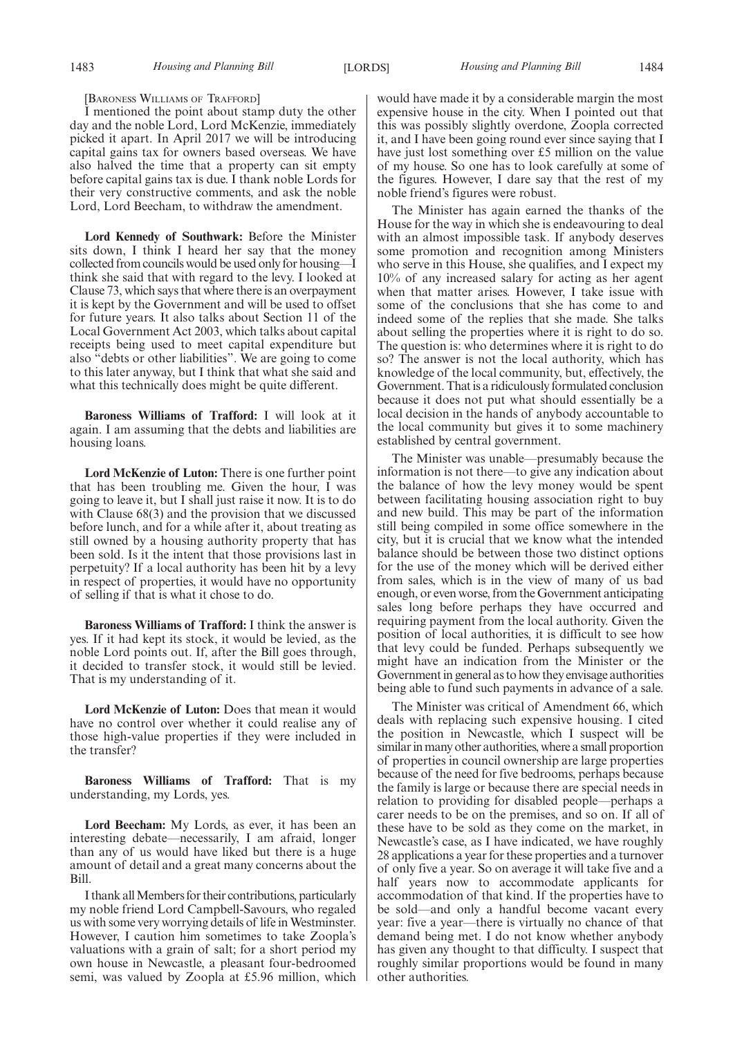#### [BARONESS WILLIAMS OF TRAFFORD]

I mentioned the point about stamp duty the other day and the noble Lord, Lord McKenzie, immediately picked it apart. In April 2017 we will be introducing capital gains tax for owners based overseas. We have also halved the time that a property can sit empty before capital gains tax is due. I thank noble Lords for their very constructive comments, and ask the noble Lord, Lord Beecham, to withdraw the amendment.

**Lord Kennedy of Southwark:** Before the Minister sits down, I think I heard her say that the money collected from councils would be used only for housing—I think she said that with regard to the levy. I looked at Clause 73, which says that where there is an overpayment it is kept by the Government and will be used to offset for future years. It also talks about Section 11 of the Local Government Act 2003, which talks about capital receipts being used to meet capital expenditure but also "debts or other liabilities". We are going to come to this later anyway, but I think that what she said and what this technically does might be quite different.

**Baroness Williams of Trafford:** I will look at it again. I am assuming that the debts and liabilities are housing loans.

**Lord McKenzie of Luton:** There is one further point that has been troubling me. Given the hour, I was going to leave it, but I shall just raise it now. It is to do with Clause 68(3) and the provision that we discussed before lunch, and for a while after it, about treating as still owned by a housing authority property that has been sold. Is it the intent that those provisions last in perpetuity? If a local authority has been hit by a levy in respect of properties, it would have no opportunity of selling if that is what it chose to do.

**Baroness Williams of Trafford:** I think the answer is yes. If it had kept its stock, it would be levied, as the noble Lord points out. If, after the Bill goes through, it decided to transfer stock, it would still be levied. That is my understanding of it.

**Lord McKenzie of Luton:** Does that mean it would have no control over whether it could realise any of those high-value properties if they were included in the transfer?

**Baroness Williams of Trafford:** That is my understanding, my Lords, yes.

**Lord Beecham:** My Lords, as ever, it has been an interesting debate—necessarily, I am afraid, longer than any of us would have liked but there is a huge amount of detail and a great many concerns about the Bill.

I thank all Members for their contributions, particularly my noble friend Lord Campbell-Savours, who regaled us with some very worrying details of life inWestminster. However, I caution him sometimes to take Zoopla's valuations with a grain of salt; for a short period my own house in Newcastle, a pleasant four-bedroomed semi, was valued by Zoopla at £5.96 million, which would have made it by a considerable margin the most expensive house in the city. When I pointed out that this was possibly slightly overdone, Zoopla corrected it, and I have been going round ever since saying that I have just lost something over £5 million on the value of my house. So one has to look carefully at some of the figures. However, I dare say that the rest of my noble friend's figures were robust.

The Minister has again earned the thanks of the House for the way in which she is endeavouring to deal with an almost impossible task. If anybody deserves some promotion and recognition among Ministers who serve in this House, she qualifies, and I expect my 10% of any increased salary for acting as her agent when that matter arises. However, I take issue with some of the conclusions that she has come to and indeed some of the replies that she made. She talks about selling the properties where it is right to do so. The question is: who determines where it is right to do so? The answer is not the local authority, which has knowledge of the local community, but, effectively, the Government. That is a ridiculously formulated conclusion because it does not put what should essentially be a local decision in the hands of anybody accountable to the local community but gives it to some machinery established by central government.

The Minister was unable—presumably because the information is not there—to give any indication about the balance of how the levy money would be spent between facilitating housing association right to buy and new build. This may be part of the information still being compiled in some office somewhere in the city, but it is crucial that we know what the intended balance should be between those two distinct options for the use of the money which will be derived either from sales, which is in the view of many of us bad enough, or even worse, from the Government anticipating sales long before perhaps they have occurred and requiring payment from the local authority. Given the position of local authorities, it is difficult to see how that levy could be funded. Perhaps subsequently we might have an indication from the Minister or the Government in general as to how they envisage authorities being able to fund such payments in advance of a sale.

The Minister was critical of Amendment 66, which deals with replacing such expensive housing. I cited the position in Newcastle, which I suspect will be similar in many other authorities, where a small proportion of properties in council ownership are large properties because of the need for five bedrooms, perhaps because the family is large or because there are special needs in relation to providing for disabled people—perhaps a carer needs to be on the premises, and so on. If all of these have to be sold as they come on the market, in Newcastle's case, as I have indicated, we have roughly 28 applications a year for these properties and a turnover of only five a year. So on average it will take five and a half years now to accommodate applicants for accommodation of that kind. If the properties have to be sold—and only a handful become vacant every year: five a year—there is virtually no chance of that demand being met. I do not know whether anybody has given any thought to that difficulty. I suspect that roughly similar proportions would be found in many other authorities.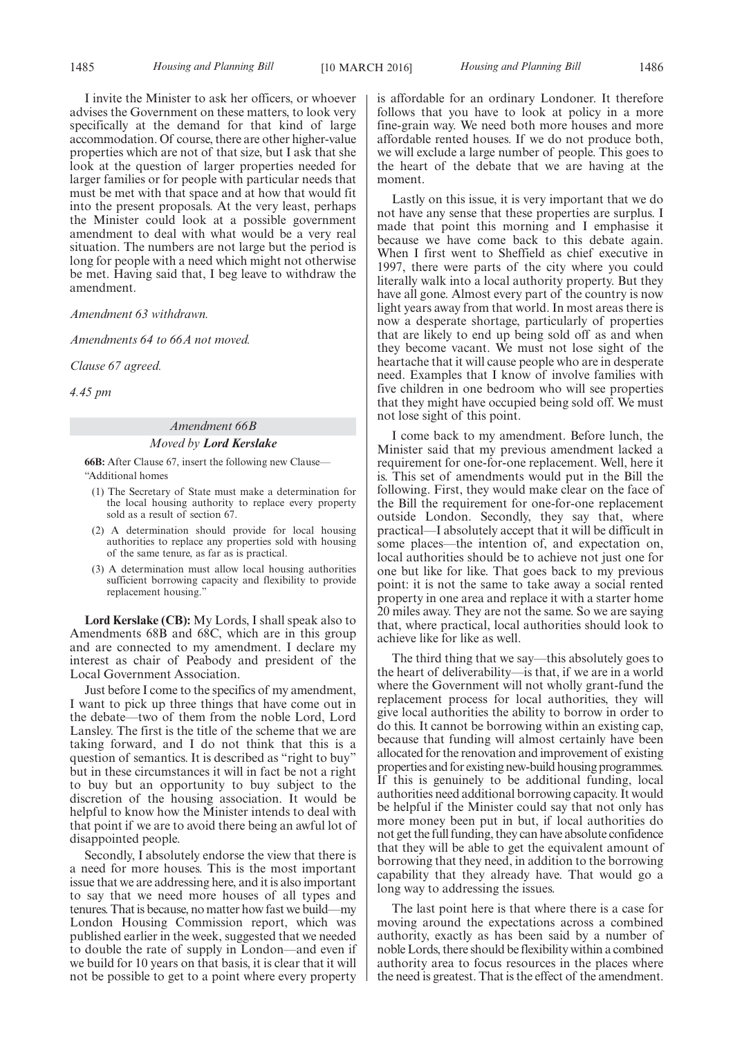I invite the Minister to ask her officers, or whoever advises the Government on these matters, to look very specifically at the demand for that kind of large accommodation. Of course, there are other higher-value properties which are not of that size, but I ask that she look at the question of larger properties needed for larger families or for people with particular needs that must be met with that space and at how that would fit into the present proposals. At the very least, perhaps the Minister could look at a possible government amendment to deal with what would be a very real situation. The numbers are not large but the period is long for people with a need which might not otherwise be met. Having said that, I beg leave to withdraw the amendment.

*Amendment 63 withdrawn.*

*Amendments 64 to 66A not moved.*

*Clause 67 agreed.*

*4.45 pm*

#### *Amendment 66B*

#### *Moved by Lord Kerslake*

**66B:** After Clause 67, insert the following new Clause— "Additional homes

- (1) The Secretary of State must make a determination for the local housing authority to replace every property sold as a result of section 67.
- (2) A determination should provide for local housing authorities to replace any properties sold with housing of the same tenure, as far as is practical.
- (3) A determination must allow local housing authorities sufficient borrowing capacity and flexibility to provide replacement housing.

**Lord Kerslake (CB):** My Lords, I shall speak also to Amendments 68B and 68C, which are in this group and are connected to my amendment. I declare my interest as chair of Peabody and president of the Local Government Association.

Just before I come to the specifics of my amendment, I want to pick up three things that have come out in the debate—two of them from the noble Lord, Lord Lansley. The first is the title of the scheme that we are taking forward, and I do not think that this is a question of semantics. It is described as "right to buy" but in these circumstances it will in fact be not a right to buy but an opportunity to buy subject to the discretion of the housing association. It would be helpful to know how the Minister intends to deal with that point if we are to avoid there being an awful lot of disappointed people.

Secondly, I absolutely endorse the view that there is a need for more houses. This is the most important issue that we are addressing here, and it is also important to say that we need more houses of all types and tenures. That is because, no matter how fast we build—my London Housing Commission report, which was published earlier in the week, suggested that we needed to double the rate of supply in London—and even if we build for 10 years on that basis, it is clear that it will not be possible to get to a point where every property is affordable for an ordinary Londoner. It therefore follows that you have to look at policy in a more fine-grain way. We need both more houses and more affordable rented houses. If we do not produce both, we will exclude a large number of people. This goes to the heart of the debate that we are having at the moment.

Lastly on this issue, it is very important that we do not have any sense that these properties are surplus. I made that point this morning and I emphasise it because we have come back to this debate again. When I first went to Sheffield as chief executive in 1997, there were parts of the city where you could literally walk into a local authority property. But they have all gone. Almost every part of the country is now light years away from that world. In most areas there is now a desperate shortage, particularly of properties that are likely to end up being sold off as and when they become vacant. We must not lose sight of the heartache that it will cause people who are in desperate need. Examples that I know of involve families with five children in one bedroom who will see properties that they might have occupied being sold off. We must not lose sight of this point.

I come back to my amendment. Before lunch, the Minister said that my previous amendment lacked a requirement for one-for-one replacement. Well, here it is. This set of amendments would put in the Bill the following. First, they would make clear on the face of the Bill the requirement for one-for-one replacement outside London. Secondly, they say that, where practical—I absolutely accept that it will be difficult in some places—the intention of, and expectation on, local authorities should be to achieve not just one for one but like for like. That goes back to my previous point: it is not the same to take away a social rented property in one area and replace it with a starter home 20 miles away. They are not the same. So we are saying that, where practical, local authorities should look to achieve like for like as well.

The third thing that we say—this absolutely goes to the heart of deliverability—is that, if we are in a world where the Government will not wholly grant-fund the replacement process for local authorities, they will give local authorities the ability to borrow in order to do this. It cannot be borrowing within an existing cap, because that funding will almost certainly have been allocated for the renovation and improvement of existing properties and for existing new-build housing programmes. If this is genuinely to be additional funding, local authorities need additional borrowing capacity. It would be helpful if the Minister could say that not only has more money been put in but, if local authorities do not get the full funding, they can have absolute confidence that they will be able to get the equivalent amount of borrowing that they need, in addition to the borrowing capability that they already have. That would go a long way to addressing the issues.

The last point here is that where there is a case for moving around the expectations across a combined authority, exactly as has been said by a number of noble Lords, there should be flexibility within a combined authority area to focus resources in the places where the need is greatest. That is the effect of the amendment.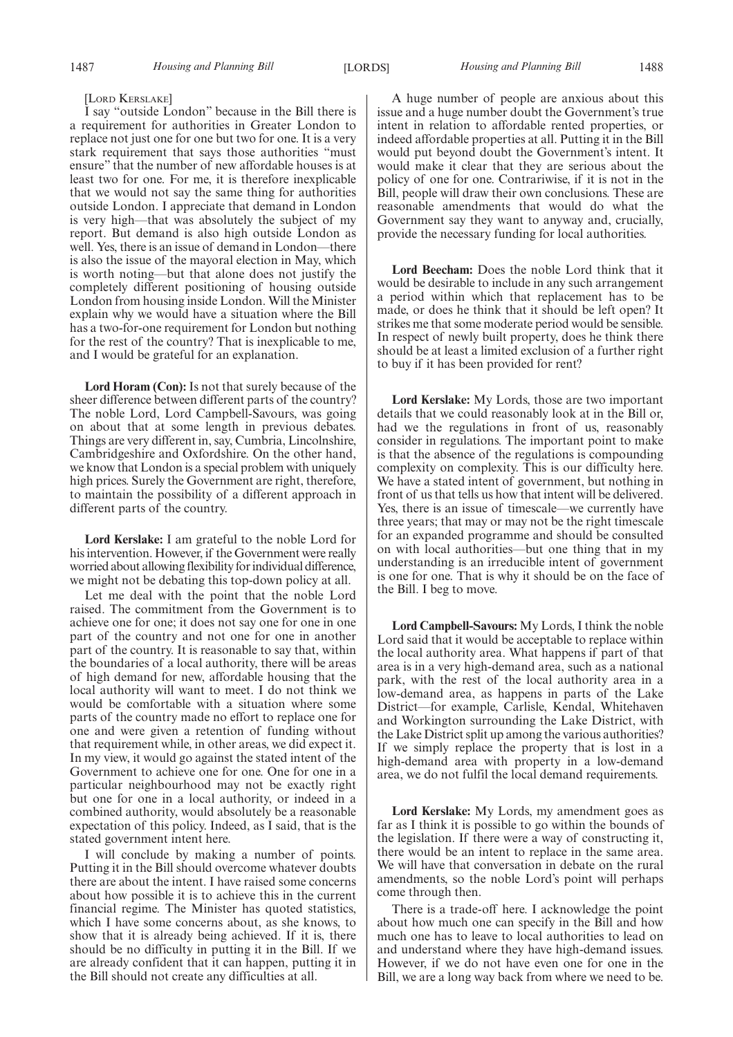#### [LORD KERSLAKE]

I say "outside London" because in the Bill there is a requirement for authorities in Greater London to replace not just one for one but two for one. It is a very stark requirement that says those authorities "must ensure" that the number of new affordable houses is at least two for one. For me, it is therefore inexplicable that we would not say the same thing for authorities outside London. I appreciate that demand in London is very high—that was absolutely the subject of my report. But demand is also high outside London as well. Yes, there is an issue of demand in London—there is also the issue of the mayoral election in May, which is worth noting—but that alone does not justify the completely different positioning of housing outside London from housing inside London. Will the Minister explain why we would have a situation where the Bill has a two-for-one requirement for London but nothing for the rest of the country? That is inexplicable to me, and I would be grateful for an explanation.

**Lord Horam (Con):** Is not that surely because of the sheer difference between different parts of the country? The noble Lord, Lord Campbell-Savours, was going on about that at some length in previous debates. Things are very different in, say, Cumbria, Lincolnshire, Cambridgeshire and Oxfordshire. On the other hand, we know that London is a special problem with uniquely high prices. Surely the Government are right, therefore, to maintain the possibility of a different approach in different parts of the country.

**Lord Kerslake:** I am grateful to the noble Lord for his intervention. However, if the Government were really worried about allowing flexibility for individual difference, we might not be debating this top-down policy at all.

Let me deal with the point that the noble Lord raised. The commitment from the Government is to achieve one for one; it does not say one for one in one part of the country and not one for one in another part of the country. It is reasonable to say that, within the boundaries of a local authority, there will be areas of high demand for new, affordable housing that the local authority will want to meet. I do not think we would be comfortable with a situation where some parts of the country made no effort to replace one for one and were given a retention of funding without that requirement while, in other areas, we did expect it. In my view, it would go against the stated intent of the Government to achieve one for one. One for one in a particular neighbourhood may not be exactly right but one for one in a local authority, or indeed in a combined authority, would absolutely be a reasonable expectation of this policy. Indeed, as I said, that is the stated government intent here.

I will conclude by making a number of points. Putting it in the Bill should overcome whatever doubts there are about the intent. I have raised some concerns about how possible it is to achieve this in the current financial regime. The Minister has quoted statistics, which I have some concerns about, as she knows, to show that it is already being achieved. If it is, there should be no difficulty in putting it in the Bill. If we are already confident that it can happen, putting it in the Bill should not create any difficulties at all.

A huge number of people are anxious about this issue and a huge number doubt the Government's true intent in relation to affordable rented properties, or indeed affordable properties at all. Putting it in the Bill would put beyond doubt the Government's intent. It would make it clear that they are serious about the policy of one for one. Contrariwise, if it is not in the Bill, people will draw their own conclusions. These are reasonable amendments that would do what the Government say they want to anyway and, crucially, provide the necessary funding for local authorities.

**Lord Beecham:** Does the noble Lord think that it would be desirable to include in any such arrangement a period within which that replacement has to be made, or does he think that it should be left open? It strikes me that some moderate period would be sensible. In respect of newly built property, does he think there should be at least a limited exclusion of a further right to buy if it has been provided for rent?

**Lord Kerslake:** My Lords, those are two important details that we could reasonably look at in the Bill or, had we the regulations in front of us, reasonably consider in regulations. The important point to make is that the absence of the regulations is compounding complexity on complexity. This is our difficulty here. We have a stated intent of government, but nothing in front of us that tells us how that intent will be delivered. Yes, there is an issue of timescale—we currently have three years; that may or may not be the right timescale for an expanded programme and should be consulted on with local authorities—but one thing that in my understanding is an irreducible intent of government is one for one. That is why it should be on the face of the Bill. I beg to move.

**Lord Campbell-Savours:** My Lords, I think the noble Lord said that it would be acceptable to replace within the local authority area. What happens if part of that area is in a very high-demand area, such as a national park, with the rest of the local authority area in a low-demand area, as happens in parts of the Lake District—for example, Carlisle, Kendal, Whitehaven and Workington surrounding the Lake District, with the Lake District split up among the various authorities? If we simply replace the property that is lost in a high-demand area with property in a low-demand area, we do not fulfil the local demand requirements.

**Lord Kerslake:** My Lords, my amendment goes as far as I think it is possible to go within the bounds of the legislation. If there were a way of constructing it, there would be an intent to replace in the same area. We will have that conversation in debate on the rural amendments, so the noble Lord's point will perhaps come through then.

There is a trade-off here. I acknowledge the point about how much one can specify in the Bill and how much one has to leave to local authorities to lead on and understand where they have high-demand issues. However, if we do not have even one for one in the Bill, we are a long way back from where we need to be.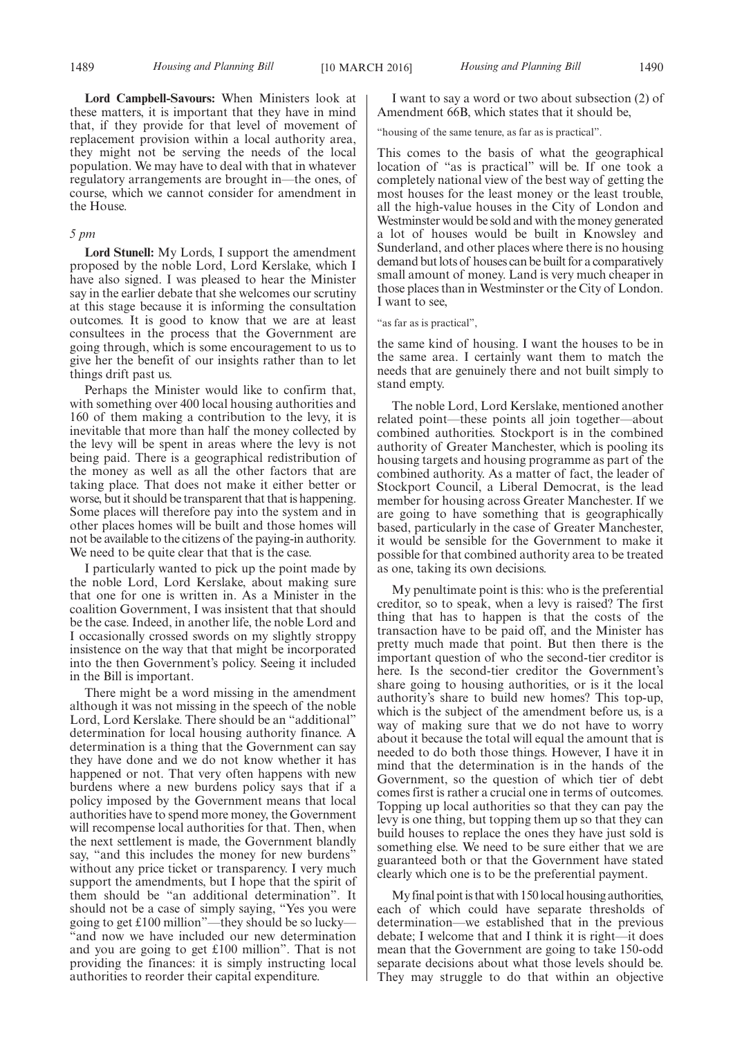**Lord Campbell-Savours:** When Ministers look at these matters, it is important that they have in mind that, if they provide for that level of movement of replacement provision within a local authority area, they might not be serving the needs of the local population. We may have to deal with that in whatever regulatory arrangements are brought in—the ones, of course, which we cannot consider for amendment in the House.

#### *5 pm*

**Lord Stunell:** My Lords, I support the amendment proposed by the noble Lord, Lord Kerslake, which I have also signed. I was pleased to hear the Minister say in the earlier debate that she welcomes our scrutiny at this stage because it is informing the consultation outcomes. It is good to know that we are at least consultees in the process that the Government are going through, which is some encouragement to us to give her the benefit of our insights rather than to let things drift past us.

Perhaps the Minister would like to confirm that, with something over 400 local housing authorities and 160 of them making a contribution to the levy, it is inevitable that more than half the money collected by the levy will be spent in areas where the levy is not being paid. There is a geographical redistribution of the money as well as all the other factors that are taking place. That does not make it either better or worse, but it should be transparent that that is happening. Some places will therefore pay into the system and in other places homes will be built and those homes will not be available to the citizens of the paying-in authority. We need to be quite clear that that is the case.

I particularly wanted to pick up the point made by the noble Lord, Lord Kerslake, about making sure that one for one is written in. As a Minister in the coalition Government, I was insistent that that should be the case. Indeed, in another life, the noble Lord and I occasionally crossed swords on my slightly stroppy insistence on the way that that might be incorporated into the then Government's policy. Seeing it included in the Bill is important.

There might be a word missing in the amendment although it was not missing in the speech of the noble Lord, Lord Kerslake. There should be an "additional" determination for local housing authority finance. A determination is a thing that the Government can say they have done and we do not know whether it has happened or not. That very often happens with new burdens where a new burdens policy says that if a policy imposed by the Government means that local authorities have to spend more money, the Government will recompense local authorities for that. Then, when the next settlement is made, the Government blandly say, "and this includes the money for new burdens" without any price ticket or transparency. I very much support the amendments, but I hope that the spirit of them should be "an additional determination". It should not be a case of simply saying, "Yes you were going to get £100 million"—they should be so lucky— "and now we have included our new determination and you are going to get £100 million". That is not providing the finances: it is simply instructing local authorities to reorder their capital expenditure.

I want to say a word or two about subsection (2) of Amendment 66B, which states that it should be,

"housing of the same tenure, as far as is practical".

This comes to the basis of what the geographical location of "as is practical" will be. If one took a completely national view of the best way of getting the most houses for the least money or the least trouble, all the high-value houses in the City of London and Westminster would be sold and with the money generated a lot of houses would be built in Knowsley and Sunderland, and other places where there is no housing demand but lots of houses can be built for a comparatively small amount of money. Land is very much cheaper in those places than in Westminster or the City of London. I want to see,

"as far as is practical",

the same kind of housing. I want the houses to be in the same area. I certainly want them to match the needs that are genuinely there and not built simply to stand empty.

The noble Lord, Lord Kerslake, mentioned another related point—these points all join together—about combined authorities. Stockport is in the combined authority of Greater Manchester, which is pooling its housing targets and housing programme as part of the combined authority. As a matter of fact, the leader of Stockport Council, a Liberal Democrat, is the lead member for housing across Greater Manchester. If we are going to have something that is geographically based, particularly in the case of Greater Manchester, it would be sensible for the Government to make it possible for that combined authority area to be treated as one, taking its own decisions.

My penultimate point is this: who is the preferential creditor, so to speak, when a levy is raised? The first thing that has to happen is that the costs of the transaction have to be paid off, and the Minister has pretty much made that point. But then there is the important question of who the second-tier creditor is here. Is the second-tier creditor the Government's share going to housing authorities, or is it the local authority's share to build new homes? This top-up, which is the subject of the amendment before us, is a way of making sure that we do not have to worry about it because the total will equal the amount that is needed to do both those things. However, I have it in mind that the determination is in the hands of the Government, so the question of which tier of debt comes first is rather a crucial one in terms of outcomes. Topping up local authorities so that they can pay the levy is one thing, but topping them up so that they can build houses to replace the ones they have just sold is something else. We need to be sure either that we are guaranteed both or that the Government have stated clearly which one is to be the preferential payment.

My final point is that with 150 local housing authorities, each of which could have separate thresholds of determination—we established that in the previous debate; I welcome that and I think it is right—it does mean that the Government are going to take 150-odd separate decisions about what those levels should be. They may struggle to do that within an objective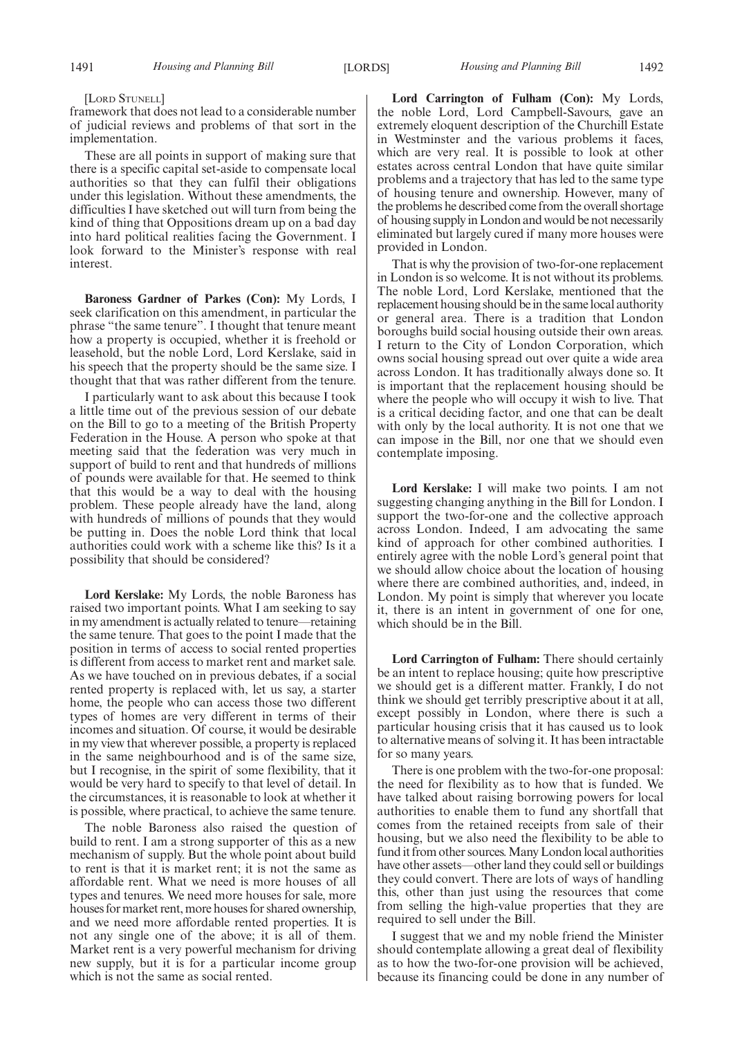#### [LORD STUNELL]

framework that does not lead to a considerable number of judicial reviews and problems of that sort in the implementation.

These are all points in support of making sure that there is a specific capital set-aside to compensate local authorities so that they can fulfil their obligations under this legislation. Without these amendments, the difficulties I have sketched out will turn from being the kind of thing that Oppositions dream up on a bad day into hard political realities facing the Government. I look forward to the Minister's response with real interest.

**Baroness Gardner of Parkes (Con):** My Lords, I seek clarification on this amendment, in particular the phrase "the same tenure". I thought that tenure meant how a property is occupied, whether it is freehold or leasehold, but the noble Lord, Lord Kerslake, said in his speech that the property should be the same size. I thought that that was rather different from the tenure.

I particularly want to ask about this because I took a little time out of the previous session of our debate on the Bill to go to a meeting of the British Property Federation in the House. A person who spoke at that meeting said that the federation was very much in support of build to rent and that hundreds of millions of pounds were available for that. He seemed to think that this would be a way to deal with the housing problem. These people already have the land, along with hundreds of millions of pounds that they would be putting in. Does the noble Lord think that local authorities could work with a scheme like this? Is it a possibility that should be considered?

**Lord Kerslake:** My Lords, the noble Baroness has raised two important points. What I am seeking to say in my amendment is actually related to tenure—retaining the same tenure. That goes to the point I made that the position in terms of access to social rented properties is different from access to market rent and market sale. As we have touched on in previous debates, if a social rented property is replaced with, let us say, a starter home, the people who can access those two different types of homes are very different in terms of their incomes and situation. Of course, it would be desirable in my view that wherever possible, a property is replaced in the same neighbourhood and is of the same size, but I recognise, in the spirit of some flexibility, that it would be very hard to specify to that level of detail. In the circumstances, it is reasonable to look at whether it is possible, where practical, to achieve the same tenure.

The noble Baroness also raised the question of build to rent. I am a strong supporter of this as a new mechanism of supply. But the whole point about build to rent is that it is market rent; it is not the same as affordable rent. What we need is more houses of all types and tenures. We need more houses for sale, more houses for market rent, more houses for shared ownership, and we need more affordable rented properties. It is not any single one of the above; it is all of them. Market rent is a very powerful mechanism for driving new supply, but it is for a particular income group which is not the same as social rented.

**Lord Carrington of Fulham (Con):** My Lords, the noble Lord, Lord Campbell-Savours, gave an extremely eloquent description of the Churchill Estate in Westminster and the various problems it faces, which are very real. It is possible to look at other estates across central London that have quite similar problems and a trajectory that has led to the same type of housing tenure and ownership. However, many of the problems he described come from the overall shortage of housing supply in London and would be not necessarily eliminated but largely cured if many more houses were provided in London.

That is why the provision of two-for-one replacement in London is so welcome. It is not without its problems. The noble Lord, Lord Kerslake, mentioned that the replacement housing should be in the same local authority or general area. There is a tradition that London boroughs build social housing outside their own areas. I return to the City of London Corporation, which owns social housing spread out over quite a wide area across London. It has traditionally always done so. It is important that the replacement housing should be where the people who will occupy it wish to live. That is a critical deciding factor, and one that can be dealt with only by the local authority. It is not one that we can impose in the Bill, nor one that we should even contemplate imposing.

**Lord Kerslake:** I will make two points. I am not suggesting changing anything in the Bill for London. I support the two-for-one and the collective approach across London. Indeed, I am advocating the same kind of approach for other combined authorities. I entirely agree with the noble Lord's general point that we should allow choice about the location of housing where there are combined authorities, and, indeed, in London. My point is simply that wherever you locate it, there is an intent in government of one for one, which should be in the Bill.

**Lord Carrington of Fulham:** There should certainly be an intent to replace housing; quite how prescriptive we should get is a different matter. Frankly, I do not think we should get terribly prescriptive about it at all, except possibly in London, where there is such a particular housing crisis that it has caused us to look to alternative means of solving it. It has been intractable for so many years.

There is one problem with the two-for-one proposal: the need for flexibility as to how that is funded. We have talked about raising borrowing powers for local authorities to enable them to fund any shortfall that comes from the retained receipts from sale of their housing, but we also need the flexibility to be able to fund it from other sources. Many London local authorities have other assets—other land they could sell or buildings they could convert. There are lots of ways of handling this, other than just using the resources that come from selling the high-value properties that they are required to sell under the Bill.

I suggest that we and my noble friend the Minister should contemplate allowing a great deal of flexibility as to how the two-for-one provision will be achieved, because its financing could be done in any number of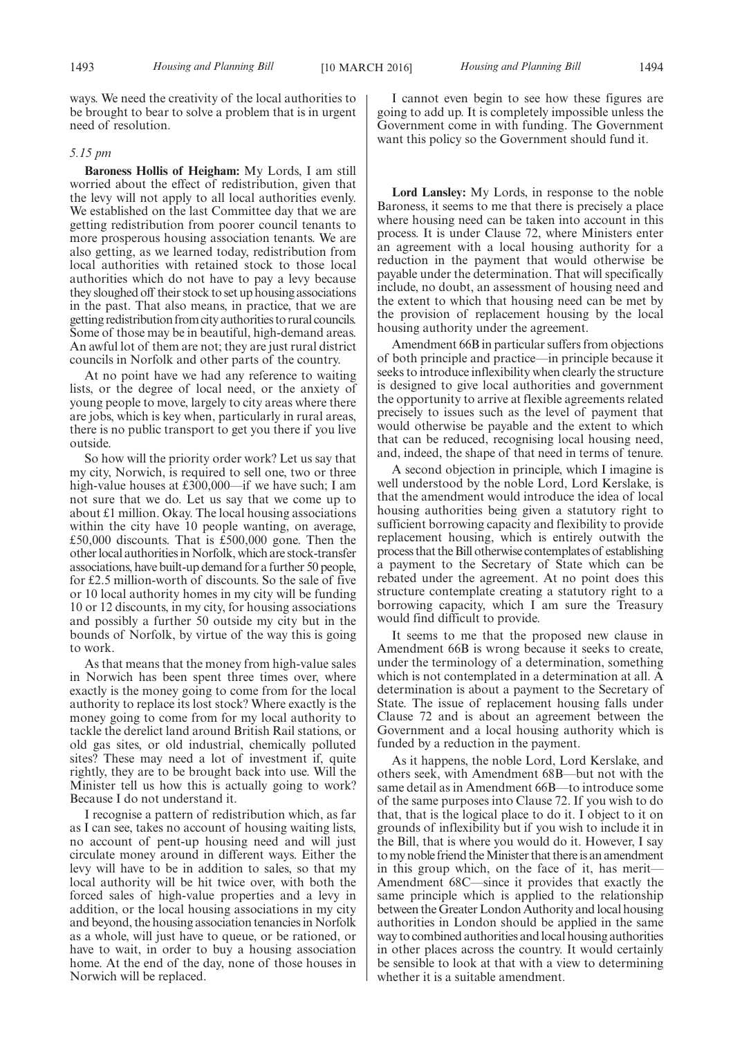ways. We need the creativity of the local authorities to be brought to bear to solve a problem that is in urgent need of resolution.

#### *5.15 pm*

**Baroness Hollis of Heigham:** My Lords, I am still worried about the effect of redistribution, given that the levy will not apply to all local authorities evenly. We established on the last Committee day that we are getting redistribution from poorer council tenants to more prosperous housing association tenants. We are also getting, as we learned today, redistribution from local authorities with retained stock to those local authorities which do not have to pay a levy because they sloughed off their stock to set up housing associations in the past. That also means, in practice, that we are getting redistribution from city authorities to rural councils. Some of those may be in beautiful, high-demand areas. An awful lot of them are not; they are just rural district councils in Norfolk and other parts of the country.

At no point have we had any reference to waiting lists, or the degree of local need, or the anxiety of young people to move, largely to city areas where there are jobs, which is key when, particularly in rural areas, there is no public transport to get you there if you live outside.

So how will the priority order work? Let us say that my city, Norwich, is required to sell one, two or three high-value houses at £300,000—if we have such; I am not sure that we do. Let us say that we come up to about £1 million. Okay. The local housing associations within the city have 10 people wanting, on average, £50,000 discounts. That is £500,000 gone. Then the other local authorities in Norfolk, which are stock-transfer associations, have built-up demand for a further 50 people, for £2.5 million-worth of discounts. So the sale of five or 10 local authority homes in my city will be funding 10 or 12 discounts, in my city, for housing associations and possibly a further 50 outside my city but in the bounds of Norfolk, by virtue of the way this is going to work.

As that means that the money from high-value sales in Norwich has been spent three times over, where exactly is the money going to come from for the local authority to replace its lost stock? Where exactly is the money going to come from for my local authority to tackle the derelict land around British Rail stations, or old gas sites, or old industrial, chemically polluted sites? These may need a lot of investment if, quite rightly, they are to be brought back into use. Will the Minister tell us how this is actually going to work? Because I do not understand it.

I recognise a pattern of redistribution which, as far as I can see, takes no account of housing waiting lists, no account of pent-up housing need and will just circulate money around in different ways. Either the levy will have to be in addition to sales, so that my local authority will be hit twice over, with both the forced sales of high-value properties and a levy in addition, or the local housing associations in my city and beyond, the housing association tenancies in Norfolk as a whole, will just have to queue, or be rationed, or have to wait, in order to buy a housing association home. At the end of the day, none of those houses in Norwich will be replaced.

1493 *Housing and Planning Bill Housing and Planning Bill* [10 MARCH 2016] 1494

I cannot even begin to see how these figures are going to add up. It is completely impossible unless the Government come in with funding. The Government want this policy so the Government should fund it.

**Lord Lansley:** My Lords, in response to the noble Baroness, it seems to me that there is precisely a place where housing need can be taken into account in this process. It is under Clause 72, where Ministers enter an agreement with a local housing authority for a reduction in the payment that would otherwise be payable under the determination. That will specifically include, no doubt, an assessment of housing need and the extent to which that housing need can be met by the provision of replacement housing by the local housing authority under the agreement.

Amendment 66B in particular suffers from objections of both principle and practice—in principle because it seeks to introduce inflexibility when clearly the structure is designed to give local authorities and government the opportunity to arrive at flexible agreements related precisely to issues such as the level of payment that would otherwise be payable and the extent to which that can be reduced, recognising local housing need, and, indeed, the shape of that need in terms of tenure.

A second objection in principle, which I imagine is well understood by the noble Lord, Lord Kerslake, is that the amendment would introduce the idea of local housing authorities being given a statutory right to sufficient borrowing capacity and flexibility to provide replacement housing, which is entirely outwith the process that the Bill otherwise contemplates of establishing a payment to the Secretary of State which can be rebated under the agreement. At no point does this structure contemplate creating a statutory right to a borrowing capacity, which I am sure the Treasury would find difficult to provide.

It seems to me that the proposed new clause in Amendment 66B is wrong because it seeks to create, under the terminology of a determination, something which is not contemplated in a determination at all. A determination is about a payment to the Secretary of State. The issue of replacement housing falls under Clause 72 and is about an agreement between the Government and a local housing authority which is funded by a reduction in the payment.

As it happens, the noble Lord, Lord Kerslake, and others seek, with Amendment 68B—but not with the same detail as in Amendment 66B—to introduce some of the same purposes into Clause 72. If you wish to do that, that is the logical place to do it. I object to it on grounds of inflexibility but if you wish to include it in the Bill, that is where you would do it. However, I say tomy noble friend theMinister that there is an amendment in this group which, on the face of it, has merit-Amendment 68C—since it provides that exactly the same principle which is applied to the relationship between the Greater London Authority and local housing authorities in London should be applied in the same way to combined authorities and local housing authorities in other places across the country. It would certainly be sensible to look at that with a view to determining whether it is a suitable amendment.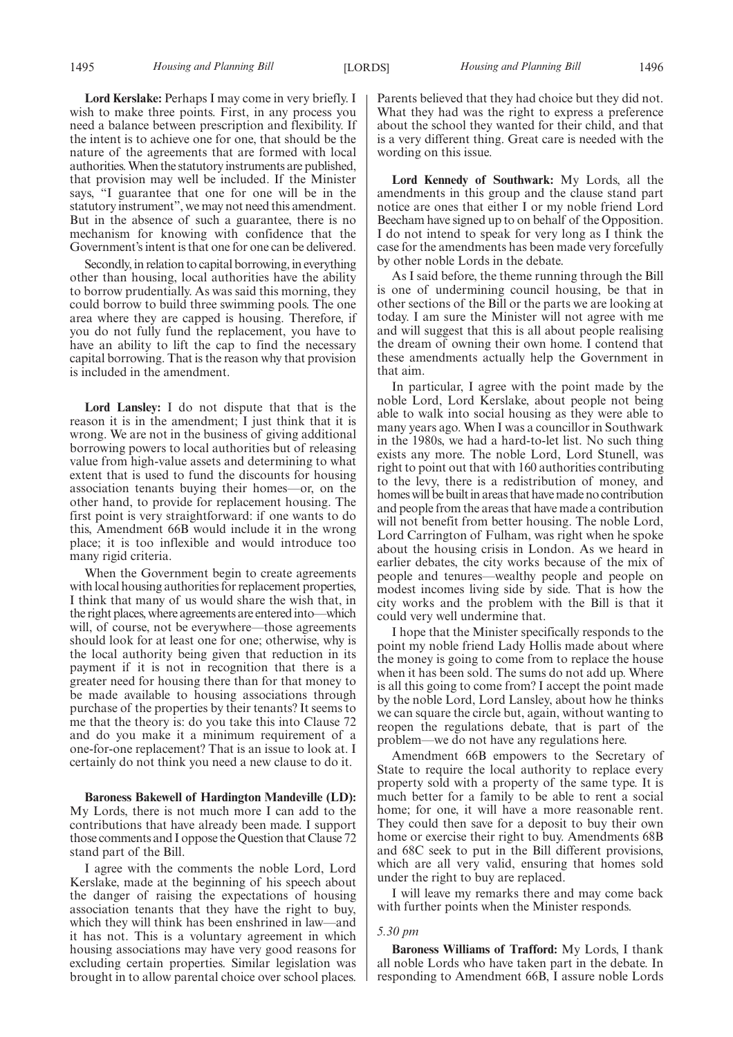**Lord Kerslake:** Perhaps I may come in very briefly. I wish to make three points. First, in any process you need a balance between prescription and flexibility. If the intent is to achieve one for one, that should be the nature of the agreements that are formed with local authorities.When the statutory instruments are published, that provision may well be included. If the Minister says, "I guarantee that one for one will be in the statutory instrument", we may not need this amendment. But in the absence of such a guarantee, there is no mechanism for knowing with confidence that the Government's intent is that one for one can be delivered.

Secondly, in relation to capital borrowing, in everything other than housing, local authorities have the ability to borrow prudentially. As was said this morning, they could borrow to build three swimming pools. The one area where they are capped is housing. Therefore, if you do not fully fund the replacement, you have to have an ability to lift the cap to find the necessary capital borrowing. That is the reason why that provision is included in the amendment.

**Lord Lansley:** I do not dispute that that is the reason it is in the amendment; I just think that it is wrong. We are not in the business of giving additional borrowing powers to local authorities but of releasing value from high-value assets and determining to what extent that is used to fund the discounts for housing association tenants buying their homes—or, on the other hand, to provide for replacement housing. The first point is very straightforward: if one wants to do this, Amendment 66B would include it in the wrong place; it is too inflexible and would introduce too many rigid criteria.

When the Government begin to create agreements with local housing authorities for replacement properties, I think that many of us would share the wish that, in the right places, where agreements are entered into—which will, of course, not be everywhere—those agreements should look for at least one for one; otherwise, why is the local authority being given that reduction in its payment if it is not in recognition that there is a greater need for housing there than for that money to be made available to housing associations through purchase of the properties by their tenants? It seems to me that the theory is: do you take this into Clause 72 and do you make it a minimum requirement of a one-for-one replacement? That is an issue to look at. I certainly do not think you need a new clause to do it.

**Baroness Bakewell of Hardington Mandeville (LD):** My Lords, there is not much more I can add to the contributions that have already been made. I support those comments and I oppose the Question that Clause 72 stand part of the Bill.

I agree with the comments the noble Lord, Lord Kerslake, made at the beginning of his speech about the danger of raising the expectations of housing association tenants that they have the right to buy, which they will think has been enshrined in law—and it has not. This is a voluntary agreement in which housing associations may have very good reasons for excluding certain properties. Similar legislation was brought in to allow parental choice over school places.

Parents believed that they had choice but they did not. What they had was the right to express a preference about the school they wanted for their child, and that is a very different thing. Great care is needed with the wording on this issue.

**Lord Kennedy of Southwark:** My Lords, all the amendments in this group and the clause stand part notice are ones that either I or my noble friend Lord Beecham have signed up to on behalf of the Opposition. I do not intend to speak for very long as I think the case for the amendments has been made very forcefully by other noble Lords in the debate.

As I said before, the theme running through the Bill is one of undermining council housing, be that in other sections of the Bill or the parts we are looking at today. I am sure the Minister will not agree with me and will suggest that this is all about people realising the dream of owning their own home. I contend that these amendments actually help the Government in that aim.

In particular, I agree with the point made by the noble Lord, Lord Kerslake, about people not being able to walk into social housing as they were able to many years ago. When I was a councillor in Southwark in the 1980s, we had a hard-to-let list. No such thing exists any more. The noble Lord, Lord Stunell, was right to point out that with 160 authorities contributing to the levy, there is a redistribution of money, and homes will be built in areas that have made no contribution and people from the areas that have made a contribution will not benefit from better housing. The noble Lord, Lord Carrington of Fulham, was right when he spoke about the housing crisis in London. As we heard in earlier debates, the city works because of the mix of people and tenures—wealthy people and people on modest incomes living side by side. That is how the city works and the problem with the Bill is that it could very well undermine that.

I hope that the Minister specifically responds to the point my noble friend Lady Hollis made about where the money is going to come from to replace the house when it has been sold. The sums do not add up. Where is all this going to come from? I accept the point made by the noble Lord, Lord Lansley, about how he thinks we can square the circle but, again, without wanting to reopen the regulations debate, that is part of the problem—we do not have any regulations here.

Amendment 66B empowers to the Secretary of State to require the local authority to replace every property sold with a property of the same type. It is much better for a family to be able to rent a social home; for one, it will have a more reasonable rent. They could then save for a deposit to buy their own home or exercise their right to buy. Amendments 68B and 68C seek to put in the Bill different provisions, which are all very valid, ensuring that homes sold under the right to buy are replaced.

I will leave my remarks there and may come back with further points when the Minister responds.

#### *5.30 pm*

**Baroness Williams of Trafford:** My Lords, I thank all noble Lords who have taken part in the debate. In responding to Amendment 66B, I assure noble Lords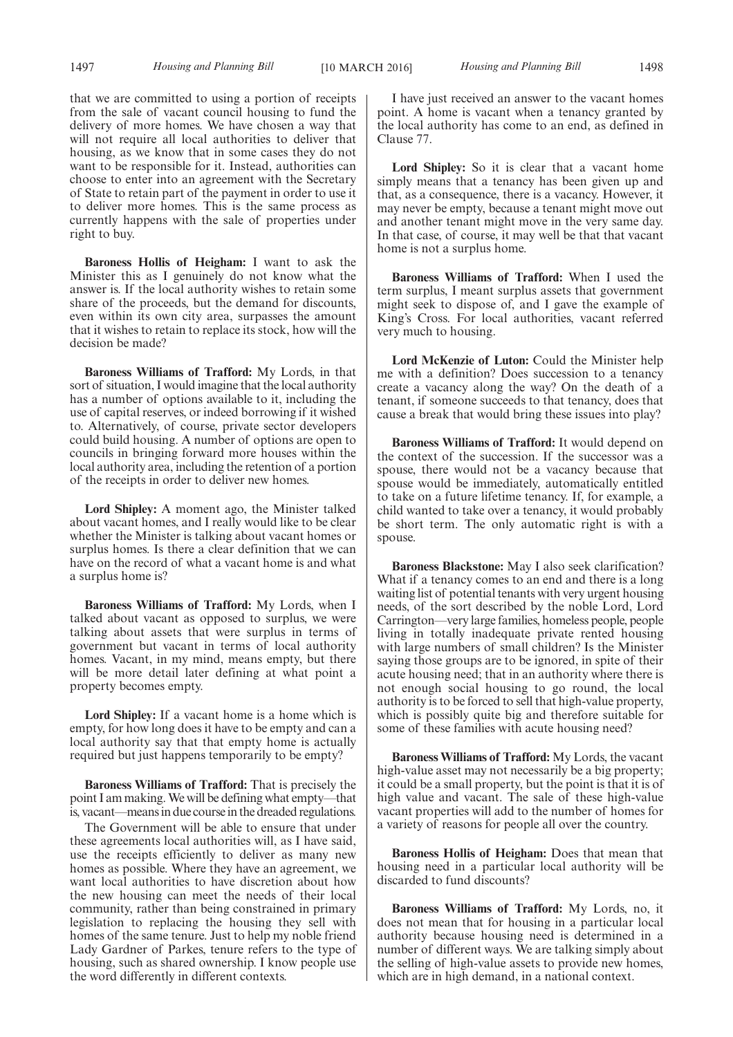that we are committed to using a portion of receipts from the sale of vacant council housing to fund the delivery of more homes. We have chosen a way that will not require all local authorities to deliver that housing, as we know that in some cases they do not want to be responsible for it. Instead, authorities can choose to enter into an agreement with the Secretary of State to retain part of the payment in order to use it to deliver more homes. This is the same process as currently happens with the sale of properties under right to buy.

**Baroness Hollis of Heigham:** I want to ask the Minister this as I genuinely do not know what the answer is. If the local authority wishes to retain some share of the proceeds, but the demand for discounts, even within its own city area, surpasses the amount that it wishes to retain to replace its stock, how will the decision be made?

**Baroness Williams of Trafford:** My Lords, in that sort of situation, I would imagine that the local authority has a number of options available to it, including the use of capital reserves, or indeed borrowing if it wished to. Alternatively, of course, private sector developers could build housing. A number of options are open to councils in bringing forward more houses within the local authority area, including the retention of a portion of the receipts in order to deliver new homes.

**Lord Shipley:** A moment ago, the Minister talked about vacant homes, and I really would like to be clear whether the Minister is talking about vacant homes or surplus homes. Is there a clear definition that we can have on the record of what a vacant home is and what a surplus home is?

**Baroness Williams of Trafford:** My Lords, when I talked about vacant as opposed to surplus, we were talking about assets that were surplus in terms of government but vacant in terms of local authority homes. Vacant, in my mind, means empty, but there will be more detail later defining at what point a property becomes empty.

**Lord Shipley:** If a vacant home is a home which is empty, for how long does it have to be empty and can a local authority say that that empty home is actually required but just happens temporarily to be empty?

**Baroness Williams of Trafford:** That is precisely the point I am making.We will be defining what empty—that is, vacant—means in due course in the dreaded regulations.

The Government will be able to ensure that under these agreements local authorities will, as I have said, use the receipts efficiently to deliver as many new homes as possible. Where they have an agreement, we want local authorities to have discretion about how the new housing can meet the needs of their local community, rather than being constrained in primary legislation to replacing the housing they sell with homes of the same tenure. Just to help my noble friend Lady Gardner of Parkes, tenure refers to the type of housing, such as shared ownership. I know people use the word differently in different contexts.

I have just received an answer to the vacant homes point. A home is vacant when a tenancy granted by the local authority has come to an end, as defined in Clause 77.

Lord Shipley: So it is clear that a vacant home simply means that a tenancy has been given up and that, as a consequence, there is a vacancy. However, it may never be empty, because a tenant might move out and another tenant might move in the very same day. In that case, of course, it may well be that that vacant home is not a surplus home.

**Baroness Williams of Trafford:** When I used the term surplus, I meant surplus assets that government might seek to dispose of, and I gave the example of King's Cross. For local authorities, vacant referred very much to housing.

**Lord McKenzie of Luton:** Could the Minister help me with a definition? Does succession to a tenancy create a vacancy along the way? On the death of a tenant, if someone succeeds to that tenancy, does that cause a break that would bring these issues into play?

**Baroness Williams of Trafford:** It would depend on the context of the succession. If the successor was a spouse, there would not be a vacancy because that spouse would be immediately, automatically entitled to take on a future lifetime tenancy. If, for example, a child wanted to take over a tenancy, it would probably be short term. The only automatic right is with a spouse.

**Baroness Blackstone:** May I also seek clarification? What if a tenancy comes to an end and there is a long waiting list of potential tenants with very urgent housing needs, of the sort described by the noble Lord, Lord Carrington—very large families, homeless people, people living in totally inadequate private rented housing with large numbers of small children? Is the Minister saying those groups are to be ignored, in spite of their acute housing need; that in an authority where there is not enough social housing to go round, the local authority is to be forced to sell that high-value property, which is possibly quite big and therefore suitable for some of these families with acute housing need?

**Baroness Williams of Trafford:** My Lords, the vacant high-value asset may not necessarily be a big property; it could be a small property, but the point is that it is of high value and vacant. The sale of these high-value vacant properties will add to the number of homes for a variety of reasons for people all over the country.

**Baroness Hollis of Heigham:** Does that mean that housing need in a particular local authority will be discarded to fund discounts?

**Baroness Williams of Trafford:** My Lords, no, it does not mean that for housing in a particular local authority because housing need is determined in a number of different ways. We are talking simply about the selling of high-value assets to provide new homes, which are in high demand, in a national context.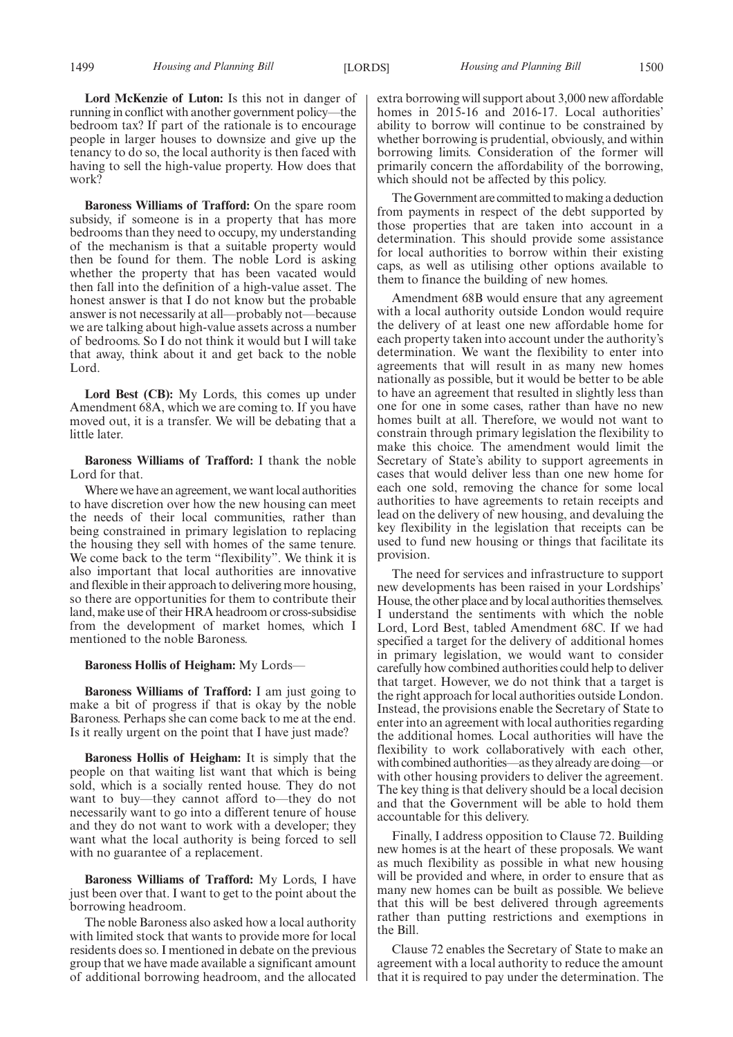**Lord McKenzie of Luton:** Is this not in danger of running in conflict with another government policy—the bedroom tax? If part of the rationale is to encourage people in larger houses to downsize and give up the tenancy to do so, the local authority is then faced with having to sell the high-value property. How does that work?

**Baroness Williams of Trafford:** On the spare room subsidy, if someone is in a property that has more bedrooms than they need to occupy, my understanding of the mechanism is that a suitable property would then be found for them. The noble Lord is asking whether the property that has been vacated would then fall into the definition of a high-value asset. The honest answer is that I do not know but the probable answer is not necessarily at all—probably not—because we are talking about high-value assets across a number of bedrooms. So I do not think it would but I will take that away, think about it and get back to the noble Lord.

**Lord Best (CB):** My Lords, this comes up under Amendment 68A, which we are coming to. If you have moved out, it is a transfer. We will be debating that a little later.

**Baroness Williams of Trafford:** I thank the noble Lord for that.

Where we have an agreement, we want local authorities to have discretion over how the new housing can meet the needs of their local communities, rather than being constrained in primary legislation to replacing the housing they sell with homes of the same tenure. We come back to the term "flexibility". We think it is also important that local authorities are innovative and flexible in their approach to delivering more housing, so there are opportunities for them to contribute their land, make use of their HRA headroom or cross-subsidise from the development of market homes, which I mentioned to the noble Baroness.

#### **Baroness Hollis of Heigham:** My Lords—

**Baroness Williams of Trafford:** I am just going to make a bit of progress if that is okay by the noble Baroness. Perhaps she can come back to me at the end. Is it really urgent on the point that I have just made?

**Baroness Hollis of Heigham:** It is simply that the people on that waiting list want that which is being sold, which is a socially rented house. They do not want to buy—they cannot afford to—they do not necessarily want to go into a different tenure of house and they do not want to work with a developer; they want what the local authority is being forced to sell with no guarantee of a replacement.

**Baroness Williams of Trafford:** My Lords, I have just been over that. I want to get to the point about the borrowing headroom.

The noble Baroness also asked how a local authority with limited stock that wants to provide more for local residents does so. I mentioned in debate on the previous group that we have made available a significant amount of additional borrowing headroom, and the allocated extra borrowing will support about 3,000 new affordable homes in 2015-16 and 2016-17. Local authorities' ability to borrow will continue to be constrained by whether borrowing is prudential, obviously, and within borrowing limits. Consideration of the former will primarily concern the affordability of the borrowing, which should not be affected by this policy.

The Government are committed to making a deduction from payments in respect of the debt supported by those properties that are taken into account in a determination. This should provide some assistance for local authorities to borrow within their existing caps, as well as utilising other options available to them to finance the building of new homes.

Amendment 68B would ensure that any agreement with a local authority outside London would require the delivery of at least one new affordable home for each property taken into account under the authority's determination. We want the flexibility to enter into agreements that will result in as many new homes nationally as possible, but it would be better to be able to have an agreement that resulted in slightly less than one for one in some cases, rather than have no new homes built at all. Therefore, we would not want to constrain through primary legislation the flexibility to make this choice. The amendment would limit the Secretary of State's ability to support agreements in cases that would deliver less than one new home for each one sold, removing the chance for some local authorities to have agreements to retain receipts and lead on the delivery of new housing, and devaluing the key flexibility in the legislation that receipts can be used to fund new housing or things that facilitate its provision.

The need for services and infrastructure to support new developments has been raised in your Lordships' House, the other place and by local authorities themselves. I understand the sentiments with which the noble Lord, Lord Best, tabled Amendment 68C. If we had specified a target for the delivery of additional homes in primary legislation, we would want to consider carefully how combined authorities could help to deliver that target. However, we do not think that a target is the right approach for local authorities outside London. Instead, the provisions enable the Secretary of State to enter into an agreement with local authorities regarding the additional homes. Local authorities will have the flexibility to work collaboratively with each other, with combined authorities—as they already are doing—or with other housing providers to deliver the agreement. The key thing is that delivery should be a local decision and that the Government will be able to hold them accountable for this delivery.

Finally, I address opposition to Clause 72. Building new homes is at the heart of these proposals. We want as much flexibility as possible in what new housing will be provided and where, in order to ensure that as many new homes can be built as possible. We believe that this will be best delivered through agreements rather than putting restrictions and exemptions in the Bill.

Clause 72 enables the Secretary of State to make an agreement with a local authority to reduce the amount that it is required to pay under the determination. The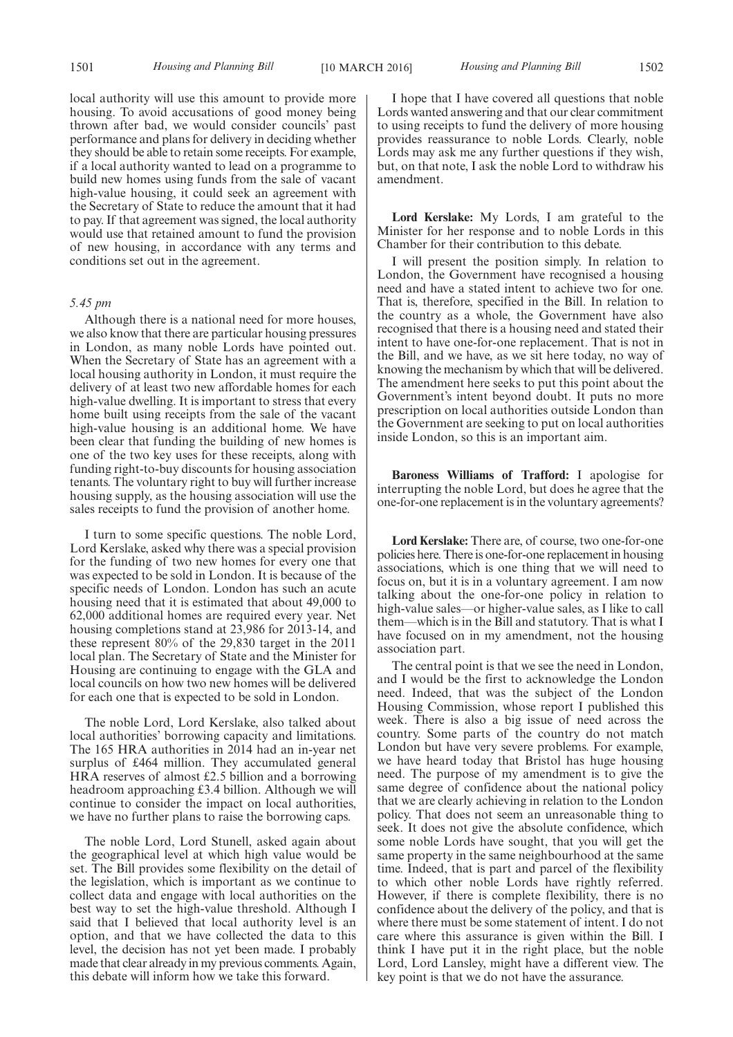local authority will use this amount to provide more housing. To avoid accusations of good money being thrown after bad, we would consider councils' past performance and plans for delivery in deciding whether they should be able to retain some receipts. For example, if a local authority wanted to lead on a programme to build new homes using funds from the sale of vacant high-value housing, it could seek an agreement with the Secretary of State to reduce the amount that it had to pay. If that agreement was signed, the local authority would use that retained amount to fund the provision of new housing, in accordance with any terms and conditions set out in the agreement.

#### *5.45 pm*

Although there is a national need for more houses, we also know that there are particular housing pressures in London, as many noble Lords have pointed out. When the Secretary of State has an agreement with a local housing authority in London, it must require the delivery of at least two new affordable homes for each high-value dwelling. It is important to stress that every home built using receipts from the sale of the vacant high-value housing is an additional home. We have been clear that funding the building of new homes is one of the two key uses for these receipts, along with funding right-to-buy discounts for housing association tenants. The voluntary right to buy will further increase housing supply, as the housing association will use the sales receipts to fund the provision of another home.

I turn to some specific questions. The noble Lord, Lord Kerslake, asked why there was a special provision for the funding of two new homes for every one that was expected to be sold in London. It is because of the specific needs of London. London has such an acute housing need that it is estimated that about 49,000 to 62,000 additional homes are required every year. Net housing completions stand at 23,986 for 2013-14, and these represent 80% of the 29,830 target in the 2011 local plan. The Secretary of State and the Minister for Housing are continuing to engage with the GLA and local councils on how two new homes will be delivered for each one that is expected to be sold in London.

The noble Lord, Lord Kerslake, also talked about local authorities' borrowing capacity and limitations. The 165 HRA authorities in 2014 had an in-year net surplus of £464 million. They accumulated general HRA reserves of almost £2.5 billion and a borrowing headroom approaching £3.4 billion. Although we will continue to consider the impact on local authorities, we have no further plans to raise the borrowing caps.

The noble Lord, Lord Stunell, asked again about the geographical level at which high value would be set. The Bill provides some flexibility on the detail of the legislation, which is important as we continue to collect data and engage with local authorities on the best way to set the high-value threshold. Although I said that I believed that local authority level is an option, and that we have collected the data to this level, the decision has not yet been made. I probably made that clear already in my previous comments. Again, this debate will inform how we take this forward.

I hope that I have covered all questions that noble Lords wanted answering and that our clear commitment to using receipts to fund the delivery of more housing provides reassurance to noble Lords. Clearly, noble Lords may ask me any further questions if they wish, but, on that note, I ask the noble Lord to withdraw his amendment.

**Lord Kerslake:** My Lords, I am grateful to the Minister for her response and to noble Lords in this Chamber for their contribution to this debate.

I will present the position simply. In relation to London, the Government have recognised a housing need and have a stated intent to achieve two for one. That is, therefore, specified in the Bill. In relation to the country as a whole, the Government have also recognised that there is a housing need and stated their intent to have one-for-one replacement. That is not in the Bill, and we have, as we sit here today, no way of knowing the mechanism by which that will be delivered. The amendment here seeks to put this point about the Government's intent beyond doubt. It puts no more prescription on local authorities outside London than the Government are seeking to put on local authorities inside London, so this is an important aim.

**Baroness Williams of Trafford:** I apologise for interrupting the noble Lord, but does he agree that the one-for-one replacement is in the voluntary agreements?

**Lord Kerslake:** There are, of course, two one-for-one policies here. There is one-for-one replacement in housing associations, which is one thing that we will need to focus on, but it is in a voluntary agreement. I am now talking about the one-for-one policy in relation to high-value sales—or higher-value sales, as I like to call them—which is in the Bill and statutory. That is what I have focused on in my amendment, not the housing association part.

The central point is that we see the need in London, and I would be the first to acknowledge the London need. Indeed, that was the subject of the London Housing Commission, whose report I published this week. There is also a big issue of need across the country. Some parts of the country do not match London but have very severe problems. For example, we have heard today that Bristol has huge housing need. The purpose of my amendment is to give the same degree of confidence about the national policy that we are clearly achieving in relation to the London policy. That does not seem an unreasonable thing to seek. It does not give the absolute confidence, which some noble Lords have sought, that you will get the same property in the same neighbourhood at the same time. Indeed, that is part and parcel of the flexibility to which other noble Lords have rightly referred. However, if there is complete flexibility, there is no confidence about the delivery of the policy, and that is where there must be some statement of intent. I do not care where this assurance is given within the Bill. I think I have put it in the right place, but the noble Lord, Lord Lansley, might have a different view. The key point is that we do not have the assurance.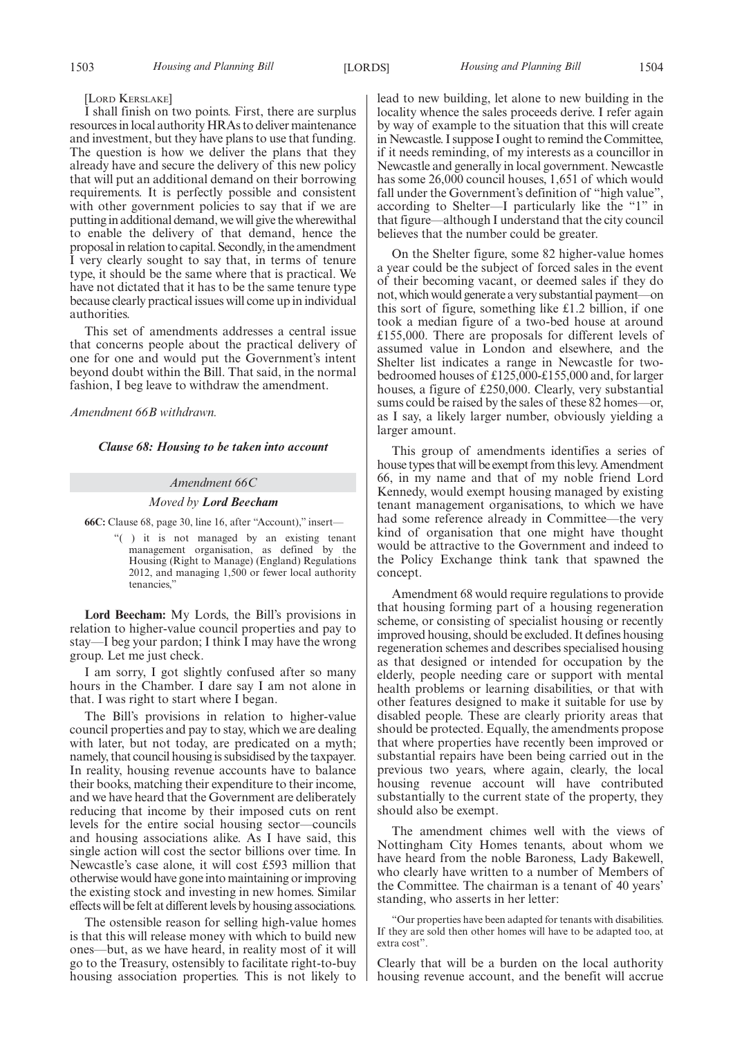#### [LORD KERSLAKE]

I shall finish on two points. First, there are surplus resources in local authority HRAs to deliver maintenance and investment, but they have plans to use that funding. The question is how we deliver the plans that they already have and secure the delivery of this new policy that will put an additional demand on their borrowing requirements. It is perfectly possible and consistent with other government policies to say that if we are putting in additional demand, we will give the wherewithal to enable the delivery of that demand, hence the proposal in relation to capital. Secondly, in the amendment I very clearly sought to say that, in terms of tenure type, it should be the same where that is practical. We have not dictated that it has to be the same tenure type because clearly practical issues will come up in individual authorities.

This set of amendments addresses a central issue that concerns people about the practical delivery of one for one and would put the Government's intent beyond doubt within the Bill. That said, in the normal fashion, I beg leave to withdraw the amendment.

*Amendment 66B withdrawn.*

*Clause 68: Housing to be taken into account*

#### *Amendment 66C*

#### *Moved by Lord Beecham*

**66C:** Clause 68, page 30, line 16, after "Account)," insert—

"( ) it is not managed by an existing tenant management organisation, as defined by the Housing (Right to Manage) (England) Regulations 2012, and managing 1,500 or fewer local authority tenancies,"

**Lord Beecham:** My Lords, the Bill's provisions in relation to higher-value council properties and pay to stay—I beg your pardon; I think I may have the wrong group. Let me just check.

I am sorry, I got slightly confused after so many hours in the Chamber. I dare say I am not alone in that. I was right to start where I began.

The Bill's provisions in relation to higher-value council properties and pay to stay, which we are dealing with later, but not today, are predicated on a myth; namely, that council housing is subsidised by the taxpayer. In reality, housing revenue accounts have to balance their books, matching their expenditure to their income, and we have heard that the Government are deliberately reducing that income by their imposed cuts on rent levels for the entire social housing sector—councils and housing associations alike. As I have said, this single action will cost the sector billions over time. In Newcastle's case alone, it will cost £593 million that otherwise would have gone into maintaining or improving the existing stock and investing in new homes. Similar effects will be felt at different levels by housing associations.

The ostensible reason for selling high-value homes is that this will release money with which to build new ones—but, as we have heard, in reality most of it will go to the Treasury, ostensibly to facilitate right-to-buy housing association properties. This is not likely to lead to new building, let alone to new building in the locality whence the sales proceeds derive. I refer again by way of example to the situation that this will create in Newcastle. I suppose I ought to remind the Committee, if it needs reminding, of my interests as a councillor in Newcastle and generally in local government. Newcastle has some 26,000 council houses, 1,651 of which would fall under the Government's definition of "high value", according to Shelter—I particularly like the "1" in that figure—although I understand that the city council believes that the number could be greater.

On the Shelter figure, some 82 higher-value homes a year could be the subject of forced sales in the event of their becoming vacant, or deemed sales if they do not, which would generate a very substantial payment—on this sort of figure, something like £1.2 billion, if one took a median figure of a two-bed house at around £155,000. There are proposals for different levels of assumed value in London and elsewhere, and the Shelter list indicates a range in Newcastle for twobedroomed houses of £125,000-£155,000 and, for larger houses, a figure of £250,000. Clearly, very substantial sums could be raised by the sales of these 82 homes—or, as I say, a likely larger number, obviously yielding a larger amount.

This group of amendments identifies a series of house types that will be exempt from this levy. Amendment 66, in my name and that of my noble friend Lord Kennedy, would exempt housing managed by existing tenant management organisations, to which we have had some reference already in Committee—the very kind of organisation that one might have thought would be attractive to the Government and indeed to the Policy Exchange think tank that spawned the concept.

Amendment 68 would require regulations to provide that housing forming part of a housing regeneration scheme, or consisting of specialist housing or recently improved housing, should be excluded. It defines housing regeneration schemes and describes specialised housing as that designed or intended for occupation by the elderly, people needing care or support with mental health problems or learning disabilities, or that with other features designed to make it suitable for use by disabled people. These are clearly priority areas that should be protected. Equally, the amendments propose that where properties have recently been improved or substantial repairs have been being carried out in the previous two years, where again, clearly, the local housing revenue account will have contributed substantially to the current state of the property, they should also be exempt.

The amendment chimes well with the views of Nottingham City Homes tenants, about whom we have heard from the noble Baroness, Lady Bakewell, who clearly have written to a number of Members of the Committee. The chairman is a tenant of 40 years' standing, who asserts in her letter:

Clearly that will be a burden on the local authority housing revenue account, and the benefit will accrue

<sup>&</sup>quot;Our properties have been adapted for tenants with disabilities. If they are sold then other homes will have to be adapted too, at extra cost".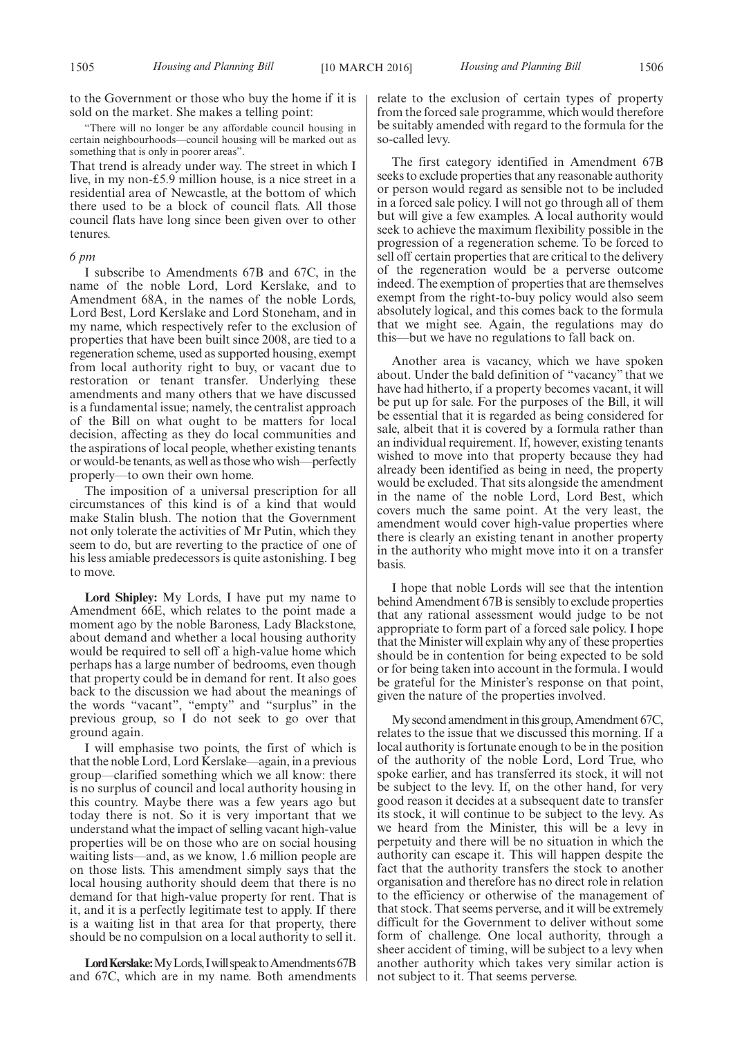to the Government or those who buy the home if it is sold on the market. She makes a telling point:

"There will no longer be any affordable council housing in certain neighbourhoods—council housing will be marked out as something that is only in poorer areas".

That trend is already under way. The street in which I live, in my non-£5.9 million house, is a nice street in a residential area of Newcastle, at the bottom of which there used to be a block of council flats. All those council flats have long since been given over to other tenures.

#### *6 pm*

I subscribe to Amendments 67B and 67C, in the name of the noble Lord, Lord Kerslake, and to Amendment 68A, in the names of the noble Lords, Lord Best, Lord Kerslake and Lord Stoneham, and in my name, which respectively refer to the exclusion of properties that have been built since 2008, are tied to a regeneration scheme, used as supported housing, exempt from local authority right to buy, or vacant due to restoration or tenant transfer. Underlying these amendments and many others that we have discussed is a fundamental issue; namely, the centralist approach of the Bill on what ought to be matters for local decision, affecting as they do local communities and the aspirations of local people, whether existing tenants or would-be tenants, as well as those who wish—perfectly properly—to own their own home.

The imposition of a universal prescription for all circumstances of this kind is of a kind that would make Stalin blush. The notion that the Government not only tolerate the activities of Mr Putin, which they seem to do, but are reverting to the practice of one of his less amiable predecessors is quite astonishing. I beg to move.

**Lord Shipley:** My Lords, I have put my name to Amendment 66E, which relates to the point made a moment ago by the noble Baroness, Lady Blackstone, about demand and whether a local housing authority would be required to sell off a high-value home which perhaps has a large number of bedrooms, even though that property could be in demand for rent. It also goes back to the discussion we had about the meanings of the words "vacant", "empty" and "surplus" in the previous group, so I do not seek to go over that ground again.

I will emphasise two points, the first of which is that the noble Lord, Lord Kerslake—again, in a previous group—clarified something which we all know: there is no surplus of council and local authority housing in this country. Maybe there was a few years ago but today there is not. So it is very important that we understand what the impact of selling vacant high-value properties will be on those who are on social housing waiting lists—and, as we know, 1.6 million people are on those lists. This amendment simply says that the local housing authority should deem that there is no demand for that high-value property for rent. That is it, and it is a perfectly legitimate test to apply. If there is a waiting list in that area for that property, there should be no compulsion on a local authority to sell it.

Lord Kerslake: My Lords, I will speak to Amendments 67B and 67C, which are in my name. Both amendments relate to the exclusion of certain types of property from the forced sale programme, which would therefore be suitably amended with regard to the formula for the so-called levy.

The first category identified in Amendment 67B seeks to exclude properties that any reasonable authority or person would regard as sensible not to be included in a forced sale policy. I will not go through all of them but will give a few examples. A local authority would seek to achieve the maximum flexibility possible in the progression of a regeneration scheme. To be forced to sell off certain properties that are critical to the delivery of the regeneration would be a perverse outcome indeed. The exemption of properties that are themselves exempt from the right-to-buy policy would also seem absolutely logical, and this comes back to the formula that we might see. Again, the regulations may do this—but we have no regulations to fall back on.

Another area is vacancy, which we have spoken about. Under the bald definition of "vacancy" that we have had hitherto, if a property becomes vacant, it will be put up for sale. For the purposes of the Bill, it will be essential that it is regarded as being considered for sale, albeit that it is covered by a formula rather than an individual requirement. If, however, existing tenants wished to move into that property because they had already been identified as being in need, the property would be excluded. That sits alongside the amendment in the name of the noble Lord, Lord Best, which covers much the same point. At the very least, the amendment would cover high-value properties where there is clearly an existing tenant in another property in the authority who might move into it on a transfer basis.

I hope that noble Lords will see that the intention behind Amendment 67B is sensibly to exclude properties that any rational assessment would judge to be not appropriate to form part of a forced sale policy. I hope that the Minister will explain why any of these properties should be in contention for being expected to be sold or for being taken into account in the formula. I would be grateful for the Minister's response on that point, given the nature of the properties involved.

My second amendment in this group, Amendment 67C, relates to the issue that we discussed this morning. If a local authority is fortunate enough to be in the position of the authority of the noble Lord, Lord True, who spoke earlier, and has transferred its stock, it will not be subject to the levy. If, on the other hand, for very good reason it decides at a subsequent date to transfer its stock, it will continue to be subject to the levy. As we heard from the Minister, this will be a levy in perpetuity and there will be no situation in which the authority can escape it. This will happen despite the fact that the authority transfers the stock to another organisation and therefore has no direct role in relation to the efficiency or otherwise of the management of that stock. That seems perverse, and it will be extremely difficult for the Government to deliver without some form of challenge. One local authority, through a sheer accident of timing, will be subject to a levy when another authority which takes very similar action is not subject to it. That seems perverse.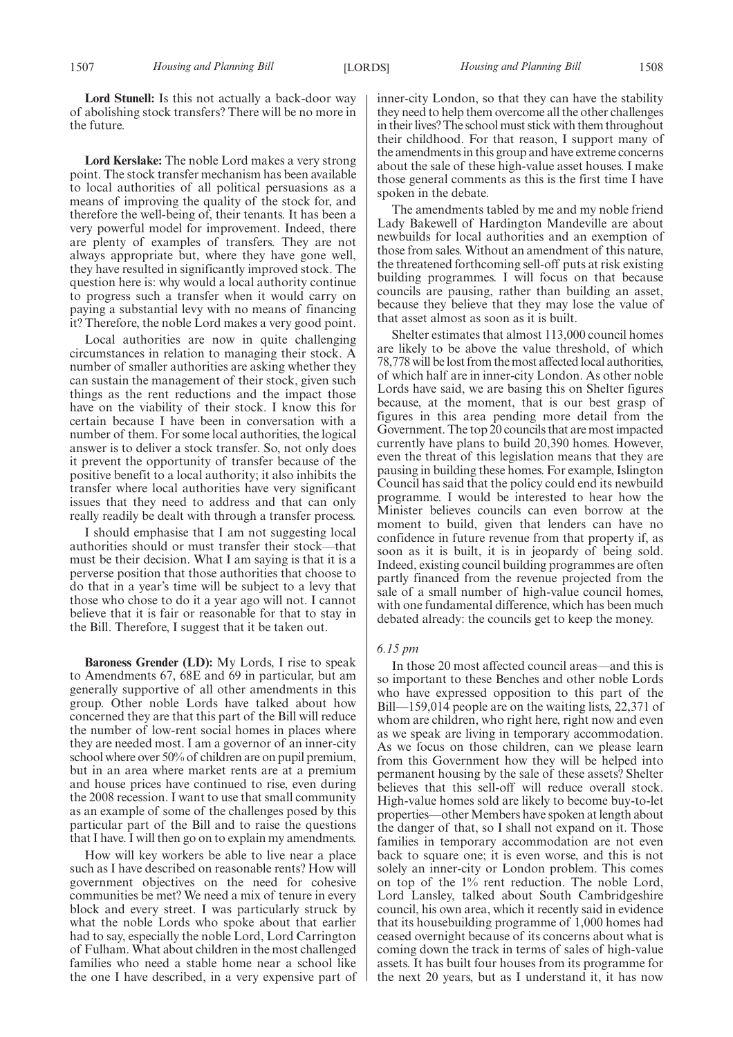**Lord Stunell:** Is this not actually a back-door way of abolishing stock transfers? There will be no more in the future.

**Lord Kerslake:** The noble Lord makes a very strong point. The stock transfer mechanism has been available to local authorities of all political persuasions as a means of improving the quality of the stock for, and therefore the well-being of, their tenants. It has been a very powerful model for improvement. Indeed, there are plenty of examples of transfers. They are not always appropriate but, where they have gone well, they have resulted in significantly improved stock. The question here is: why would a local authority continue to progress such a transfer when it would carry on paying a substantial levy with no means of financing it? Therefore, the noble Lord makes a very good point.

Local authorities are now in quite challenging circumstances in relation to managing their stock. A number of smaller authorities are asking whether they can sustain the management of their stock, given such things as the rent reductions and the impact those have on the viability of their stock. I know this for certain because I have been in conversation with a number of them. For some local authorities, the logical answer is to deliver a stock transfer. So, not only does it prevent the opportunity of transfer because of the positive benefit to a local authority; it also inhibits the transfer where local authorities have very significant issues that they need to address and that can only really readily be dealt with through a transfer process.

I should emphasise that I am not suggesting local authorities should or must transfer their stock—that must be their decision. What I am saying is that it is a perverse position that those authorities that choose to do that in a year's time will be subject to a levy that those who chose to do it a year ago will not. I cannot believe that it is fair or reasonable for that to stay in the Bill. Therefore, I suggest that it be taken out.

**Baroness Grender (LD):** My Lords, I rise to speak to Amendments 67, 68E and 69 in particular, but am generally supportive of all other amendments in this group. Other noble Lords have talked about how concerned they are that this part of the Bill will reduce the number of low-rent social homes in places where they are needed most. I am a governor of an inner-city school where over 50% of children are on pupil premium, but in an area where market rents are at a premium and house prices have continued to rise, even during the 2008 recession. I want to use that small community as an example of some of the challenges posed by this particular part of the Bill and to raise the questions that I have. I will then go on to explain my amendments.

How will key workers be able to live near a place such as I have described on reasonable rents? How will government objectives on the need for cohesive communities be met? We need a mix of tenure in every block and every street. I was particularly struck by what the noble Lords who spoke about that earlier had to say, especially the noble Lord, Lord Carrington of Fulham. What about children in the most challenged families who need a stable home near a school like the one I have described, in a very expensive part of inner-city London, so that they can have the stability they need to help them overcome all the other challenges in their lives? The school must stick with them throughout their childhood. For that reason, I support many of the amendments in this group and have extreme concerns about the sale of these high-value asset houses. I make those general comments as this is the first time I have spoken in the debate.

The amendments tabled by me and my noble friend Lady Bakewell of Hardington Mandeville are about newbuilds for local authorities and an exemption of those from sales. Without an amendment of this nature, the threatened forthcoming sell-off puts at risk existing building programmes. I will focus on that because councils are pausing, rather than building an asset, because they believe that they may lose the value of that asset almost as soon as it is built.

Shelter estimates that almost 113,000 council homes are likely to be above the value threshold, of which 78,778 will be lost from the most affected local authorities, of which half are in inner-city London. As other noble Lords have said, we are basing this on Shelter figures because, at the moment, that is our best grasp of figures in this area pending more detail from the Government. The top 20 councils that are most impacted currently have plans to build 20,390 homes. However, even the threat of this legislation means that they are pausing in building these homes. For example, Islington Council has said that the policy could end its newbuild programme. I would be interested to hear how the Minister believes councils can even borrow at the moment to build, given that lenders can have no confidence in future revenue from that property if, as soon as it is built, it is in jeopardy of being sold. Indeed, existing council building programmes are often partly financed from the revenue projected from the sale of a small number of high-value council homes, with one fundamental difference, which has been much debated already: the councils get to keep the money.

#### *6.15 pm*

In those 20 most affected council areas—and this is so important to these Benches and other noble Lords who have expressed opposition to this part of the Bill—159,014 people are on the waiting lists, 22,371 of whom are children, who right here, right now and even as we speak are living in temporary accommodation. As we focus on those children, can we please learn from this Government how they will be helped into permanent housing by the sale of these assets? Shelter believes that this sell-off will reduce overall stock. High-value homes sold are likely to become buy-to-let properties—other Members have spoken at length about the danger of that, so I shall not expand on it. Those families in temporary accommodation are not even back to square one; it is even worse, and this is not solely an inner-city or London problem. This comes on top of the 1% rent reduction. The noble Lord, Lord Lansley, talked about South Cambridgeshire council, his own area, which it recently said in evidence that its housebuilding programme of 1,000 homes had ceased overnight because of its concerns about what is coming down the track in terms of sales of high-value assets. It has built four houses from its programme for the next 20 years, but as I understand it, it has now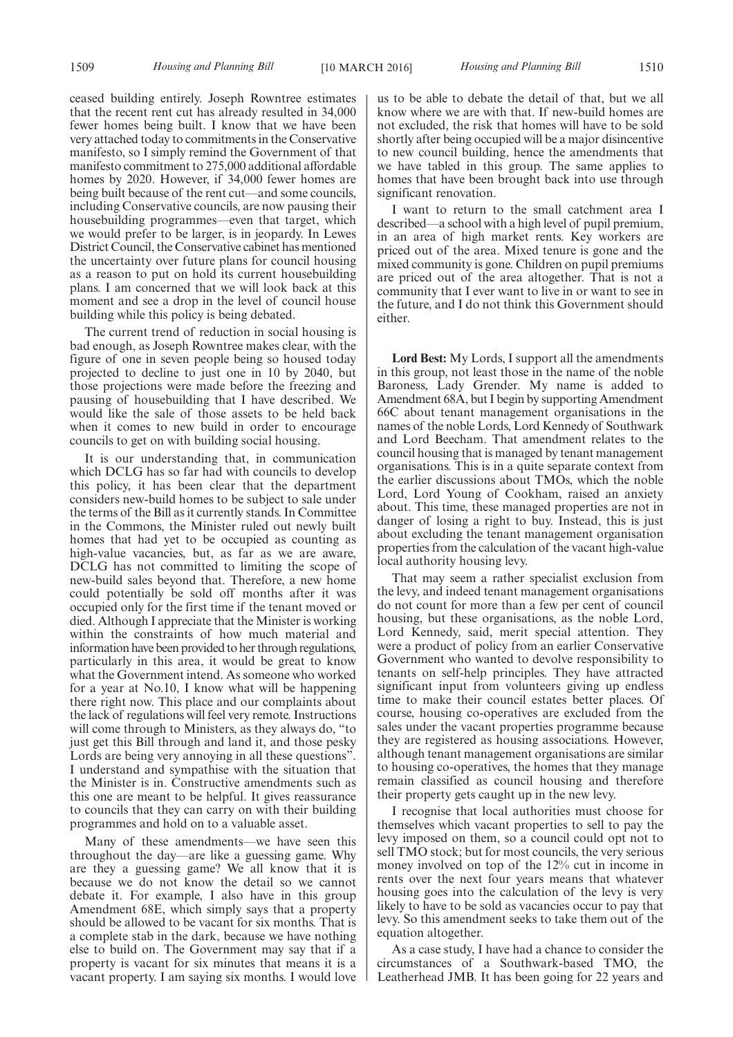ceased building entirely. Joseph Rowntree estimates that the recent rent cut has already resulted in 34,000 fewer homes being built. I know that we have been very attached today to commitments in the Conservative manifesto, so I simply remind the Government of that manifesto commitment to 275,000 additional affordable homes by 2020. However, if 34,000 fewer homes are being built because of the rent cut—and some councils, including Conservative councils, are now pausing their housebuilding programmes—even that target, which we would prefer to be larger, is in jeopardy. In Lewes District Council, the Conservative cabinet has mentioned the uncertainty over future plans for council housing as a reason to put on hold its current housebuilding plans. I am concerned that we will look back at this moment and see a drop in the level of council house building while this policy is being debated.

The current trend of reduction in social housing is bad enough, as Joseph Rowntree makes clear, with the figure of one in seven people being so housed today projected to decline to just one in 10 by 2040, but those projections were made before the freezing and pausing of housebuilding that I have described. We would like the sale of those assets to be held back when it comes to new build in order to encourage councils to get on with building social housing.

It is our understanding that, in communication which DCLG has so far had with councils to develop this policy, it has been clear that the department considers new-build homes to be subject to sale under the terms of the Bill as it currently stands. In Committee in the Commons, the Minister ruled out newly built homes that had yet to be occupied as counting as high-value vacancies, but, as far as we are aware, DCLG has not committed to limiting the scope of new-build sales beyond that. Therefore, a new home could potentially be sold off months after it was occupied only for the first time if the tenant moved or died. Although I appreciate that the Minister is working within the constraints of how much material and information have been provided to her through regulations, particularly in this area, it would be great to know what the Government intend. As someone who worked for a year at No.10, I know what will be happening there right now. This place and our complaints about the lack of regulations will feel very remote. Instructions will come through to Ministers, as they always do, "to just get this Bill through and land it, and those pesky Lords are being very annoying in all these questions". I understand and sympathise with the situation that the Minister is in. Constructive amendments such as this one are meant to be helpful. It gives reassurance to councils that they can carry on with their building programmes and hold on to a valuable asset.

Many of these amendments—we have seen this throughout the day—are like a guessing game. Why are they a guessing game? We all know that it is because we do not know the detail so we cannot debate it. For example, I also have in this group Amendment 68E, which simply says that a property should be allowed to be vacant for six months. That is a complete stab in the dark, because we have nothing else to build on. The Government may say that if a property is vacant for six minutes that means it is a vacant property. I am saying six months. I would love us to be able to debate the detail of that, but we all know where we are with that. If new-build homes are not excluded, the risk that homes will have to be sold shortly after being occupied will be a major disincentive to new council building, hence the amendments that we have tabled in this group. The same applies to homes that have been brought back into use through significant renovation.

I want to return to the small catchment area I described—a school with a high level of pupil premium, in an area of high market rents. Key workers are priced out of the area. Mixed tenure is gone and the mixed community is gone. Children on pupil premiums are priced out of the area altogether. That is not a community that I ever want to live in or want to see in the future, and I do not think this Government should either.

**Lord Best:** My Lords, I support all the amendments in this group, not least those in the name of the noble Baroness, Lady Grender. My name is added to Amendment 68A, but I begin by supporting Amendment 66C about tenant management organisations in the names of the noble Lords, Lord Kennedy of Southwark and Lord Beecham. That amendment relates to the council housing that is managed by tenant management organisations. This is in a quite separate context from the earlier discussions about TMOs, which the noble Lord, Lord Young of Cookham, raised an anxiety about. This time, these managed properties are not in danger of losing a right to buy. Instead, this is just about excluding the tenant management organisation properties from the calculation of the vacant high-value local authority housing levy.

That may seem a rather specialist exclusion from the levy, and indeed tenant management organisations do not count for more than a few per cent of council housing, but these organisations, as the noble Lord, Lord Kennedy, said, merit special attention. They were a product of policy from an earlier Conservative Government who wanted to devolve responsibility to tenants on self-help principles. They have attracted significant input from volunteers giving up endless time to make their council estates better places. Of course, housing co-operatives are excluded from the sales under the vacant properties programme because they are registered as housing associations. However, although tenant management organisations are similar to housing co-operatives, the homes that they manage remain classified as council housing and therefore their property gets caught up in the new levy.

I recognise that local authorities must choose for themselves which vacant properties to sell to pay the levy imposed on them, so a council could opt not to sell TMO stock; but for most councils, the very serious money involved on top of the 12% cut in income in rents over the next four years means that whatever housing goes into the calculation of the levy is very likely to have to be sold as vacancies occur to pay that levy. So this amendment seeks to take them out of the equation altogether.

As a case study, I have had a chance to consider the circumstances of a Southwark-based TMO, the Leatherhead JMB. It has been going for 22 years and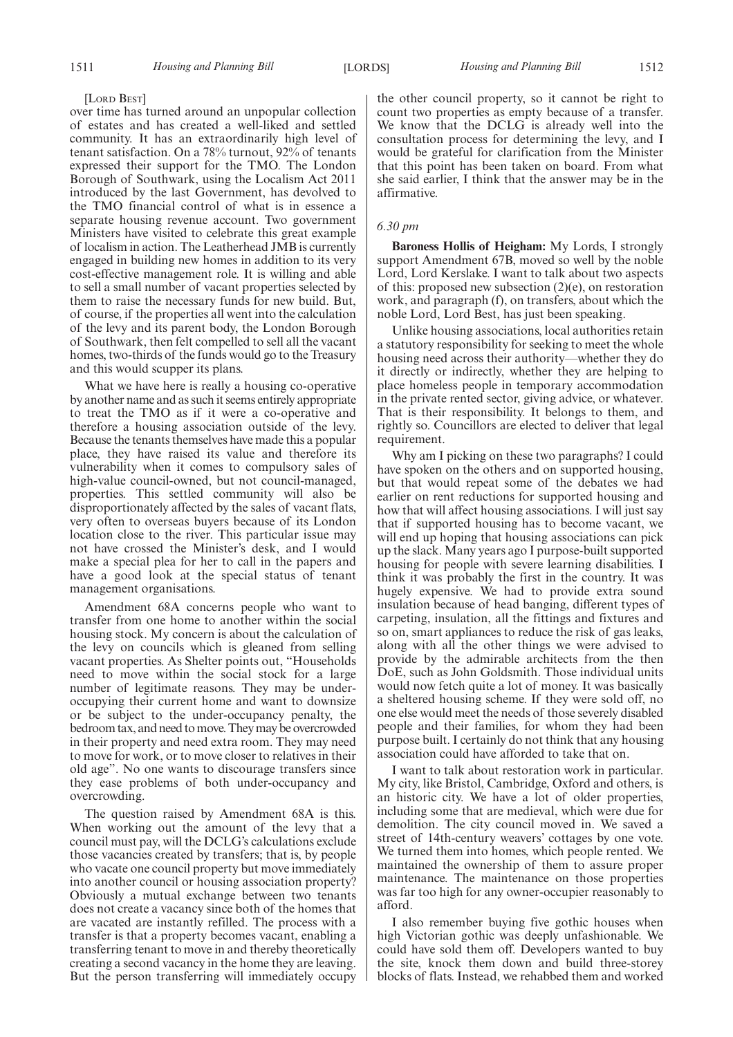[LORD BEST]

over time has turned around an unpopular collection of estates and has created a well-liked and settled community. It has an extraordinarily high level of tenant satisfaction. On a 78% turnout, 92% of tenants expressed their support for the TMO. The London Borough of Southwark, using the Localism Act 2011 introduced by the last Government, has devolved to the TMO financial control of what is in essence a separate housing revenue account. Two government Ministers have visited to celebrate this great example of localism in action. The Leatherhead JMB is currently engaged in building new homes in addition to its very cost-effective management role. It is willing and able to sell a small number of vacant properties selected by them to raise the necessary funds for new build. But, of course, if the properties all went into the calculation of the levy and its parent body, the London Borough of Southwark, then felt compelled to sell all the vacant homes, two-thirds of the funds would go to the Treasury and this would scupper its plans.

What we have here is really a housing co-operative by another name and as such it seems entirely appropriate to treat the TMO as if it were a co-operative and therefore a housing association outside of the levy. Because the tenants themselves have made this a popular place, they have raised its value and therefore its vulnerability when it comes to compulsory sales of high-value council-owned, but not council-managed, properties. This settled community will also be disproportionately affected by the sales of vacant flats, very often to overseas buyers because of its London location close to the river. This particular issue may not have crossed the Minister's desk, and I would make a special plea for her to call in the papers and have a good look at the special status of tenant management organisations.

Amendment 68A concerns people who want to transfer from one home to another within the social housing stock. My concern is about the calculation of the levy on councils which is gleaned from selling vacant properties. As Shelter points out, "Households need to move within the social stock for a large number of legitimate reasons. They may be underoccupying their current home and want to downsize or be subject to the under-occupancy penalty, the bedroom tax, and need tomove. Theymay be overcrowded in their property and need extra room. They may need to move for work, or to move closer to relatives in their old age". No one wants to discourage transfers since they ease problems of both under-occupancy and overcrowding.

The question raised by Amendment 68A is this. When working out the amount of the levy that a council must pay, will the DCLG's calculations exclude those vacancies created by transfers; that is, by people who vacate one council property but move immediately into another council or housing association property? Obviously a mutual exchange between two tenants does not create a vacancy since both of the homes that are vacated are instantly refilled. The process with a transfer is that a property becomes vacant, enabling a transferring tenant to move in and thereby theoretically creating a second vacancy in the home they are leaving. But the person transferring will immediately occupy

the other council property, so it cannot be right to count two properties as empty because of a transfer. We know that the DCLG is already well into the consultation process for determining the levy, and I would be grateful for clarification from the Minister that this point has been taken on board. From what she said earlier, I think that the answer may be in the affirmative.

#### *6.30 pm*

**Baroness Hollis of Heigham:** My Lords, I strongly support Amendment 67B, moved so well by the noble Lord, Lord Kerslake. I want to talk about two aspects of this: proposed new subsection (2)(e), on restoration work, and paragraph (f), on transfers, about which the noble Lord, Lord Best, has just been speaking.

Unlike housing associations, local authorities retain a statutory responsibility for seeking to meet the whole housing need across their authority—whether they do it directly or indirectly, whether they are helping to place homeless people in temporary accommodation in the private rented sector, giving advice, or whatever. That is their responsibility. It belongs to them, and rightly so. Councillors are elected to deliver that legal requirement.

Why am I picking on these two paragraphs? I could have spoken on the others and on supported housing, but that would repeat some of the debates we had earlier on rent reductions for supported housing and how that will affect housing associations. I will just say that if supported housing has to become vacant, we will end up hoping that housing associations can pick up the slack. Many years ago I purpose-built supported housing for people with severe learning disabilities. I think it was probably the first in the country. It was hugely expensive. We had to provide extra sound insulation because of head banging, different types of carpeting, insulation, all the fittings and fixtures and so on, smart appliances to reduce the risk of gas leaks, along with all the other things we were advised to provide by the admirable architects from the then DoE, such as John Goldsmith. Those individual units would now fetch quite a lot of money. It was basically a sheltered housing scheme. If they were sold off, no one else would meet the needs of those severely disabled people and their families, for whom they had been purpose built. I certainly do not think that any housing association could have afforded to take that on.

I want to talk about restoration work in particular. My city, like Bristol, Cambridge, Oxford and others, is an historic city. We have a lot of older properties, including some that are medieval, which were due for demolition. The city council moved in. We saved a street of 14th-century weavers' cottages by one vote. We turned them into homes, which people rented. We maintained the ownership of them to assure proper maintenance. The maintenance on those properties was far too high for any owner-occupier reasonably to afford.

I also remember buying five gothic houses when high Victorian gothic was deeply unfashionable. We could have sold them off. Developers wanted to buy the site, knock them down and build three-storey blocks of flats. Instead, we rehabbed them and worked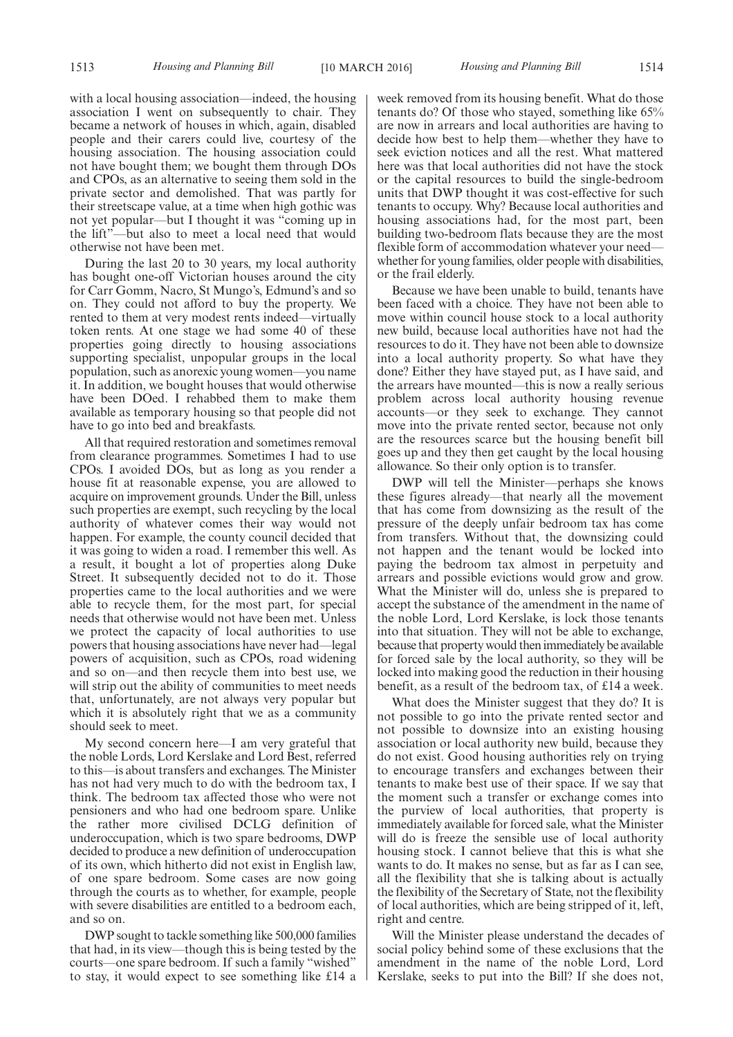with a local housing association—indeed, the housing association I went on subsequently to chair. They became a network of houses in which, again, disabled people and their carers could live, courtesy of the housing association. The housing association could not have bought them; we bought them through DOs and CPOs, as an alternative to seeing them sold in the private sector and demolished. That was partly for their streetscape value, at a time when high gothic was not yet popular—but I thought it was "coming up in the lift"—but also to meet a local need that would otherwise not have been met.

During the last 20 to 30 years, my local authority has bought one-off Victorian houses around the city for Carr Gomm, Nacro, St Mungo's, Edmund's and so on. They could not afford to buy the property. We rented to them at very modest rents indeed—virtually token rents. At one stage we had some 40 of these properties going directly to housing associations supporting specialist, unpopular groups in the local population, such as anorexic young women—you name it. In addition, we bought houses that would otherwise have been DOed. I rehabbed them to make them available as temporary housing so that people did not have to go into bed and breakfasts.

All that required restoration and sometimes removal from clearance programmes. Sometimes I had to use CPOs. I avoided DOs, but as long as you render a house fit at reasonable expense, you are allowed to acquire on improvement grounds. Under the Bill, unless such properties are exempt, such recycling by the local authority of whatever comes their way would not happen. For example, the county council decided that it was going to widen a road. I remember this well. As a result, it bought a lot of properties along Duke Street. It subsequently decided not to do it. Those properties came to the local authorities and we were able to recycle them, for the most part, for special needs that otherwise would not have been met. Unless we protect the capacity of local authorities to use powers that housing associations have never had—legal powers of acquisition, such as CPOs, road widening and so on—and then recycle them into best use, we will strip out the ability of communities to meet needs that, unfortunately, are not always very popular but which it is absolutely right that we as a community should seek to meet.

My second concern here—I am very grateful that the noble Lords, Lord Kerslake and Lord Best, referred to this—is about transfers and exchanges. The Minister has not had very much to do with the bedroom tax, I think. The bedroom tax affected those who were not pensioners and who had one bedroom spare. Unlike the rather more civilised DCLG definition of underoccupation, which is two spare bedrooms, DWP decided to produce a new definition of underoccupation of its own, which hitherto did not exist in English law, of one spare bedroom. Some cases are now going through the courts as to whether, for example, people with severe disabilities are entitled to a bedroom each, and so on.

DWP sought to tackle something like 500,000 families that had, in its view—though this is being tested by the courts—one spare bedroom. If such a family "wished" to stay, it would expect to see something like £14 a week removed from its housing benefit. What do those tenants do? Of those who stayed, something like 65% are now in arrears and local authorities are having to decide how best to help them—whether they have to seek eviction notices and all the rest. What mattered here was that local authorities did not have the stock or the capital resources to build the single-bedroom units that DWP thought it was cost-effective for such tenants to occupy. Why? Because local authorities and housing associations had, for the most part, been building two-bedroom flats because they are the most flexible form of accommodation whatever your need whether for young families, older people with disabilities, or the frail elderly.

Because we have been unable to build, tenants have been faced with a choice. They have not been able to move within council house stock to a local authority new build, because local authorities have not had the resources to do it. They have not been able to downsize into a local authority property. So what have they done? Either they have stayed put, as I have said, and the arrears have mounted—this is now a really serious problem across local authority housing revenue accounts—or they seek to exchange. They cannot move into the private rented sector, because not only are the resources scarce but the housing benefit bill goes up and they then get caught by the local housing allowance. So their only option is to transfer.

DWP will tell the Minister—perhaps she knows these figures already—that nearly all the movement that has come from downsizing as the result of the pressure of the deeply unfair bedroom tax has come from transfers. Without that, the downsizing could not happen and the tenant would be locked into paying the bedroom tax almost in perpetuity and arrears and possible evictions would grow and grow. What the Minister will do, unless she is prepared to accept the substance of the amendment in the name of the noble Lord, Lord Kerslake, is lock those tenants into that situation. They will not be able to exchange, because that property would then immediately be available for forced sale by the local authority, so they will be locked into making good the reduction in their housing benefit, as a result of the bedroom tax, of £14 a week.

What does the Minister suggest that they do? It is not possible to go into the private rented sector and not possible to downsize into an existing housing association or local authority new build, because they do not exist. Good housing authorities rely on trying to encourage transfers and exchanges between their tenants to make best use of their space. If we say that the moment such a transfer or exchange comes into the purview of local authorities, that property is immediately available for forced sale, what the Minister will do is freeze the sensible use of local authority housing stock. I cannot believe that this is what she wants to do. It makes no sense, but as far as I can see, all the flexibility that she is talking about is actually the flexibility of the Secretary of State, not the flexibility of local authorities, which are being stripped of it, left, right and centre.

Will the Minister please understand the decades of social policy behind some of these exclusions that the amendment in the name of the noble Lord, Lord Kerslake, seeks to put into the Bill? If she does not,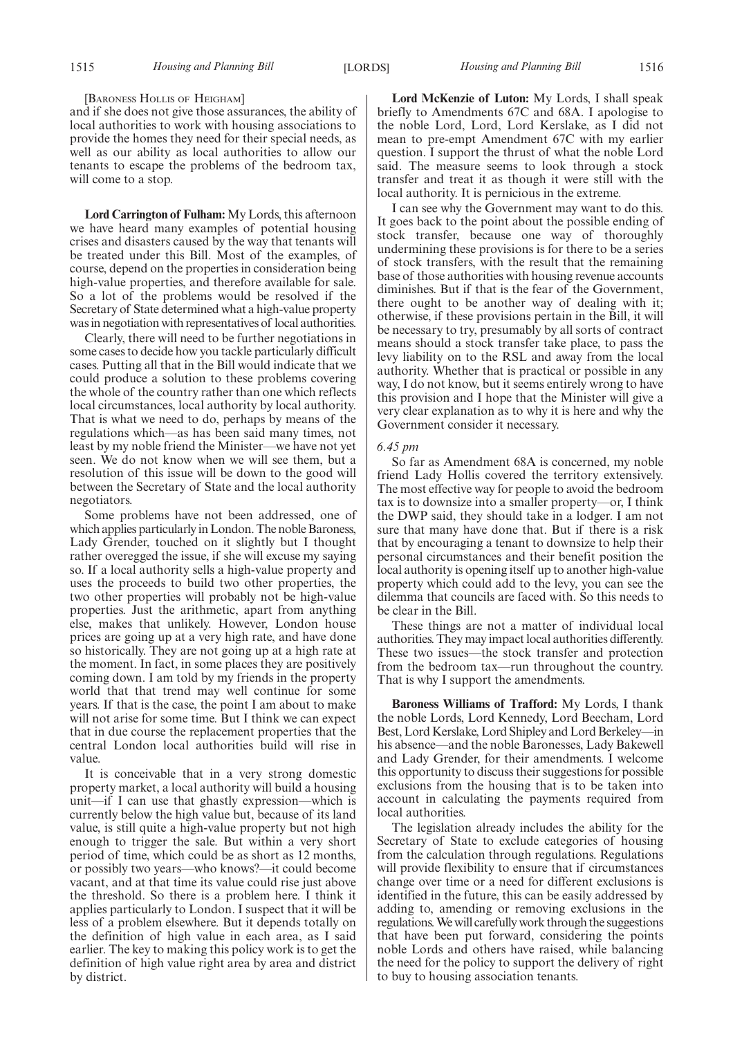#### [BARONESS HOLLIS OF HEIGHAM]

and if she does not give those assurances, the ability of local authorities to work with housing associations to provide the homes they need for their special needs, as well as our ability as local authorities to allow our tenants to escape the problems of the bedroom tax, will come to a stop.

**Lord Carrington of Fulham:** My Lords, this afternoon we have heard many examples of potential housing crises and disasters caused by the way that tenants will be treated under this Bill. Most of the examples, of course, depend on the properties in consideration being high-value properties, and therefore available for sale. So a lot of the problems would be resolved if the Secretary of State determined what a high-value property was in negotiation with representatives of local authorities.

Clearly, there will need to be further negotiations in some cases to decide how you tackle particularly difficult cases. Putting all that in the Bill would indicate that we could produce a solution to these problems covering the whole of the country rather than one which reflects local circumstances, local authority by local authority. That is what we need to do, perhaps by means of the regulations which—as has been said many times, not least by my noble friend the Minister—we have not yet seen. We do not know when we will see them, but a resolution of this issue will be down to the good will between the Secretary of State and the local authority negotiators.

Some problems have not been addressed, one of which applies particularly in London. The noble Baroness, Lady Grender, touched on it slightly but I thought rather overegged the issue, if she will excuse my saying so. If a local authority sells a high-value property and uses the proceeds to build two other properties, the two other properties will probably not be high-value properties. Just the arithmetic, apart from anything else, makes that unlikely. However, London house prices are going up at a very high rate, and have done so historically. They are not going up at a high rate at the moment. In fact, in some places they are positively coming down. I am told by my friends in the property world that that trend may well continue for some years. If that is the case, the point I am about to make will not arise for some time. But I think we can expect that in due course the replacement properties that the central London local authorities build will rise in value.

It is conceivable that in a very strong domestic property market, a local authority will build a housing unit—if I can use that ghastly expression—which is currently below the high value but, because of its land value, is still quite a high-value property but not high enough to trigger the sale. But within a very short period of time, which could be as short as 12 months, or possibly two years—who knows?—it could become vacant, and at that time its value could rise just above the threshold. So there is a problem here. I think it applies particularly to London. I suspect that it will be less of a problem elsewhere. But it depends totally on the definition of high value in each area, as I said earlier. The key to making this policy work is to get the definition of high value right area by area and district by district.

**Lord McKenzie of Luton:** My Lords, I shall speak briefly to Amendments 67C and 68A. I apologise to the noble Lord, Lord, Lord Kerslake, as I did not mean to pre-empt Amendment 67C with my earlier question. I support the thrust of what the noble Lord said. The measure seems to look through a stock transfer and treat it as though it were still with the local authority. It is pernicious in the extreme.

I can see why the Government may want to do this. It goes back to the point about the possible ending of stock transfer, because one way of thoroughly undermining these provisions is for there to be a series of stock transfers, with the result that the remaining base of those authorities with housing revenue accounts diminishes. But if that is the fear of the Government, there ought to be another way of dealing with it; otherwise, if these provisions pertain in the Bill, it will be necessary to try, presumably by all sorts of contract means should a stock transfer take place, to pass the levy liability on to the RSL and away from the local authority. Whether that is practical or possible in any way, I do not know, but it seems entirely wrong to have this provision and I hope that the Minister will give a very clear explanation as to why it is here and why the Government consider it necessary.

#### *6.45 pm*

So far as Amendment 68A is concerned, my noble friend Lady Hollis covered the territory extensively. The most effective way for people to avoid the bedroom tax is to downsize into a smaller property—or, I think the DWP said, they should take in a lodger. I am not sure that many have done that. But if there is a risk that by encouraging a tenant to downsize to help their personal circumstances and their benefit position the local authority is opening itself up to another high-value property which could add to the levy, you can see the dilemma that councils are faced with. So this needs to be clear in the Bill.

These things are not a matter of individual local authorities. They may impact local authorities differently. These two issues—the stock transfer and protection from the bedroom tax—run throughout the country. That is why I support the amendments.

**Baroness Williams of Trafford:** My Lords, I thank the noble Lords, Lord Kennedy, Lord Beecham, Lord Best, Lord Kerslake, Lord Shipley and Lord Berkeley—in his absence—and the noble Baronesses, Lady Bakewell and Lady Grender, for their amendments. I welcome this opportunity to discuss their suggestions for possible exclusions from the housing that is to be taken into account in calculating the payments required from local authorities.

The legislation already includes the ability for the Secretary of State to exclude categories of housing from the calculation through regulations. Regulations will provide flexibility to ensure that if circumstances change over time or a need for different exclusions is identified in the future, this can be easily addressed by adding to, amending or removing exclusions in the regulations.We will carefully work through the suggestions that have been put forward, considering the points noble Lords and others have raised, while balancing the need for the policy to support the delivery of right to buy to housing association tenants.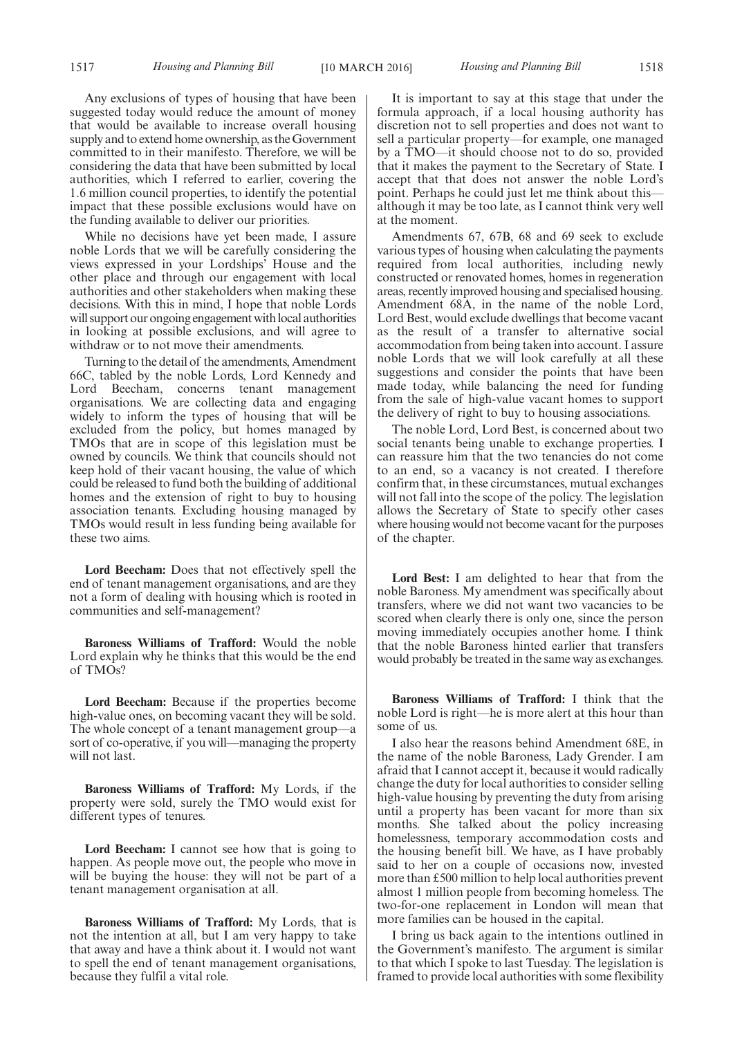Any exclusions of types of housing that have been suggested today would reduce the amount of money that would be available to increase overall housing supply and to extend home ownership, as the Government committed to in their manifesto. Therefore, we will be considering the data that have been submitted by local authorities, which I referred to earlier, covering the 1.6 million council properties, to identify the potential impact that these possible exclusions would have on the funding available to deliver our priorities.

While no decisions have yet been made, I assure noble Lords that we will be carefully considering the views expressed in your Lordships' House and the other place and through our engagement with local authorities and other stakeholders when making these decisions. With this in mind, I hope that noble Lords will support our ongoing engagement with local authorities in looking at possible exclusions, and will agree to withdraw or to not move their amendments.

Turning to the detail of the amendments, Amendment 66C, tabled by the noble Lords, Lord Kennedy and Lord Beecham, concerns tenant management organisations. We are collecting data and engaging widely to inform the types of housing that will be excluded from the policy, but homes managed by TMOs that are in scope of this legislation must be owned by councils. We think that councils should not keep hold of their vacant housing, the value of which could be released to fund both the building of additional homes and the extension of right to buy to housing association tenants. Excluding housing managed by TMOs would result in less funding being available for these two aims.

**Lord Beecham:** Does that not effectively spell the end of tenant management organisations, and are they not a form of dealing with housing which is rooted in communities and self-management?

**Baroness Williams of Trafford:** Would the noble Lord explain why he thinks that this would be the end of TMOs?

**Lord Beecham:** Because if the properties become high-value ones, on becoming vacant they will be sold. The whole concept of a tenant management group—a sort of co-operative, if you will—managing the property will not last.

**Baroness Williams of Trafford:** My Lords, if the property were sold, surely the TMO would exist for different types of tenures.

**Lord Beecham:** I cannot see how that is going to happen. As people move out, the people who move in will be buying the house: they will not be part of a tenant management organisation at all.

**Baroness Williams of Trafford:** My Lords, that is not the intention at all, but I am very happy to take that away and have a think about it. I would not want to spell the end of tenant management organisations, because they fulfil a vital role.

It is important to say at this stage that under the formula approach, if a local housing authority has discretion not to sell properties and does not want to sell a particular property—for example, one managed by a TMO—it should choose not to do so, provided that it makes the payment to the Secretary of State. I accept that that does not answer the noble Lord's point. Perhaps he could just let me think about this although it may be too late, as I cannot think very well at the moment.

Amendments 67, 67B, 68 and 69 seek to exclude various types of housing when calculating the payments required from local authorities, including newly constructed or renovated homes, homes in regeneration areas, recently improved housing and specialised housing. Amendment 68A, in the name of the noble Lord, Lord Best, would exclude dwellings that become vacant as the result of a transfer to alternative social accommodation from being taken into account. I assure noble Lords that we will look carefully at all these suggestions and consider the points that have been made today, while balancing the need for funding from the sale of high-value vacant homes to support the delivery of right to buy to housing associations.

The noble Lord, Lord Best, is concerned about two social tenants being unable to exchange properties. I can reassure him that the two tenancies do not come to an end, so a vacancy is not created. I therefore confirm that, in these circumstances, mutual exchanges will not fall into the scope of the policy. The legislation allows the Secretary of State to specify other cases where housing would not become vacant for the purposes of the chapter.

**Lord Best:** I am delighted to hear that from the noble Baroness. My amendment was specifically about transfers, where we did not want two vacancies to be scored when clearly there is only one, since the person moving immediately occupies another home. I think that the noble Baroness hinted earlier that transfers would probably be treated in the same way as exchanges.

**Baroness Williams of Trafford:** I think that the noble Lord is right—he is more alert at this hour than some of us.

I also hear the reasons behind Amendment 68E, in the name of the noble Baroness, Lady Grender. I am afraid that I cannot accept it, because it would radically change the duty for local authorities to consider selling high-value housing by preventing the duty from arising until a property has been vacant for more than six months. She talked about the policy increasing homelessness, temporary accommodation costs and the housing benefit bill. We have, as I have probably said to her on a couple of occasions now, invested more than £500 million to help local authorities prevent almost 1 million people from becoming homeless. The two-for-one replacement in London will mean that more families can be housed in the capital.

I bring us back again to the intentions outlined in the Government's manifesto. The argument is similar to that which I spoke to last Tuesday. The legislation is framed to provide local authorities with some flexibility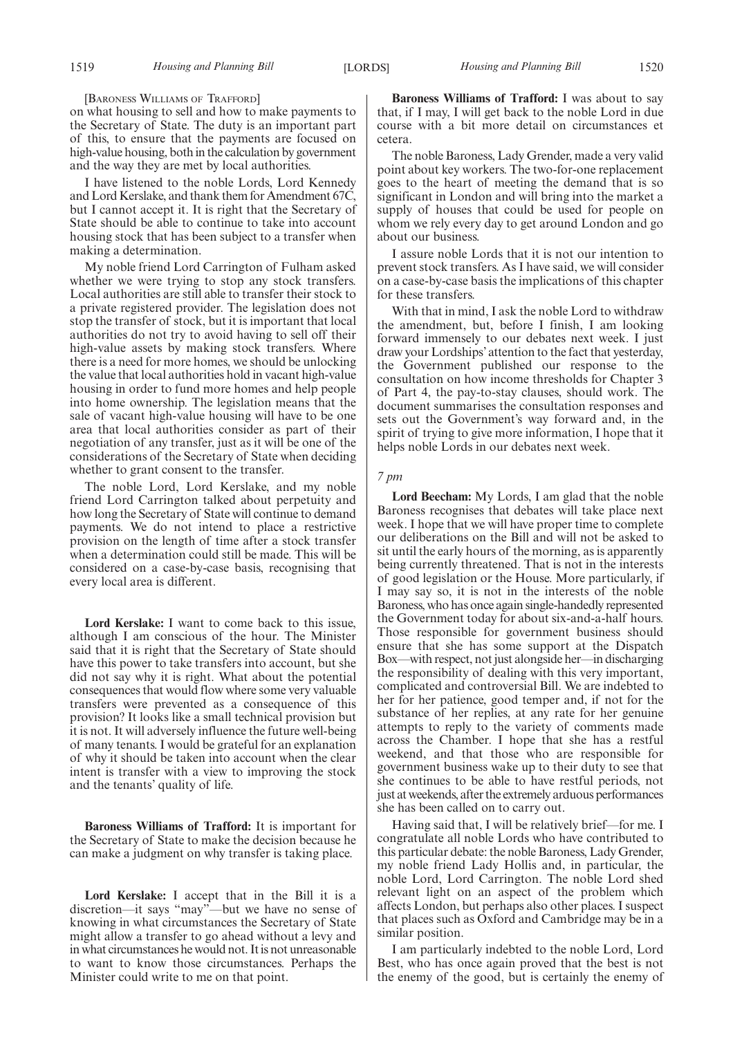[BARONESS WILLIAMS OF TRAFFORD]

on what housing to sell and how to make payments to the Secretary of State. The duty is an important part of this, to ensure that the payments are focused on high-value housing, both in the calculation by government and the way they are met by local authorities.

I have listened to the noble Lords, Lord Kennedy and Lord Kerslake, and thank them for Amendment 67C, but I cannot accept it. It is right that the Secretary of State should be able to continue to take into account housing stock that has been subject to a transfer when making a determination.

My noble friend Lord Carrington of Fulham asked whether we were trying to stop any stock transfers. Local authorities are still able to transfer their stock to a private registered provider. The legislation does not stop the transfer of stock, but it is important that local authorities do not try to avoid having to sell off their high-value assets by making stock transfers. Where there is a need for more homes, we should be unlocking the value that local authorities hold in vacant high-value housing in order to fund more homes and help people into home ownership. The legislation means that the sale of vacant high-value housing will have to be one area that local authorities consider as part of their negotiation of any transfer, just as it will be one of the considerations of the Secretary of State when deciding whether to grant consent to the transfer.

The noble Lord, Lord Kerslake, and my noble friend Lord Carrington talked about perpetuity and how long the Secretary of State will continue to demand payments. We do not intend to place a restrictive provision on the length of time after a stock transfer when a determination could still be made. This will be considered on a case-by-case basis, recognising that every local area is different.

**Lord Kerslake:** I want to come back to this issue, although I am conscious of the hour. The Minister said that it is right that the Secretary of State should have this power to take transfers into account, but she did not say why it is right. What about the potential consequences that would flow where some very valuable transfers were prevented as a consequence of this provision? It looks like a small technical provision but it is not. It will adversely influence the future well-being of many tenants. I would be grateful for an explanation of why it should be taken into account when the clear intent is transfer with a view to improving the stock and the tenants' quality of life.

**Baroness Williams of Trafford:** It is important for the Secretary of State to make the decision because he can make a judgment on why transfer is taking place.

**Lord Kerslake:** I accept that in the Bill it is a discretion—it says "may"—but we have no sense of knowing in what circumstances the Secretary of State might allow a transfer to go ahead without a levy and in what circumstances he would not. It is not unreasonable to want to know those circumstances. Perhaps the Minister could write to me on that point.

**Baroness Williams of Trafford:** I was about to say that, if I may, I will get back to the noble Lord in due course with a bit more detail on circumstances et cetera.

The noble Baroness, Lady Grender, made a very valid point about key workers. The two-for-one replacement goes to the heart of meeting the demand that is so significant in London and will bring into the market a supply of houses that could be used for people on whom we rely every day to get around London and go about our business.

I assure noble Lords that it is not our intention to prevent stock transfers. As I have said, we will consider on a case-by-case basis the implications of this chapter for these transfers.

With that in mind, I ask the noble Lord to withdraw the amendment, but, before I finish, I am looking forward immensely to our debates next week. I just draw your Lordships' attention to the fact that yesterday, the Government published our response to the consultation on how income thresholds for Chapter 3 of Part 4, the pay-to-stay clauses, should work. The document summarises the consultation responses and sets out the Government's way forward and, in the spirit of trying to give more information, I hope that it helps noble Lords in our debates next week.

#### *7 pm*

**Lord Beecham:** My Lords, I am glad that the noble Baroness recognises that debates will take place next week. I hope that we will have proper time to complete our deliberations on the Bill and will not be asked to sit until the early hours of the morning, as is apparently being currently threatened. That is not in the interests of good legislation or the House. More particularly, if I may say so, it is not in the interests of the noble Baroness, who has once again single-handedly represented the Government today for about six-and-a-half hours. Those responsible for government business should ensure that she has some support at the Dispatch Box—with respect, not just alongside her—in discharging the responsibility of dealing with this very important, complicated and controversial Bill. We are indebted to her for her patience, good temper and, if not for the substance of her replies, at any rate for her genuine attempts to reply to the variety of comments made across the Chamber. I hope that she has a restful weekend, and that those who are responsible for government business wake up to their duty to see that she continues to be able to have restful periods, not just at weekends, after the extremely arduous performances she has been called on to carry out.

Having said that, I will be relatively brief—for me. I congratulate all noble Lords who have contributed to this particular debate: the noble Baroness, Lady Grender, my noble friend Lady Hollis and, in particular, the noble Lord, Lord Carrington. The noble Lord shed relevant light on an aspect of the problem which affects London, but perhaps also other places. I suspect that places such as Oxford and Cambridge may be in a similar position.

I am particularly indebted to the noble Lord, Lord Best, who has once again proved that the best is not the enemy of the good, but is certainly the enemy of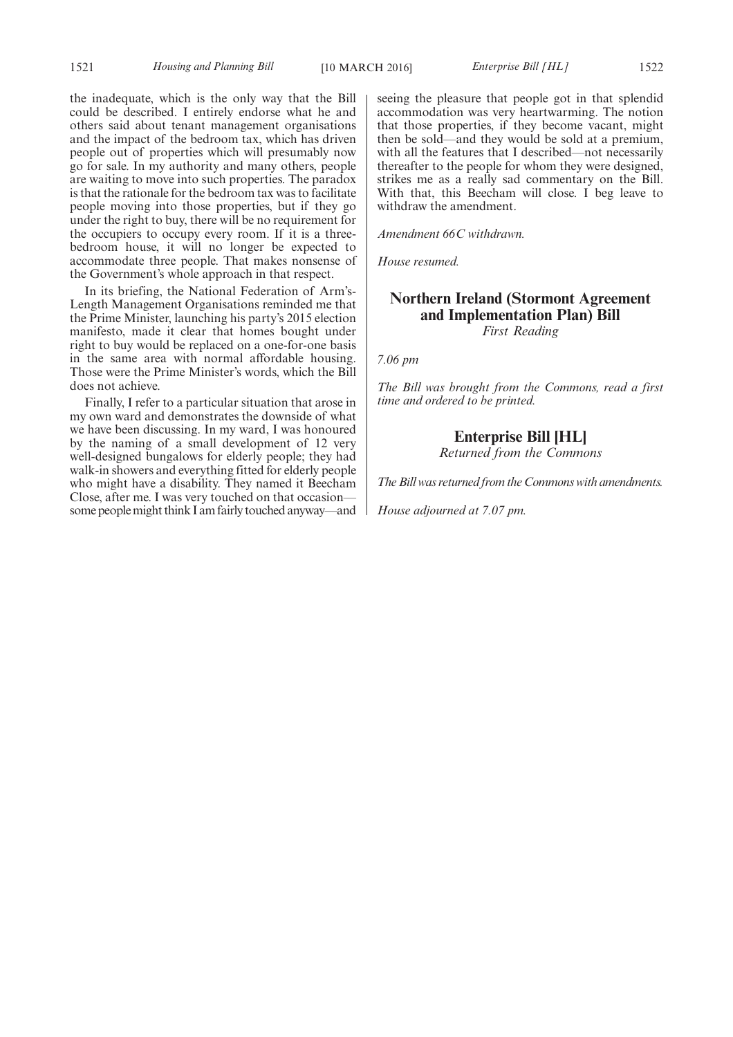the inadequate, which is the only way that the Bill could be described. I entirely endorse what he and others said about tenant management organisations and the impact of the bedroom tax, which has driven people out of properties which will presumably now go for sale. In my authority and many others, people are waiting to move into such properties. The paradox is that the rationale for the bedroom tax was to facilitate people moving into those properties, but if they go under the right to buy, there will be no requirement for the occupiers to occupy every room. If it is a threebedroom house, it will no longer be expected to accommodate three people. That makes nonsense of the Government's whole approach in that respect.

In its briefing, the National Federation of Arm's-Length Management Organisations reminded me that the Prime Minister, launching his party's 2015 election manifesto, made it clear that homes bought under right to buy would be replaced on a one-for-one basis in the same area with normal affordable housing. Those were the Prime Minister's words, which the Bill does not achieve.

Finally, I refer to a particular situation that arose in my own ward and demonstrates the downside of what we have been discussing. In my ward, I was honoured by the naming of a small development of 12 very well-designed bungalows for elderly people; they had walk-in showers and everything fitted for elderly people who might have a disability. They named it Beecham Close, after me. I was very touched on that occasion some peoplemight think I am fairly touched anyway—and seeing the pleasure that people got in that splendid accommodation was very heartwarming. The notion that those properties, if they become vacant, might then be sold—and they would be sold at a premium, with all the features that I described—not necessarily thereafter to the people for whom they were designed, strikes me as a really sad commentary on the Bill. With that, this Beecham will close. I beg leave to withdraw the amendment.

*Amendment 66C withdrawn.*

*House resumed.*

### **Northern Ireland (Stormont Agreement and Implementation Plan) Bill** *First Reading*

*7.06 pm*

*The Bill was brought from the Commons, read a first time and ordered to be printed.*

**Enterprise Bill [HL]**

*Returned from the Commons*

*The Bill was returned from the Commons with amendments.*

*House adjourned at 7.07 pm.*